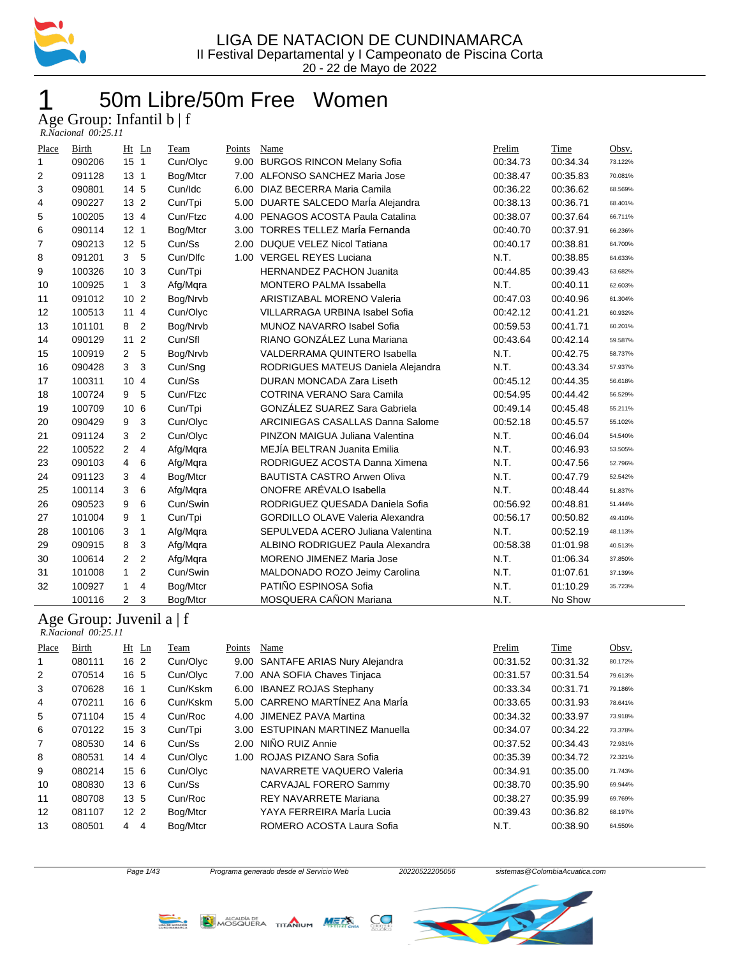

## 50m Libre/50m Free Women

Age Group: Infantil b | f

| R.Nacional 00:25.11 |  |
|---------------------|--|
|                     |  |

| Place          | Birth                                                | Ht              | Ln             | Team        | Points | Name                                    | Prelim   | Time     | Obsv.   |
|----------------|------------------------------------------------------|-----------------|----------------|-------------|--------|-----------------------------------------|----------|----------|---------|
| $\mathbf{1}$   | 090206                                               | 15 <sub>1</sub> |                | Cun/Olyc    | 9.00   | <b>BURGOS RINCON Melany Sofia</b>       | 00:34.73 | 00:34.34 | 73.122% |
| 2              | 091128                                               | 13 <sub>1</sub> |                | Bog/Mtcr    | 7.00   | ALFONSO SANCHEZ Maria Jose              | 00:38.47 | 00:35.83 | 70.081% |
| 3              | 090801                                               | 14 5            |                | Cun/Idc     | 6.00   | DIAZ BECERRA Maria Camila               | 00:36.22 | 00:36.62 | 68.569% |
| 4              | 090227                                               | 13 <sub>2</sub> |                | Cun/Tpi     | 5.00   | DUARTE SALCEDO Marla Alejandra          | 00:38.13 | 00:36.71 | 68.401% |
| 5              | 100205                                               | 13 4            |                | Cun/Ftzc    | 4.00   | PENAGOS ACOSTA Paula Catalina           | 00:38.07 | 00:37.64 | 66.711% |
| 6              | 090114                                               | 12 <sub>1</sub> |                | Bog/Mtcr    | 3.00   | <b>TORRES TELLEZ María Fernanda</b>     | 00:40.70 | 00:37.91 | 66.236% |
| $\overline{7}$ | 090213                                               | 12 <sub>5</sub> |                | Cun/Ss      | 2.00   | <b>DUQUE VELEZ Nicol Tatiana</b>        | 00:40.17 | 00:38.81 | 64.700% |
| 8              | 091201                                               | 3               | 5              | Cun/Dlfc    | 1.00   | <b>VERGEL REYES Luciana</b>             | N.T.     | 00:38.85 | 64.633% |
| 9              | 100326                                               | 10              | 3              | Cun/Tpi     |        | <b>HERNANDEZ PACHON Juanita</b>         | 00:44.85 | 00:39.43 | 63.682% |
| 10             | 100925                                               | $\mathbf{1}$    | 3              | Afg/Mqra    |        | <b>MONTERO PALMA Issabella</b>          | N.T.     | 00:40.11 | 62.603% |
| 11             | 091012                                               | 10              | $\overline{2}$ | Bog/Nrvb    |        | <b>ARISTIZABAL MORENO Valeria</b>       | 00:47.03 | 00:40.96 | 61.304% |
| 12             | 100513                                               | 11              | $\overline{4}$ | Cun/Olyc    |        | <b>VILLARRAGA URBINA Isabel Sofia</b>   | 00:42.12 | 00:41.21 | 60.932% |
| 13             | 101101                                               | 8               | $\overline{2}$ | Bog/Nrvb    |        | MUNOZ NAVARRO Isabel Sofia              | 00:59.53 | 00:41.71 | 60.201% |
| 14             | 090129                                               | 11              | $\overline{2}$ | Cun/Sfl     |        | RIANO GONZÁLEZ Luna Mariana             | 00:43.64 | 00:42.14 | 59.587% |
| 15             | 100919                                               | $\overline{2}$  | 5              | Bog/Nrvb    |        | <b>VALDERRAMA QUINTERO Isabella</b>     | N.T.     | 00:42.75 | 58.737% |
| 16             | 090428                                               | 3               | 3              | Cun/Sng     |        | RODRIGUES MATEUS Daniela Alejandra      | N.T.     | 00:43.34 | 57.937% |
| 17             | 100311                                               | 10              | $\overline{4}$ | Cun/Ss      |        | <b>DURAN MONCADA Zara Liseth</b>        | 00:45.12 | 00:44.35 | 56.618% |
| 18             | 100724                                               | 9               | 5              | Cun/Ftzc    |        | <b>COTRINA VERANO Sara Camila</b>       | 00:54.95 | 00:44.42 | 56.529% |
| 19             | 100709                                               | 10              | 6              | Cun/Tpi     |        | <b>GONZÁLEZ SUAREZ Sara Gabriela</b>    | 00:49.14 | 00:45.48 | 55.211% |
| 20             | 090429                                               | 9               | 3              | Cun/Olyc    |        | ARCINIEGAS CASALLAS Danna Salome        | 00:52.18 | 00:45.57 | 55.102% |
| 21             | 091124                                               | 3               | $\overline{2}$ | Cun/Olyc    |        | PINZON MAIGUA Juliana Valentina         | N.T.     | 00:46.04 | 54.540% |
| 22             | 100522                                               | 2               | 4              | Afg/Mqra    |        | MEJÍA BELTRAN Juanita Emilia            | N.T.     | 00:46.93 | 53.505% |
| 23             | 090103                                               | 4               | 6              | Afg/Mqra    |        | RODRIGUEZ ACOSTA Danna Ximena           | N.T.     | 00:47.56 | 52.796% |
| 24             | 091123                                               | 3               | 4              | Bog/Mtcr    |        | <b>BAUTISTA CASTRO Arwen Oliva</b>      | N.T.     | 00:47.79 | 52.542% |
| 25             | 100114                                               | 3               | 6              | Afg/Mqra    |        | ONOFRE ARÉVALO Isabella                 | N.T.     | 00:48.44 | 51.837% |
| 26             | 090523                                               | 9               | 6              | Cun/Swin    |        | RODRIGUEZ QUESADA Daniela Sofia         | 00:56.92 | 00:48.81 | 51.444% |
| 27             | 101004                                               | 9               | 1              | Cun/Tpi     |        | <b>GORDILLO OLAVE Valeria Alexandra</b> | 00:56.17 | 00:50.82 | 49.410% |
| 28             | 100106                                               | 3               | 1              | Afg/Mqra    |        | SEPULVEDA ACERO Juliana Valentina       | N.T.     | 00:52.19 | 48.113% |
| 29             | 090915                                               | 8               | 3              | Afg/Mqra    |        | ALBINO RODRIGUEZ Paula Alexandra        | 00:58.38 | 01:01.98 | 40.513% |
| 30             | 100614                                               | 2               | $\overline{2}$ | Afg/Mqra    |        | MORENO JIMENEZ Maria Jose               | N.T.     | 01:06.34 | 37.850% |
| 31             | 101008                                               | $\mathbf{1}$    | $\overline{2}$ | Cun/Swin    |        | MALDONADO ROZO Jeimy Carolina           | N.T.     | 01:07.61 | 37.139% |
| 32             | 100927                                               | $\mathbf{1}$    | 4              | Bog/Mtcr    |        | PATIÑO ESPINOSA Sofia                   | N.T.     | 01:10.29 | 35.723% |
|                | 100116                                               | 2               | 3              | Bog/Mtcr    |        | MOSQUERA CAÑON Mariana                  | N.T.     | No Show  |         |
|                | Age Group: Juvenil a   f<br>$R. Nacional$ $00:25.11$ |                 |                |             |        |                                         |          |          |         |
| Place          | Birth                                                | $Ht$ Ln         |                | <b>Team</b> | Points | Name                                    | Prelim   | Time     | Obsv.   |

| Place | Birth  | $Ht$ Ln             | Team     | Points | Name                              | Prelim   | Time     | Obsv.   |
|-------|--------|---------------------|----------|--------|-----------------------------------|----------|----------|---------|
| 1     | 080111 | 16 <sub>2</sub>     | Cun/Olyc |        | 9.00 SANTAFE ARIAS Nury Alejandra | 00:31.52 | 00:31.32 | 80.172% |
| 2     | 070514 | 16 5                | Cun/Olyc |        | 7.00 ANA SOFIA Chaves Tinjaca     | 00:31.57 | 00:31.54 | 79.613% |
| 3     | 070628 | 16<br>-1            | Cun/Kskm | 6.00   | <b>IBANEZ ROJAS Stephany</b>      | 00:33.34 | 00:31.71 | 79.186% |
| 4     | 070211 | 16 6                | Cun/Kskm |        | 5.00 CARRENO MARTÍNEZ Ana MarÍa   | 00:33.65 | 00:31.93 | 78.641% |
| 5     | 071104 | 15 <sub>4</sub>     | Cun/Roc  |        | 4.00 JIMENEZ PAVA Martina         | 00:34.32 | 00:33.97 | 73.918% |
| 6     | 070122 | 15 <sub>3</sub>     | Cun/Tpi  |        | 3.00 ESTUPINAN MARTINEZ Manuella  | 00:34.07 | 00:34.22 | 73.378% |
| 7     | 080530 | 146                 | Cun/Ss   | 2.00   | NIÑO RUIZ Annie                   | 00:37.52 | 00:34.43 | 72.931% |
| 8     | 080531 | 144                 | Cun/Olyc | 1.00   | ROJAS PIZANO Sara Sofia           | 00:35.39 | 00:34.72 | 72.321% |
| 9     | 080214 | 156                 | Cun/Olyc |        | NAVARRETE VAQUERO Valeria         | 00:34.91 | 00:35.00 | 71.743% |
| 10    | 080830 | 136                 | Cun/Ss   |        | CARVAJAL FORERO Sammy             | 00:38.70 | 00:35.90 | 69.944% |
| 11    | 080708 | 13 <sub>5</sub>     | Cun/Roc  |        | REY NAVARRETE Mariana             | 00:38.27 | 00:35.99 | 69.769% |
| 12    | 081107 | 12 <sub>2</sub>     | Bog/Mtcr |        | YAYA FERREIRA Marla Lucia         | 00:39.43 | 00:36.82 | 68.197% |
| 13    | 080501 | $\overline{4}$<br>4 | Bog/Mtcr |        | ROMERO ACOSTA Laura Sofia         | N.T.     | 00:38.90 | 64.550% |

**MELLS** 



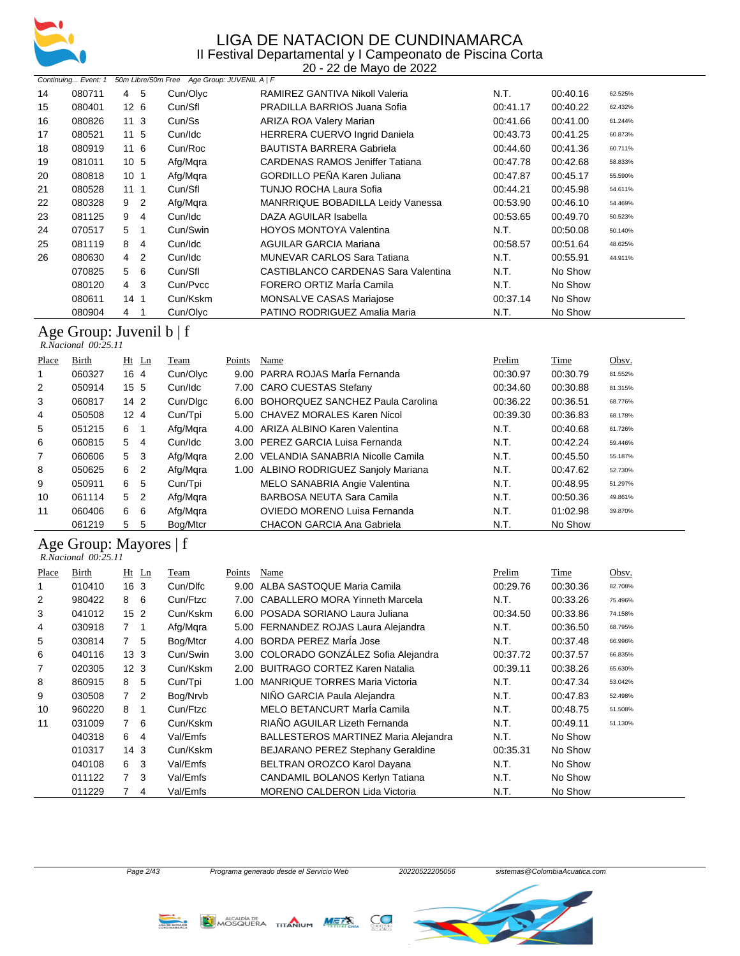

20 - 22 de Mayo de 2022

|    | Continuing Event: 1 |                     | 50m Libre/50m Free Age Group: JUVENIL A   F |                                        |          |          |         |
|----|---------------------|---------------------|---------------------------------------------|----------------------------------------|----------|----------|---------|
| 14 | 080711              | 5<br>4              | Cun/Olyc                                    | RAMIREZ GANTIVA Nikoll Valeria         | N.T.     | 00:40.16 | 62.525% |
| 15 | 080401              | 12 <sub>6</sub>     | Cun/Sfl                                     | PRADILLA BARRIOS Juana Sofia           | 00:41.17 | 00:40.22 | 62.432% |
| 16 | 080826              | 11 3                | Cun/Ss                                      | ARIZA ROA Valery Marian                | 00:41.66 | 00:41.00 | 61.244% |
| 17 | 080521              | 11 <sub>5</sub>     | Cun/Idc                                     | <b>HERRERA CUERVO Ingrid Daniela</b>   | 00:43.73 | 00:41.25 | 60.873% |
| 18 | 080919              | 11 6                | Cun/Roc                                     | <b>BAUTISTA BARRERA Gabriela</b>       | 00:44.60 | 00:41.36 | 60.711% |
| 19 | 081011              | 10 <sub>5</sub>     | Afg/Mqra                                    | <b>CARDENAS RAMOS Jeniffer Tatiana</b> | 00:47.78 | 00:42.68 | 58.833% |
| 20 | 080818              | 10 <sub>1</sub>     | Afg/Mgra                                    | <b>GORDILLO PEÑA Karen Juliana</b>     | 00:47.87 | 00:45.17 | 55.590% |
| 21 | 080528              | 1111                | Cun/Sfl                                     | TUNJO ROCHA Laura Sofia                | 00:44.21 | 00:45.98 | 54.611% |
| 22 | 080328              | $\overline{2}$<br>9 | Afg/Mqra                                    | MANRRIQUE BOBADILLA Leidy Vanessa      | 00:53.90 | 00:46.10 | 54.469% |
| 23 | 081125              | 9<br>4              | Cun/Idc                                     | DAZA AGUILAR Isabella                  | 00:53.65 | 00:49.70 | 50.523% |
| 24 | 070517              | 5<br>-1             | Cun/Swin                                    | <b>HOYOS MONTOYA Valentina</b>         | N.T.     | 00:50.08 | 50.140% |
| 25 | 081119              | 8<br>4              | Cun/Idc                                     | <b>AGUILAR GARCIA Mariana</b>          | 00:58.57 | 00:51.64 | 48.625% |
| 26 | 080630              | $\overline{2}$<br>4 | Cun/Idc                                     | <b>MUNEVAR CARLOS Sara Tatiana</b>     | N.T.     | 00:55.91 | 44.911% |
|    | 070825              | - 6<br>5            | Cun/Sfl                                     | CASTIBLANCO CARDENAS Sara Valentina    | N.T.     | No Show  |         |
|    | 080120              | 4 3                 | Cun/Pvcc                                    | FORERO ORTIZ Maria Camila              | N.T.     | No Show  |         |
|    | 080611              | 14 <sub>1</sub>     | Cun/Kskm                                    | <b>MONSALVE CASAS Mariajose</b>        | 00:37.14 | No Show  |         |
|    | 080904              | 4                   | Cun/Olyc                                    | PATINO RODRIGUEZ Amalia Maria          | N.T.     | No Show  |         |

#### Age Group: Juvenil b | f

 *R.Nacional 00:25.11* 

| Place          | Birth  | Ht Ln               | Team     | Points | Name                                  | Prelim   | Time     | Obsv.   |
|----------------|--------|---------------------|----------|--------|---------------------------------------|----------|----------|---------|
|                | 060327 | 16 4                | Cun/Olyc |        | 9.00 PARRA ROJAS María Fernanda       | 00:30.97 | 00:30.79 | 81.552% |
| $\overline{2}$ | 050914 | 15 <sub>5</sub>     | Cun/Idc  |        | 7.00 CARO CUESTAS Stefany             | 00:34.60 | 00:30.88 | 81.315% |
| 3              | 060817 | 14 <sub>2</sub>     | Cun/Dlgc |        | 6.00 BOHORQUEZ SANCHEZ Paula Carolina | 00:36.22 | 00:36.51 | 68.776% |
| 4              | 050508 | 12 <sub>4</sub>     | Cun/Tpi  |        | 5.00 CHAVEZ MORALES Karen Nicol       | 00:39.30 | 00:36.83 | 68.178% |
| 5              | 051215 | 6<br>- 1            | Afg/Mqra |        | 4.00 ARIZA ALBINO Karen Valentina     | N.T.     | 00:40.68 | 61.726% |
| 6              | 060815 | 5<br>-4             | Cun/Idc  |        | 3.00 PEREZ GARCIA Luisa Fernanda      | N.T.     | 00:42.24 | 59.446% |
| 7              | 060606 | 5<br>- 3            | Afg/Mgra | 2.00   | VELANDIA SANABRIA Nicolle Camila      | N.T.     | 00:45.50 | 55.187% |
| 8              | 050625 | 6<br>-2             | Afg/Mgra |        | 1.00 ALBINO RODRIGUEZ Sanjoly Mariana | N.T.     | 00:47.62 | 52.730% |
| 9              | 050911 | 6<br>-5             | Cun/Tpi  |        | MELO SANABRIA Angie Valentina         | N.T.     | 00:48.95 | 51.297% |
| 10             | 061114 | 5<br>$\overline{2}$ | Afg/Mgra |        | BARBOSA NEUTA Sara Camila             | N.T.     | 00:50.36 | 49.861% |
| 11             | 060406 | 6<br>6              | Afg/Mgra |        | OVIEDO MORENO Luisa Fernanda          | N.T.     | 01:02.98 | 39.870% |
|                | 061219 | 5<br>5              | Boa/Mtcr |        | CHACON GARCIA Ana Gabriela            | N.T.     | No Show  |         |

#### Age Group: Mayores | f  *R.Nacional 00:25.11*

| Place | Birth  | $Ht$ Ln         |   | Team     | Points            | Name                                        | Prelim   | Time     | Obsv.   |
|-------|--------|-----------------|---|----------|-------------------|---------------------------------------------|----------|----------|---------|
|       | 010410 | 16 <sub>3</sub> |   | Cun/Dlfc | 9.00              | ALBA SASTOQUE Maria Camila                  | 00:29.76 | 00:30.36 | 82.708% |
| 2     | 980422 | 8 6             |   | Cun/Ftzc | 7.00              | CABALLERO MORA Yinneth Marcela              | N.T.     | 00:33.26 | 75.496% |
| 3     | 041012 | 15 <sub>2</sub> |   | Cun/Kskm | 6.00              | POSADA SORIANO Laura Juliana                | 00:34.50 | 00:33.86 | 74.158% |
| 4     | 030918 | 7 1             |   | Afg/Mqra | 5.00              | FERNANDEZ ROJAS Laura Alejandra             | N.T.     | 00:36.50 | 68.795% |
| 5     | 030814 | 7 5             |   | Bog/Mtcr | 4.00              | BORDA PEREZ María Jose                      | N.T.     | 00:37.48 | 66.996% |
| 6     | 040116 | 13 <sub>3</sub> |   | Cun/Swin | 3.00 <sub>1</sub> | COLORADO GONZÁLEZ Sofia Alejandra           | 00:37.72 | 00:37.57 | 66.835% |
| 7     | 020305 | 12 <sub>3</sub> |   | Cun/Kskm | 2.00              | <b>BUITRAGO CORTEZ Karen Natalia</b>        | 00:39.11 | 00:38.26 | 65.630% |
| 8     | 860915 | 8 5             |   | Cun/Tpi  | 1.00              | <b>MANRIQUE TORRES Maria Victoria</b>       | N.T.     | 00:47.34 | 53.042% |
| 9     | 030508 | 7 <sup>2</sup>  |   | Bog/Nrvb |                   | NIÑO GARCIA Paula Alejandra                 | N.T.     | 00:47.83 | 52.498% |
| 10    | 960220 | 8 1             |   | Cun/Ftzc |                   | MELO BETANCURT Marla Camila                 | N.T.     | 00:48.75 | 51.508% |
| 11    | 031009 | 7 6             |   | Cun/Kskm |                   | RIAÑO AGUILAR Lizeth Fernanda               | N.T.     | 00:49.11 | 51.130% |
|       | 040318 | 6 4             |   | Val/Emfs |                   | <b>BALLESTEROS MARTINEZ Maria Alejandra</b> | N.T.     | No Show  |         |
|       | 010317 | 14 <sub>3</sub> |   | Cun/Kskm |                   | BEJARANO PEREZ Stephany Geraldine           | 00:35.31 | No Show  |         |
|       | 040108 | 6 3             |   | Val/Emfs |                   | BELTRAN OROZCO Karol Dayana                 | N.T.     | No Show  |         |
|       | 011122 | $7^{\circ}$     | 3 | Val/Emfs |                   | <b>CANDAMIL BOLANOS Kerlyn Tatiana</b>      | N.T.     | No Show  |         |
|       | 011229 |                 | 4 | Val/Emfs |                   | <b>MORENO CALDERON Lida Victoria</b>        | N.T.     | No Show  |         |



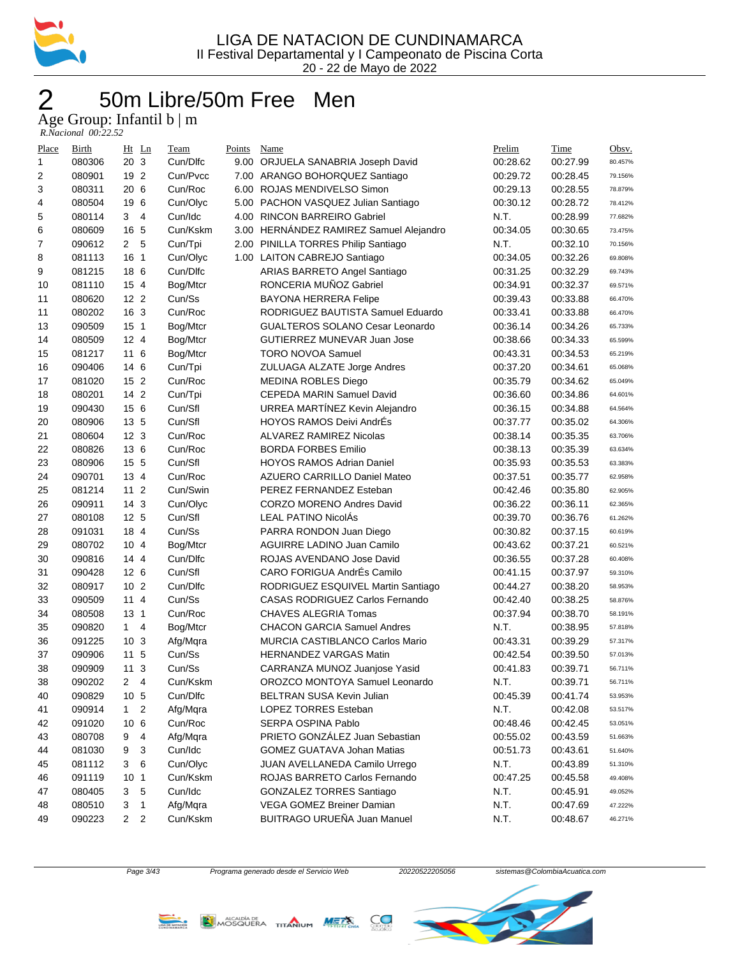

## 2 50m Libre/50m Free Men

Age Group: Infantil b | m

| $R. Nacional$ 00:22.52 |  |
|------------------------|--|

| Place          | Birth  |                 | $Ht$ Ln        | Team     | Points | Name                                    | Prelim   | Time     | Obsv.   |
|----------------|--------|-----------------|----------------|----------|--------|-----------------------------------------|----------|----------|---------|
| 1              | 080306 | 20 3            |                | Cun/Difc |        | 9.00 ORJUELA SANABRIA Joseph David      | 00:28.62 | 00:27.99 | 80.457% |
| $\overline{c}$ | 080901 | 19 2            |                | Cun/Pvcc |        | 7.00 ARANGO BOHORQUEZ Santiago          | 00:29.72 | 00:28.45 | 79.156% |
| 3              | 080311 | 20 6            |                | Cun/Roc  |        | 6.00 ROJAS MENDIVELSO Simon             | 00:29.13 | 00:28.55 | 78.879% |
| 4              | 080504 | 19 6            |                | Cun/Olyc |        | 5.00 PACHON VASQUEZ Julian Santiago     | 00:30.12 | 00:28.72 | 78.412% |
| 5              | 080114 | 3               | $\overline{4}$ | Cun/Idc  |        | 4.00 RINCON BARREIRO Gabriel            | N.T.     | 00:28.99 | 77.682% |
| 6              | 080609 | 16 5            |                | Cun/Kskm |        | 3.00 HERNÁNDEZ RAMIREZ Samuel Alejandro | 00:34.05 | 00:30.65 | 73.475% |
| 7              | 090612 | $\mathbf{2}$    | 5              | Cun/Tpi  |        | 2.00 PINILLA TORRES Philip Santiago     | N.T.     | 00:32.10 | 70.156% |
| 8              | 081113 | 16 1            |                | Cun/Olyc |        | 1.00 LAITON CABREJO Santiago            | 00:34.05 | 00:32.26 | 69.808% |
| 9              | 081215 | 18 6            |                | Cun/Dlfc |        | ARIAS BARRETO Angel Santiago            | 00:31.25 | 00:32.29 | 69.743% |
| 10             | 081110 | 15 4            |                | Bog/Mtcr |        | RONCERIA MUÑOZ Gabriel                  | 00:34.91 | 00:32.37 | 69.571% |
| 11             | 080620 | 12 <sub>2</sub> |                | Cun/Ss   |        | <b>BAYONA HERRERA Felipe</b>            | 00:39.43 | 00:33.88 | 66.470% |
| 11             | 080202 | 16 3            |                | Cun/Roc  |        | RODRIGUEZ BAUTISTA Samuel Eduardo       | 00:33.41 | 00:33.88 | 66.470% |
| 13             | 090509 | 15 <sub>1</sub> |                | Bog/Mtcr |        | <b>GUALTEROS SOLANO Cesar Leonardo</b>  | 00:36.14 | 00:34.26 | 65.733% |
| 14             | 080509 | 12 4            |                | Bog/Mtcr |        | GUTIERREZ MUNEVAR Juan Jose             | 00:38.66 | 00:34.33 | 65.599% |
| 15             | 081217 | 11 6            |                | Bog/Mtcr |        | <b>TORO NOVOA Samuel</b>                | 00:43.31 | 00:34.53 | 65.219% |
| 16             | 090406 | 14 6            |                | Cun/Tpi  |        | ZULUAGA ALZATE Jorge Andres             | 00:37.20 | 00:34.61 | 65.068% |
| 17             | 081020 | 15 <sub>2</sub> |                | Cun/Roc  |        | <b>MEDINA ROBLES Diego</b>              | 00:35.79 | 00:34.62 | 65.049% |
| 18             | 080201 | 14 2            |                | Cun/Tpi  |        | CEPEDA MARIN Samuel David               | 00:36.60 | 00:34.86 | 64.601% |
| 19             | 090430 | 15 6            |                | Cun/Sfl  |        | URREA MARTÍNEZ Kevin Alejandro          | 00:36.15 | 00:34.88 | 64.564% |
| 20             | 080906 | 13 5            |                | Cun/Sfl  |        | <b>HOYOS RAMOS Deivi AndrÉs</b>         | 00:37.77 | 00:35.02 | 64.306% |
| 21             | 080604 | 12 <sub>3</sub> |                | Cun/Roc  |        | <b>ALVAREZ RAMIREZ Nicolas</b>          | 00:38.14 | 00:35.35 | 63.706% |
| 22             | 080826 | 13 6            |                | Cun/Roc  |        | <b>BORDA FORBES Emilio</b>              | 00:38.13 | 00:35.39 | 63.634% |
| 23             | 080906 | 15 5            |                | Cun/Sfl  |        | <b>HOYOS RAMOS Adrian Daniel</b>        | 00:35.93 | 00:35.53 | 63.383% |
| 24             | 090701 | 13 4            |                | Cun/Roc  |        | <b>AZUERO CARRILLO Daniel Mateo</b>     | 00:37.51 | 00:35.77 | 62.958% |
| 25             | 081214 | 11 <sub>2</sub> |                | Cun/Swin |        | PEREZ FERNANDEZ Esteban                 | 00:42.46 | 00:35.80 | 62.905% |
| 26             | 090911 | 14 <sub>3</sub> |                | Cun/Olyc |        | <b>CORZO MORENO Andres David</b>        | 00:36.22 | 00:36.11 | 62.365% |
| 27             | 080108 | 12 <sub>5</sub> |                | Cun/Sfl  |        | <b>LEAL PATINO NicolÁs</b>              | 00:39.70 | 00:36.76 | 61.262% |
| 28             | 091031 | 18 4            |                | Cun/Ss   |        | PARRA RONDON Juan Diego                 | 00:30.82 | 00:37.15 | 60.619% |
| 29             | 080702 | 104             |                | Bog/Mtcr |        | AGUIRRE LADINO Juan Camilo              | 00:43.62 | 00:37.21 | 60.521% |
| 30             | 090816 | 14 4            |                | Cun/Dlfc |        | ROJAS AVENDANO Jose David               | 00:36.55 | 00:37.28 | 60.408% |
| 31             | 090428 | 126             |                | Cun/Sfl  |        | CARO FORIGUA AndrÉs Camilo              | 00:41.15 | 00:37.97 | 59.310% |
| 32             | 080917 | 10 <sub>2</sub> |                | Cun/Dlfc |        | RODRIGUEZ ESQUIVEL Martin Santiago      | 00:44.27 | 00:38.20 | 58.953% |
| 33             | 090509 | 114             |                | Cun/Ss   |        | <b>CASAS RODRIGUEZ Carlos Fernando</b>  | 00:42.40 | 00:38.25 | 58.876% |
| 34             | 080508 | 13 <sub>1</sub> |                | Cun/Roc  |        | <b>CHAVES ALEGRIA Tomas</b>             | 00:37.94 | 00:38.70 | 58.191% |
| 35             | 090820 | 1               | 4              | Bog/Mtcr |        | <b>CHACON GARCIA Samuel Andres</b>      | N.T.     | 00:38.95 | 57.818% |
| 36             | 091225 | 10 <sub>3</sub> |                | Afg/Mqra |        | <b>MURCIA CASTIBLANCO Carlos Mario</b>  | 00:43.31 | 00:39.29 | 57.317% |
| 37             | 090906 | 11 5            |                | Cun/Ss   |        | <b>HERNANDEZ VARGAS Matin</b>           | 00:42.54 | 00:39.50 | 57.013% |
| 38             | 090909 | 11              | 3              | Cun/Ss   |        | CARRANZA MUNOZ Juanjose Yasid           | 00:41.83 | 00:39.71 | 56.711% |
| 38             | 090202 | $\overline{2}$  | 4              | Cun/Kskm |        | OROZCO MONTOYA Samuel Leonardo          | N.T.     | 00:39.71 | 56.711% |
| 40             | 090829 | 10 <sub>5</sub> |                | Cun/Dlfc |        | BELTRAN SUSA Kevin Julian               | 00:45.39 | 00:41.74 | 53.953% |
| 41             | 090914 | 1               | $\overline{c}$ | Afg/Mqra |        | <b>LOPEZ TORRES Esteban</b>             | N.T.     | 00:42.08 | 53.517% |
| 42             | 091020 | 10 6            |                | Cun/Roc  |        | SERPA OSPINA Pablo                      | 00:48.46 | 00:42.45 | 53.051% |
| 43             | 080708 | 9               | 4              | Afg/Mqra |        | PRIETO GONZÁLEZ Juan Sebastian          | 00:55.02 | 00:43.59 | 51.663% |
| 44             | 081030 | 9               | 3              | Cun/Idc  |        | <b>GOMEZ GUATAVA Johan Matias</b>       | 00:51.73 | 00:43.61 | 51.640% |
| 45             | 081112 | 3               | 6              | Cun/Olyc |        | JUAN AVELLANEDA Camilo Urrego           | N.T.     | 00:43.89 | 51.310% |
| 46             | 091119 | 10 <sub>1</sub> |                | Cun/Kskm |        | ROJAS BARRETO Carlos Fernando           | 00:47.25 | 00:45.58 | 49.408% |
| 47             | 080405 | 3               | 5              | Cun/Idc  |        | <b>GONZALEZ TORRES Santiago</b>         | N.T.     | 00:45.91 | 49.052% |
| 48             | 080510 | 3               | 1              | Afg/Mqra |        | VEGA GOMEZ Breiner Damian               | N.T.     | 00:47.69 | 47.222% |
| 49             | 090223 | 2               | $\overline{c}$ | Cun/Kskm |        | BUITRAGO URUEÑA Juan Manuel             | N.T.     | 00:48.67 | 46.271% |
|                |        |                 |                |          |        |                                         |          |          |         |





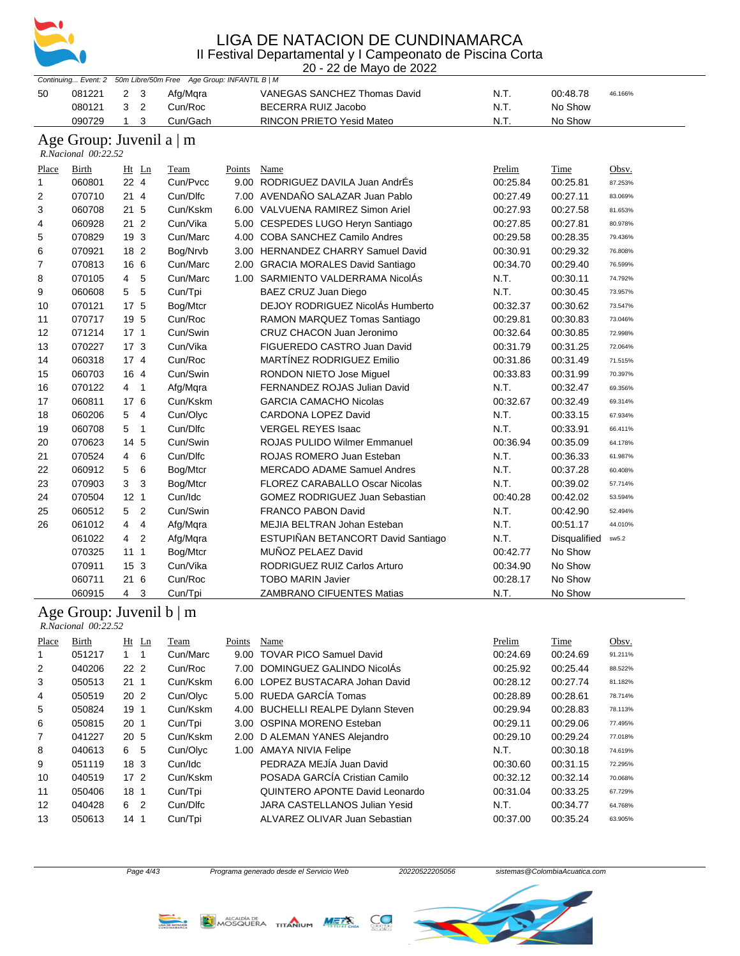

20 - 22 de Mayo de 2022

|              |                                                 |                                | Continuing Event: 2 50m Libre/50m Free Age Group: INFANTIL B   M |        |                                     |          |              |         |
|--------------|-------------------------------------------------|--------------------------------|------------------------------------------------------------------|--------|-------------------------------------|----------|--------------|---------|
| 50           | 081221                                          | $\overline{c}$<br>$\mathbf{3}$ | Afg/Mqra                                                         |        | <b>VANEGAS SANCHEZ Thomas David</b> | N.T.     | 00:48.78     | 46.166% |
|              | 080121                                          | 3<br>$\overline{2}$            | Cun/Roc                                                          |        | BECERRA RUIZ Jacobo                 | N.T.     | No Show      |         |
|              | 090729                                          | $\mathbf{1}$<br>3              | Cun/Gach                                                         |        | RINCON PRIETO Yesid Mateo           | N.T.     | No Show      |         |
|              |                                                 |                                |                                                                  |        |                                     |          |              |         |
|              | Age Group: Juvenil a   m<br>R.Nacional 00:22.52 |                                |                                                                  |        |                                     |          |              |         |
| Place        | <b>Birth</b>                                    | Ht Ln                          | <b>Team</b>                                                      | Points | <b>Name</b>                         | Prelim   | <b>Time</b>  | Obsv.   |
| 1            | 060801                                          | 22 4                           | Cun/Pvcc                                                         |        | 9.00 RODRIGUEZ DAVILA Juan AndrÉs   | 00:25.84 | 00:25.81     | 87.253% |
| 2            | 070710                                          | 214                            | Cun/Dlfc                                                         |        | 7.00 AVENDAÑO SALAZAR Juan Pablo    | 00:27.49 | 00:27.11     | 83.069% |
| 3            | 060708                                          | 21 5                           | Cun/Kskm                                                         |        | 6.00 VALVUENA RAMIREZ Simon Ariel   | 00:27.93 | 00:27.58     | 81.653% |
| 4            | 060928                                          | 21 <sub>2</sub>                | Cun/Vika                                                         |        | 5.00 CESPEDES LUGO Heryn Santiago   | 00:27.85 | 00:27.81     | 80.978% |
| 5            | 070829                                          | 19 3                           | Cun/Marc                                                         |        | 4.00 COBA SANCHEZ Camilo Andres     | 00:29.58 | 00:28.35     | 79.436% |
| 6            | 070921                                          | 18 2                           | Bog/Nrvb                                                         |        | 3.00 HERNANDEZ CHARRY Samuel David  | 00:30.91 | 00:29.32     | 76.808% |
| 7            | 070813                                          | 16 6                           | Cun/Marc                                                         |        | 2.00 GRACIA MORALES David Santiago  | 00:34.70 | 00:29.40     | 76.599% |
| 8            | 070105                                          | 4 <sub>5</sub>                 | Cun/Marc                                                         |        | 1.00 SARMIENTO VALDERRAMA NicolÁs   | N.T.     | 00:30.11     | 74.792% |
| 9            | 060608                                          | 5 <sub>5</sub>                 | Cun/Tpi                                                          |        | BAEZ CRUZ Juan Diego                | N.T.     | 00:30.45     | 73.957% |
| 10           | 070121                                          | 17 5                           | Bog/Mtcr                                                         |        | DEJOY RODRIGUEZ NicolÁs Humberto    | 00:32.37 | 00:30.62     | 73.547% |
| 11           | 070717                                          | 19 5                           | Cun/Roc                                                          |        | RAMON MARQUEZ Tomas Santiago        | 00:29.81 | 00:30.83     | 73.046% |
| 12           | 071214                                          | $17-1$                         | Cun/Swin                                                         |        | CRUZ CHACON Juan Jeronimo           | 00:32.64 | 00:30.85     | 72.998% |
| 13           | 070227                                          | 17 <sub>3</sub>                | Cun/Vika                                                         |        | FIGUEREDO CASTRO Juan David         | 00:31.79 | 00:31.25     | 72.064% |
| 14           | 060318                                          | 174                            | Cun/Roc                                                          |        | MARTÍNEZ RODRIGUEZ Emilio           | 00:31.86 | 00:31.49     | 71.515% |
| 15           | 060703                                          | 16 4                           | Cun/Swin                                                         |        | RONDON NIETO Jose Miguel            | 00:33.83 | 00:31.99     | 70.397% |
| 16           | 070122                                          | 4 <sub>1</sub>                 | Afg/Mqra                                                         |        | FERNANDEZ ROJAS Julian David        | N.T.     | 00:32.47     | 69.356% |
| 17           | 060811                                          | 17 6                           | Cun/Kskm                                                         |        | <b>GARCIA CAMACHO Nicolas</b>       | 00:32.67 | 00:32.49     | 69.314% |
| 18           | 060206                                          | 5<br>$\overline{4}$            | Cun/Olyc                                                         |        | <b>CARDONA LOPEZ David</b>          | N.T.     | 00:33.15     | 67.934% |
| 19           | 060708                                          | 5 <sub>1</sub>                 | Cun/Dlfc                                                         |        | <b>VERGEL REYES Isaac</b>           | N.T.     | 00:33.91     | 66.411% |
| 20           | 070623                                          | 14 5                           | Cun/Swin                                                         |        | <b>ROJAS PULIDO Wilmer Emmanuel</b> | 00:36.94 | 00:35.09     | 64.178% |
| 21           | 070524                                          | 6<br>4                         | Cun/Dlfc                                                         |        | ROJAS ROMERO Juan Esteban           | N.T.     | 00:36.33     | 61.987% |
| 22           | 060912                                          | 5<br>6                         | Bog/Mtcr                                                         |        | <b>MERCADO ADAME Samuel Andres</b>  | N.T.     | 00:37.28     | 60.408% |
| 23           | 070903                                          | 3<br>3                         | Bog/Mtcr                                                         |        | FLOREZ CARABALLO Oscar Nicolas      | N.T.     | 00:39.02     | 57.714% |
| 24           | 070504                                          | 12 <sub>1</sub>                | Cun/Idc                                                          |        | GOMEZ RODRIGUEZ Juan Sebastian      | 00:40.28 | 00:42.02     | 53.594% |
| 25           | 060512                                          | 5 <sub>2</sub>                 | Cun/Swin                                                         |        | <b>FRANCO PABON David</b>           | N.T.     | 00:42.90     | 52.494% |
| 26           | 061012                                          | 4<br>4                         | Afg/Mqra                                                         |        | MEJIA BELTRAN Johan Esteban         | N.T.     | 00:51.17     | 44.010% |
|              | 061022                                          | 4 <sup>2</sup>                 | Afg/Mqra                                                         |        | ESTUPIÑAN BETANCORT David Santiago  | N.T.     | Disqualified | sw5.2   |
|              | 070325                                          | 111                            | Bog/Mtcr                                                         |        | MUÑOZ PELAEZ David                  | 00:42.77 | No Show      |         |
|              | 070911                                          | 15 <sub>3</sub>                | Cun/Vika                                                         |        | RODRIGUEZ RUIZ Carlos Arturo        | 00:34.90 | No Show      |         |
|              | 060711                                          | 21 6                           | Cun/Roc                                                          |        | <b>TOBO MARIN Javier</b>            | 00:28.17 | No Show      |         |
|              | 060915                                          | 4<br>3                         | Cun/Tpi                                                          |        | <b>ZAMBRANO CIFUENTES Matias</b>    | N.T.     | No Show      |         |
|              | Age Group: Juvenil $b \mid m$                   |                                |                                                                  |        |                                     |          |              |         |
|              | R.Nacional 00:22.52                             |                                |                                                                  |        |                                     |          |              |         |
| Place        | <b>Birth</b>                                    | Ht Ln                          | Team                                                             | Points | <b>Name</b>                         | Prelim   | Time         | Obsv.   |
| $\mathbf{1}$ | 051217                                          | $1 \quad 1$                    | Cun/Marc                                                         |        | 9.00 TOVAR PICO Samuel David        | 00:24.69 | 00:24.69     | 91.211% |
| 2            | 040206                                          | 22 2                           | Cun/Roc                                                          |        | 7.00 DOMINGUEZ GALINDO NicolAs      | 00:25.92 | 00:25.44     | 88.522% |
| 3            | 050513                                          | $21 \t1$                       | Cun/Kskm                                                         |        | 6.00 LOPEZ BUSTACARA Johan David    | 00:28.12 | 00:27.74     | 81.182% |
| 4            | 050519                                          | 20 2                           | Cun/Olyc                                                         |        | 5.00 RUEDA GARCÍA Tomas             | 00:28.89 | 00:28.61     | 78.714% |
| 5            | 050824                                          | 19 1                           | Cun/Kskm                                                         |        | 4.00 BUCHELLI REALPE Dylann Steven  | 00:29.94 | 00:28.83     | 78.113% |
| 6            | 050815                                          | 20 <sub>1</sub>                | Cun/Tpi                                                          |        | 3.00 OSPINA MORENO Esteban          | 00:29.11 | 00:29.06     | 77.495% |
| 7            | 041227                                          | 20 5                           | Cun/Kskm                                                         |        | 2.00 D ALEMAN YANES Alejandro       | 00:29.10 | 00:29.24     | 77.018% |
| 8            | 040613                                          | 6 5                            | Cun/Olyc                                                         |        | 1.00 AMAYA NIVIA Felipe             | N.T.     | 00:30.18     | 74.619% |
| 9            | 051119                                          | 18 3                           | Cun/Idc                                                          |        | PEDRAZA MEJÍA Juan David            | 00:30.60 | 00:31.15     | 72.295% |
| 10           | 040519                                          | $172$                          | Cun/Kskm                                                         |        | POSADA GARCÍA Cristian Camilo       | 00:32.12 | 00:32.14     | 70.068% |
| 11           | 050406                                          | 18 1                           | Cun/Tpi                                                          |        | QUINTERO APONTE David Leonardo      | 00:31.04 | 00:33.25     | 67.729% |
| 12           | 040428                                          | 6 2                            | Cun/Dlfc                                                         |        | JARA CASTELLANOS Julian Yesid       | N.T.     | 00:34.77     | 64.768% |
| 13           | 050613                                          | 14 <sub>1</sub>                | Cun/Tpi                                                          |        | ALVAREZ OLIVAR Juan Sebastian       | 00:37.00 | 00:35.24     | 63.905% |





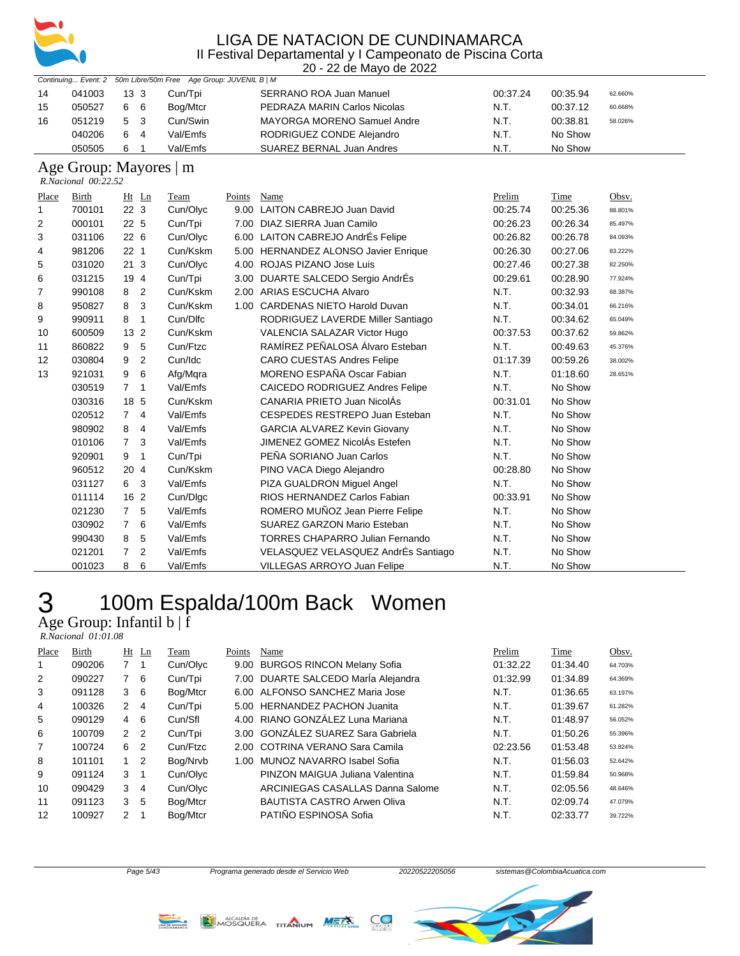

|                                                                 | 20 - 22 de Mayo de 2022 |          |          |                                    |          |          |         |  |  |  |  |  |  |
|-----------------------------------------------------------------|-------------------------|----------|----------|------------------------------------|----------|----------|---------|--|--|--|--|--|--|
| Continuing Event: 2 50m Libre/50m Free Age Group: JUVENIL B   M |                         |          |          |                                    |          |          |         |  |  |  |  |  |  |
| 14                                                              | 041003                  | 13 3     | Cun/Tpi  | <b>SERRANO ROA Juan Manuel</b>     | 00:37.24 | 00:35.94 | 62.660% |  |  |  |  |  |  |
| 15                                                              | 050527                  | 66       | Bog/Mtcr | PEDRAZA MARIN Carlos Nicolas       | N.T.     | 00:37.12 | 60.668% |  |  |  |  |  |  |
| 16                                                              | 051219                  | - 3<br>5 | Cun/Swin | <b>MAYORGA MORENO Samuel Andre</b> | N.T.     | 00:38.81 | 58.026% |  |  |  |  |  |  |
|                                                                 | 040206                  | 6<br>-4  | Val/Emfs | RODRIGUEZ CONDE Alejandro          | N.T.     | No Show  |         |  |  |  |  |  |  |
|                                                                 | 050505                  | 6        | Val/Emfs | SUAREZ BERNAL Juan Andres          | N.T.     | No Show  |         |  |  |  |  |  |  |

#### Age Group: Mayores | m

 *R.Nacional 00:22.52* 

| Place        | Birth  | Ht Ln               | Team     | Points | Name                                   | Prelim   | Time     | Obsv.   |
|--------------|--------|---------------------|----------|--------|----------------------------------------|----------|----------|---------|
| $\mathbf{1}$ | 700101 | 22 <sub>3</sub>     | Cun/Olyc | 9.00   | <b>LAITON CABREJO Juan David</b>       | 00:25.74 | 00:25.36 | 88.801% |
| 2            | 000101 | 22 5                | Cun/Tpi  | 7.00   | DIAZ SIERRA Juan Camilo                | 00:26.23 | 00:26.34 | 85.497% |
| 3            | 031106 | 226                 | Cun/Olyc | 6.00   | LAITON CABREJO AndrÉs Felipe           | 00:26.82 | 00:26.78 | 84.093% |
| 4            | 981206 | 22 <sub>1</sub>     | Cun/Kskm | 5.00   | <b>HERNANDEZ ALONSO Javier Enrique</b> | 00:26.30 | 00:27.06 | 83.222% |
| 5            | 031020 | 213                 | Cun/Olyc | 4.00   | ROJAS PIZANO Jose Luis                 | 00:27.46 | 00:27.38 | 82.250% |
| 6            | 031215 | 19 4                | Cun/Tpi  | 3.00   | DUARTE SALCEDO Sergio AndrÉs           | 00:29.61 | 00:28.90 | 77.924% |
| 7            | 990108 | 2<br>8              | Cun/Kskm | 2.00   | ARIAS ESCUCHA Alvaro                   | N.T.     | 00:32.93 | 68.387% |
| 8            | 950827 | 3<br>8              | Cun/Kskm | 1.00   | <b>CARDENAS NIETO Harold Duvan</b>     | N.T.     | 00:34.01 | 66.216% |
| 9            | 990911 | $\overline{1}$<br>8 | Cun/Dlfc |        | RODRIGUEZ LAVERDE Miller Santiago      | N.T.     | 00:34.62 | 65.049% |
| 10           | 600509 | 13 <sub>2</sub>     | Cun/Kskm |        | VALENCIA SALAZAR Victor Hugo           | 00:37.53 | 00:37.62 | 59.862% |
| 11           | 860822 | 5<br>9              | Cun/Ftzc |        | RAMÍREZ PEÑALOSA Álvaro Esteban        | N.T.     | 00:49.63 | 45.376% |
| 12           | 030804 | $\overline{2}$<br>9 | Cun/Idc  |        | <b>CARO CUESTAS Andres Felipe</b>      | 01:17.39 | 00:59.26 | 38.002% |
| 13           | 921031 | 6<br>9              | Afg/Mgra |        | MORENO ESPAÑA Oscar Fabian             | N.T.     | 01:18.60 | 28.651% |
|              | 030519 | 7 <sub>1</sub>      | Val/Emfs |        | CAICEDO RODRIGUEZ Andres Felipe        | N.T.     | No Show  |         |
|              | 030316 | 18 5                | Cun/Kskm |        | CANARIA PRIETO Juan NicolÁs            | 00:31.01 | No Show  |         |
|              | 020512 | 74                  | Val/Emfs |        | CESPEDES RESTREPO Juan Esteban         | N.T.     | No Show  |         |
|              | 980902 | 8<br>$\overline{4}$ | Val/Emfs |        | <b>GARCIA ALVAREZ Kevin Giovany</b>    | N.T.     | No Show  |         |
|              | 010106 | 3<br>$7^{\circ}$    | Val/Emfs |        | JIMENEZ GOMEZ NicolÁs Estefen          | N.T.     | No Show  |         |
|              | 920901 | 9<br>$\overline{1}$ | Cun/Tpi  |        | PEÑA SORIANO Juan Carlos               | N.T.     | No Show  |         |
|              | 960512 | 20 4                | Cun/Kskm |        | PINO VACA Diego Alejandro              | 00:28.80 | No Show  |         |
|              | 031127 | 6 3                 | Val/Emfs |        | PIZA GUALDRON Miquel Angel             | N.T.     | No Show  |         |
|              | 011114 | 16 2                | Cun/Dlgc |        | RIOS HERNANDEZ Carlos Fabian           | 00:33.91 | No Show  |         |
|              | 021230 | 5<br>$7^{\circ}$    | Val/Emfs |        | ROMERO MUÑOZ Jean Pierre Felipe        | N.T.     | No Show  |         |
|              | 030902 | 6<br>$\overline{7}$ | Val/Emfs |        | SUAREZ GARZON Mario Esteban            | N.T.     | No Show  |         |
|              | 990430 | 5<br>8              | Val/Emfs |        | <b>TORRES CHAPARRO Julian Fernando</b> | N.T.     | No Show  |         |
|              | 021201 | 2<br>$\overline{7}$ | Val/Emfs |        | VELASQUEZ VELASQUEZ AndrÉs Santiago    | N.T.     | No Show  |         |
|              | 001023 | 6<br>8              | Val/Emfs |        | <b>VILLEGAS ARROYO Juan Felipe</b>     | N.T.     | No Show  |         |

### 100m Espalda/100m Back Women Age Group: Infantil b | f

 *R.Nacional 01:01.08* 

| Place | Birth  |               | $Ht$ Ln        | Team     | Points | Name                                | Prelim   | Time     | Obsv.   |
|-------|--------|---------------|----------------|----------|--------|-------------------------------------|----------|----------|---------|
| 1     | 090206 |               | 1              | Cun/Olyc |        | 9.00 BURGOS RINCON Melany Sofia     | 01:32.22 | 01:34.40 | 64.703% |
| 2     | 090227 | 7             | 6              | Cun/Tpi  |        | 7.00 DUARTE SALCEDO Marla Alejandra | 01:32.99 | 01:34.89 | 64.369% |
| 3     | 091128 | 3             | -6             | Bog/Mtcr |        | 6.00 ALFONSO SANCHEZ Maria Jose     | N.T.     | 01:36.65 | 63.197% |
| 4     | 100326 | 2             | 4              | Cun/Tpi  |        | 5.00 HERNANDEZ PACHON Juanita       | N.T.     | 01:39.67 | 61.282% |
| 5     | 090129 | 4             | 6              | Cun/Sfl  |        | 4.00 RIANO GONZÁLEZ Luna Mariana    | N.T.     | 01:48.97 | 56.052% |
| 6     | 100709 | 2             | $\overline{2}$ | Cun/Tpi  |        | 3.00 GONZÁLEZ SUAREZ Sara Gabriela  | N.T.     | 01:50.26 | 55.396% |
| 7     | 100724 | 6             | $\overline{2}$ | Cun/Ftzc |        | 2.00 COTRINA VERANO Sara Camila     | 02:23.56 | 01:53.48 | 53.824% |
| 8     | 101101 | 1.            | $\overline{2}$ | Bog/Nrvb | 1.00   | MUNOZ NAVARRO Isabel Sofia          | N.T.     | 01:56.03 | 52.642% |
| 9     | 091124 | 3             | $\overline{1}$ | Cun/Olyc |        | PINZON MAIGUA Juliana Valentina     | N.T.     | 01:59.84 | 50.968% |
| 10    | 090429 | 3             | 4              | Cun/Olyc |        | ARCINIEGAS CASALLAS Danna Salome    | N.T.     | 02:05.56 | 48.646% |
| 11    | 091123 | 3             | 5              | Bog/Mtcr |        | <b>BAUTISTA CASTRO Arwen Oliva</b>  | N.T.     | 02:09.74 | 47.079% |
| 12    | 100927 | $\mathcal{P}$ |                | Bog/Mtcr |        | PATIÑO ESPINOSA Sofia               | N.T.     | 02:33.77 | 39.722% |





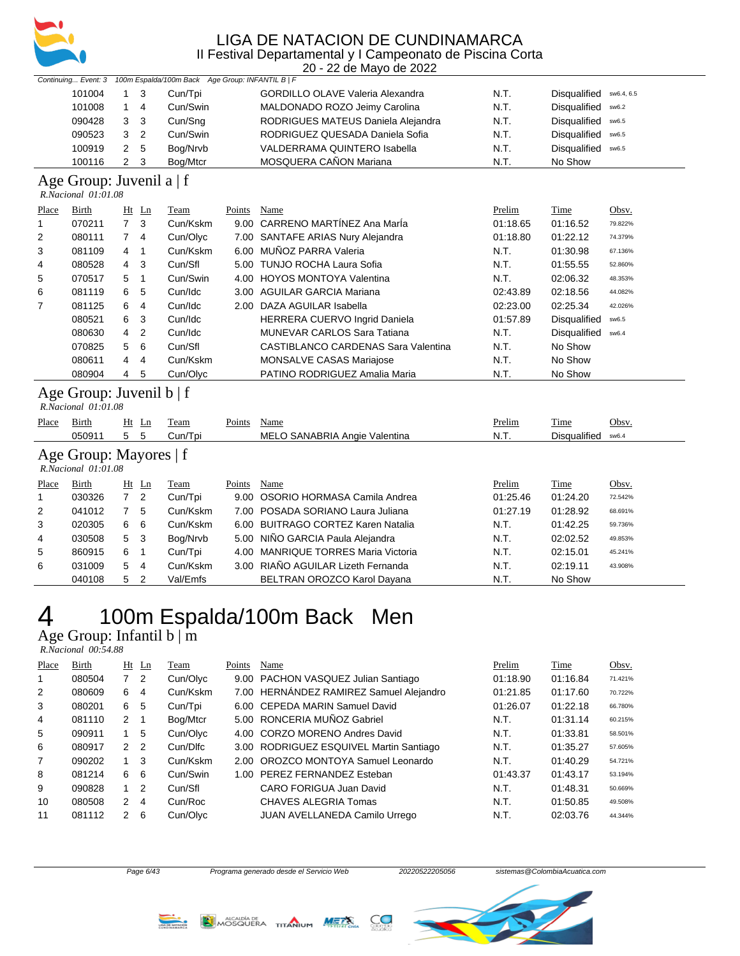

20 - 22 de Mayo de 2022

|        |     |             | Continuing Event: 3 100m Espalda/100m Back Age Group: INFANTIL B   F |                                         |      |                         |
|--------|-----|-------------|----------------------------------------------------------------------|-----------------------------------------|------|-------------------------|
| 101004 | 1 3 |             | Cun/Tpi                                                              | <b>GORDILLO OLAVE Valeria Alexandra</b> | N.T. | Disqualified sw6.4, 6.5 |
| 101008 |     | $1\quad 4$  | Cun/Swin                                                             | MALDONADO ROZO Jeimy Carolina           | N.T. | Disqualified sw6.2      |
| 090428 | 3 3 |             | Cun/Sng                                                              | RODRIGUES MATEUS Daniela Alejandra      | N.T. | Disqualified sw6.5      |
| 090523 |     | $3\quad 2$  | Cun/Swin                                                             | RODRIGUEZ QUESADA Daniela Sofia         | N.T. | Disqualified sw6.5      |
| 100919 |     | 2 5         | Bog/Nrvb                                                             | VALDERRAMA QUINTERO Isabella            | N.T. | Disqualified sw6.5      |
| 100116 |     | $2 \quad 3$ | Bog/Mtcr                                                             | MOSQUERA CAÑON Mariana                  | N.T. | No Show                 |

### Age Group: Juvenil a | f

| $R. Nacional$ $01:01.08$ |  |
|--------------------------|--|
|                          |  |

| Place | Birth  |                | $Ht$ Ln | Team     | Points | Name                                | Prelim   | Time                | Obsv.   |
|-------|--------|----------------|---------|----------|--------|-------------------------------------|----------|---------------------|---------|
| 1     | 070211 | 7 <sup>3</sup> |         | Cun/Kskm |        | 9.00 CARRENO MARTÍNEZ Ana MarÍa     | 01:18.65 | 01:16.52            | 79.822% |
| 2     | 080111 | $7^{\circ}$    | -4      | Cun/Olyc |        | 7.00 SANTAFE ARIAS Nury Alejandra   | 01:18.80 | 01:22.12            | 74.379% |
| 3     | 081109 | 4              | -1      | Cun/Kskm |        | 6.00 MUÑOZ PARRA Valeria            | N.T.     | 01:30.98            | 67.136% |
| 4     | 080528 | $\overline{4}$ | - 3     | Cun/Sfl  |        | 5.00 TUNJO ROCHA Laura Sofia        | N.T.     | 01:55.55            | 52.860% |
| 5     | 070517 | 5              |         | Cun/Swin |        | 4.00 HOYOS MONTOYA Valentina        | N.T.     | 02:06.32            | 48.353% |
| 6     | 081119 | 6              | 5       | Cun/Idc  |        | 3.00 AGUILAR GARCIA Mariana         | 02:43.89 | 02:18.56            | 44.082% |
| 7     | 081125 | 6              | 4       | Cun/Idc  |        | 2.00 DAZA AGUILAR Isabella          | 02:23.00 | 02:25.34            | 42.026% |
|       | 080521 | 6              | - 3     | Cun/Idc  |        | HERRERA CUERVO Ingrid Daniela       | 01:57.89 | <b>Disqualified</b> | sw6.5   |
|       | 080630 | 4              | -2      | Cun/Idc  |        | <b>MUNEVAR CARLOS Sara Tatiana</b>  | N.T.     | <b>Disqualified</b> | sw6.4   |
|       | 070825 | 5              | - 6     | Cun/Sfl  |        | CASTIBLANCO CARDENAS Sara Valentina | N.T.     | No Show             |         |
|       | 080611 | $\overline{4}$ | 4       | Cun/Kskm |        | <b>MONSALVE CASAS Mariajose</b>     | N.T.     | No Show             |         |
|       | 080904 | $\overline{4}$ | -5      | Cun/Olyc |        | PATINO RODRIGUEZ Amalia Maria       | N.T.     | No Show             |         |

#### Age Group: Juvenil b | f

 *R.Nacional 01:01.08* 

| Place        | Birth                                              |                | $Ht$ Ln        | Team     | Points | Name                                  | Prelim   | Time         | Obsv.   |
|--------------|----------------------------------------------------|----------------|----------------|----------|--------|---------------------------------------|----------|--------------|---------|
|              | 050911                                             | 5              | 5              | Cun/Tpi  |        | MELO SANABRIA Angie Valentina         | N.T.     | Disgualified | sw6.4   |
|              | Age Group: Mayores   f<br>$R. Nacional$ $01:01.08$ |                |                |          |        |                                       |          |              |         |
| Place        | Birth                                              | Ht             | Ln             | Team     | Points | Name                                  | Prelim   | Time         | Obsv.   |
| $\mathbf{1}$ | 030326                                             | $\overline{7}$ | $\overline{2}$ | Cun/Tpi  | 9.00   | OSORIO HORMASA Camila Andrea          | 01:25.46 | 01:24.20     | 72.542% |
| 2            | 041012                                             |                | 5              | Cun/Kskm |        | 7.00 POSADA SORIANO Laura Juliana     | 01:27.19 | 01:28.92     | 68.691% |
| 3            | 020305                                             | 6              | -6             | Cun/Kskm |        | 6.00 BUITRAGO CORTEZ Karen Natalia    | N.T.     | 01:42.25     | 59.736% |
| 4            | 030508                                             | 5 <sub>3</sub> |                | Bog/Nrvb |        | 5.00 NIÑO GARCIA Paula Alejandra      | N.T.     | 02:02.52     | 49.853% |
| 5            | 860915                                             | 6              |                | Cun/Tpi  | 4.00   | <b>MANRIQUE TORRES Maria Victoria</b> | N.T.     | 02:15.01     | 45.241% |
| 6            | 031009                                             | 5.             | 4              | Cun/Kskm |        | 3.00 RIAÑO AGUILAR Lizeth Fernanda    | N.T.     | 02:19.11     | 43.908% |
|              | 040108                                             | 5              | $\overline{2}$ | Val/Emfs |        | BELTRAN OROZCO Karol Davana           | N.T.     | No Show      |         |

### 100m Espalda/100m Back Men Age Group: Infantil b | m

 *R.Nacional 00:54.88* 

| Place          | Birth  |               | $Ht$ Ln        | Team     | Points | Name                                    | Prelim   | <b>Time</b> | Obsv.   |
|----------------|--------|---------------|----------------|----------|--------|-----------------------------------------|----------|-------------|---------|
| 1              | 080504 | $7^{\circ}$   | $\overline{2}$ | Cun/Olyc |        | 9.00 PACHON VASQUEZ Julian Santiago     | 01:18.90 | 01:16.84    | 71.421% |
| 2              | 080609 | 6             | 4              | Cun/Kskm |        | 7.00 HERNÁNDEZ RAMIREZ Samuel Alejandro | 01:21.85 | 01:17.60    | 70.722% |
| 3              | 080201 | 6             | 5              | Cun/Tpi  |        | 6.00 CEPEDA MARIN Samuel David          | 01:26.07 | 01:22.18    | 66.780% |
| $\overline{4}$ | 081110 | 2             |                | Bog/Mtcr |        | 5.00 RONCERIA MUÑOZ Gabriel             | N.T.     | 01:31.14    | 60.215% |
| 5              | 090911 | $\mathbf 1$   | 5              | Cun/Olyc |        | 4.00 CORZO MORENO Andres David          | N.T.     | 01:33.81    | 58.501% |
| 6              | 080917 | $\mathcal{P}$ | -2             | Cun/Dlfc |        | 3.00 RODRIGUEZ ESQUIVEL Martin Santiago | N.T.     | 01:35.27    | 57.605% |
| 7              | 090202 |               | 3              | Cun/Kskm |        | 2.00 OROZCO MONTOYA Samuel Leonardo     | N.T.     | 01:40.29    | 54.721% |
| 8              | 081214 | 6             | 6              | Cun/Swin |        | 1.00 PEREZ FERNANDEZ Esteban            | 01:43.37 | 01:43.17    | 53.194% |
| 9              | 090828 |               | 2              | Cun/Sfl  |        | CARO FORIGUA Juan David                 | N.T.     | 01:48.31    | 50.669% |
| 10             | 080508 | 2             | 4              | Cun/Roc  |        | <b>CHAVES ALEGRIA Tomas</b>             | N.T.     | 01:50.85    | 49.508% |
| 11             | 081112 | 2             | 6              | Cun/Olyc |        | JUAN AVELLANEDA Camilo Urrego           | N.T.     | 02:03.76    | 44.344% |







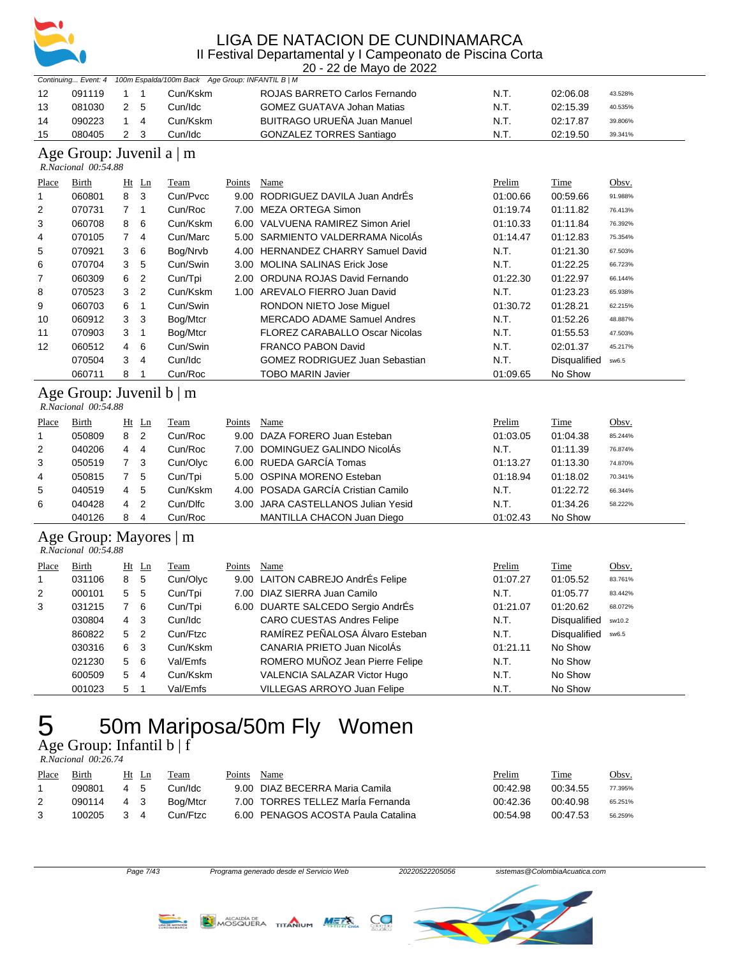

20 - 22 de Mayo de 2022

| 12<br>091119<br>1<br>1<br>Cun/Kskm<br>ROJAS BARRETO Carlos Fernando<br>N.T.<br>02:06.08                                  | 43.528%                |
|--------------------------------------------------------------------------------------------------------------------------|------------------------|
| 081030<br>2<br>5<br>Cun/Idc<br>GOMEZ GUATAVA Johan Matias<br>N.T.<br>13<br>02:15.39                                      | 40.535%                |
| BUITRAGO URUEÑA Juan Manuel<br>090223<br>$\mathbf{1}$<br>Cun/Kskm<br>N.T.<br>14<br>4<br>02:17.87                         | 39.806%                |
| 15<br>080405<br>$\overline{2}$<br>3<br>Cun/Idc<br>GONZALEZ TORRES Santiago<br>N.T.<br>02:19.50                           | 39.341%                |
| Age Group: Juvenil a   m                                                                                                 |                        |
| R.Nacional 00:54.88                                                                                                      |                        |
| Time<br>Place<br><b>Birth</b><br>Ht Ln<br>Team<br>Points Name<br>Prelim                                                  | Obsv.                  |
| Cun/Pvcc<br>9.00 RODRIGUEZ DAVILA Juan AndrÉs<br>01:00.66<br>060801<br>8<br>3<br>00:59.66<br>1                           | 91.988%                |
| $\overline{2}$<br>070731<br>$\overline{7}$<br>$\mathbf{1}$<br>Cun/Roc<br>7.00 MEZA ORTEGA Simon<br>01:19.74<br>01:11.82  | 76.413%                |
| 060708<br>8<br>6<br>Cun/Kskm<br>6.00 VALVUENA RAMIREZ Simon Ariel<br>3<br>01:10.33<br>01:11.84                           | 76.392%                |
| $\overline{7}$<br>070105<br>$\overline{4}$<br>Cun/Marc<br>5.00 SARMIENTO VALDERRAMA NicolAs<br>4<br>01:14.47<br>01:12.83 | 75.354%                |
| 4.00 HERNANDEZ CHARRY Samuel David<br>070921<br>3<br>6<br>Bog/Nrvb<br>N.T.<br>01:21.30<br>5                              | 67.503%                |
| 3<br>5<br>070704<br>Cun/Swin<br>3.00 MOLINA SALINAS Erick Jose<br>N.T.<br>6<br>01:22.25                                  | 66.723%                |
| 6<br>$\overline{2}$<br>7<br>060309<br>Cun/Tpi<br>2.00 ORDUNA ROJAS David Fernando<br>01:22.30<br>01:22.97                | 66.144%                |
| $\overline{2}$<br>070523<br>3<br>1.00 AREVALO FIERRO Juan David<br>N.T.<br>Cun/Kskm<br>01:23.23<br>8                     | 65.938%                |
| 060703<br>$\mathbf{1}$<br>Cun/Swin<br>RONDON NIETO Jose Miguel<br>01:30.72<br>9<br>6<br>01:28.21                         | 62.215%                |
| 060912<br>3<br>3<br>N.T.<br>10<br>Bog/Mtcr<br><b>MERCADO ADAME Samuel Andres</b><br>01:52.26                             | 48.887%                |
| 070903<br>3<br>$\mathbf{1}$<br>Bog/Mtcr<br>FLOREZ CARABALLO Oscar Nicolas<br>N.T.<br>11<br>01:55.53                      | 47.503%                |
| 4<br>6<br>Cun/Swin<br>12<br>060512<br><b>FRANCO PABON David</b><br>N.T.<br>02:01.37                                      | 45.217%                |
| 070504<br>3<br>N.T.<br>4<br>Cun/Idc<br><b>GOMEZ RODRIGUEZ Juan Sebastian</b>                                             | Disqualified<br>sw6.5  |
| 8<br>060711<br>$\mathbf{1}$<br>Cun/Roc<br><b>TOBO MARIN Javier</b><br>01:09.65<br>No Show                                |                        |
| Age Group: Juvenil b   m<br>R.Nacional 00:54.88                                                                          |                        |
| Prelim<br>Place<br>Birth<br>$Ht$ Ln<br><b>Team</b><br><b>Points</b><br>Name<br><b>Time</b>                               | Obsv.                  |
| 8<br>$\overline{2}$<br>050809<br>Cun/Roc<br>9.00 DAZA FORERO Juan Esteban<br>01:03.05<br>01:04.38<br>$\mathbf{1}$        | 85.244%                |
| 7.00 DOMINGUEZ GALINDO NicolÁs<br>$\overline{2}$<br>040206<br>4<br>$\overline{4}$<br>Cun/Roc<br>N.T.<br>01:11.39         | 76.874%                |
| 6.00 RUEDA GARCÍA Tomas<br>$\overline{7}$<br>Cun/Olyc<br>3<br>050519<br>3<br>01:13.27<br>01:13.30                        | 74.870%                |
| 050815<br>$\overline{7}$<br>5<br>Cun/Tpi<br>5.00 OSPINA MORENO Esteban<br>01:18.94<br>01:18.02<br>4                      | 70.341%                |
| 4.00 POSADA GARCÍA Cristian Camilo<br>040519<br>4<br>5<br>Cun/Kskm<br>5<br>N.T.<br>01:22.72                              | 66.344%                |
| $\boldsymbol{2}$<br>040428<br>4<br>Cun/Dlfc<br>3.00 JARA CASTELLANOS Julian Yesid<br>N.T.<br>6<br>01:34.26               | 58.222%                |
| 040126<br>8<br>$\overline{4}$<br>Cun/Roc<br>MANTILLA CHACON Juan Diego<br>01:02.43<br>No Show                            |                        |
| Age Group: Mayores   m<br>R.Nacional 00:54.88                                                                            |                        |
| Place<br><b>Birth</b><br>Points<br>Name<br>Prelim<br>Time<br>$Ht$ Ln<br><b>Team</b>                                      | Obsv.                  |
| 9.00 LAITON CABREJO AndrÉs Felipe<br>8<br>5<br>Cun/Olyc<br>$\mathbf{1}$<br>031106<br>01:07.27<br>01:05.52                | 83.761%                |
| 5<br>5<br>Cun/Tpi<br>7.00 DIAZ SIERRA Juan Camilo<br>N.T.<br>$\overline{2}$<br>000101<br>01:05.77                        | 83.442%                |
| 3<br>7<br>6<br>Cun/Tpi<br>6.00 DUARTE SALCEDO Sergio AndrÉs<br>01:21.07<br>01:20.62<br>031215                            | 68.072%                |
| <b>CARO CUESTAS Andres Felipe</b><br>030804<br>4<br>3<br>Cun/Idc<br>N.T.                                                 | Disqualified<br>sw10.2 |
| RAMÍREZ PEÑALOSA Álvaro Esteban<br>$\overline{2}$<br>860822<br>5<br>Cun/Ftzc<br>N.T.                                     | Disqualified<br>sw6.5  |
| CANARIA PRIETO Juan NicolÁs<br>6<br>3<br>Cun/Kskm<br>No Show<br>030316<br>01:21.11                                       |                        |
| 5<br>6<br>Val/Emfs<br>ROMERO MUÑOZ Jean Pierre Felipe<br>No Show<br>021230<br>N.T.                                       |                        |
| 600509<br>5<br>VALENCIA SALAZAR Victor Hugo<br>4<br>Cun/Kskm<br>N.T.<br>No Show                                          |                        |
| 5<br>001023<br>$\mathbf{1}$<br>Val/Emfs<br>VILLEGAS ARROYO Juan Felipe<br>N.T.<br>No Show                                |                        |

### 50m Mariposa/50m Fly Women Age Group: Infantil b | f

 *R.Nacional 00:26.74* 

| Place | Birth  |     | Ht Ln | Team     | Points | Name                               | Prelim   | Time     | Obsv.   |
|-------|--------|-----|-------|----------|--------|------------------------------------|----------|----------|---------|
|       | 090801 | 4 5 |       | Cun/Idc  |        | 9.00 DIAZ BECERRA Maria Camila     | 00:42.98 | 00:34.55 | 77.395% |
|       | 090114 | 4 3 |       | Boa/Mtcr |        | 7.00 TORRES TELLEZ Maria Fernanda  | 00:42:36 | 00:40.98 | 65.251% |
|       | 100205 | 3 4 |       | Cun/Ftzc |        | 6.00 PENAGOS ACOSTA Paula Catalina | 00:54.98 | 00:47.53 | 56.259% |







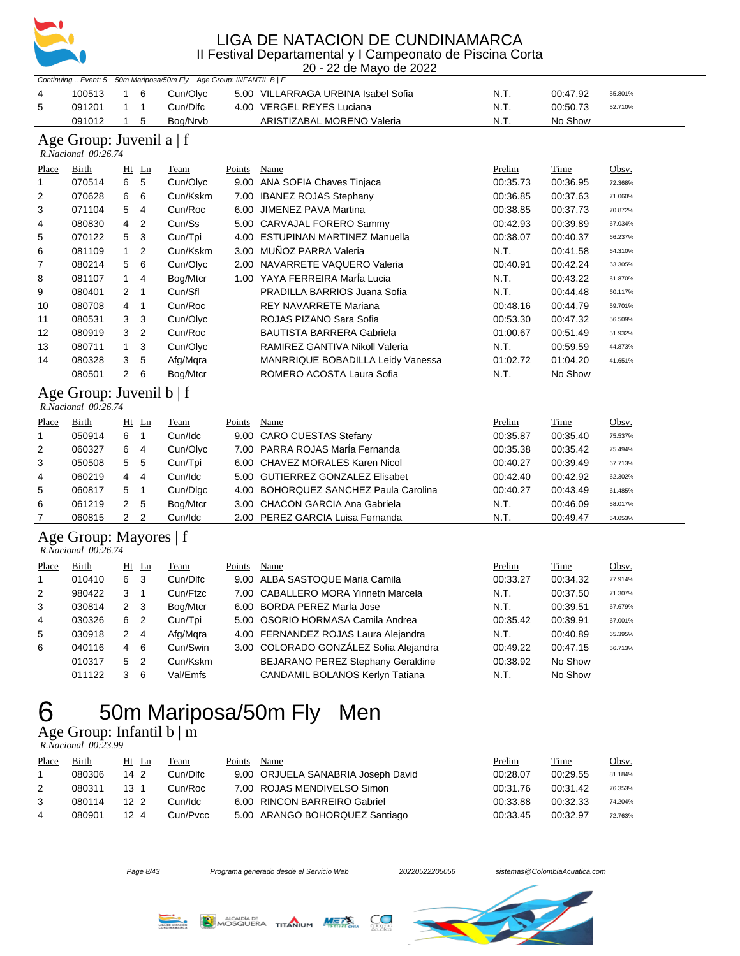

20 - 22 de Mayo de 2022

|                |                                                 |                         |                | Continuing Event: 5 50m Mariposa/50m Fly Age Group: INFANTIL B   F |        |                                        |          |             |         |
|----------------|-------------------------------------------------|-------------------------|----------------|--------------------------------------------------------------------|--------|----------------------------------------|----------|-------------|---------|
| 4              | 100513                                          | $\mathbf{1}$            | 6              | Cun/Olyc                                                           |        | 5.00 VILLARRAGA URBINA Isabel Sofia    | N.T.     | 00:47.92    | 55.801% |
| 5              | 091201                                          | 1                       | 1              | Cun/Dlfc                                                           |        | 4.00 VERGEL REYES Luciana              | N.T.     | 00:50.73    | 52.710% |
|                | 091012                                          | $\mathbf{1}$            | 5              | Bog/Nrvb                                                           |        | <b>ARISTIZABAL MORENO Valeria</b>      | N.T.     | No Show     |         |
|                | Age Group: Juvenil a   f<br>R.Nacional 00:26.74 |                         |                |                                                                    |        |                                        |          |             |         |
| Place          | <b>Birth</b>                                    |                         | Ht Ln          | Team                                                               | Points | Name                                   | Prelim   | <b>Time</b> | Obsv.   |
| $\mathbf{1}$   | 070514                                          | 6                       | 5              | Cun/Olyc                                                           |        | 9.00 ANA SOFIA Chaves Tinjaca          | 00:35.73 | 00:36.95    | 72.368% |
| 2              | 070628                                          | 6                       | 6              | Cun/Kskm                                                           |        | 7.00 IBANEZ ROJAS Stephany             | 00:36.85 | 00:37.63    | 71.060% |
| 3              | 071104                                          | 5                       | $\overline{4}$ | Cun/Roc                                                            |        | 6.00 JIMENEZ PAVA Martina              | 00:38.85 | 00:37.73    | 70.872% |
| 4              | 080830                                          | 4                       | $\overline{2}$ | Cun/Ss                                                             |        | 5.00 CARVAJAL FORERO Sammy             | 00:42.93 | 00:39.89    | 67.034% |
| 5              | 070122                                          | 5                       | 3              | Cun/Tpi                                                            |        | 4.00 ESTUPINAN MARTINEZ Manuella       | 00:38.07 | 00:40.37    | 66.237% |
| 6              | 081109                                          | $\mathbf{1}$            | $\overline{2}$ | Cun/Kskm                                                           |        | 3.00 MUÑOZ PARRA Valeria               | N.T.     | 00:41.58    | 64.310% |
| 7              | 080214                                          | 5                       | 6              | Cun/Olyc                                                           |        | 2.00 NAVARRETE VAQUERO Valeria         | 00:40.91 | 00:42.24    | 63.305% |
| 8              | 081107                                          | 1                       | $\overline{4}$ | Bog/Mtcr                                                           |        | 1.00 YAYA FERREIRA Marla Lucia         | N.T.     | 00:43.22    | 61.870% |
| 9              | 080401                                          | $\overline{2}$          | $\mathbf{1}$   | Cun/Sfl                                                            |        | PRADILLA BARRIOS Juana Sofia           | N.T.     | 00:44.48    | 60.117% |
| 10             | 080708                                          | 4                       | $\mathbf{1}$   | Cun/Roc                                                            |        | REY NAVARRETE Mariana                  | 00:48.16 | 00:44.79    | 59.701% |
| 11             | 080531                                          | 3                       | 3              | Cun/Olyc                                                           |        | ROJAS PIZANO Sara Sofia                | 00:53.30 | 00:47.32    | 56.509% |
| 12             | 080919                                          | 3                       | $\overline{2}$ | Cun/Roc                                                            |        | <b>BAUTISTA BARRERA Gabriela</b>       | 01:00.67 | 00:51.49    | 51.932% |
| 13             | 080711                                          | $\mathbf{1}$            | 3              | Cun/Olyc                                                           |        | RAMIREZ GANTIVA Nikoll Valeria         | N.T.     | 00:59.59    | 44.873% |
| 14             | 080328                                          | 3                       | 5              | Afg/Mqra                                                           |        | MANRRIQUE BOBADILLA Leidy Vanessa      | 01:02.72 | 01:04.20    | 41.651% |
|                | 080501                                          | $\overline{2}$          | 6              | Bog/Mtcr                                                           |        | ROMERO ACOSTA Laura Sofia              | N.T.     | No Show     |         |
|                | Age Group: Juvenil b   f<br>R.Nacional 00:26.74 |                         |                |                                                                    |        |                                        |          |             |         |
| Place          | Birth                                           |                         | $Ht$ Ln        | Team                                                               | Points | Name                                   | Prelim   | Time        | Obsv.   |
| $\mathbf{1}$   | 050914                                          | 6                       | $\overline{1}$ | Cun/Idc                                                            |        | 9.00 CARO CUESTAS Stefany              | 00:35.87 | 00:35.40    | 75.537% |
| 2              | 060327                                          | 6                       | $\overline{4}$ | Cun/Olyc                                                           |        | 7.00 PARRA ROJAS Marla Fernanda        | 00:35.38 | 00:35.42    | 75.494% |
| 3              | 050508                                          | 5                       | 5              | Cun/Tpi                                                            |        | 6.00 CHAVEZ MORALES Karen Nicol        | 00:40.27 | 00:39.49    | 67.713% |
| 4              | 060219                                          | 4                       | 4              | Cun/Idc                                                            |        | 5.00 GUTIERREZ GONZALEZ Elisabet       | 00:42.40 | 00:42.92    | 62.302% |
| 5              | 060817                                          | 5                       | $\mathbf{1}$   | Cun/Dlgc                                                           |        | 4.00 BOHORQUEZ SANCHEZ Paula Carolina  | 00:40.27 | 00:43.49    | 61.485% |
| 6              | 061219                                          | $\overline{\mathbf{c}}$ | 5              | Bog/Mtcr                                                           |        | 3.00 CHACON GARCIA Ana Gabriela        | N.T.     | 00:46.09    | 58.017% |
| $\overline{7}$ | 060815                                          | $\overline{2}$          | $\overline{2}$ | Cun/Idc                                                            |        | 2.00 PEREZ GARCIA Luisa Fernanda       | N.T.     | 00:49.47    | 54.053% |
|                | Age Group: Mayores   f<br>R.Nacional 00:26.74   |                         |                |                                                                    |        |                                        |          |             |         |
| Place          | Birth                                           |                         | $Ht$ Ln        | Team                                                               | Points | Name                                   | Prelim   | Time        | Obsv.   |
| $\mathbf{1}$   | 010410                                          | 6                       | 3              | Cun/Dlfc                                                           |        | 9.00 ALBA SASTOQUE Maria Camila        | 00:33.27 | 00:34.32    | 77.914% |
| $\overline{2}$ | 980422                                          | 3                       | $\mathbf{1}$   | Cun/Ftzc                                                           |        | 7.00 CABALLERO MORA Yinneth Marcela    | N.T.     | 00:37.50    | 71.307% |
| 3              | 030814                                          | $\overline{2}$          | 3              | Bog/Mtcr                                                           |        | 6.00 BORDA PEREZ Marla Jose            | N.T.     | 00:39.51    | 67.679% |
| 4              | 030326                                          | 6                       | $\overline{2}$ | Cun/Tpi                                                            |        | 5.00 OSORIO HORMASA Camila Andrea      | 00:35.42 | 00:39.91    | 67.001% |
| 5              | 030918                                          | 2                       | 4              | Afg/Mgra                                                           |        | 4.00 FERNANDEZ ROJAS Laura Alejandra   | N.T.     | 00:40.89    | 65.395% |
| 6              | 040116                                          | 4                       | 6              | Cun/Swin                                                           |        | 3.00 COLORADO GONZALEZ Sofia Alejandra | 00:49.22 | 00:47.15    | 56.713% |
|                | 010317                                          | 5                       | $\overline{2}$ | Cun/Kskm                                                           |        | BEJARANO PEREZ Stephany Geraldine      | 00:38.92 | No Show     |         |
|                | 011122                                          | 3                       | 6              | Val/Emfs                                                           |        | CANDAMIL BOLANOS Kerlyn Tatiana        | N.T.     | No Show     |         |
|                |                                                 |                         |                |                                                                    |        |                                        |          |             |         |

# 50m Mariposa/50m Fly Men

Age Group: Infantil b | m  *R.Nacional 00:23.99* 

| Place | Birth  | Ht Ln           | Team     | Points | Name                               | Prelim   | Time     | Obsv.   |
|-------|--------|-----------------|----------|--------|------------------------------------|----------|----------|---------|
|       | 080306 | 14 2            | Cun/Dlfc |        | 9.00 ORJUELA SANABRIA Joseph David | 00:28.07 | 00:29.55 | 81.184% |
| 2     | 080311 | $13 \quad 1$    | Cun/Roc  |        | 7.00 ROJAS MENDIVELSO Simon        | 00:31.76 | 00:31.42 | 76.353% |
|       | 080114 | 12 <sub>2</sub> | Cun/Idc  |        | 6.00 RINCON BARREIRO Gabriel       | 00:33.88 | 00:32.33 | 74.204% |
| 4     | 080901 | 124             | Cun/Pvcc |        | 5.00 ARANGO BOHORQUEZ Santiago     | 00:33.45 | 00:32.97 | 72.763% |







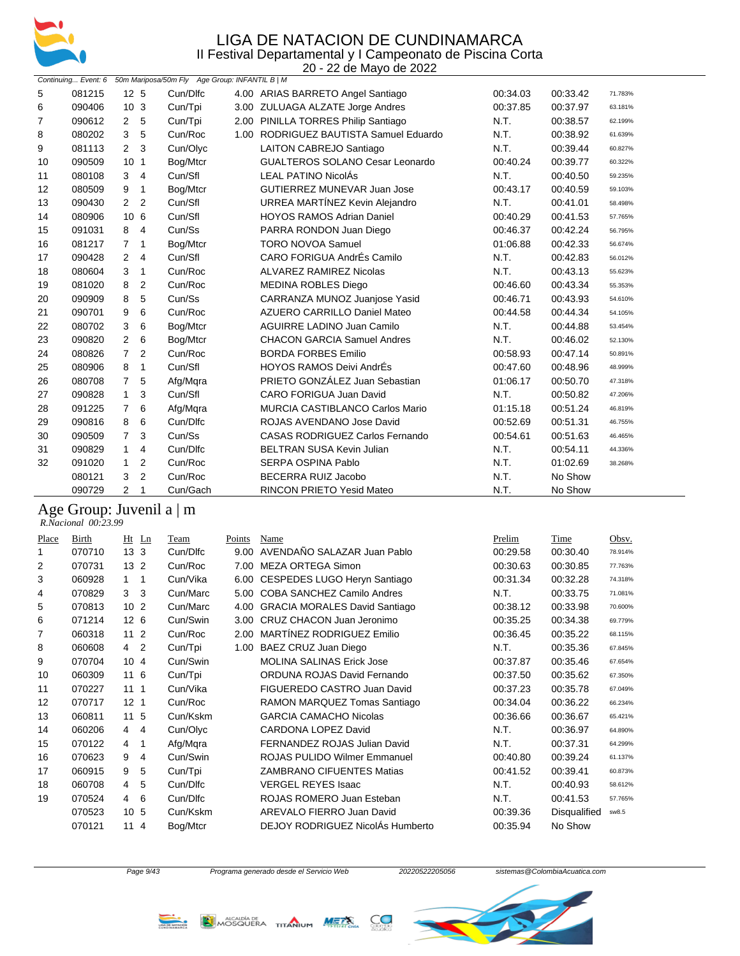

|    |        |                                  |                                                                    | 20 - 22 de Mayo de 2022                |          |          |         |
|----|--------|----------------------------------|--------------------------------------------------------------------|----------------------------------------|----------|----------|---------|
|    |        |                                  | Continuing Event: 6 50m Mariposa/50m Fly Age Group: INFANTIL B   M |                                        |          |          |         |
| 5  | 081215 | 12 <sub>5</sub>                  | Cun/Dlfc                                                           | 4.00 ARIAS BARRETO Angel Santiago      | 00:34.03 | 00:33.42 | 71.783% |
| 6  | 090406 | 10 <sub>3</sub>                  | Cun/Tpi                                                            | 3.00 ZULUAGA ALZATE Jorge Andres       | 00:37.85 | 00:37.97 | 63.181% |
| 7  | 090612 | 2<br>5                           | Cun/Tpi                                                            | 2.00 PINILLA TORRES Philip Santiago    | N.T.     | 00:38.57 | 62.199% |
| 8  | 080202 | 3<br>5                           | Cun/Roc                                                            | 1.00 RODRIGUEZ BAUTISTA Samuel Eduardo | N.T.     | 00:38.92 | 61.639% |
| 9  | 081113 | 2<br>3                           | Cun/Olyc                                                           | <b>LAITON CABREJO Santiago</b>         | N.T.     | 00:39.44 | 60.827% |
| 10 | 090509 | 10 <sub>1</sub>                  | Bog/Mtcr                                                           | <b>GUALTEROS SOLANO Cesar Leonardo</b> | 00:40.24 | 00:39.77 | 60.322% |
| 11 | 080108 | $\overline{4}$<br>3              | Cun/Sfl                                                            | <b>LEAL PATINO NicolÁs</b>             | N.T.     | 00:40.50 | 59.235% |
| 12 | 080509 | 9<br>1                           | Bog/Mtcr                                                           | <b>GUTIERREZ MUNEVAR Juan Jose</b>     | 00:43.17 | 00:40.59 | 59.103% |
| 13 | 090430 | 2<br>$\overline{2}$              | Cun/Sfl                                                            | URREA MARTÍNEZ Kevin Alejandro         | N.T.     | 00:41.01 | 58.498% |
| 14 | 080906 | 10 <sub>6</sub>                  | Cun/Sfl                                                            | <b>HOYOS RAMOS Adrian Daniel</b>       | 00:40.29 | 00:41.53 | 57.765% |
| 15 | 091031 | 8<br>$\overline{4}$              | Cun/Ss                                                             | PARRA RONDON Juan Diego                | 00:46.37 | 00:42.24 | 56.795% |
| 16 | 081217 | $\overline{7}$<br>1              | Bog/Mtcr                                                           | <b>TORO NOVOA Samuel</b>               | 01:06.88 | 00:42.33 | 56.674% |
| 17 | 090428 | 2<br>4                           | Cun/Sfl                                                            | CARO FORIGUA AndrÉs Camilo             | N.T.     | 00:42.83 | 56.012% |
| 18 | 080604 | 3<br>1                           | Cun/Roc                                                            | ALVAREZ RAMIREZ Nicolas                | N.T.     | 00:43.13 | 55.623% |
| 19 | 081020 | 2<br>8                           | Cun/Roc                                                            | <b>MEDINA ROBLES Diego</b>             | 00:46.60 | 00:43.34 | 55.353% |
| 20 | 090909 | 8<br>5                           | Cun/Ss                                                             | CARRANZA MUNOZ Juanjose Yasid          | 00:46.71 | 00:43.93 | 54.610% |
| 21 | 090701 | 9<br>6                           | Cun/Roc                                                            | <b>AZUERO CARRILLO Daniel Mateo</b>    | 00:44.58 | 00:44.34 | 54.105% |
| 22 | 080702 | 3<br>6                           | Bog/Mtcr                                                           | <b>AGUIRRE LADINO Juan Camilo</b>      | N.T.     | 00:44.88 | 53.454% |
| 23 | 090820 | $\overline{2}$<br>6              | Bog/Mtcr                                                           | <b>CHACON GARCIA Samuel Andres</b>     | N.T.     | 00:46.02 | 52.130% |
| 24 | 080826 | $\overline{7}$<br>$\overline{2}$ | Cun/Roc                                                            | <b>BORDA FORBES Emilio</b>             | 00:58.93 | 00:47.14 | 50.891% |
| 25 | 080906 | 8<br>1                           | Cun/Sfl                                                            | <b>HOYOS RAMOS Deivi AndrÉs</b>        | 00:47.60 | 00:48.96 | 48.999% |
| 26 | 080708 | 5<br>7                           | Afg/Mgra                                                           | PRIETO GONZÁLEZ Juan Sebastian         | 01:06.17 | 00:50.70 | 47.318% |
| 27 | 090828 | 3<br>$\mathbf{1}$                | Cun/Sfl                                                            | CARO FORIGUA Juan David                | N.T.     | 00:50.82 | 47.206% |
| 28 | 091225 | $\overline{7}$<br>6              | Afg/Mqra                                                           | <b>MURCIA CASTIBLANCO Carlos Mario</b> | 01:15.18 | 00:51.24 | 46.819% |
| 29 | 090816 | 8<br>6                           | Cun/Dlfc                                                           | ROJAS AVENDANO Jose David              | 00:52.69 | 00:51.31 | 46.755% |
| 30 | 090509 | $\overline{7}$<br>3              | Cun/Ss                                                             | <b>CASAS RODRIGUEZ Carlos Fernando</b> | 00:54.61 | 00:51.63 | 46.465% |
| 31 | 090829 | 4<br>$\mathbf{1}$                | Cun/Dlfc                                                           | BELTRAN SUSA Kevin Julian              | N.T.     | 00:54.11 | 44.336% |
| 32 | 091020 | 1<br>2                           | Cun/Roc                                                            | SERPA OSPINA Pablo                     | N.T.     | 01:02.69 | 38.268% |
|    | 080121 | 3<br>2                           | Cun/Roc                                                            | <b>BECERRA RUIZ Jacobo</b>             | N.T.     | No Show  |         |
|    | 090729 | 2<br>1                           | Cun/Gach                                                           | <b>RINCON PRIETO Yesid Mateo</b>       | N.T.     | No Show  |         |

#### Age Group: Juvenil a | m

 *R.Nacional 00:23.99* 

| Place | <b>Birth</b> | Ht<br>Ln              | Team     | Points | Name                                 | Prelim   | Time         | Obsv.   |
|-------|--------------|-----------------------|----------|--------|--------------------------------------|----------|--------------|---------|
| 1     | 070710       | 13 <sub>3</sub>       | Cun/Dlfc | 9.00   | AVENDAÑO SALAZAR Juan Pablo          | 00:29.58 | 00:30.40     | 78.914% |
| 2     | 070731       | 13 <sub>2</sub>       | Cun/Roc  | 7.00   | <b>MEZA ORTEGA Simon</b>             | 00:30.63 | 00:30.85     | 77.763% |
| 3     | 060928       | $\mathbf{1}$<br>1     | Cun/Vika | 6.00   | CESPEDES LUGO Heryn Santiago         | 00:31.34 | 00:32.28     | 74.318% |
| 4     | 070829       | 3<br>3                | Cun/Marc | 5.00   | <b>COBA SANCHEZ Camilo Andres</b>    | N.T.     | 00:33.75     | 71.081% |
| 5     | 070813       | 10 <sub>2</sub>       | Cun/Marc | 4.00   | <b>GRACIA MORALES David Santiago</b> | 00:38.12 | 00:33.98     | 70.600% |
| 6     | 071214       | 12 <sub>6</sub>       | Cun/Swin | 3.00   | CRUZ CHACON Juan Jeronimo            | 00:35.25 | 00:34.38     | 69.779% |
| 7     | 060318       | 11<br>$\overline{2}$  | Cun/Roc  | 2.00   | MARTÍNEZ RODRIGUEZ Emilio            | 00:36.45 | 00:35.22     | 68.115% |
| 8     | 060608       | 2<br>4                | Cun/Tpi  | 1.00   | BAEZ CRUZ Juan Diego                 | N.T.     | 00:35.36     | 67.845% |
| 9     | 070704       | 104                   | Cun/Swin |        | <b>MOLINA SALINAS Erick Jose</b>     | 00:37.87 | 00:35.46     | 67.654% |
| 10    | 060309       | 11<br>6               | Cun/Tpi  |        | ORDUNA ROJAS David Fernando          | 00:37.50 | 00:35.62     | 67.350% |
| 11    | 070227       | 11<br>1               | Cun/Vika |        | FIGUEREDO CASTRO Juan David          | 00:37.23 | 00:35.78     | 67.049% |
| 12    | 070717       | 12 <sup>12</sup><br>1 | Cun/Roc  |        | RAMON MARQUEZ Tomas Santiago         | 00:34.04 | 00:36.22     | 66.234% |
| 13    | 060811       | 11<br>5               | Cun/Kskm |        | <b>GARCIA CAMACHO Nicolas</b>        | 00:36.66 | 00:36.67     | 65.421% |
| 14    | 060206       | $\overline{4}$<br>4   | Cun/Olyc |        | CARDONA LOPEZ David                  | N.T.     | 00:36.97     | 64.890% |
| 15    | 070122       | 4<br>1                | Afg/Mqra |        | FERNANDEZ ROJAS Julian David         | N.T.     | 00:37.31     | 64.299% |
| 16    | 070623       | 9<br>4                | Cun/Swin |        | <b>ROJAS PULIDO Wilmer Emmanuel</b>  | 00:40.80 | 00:39.24     | 61.137% |
| 17    | 060915       | 9<br>5                | Cun/Tpi  |        | <b>ZAMBRANO CIFUENTES Matias</b>     | 00:41.52 | 00:39.41     | 60.873% |
| 18    | 060708       | 5<br>$\overline{4}$   | Cun/Dlfc |        | <b>VERGEL REYES Isaac</b>            | N.T.     | 00:40.93     | 58.612% |
| 19    | 070524       | 6<br>4                | Cun/Dlfc |        | ROJAS ROMERO Juan Esteban            | N.T.     | 00:41.53     | 57.765% |
|       | 070523       | 10 <sup>°</sup><br>5  | Cun/Kskm |        | AREVALO FIERRO Juan David            | 00:39.36 | Disqualified | sw8.5   |
|       | 070121       | 114                   | Bog/Mtcr |        | DEJOY RODRIGUEZ NicolAs Humberto     | 00:35.94 | No Show      |         |
|       |              |                       |          |        |                                      |          |              |         |





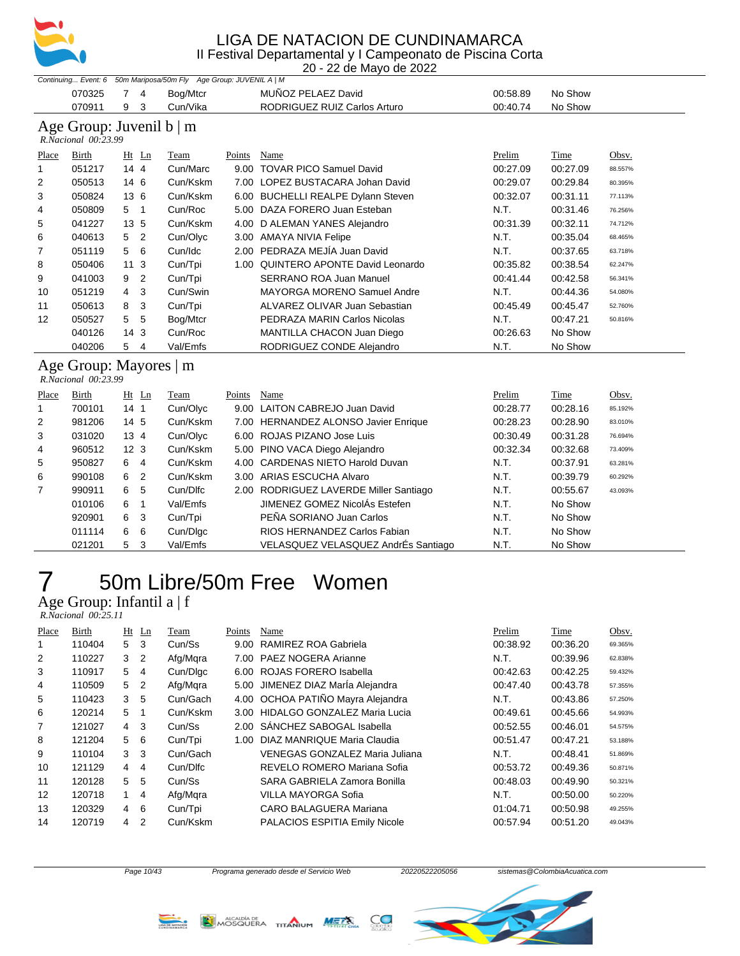

20 - 22 de Mayo de 2022

|       | Continuing Event: 6 |                 | 50m Mariposa/50m Fly Age Group: JUVENIL A   M |        |                                      |          |          |         |
|-------|---------------------|-----------------|-----------------------------------------------|--------|--------------------------------------|----------|----------|---------|
|       | 070325              | 4               | Bog/Mtcr                                      |        | MUÑOZ PELAEZ David                   | 00:58.89 | No Show  |         |
|       | 070911              | 3<br>9          | Cun/Vika                                      |        | RODRIGUEZ RUIZ Carlos Arturo         | 00:40.74 | No Show  |         |
|       | R.Nacional 00:23.99 |                 | Age Group: Juvenil $b \mid m$                 |        |                                      |          |          |         |
| Place | Birth               | $Ht$ Ln         | Team                                          | Points | Name                                 | Prelim   | Time     | Obsv.   |
|       | 051217              | 14 4            | Cun/Marc                                      | 9.00   | <b>TOVAR PICO Samuel David</b>       | 00:27.09 | 00:27.09 | 88.557% |
| 2     | 050513              | 14 6            | Cun/Kskm                                      | 7.00   | LOPEZ BUSTACARA Johan David          | 00:29.07 | 00:29.84 | 80.395% |
| 3     | 050824              | 13 6            | Cun/Kskm                                      | 6.00   | <b>BUCHELLI REALPE Dylann Steven</b> | 00:32.07 | 00:31.11 | 77.113% |
| 4     | 050809              | 5 <sub>1</sub>  | Cun/Roc                                       | 5.00   | DAZA FORERO Juan Esteban             | N.T.     | 00:31.46 | 76.256% |
| 5     | 041227              | 13 5            | Cun/Kskm                                      | 4.00   | D ALEMAN YANES Alejandro             | 00:31.39 | 00:32.11 | 74.712% |
| 6     | 040613              | 5 <sub>2</sub>  | Cun/Olyc                                      | 3.00   | <b>AMAYA NIVIA Felipe</b>            | N.T.     | 00:35.04 | 68.465% |
| 7     | 051119              | 5 6             | Cun/Idc                                       | 2.00   | PEDRAZA MEJÍA Juan David             | N.T.     | 00:37.65 | 63.718% |
| 8     | 050406              | 11 <sub>3</sub> | Cun/Tpi                                       | 1.00   | QUINTERO APONTE David Leonardo       | 00:35.82 | 00:38.54 | 62.247% |
| 9     | 041003              | 9 <sub>2</sub>  | Cun/Tpi                                       |        | <b>SERRANO ROA Juan Manuel</b>       | 00:41.44 | 00:42.58 | 56.341% |
| 10    | 051219              | -3<br>4         | Cun/Swin                                      |        | <b>MAYORGA MORENO Samuel Andre</b>   | N.T.     | 00:44.36 | 54.080% |
| 11    | 050613              | 8<br>3          | Cun/Tpi                                       |        | ALVAREZ OLIVAR Juan Sebastian        | 00:45.49 | 00:45.47 | 52.760% |
| 12    | 050527              | 5<br>-5         | Bog/Mtcr                                      |        | PEDRAZA MARIN Carlos Nicolas         | N.T.     | 00:47.21 | 50.816% |
|       | 040126              | 14 <sub>3</sub> | Cun/Roc                                       |        | MANTILLA CHACON Juan Diego           | 00:26.63 | No Show  |         |
|       | 040206              | 5<br>4          | Val/Emfs                                      |        | RODRIGUEZ CONDE Alejandro            | N.T.     | No Show  |         |

| Place          | Birth  | $Ht$ Ln         |     | Team     | Points | Name                                   | Prelim   | Time     | Obsv.   |
|----------------|--------|-----------------|-----|----------|--------|----------------------------------------|----------|----------|---------|
| 1              | 700101 | 14 <sub>1</sub> |     | Cun/Olyc |        | 9.00 LAITON CABREJO Juan David         | 00:28.77 | 00:28.16 | 85.192% |
| 2              | 981206 | 14 <sub>5</sub> |     | Cun/Kskm |        | 7.00 HERNANDEZ ALONSO Javier Enrique   | 00:28.23 | 00:28.90 | 83.010% |
| 3              | 031020 | $13 \; 4$       |     | Cun/Olyc |        | 6.00 ROJAS PIZANO Jose Luis            | 00:30.49 | 00:31.28 | 76.694% |
| 4              | 960512 | 12 <sub>3</sub> |     | Cun/Kskm |        | 5.00 PINO VACA Diego Alejandro         | 00:32.34 | 00:32.68 | 73.409% |
| 5              | 950827 | 6               | 4   | Cun/Kskm |        | 4.00 CARDENAS NIETO Harold Duvan       | N.T.     | 00:37.91 | 63.281% |
| 6              | 990108 | 6               | 2   | Cun/Kskm |        | 3.00 ARIAS ESCUCHA Alvaro              | N.T.     | 00:39.79 | 60.292% |
| $\overline{7}$ | 990911 | 6               | 5   | Cun/Dlfc |        | 2.00 RODRIGUEZ LAVERDE Miller Santiago | N.T.     | 00:55.67 | 43.093% |
|                | 010106 | 6               |     | Val/Emfs |        | JIMENEZ GOMEZ NicolÁs Estefen          | N.T.     | No Show  |         |
|                | 920901 | 6               | - 3 | Cun/Tpi  |        | PEÑA SORIANO Juan Carlos               | N.T.     | No Show  |         |
|                | 011114 | 6               | - 6 | Cun/Dlgc |        | RIOS HERNANDEZ Carlos Fabian           | N.T.     | No Show  |         |
|                | 021201 | 5               | -3  | Val/Emfs |        | VELASQUEZ VELASQUEZ AndrÉs Santiago    | N.T.     | No Show  |         |

## 50m Libre/50m Free Women

Age Group: Infantil a | f  *R.Nacional 00:25.11* 

| Birth<br>Time<br>Place<br>Ht Ln<br>Points<br>Prelim<br>Team<br>Name                                      | Obsv.   |
|----------------------------------------------------------------------------------------------------------|---------|
| 5<br>RAMIREZ ROA Gabriela<br>00:38.92<br>110404<br>3<br>Cun/Ss<br>00:36.20<br>9.00                       | 69.365% |
| Afg/Mgra<br>PAEZ NOGERA Arianne<br>N.T.<br>2<br>110227<br>3<br>2<br>00:39.96<br>7.00                     | 62.838% |
| 3<br>Cun/Dlgc<br>ROJAS FORERO Isabella<br>00:42.63<br>110917<br>5<br>00:42.25<br>6.00<br>4               | 59.432% |
| 5.00 JIMENEZ DIAZ Marla Alejandra<br>Afg/Mgra<br>110509<br>5<br>00:47.40<br>00:43.78<br>4<br>2           | 57.355% |
| 4.00 OCHOA PATIÑO Mayra Alejandra<br>5<br>3<br>5<br>Cun/Gach<br>N.T.<br>110423<br>00:43.86               | 57.250% |
| <b>HIDALGO GONZALEZ Maria Lucia</b><br>Cun/Kskm<br>6<br>120214<br>5<br>00:45.66<br>00:49.61<br>1<br>3.00 | 54.993% |
| 2.00 SÁNCHEZ SABOGAL Isabella<br>7<br>Cun/Ss<br>121027<br>4<br>3<br>00:52.55<br>00:46.01                 | 54.575% |
| 5<br>8<br>121204<br>-6<br>Cun/Tpi<br>DIAZ MANRIQUE Maria Claudia<br>00:51.47<br>00:47.21<br>1.00         | 53.188% |
| 3<br>Cun/Gach<br>N.T.<br>9<br>3<br>VENEGAS GONZALEZ Maria Juliana<br>110104<br>00:48.41                  | 51.869% |
| Cun/Dlfc<br>REVELO ROMERO Mariana Sofia<br>10<br>121129<br>00:53.72<br>00:49.36<br>4<br>4                | 50.871% |
| 11<br>5<br>5<br>Cun/Ss<br>SARA GABRIELA Zamora Bonilla<br>120128<br>00:48.03<br>00:49.90                 | 50.321% |
| 12<br>Afg/Mgra<br>VILLA MAYORGA Sofia<br>N.T.<br>120718<br>00:50.00<br>1<br>4                            | 50.220% |
| 13<br>CARO BALAGUERA Mariana<br>120329<br>6<br>Cun/Tpi<br>01:04.71<br>00:50.98<br>4                      | 49.255% |
| 14<br>PALACIOS ESPITIA Emily Nicole<br>120719<br>2<br>Cun/Kskm<br>00:51.20<br>4<br>00:57.94              | 49.043% |





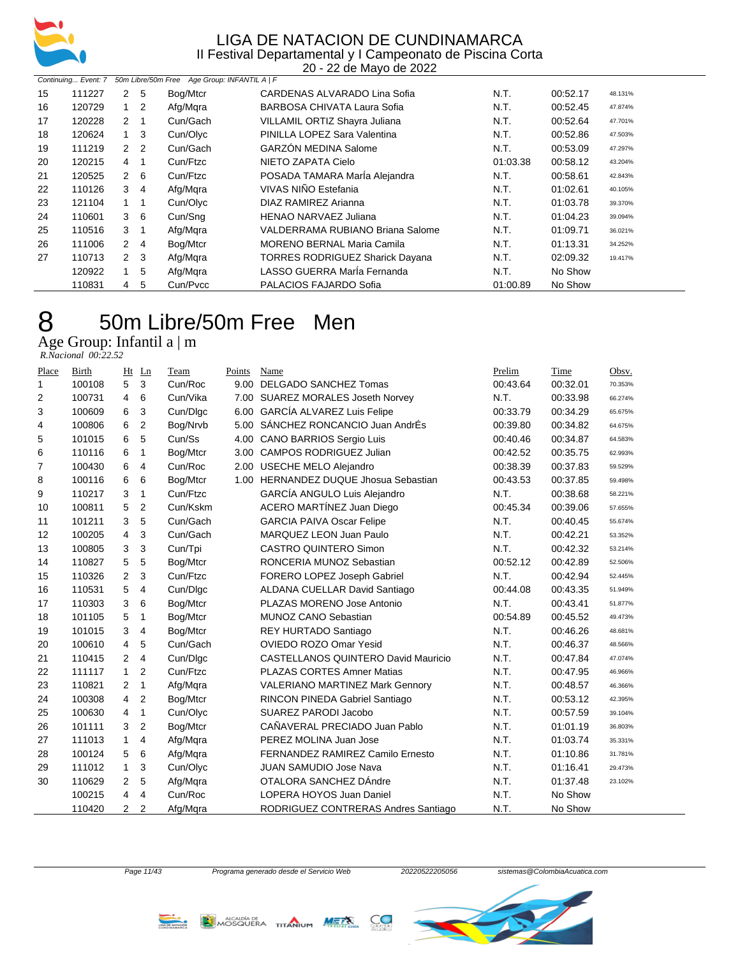

20 - 22 de Mayo de 2022

| 50m Libre/50m Free Age Group: INFANTIL A   F<br>Continuing Event: 7 |        |                |                |          |                                        |          |          |         |  |  |
|---------------------------------------------------------------------|--------|----------------|----------------|----------|----------------------------------------|----------|----------|---------|--|--|
| 15                                                                  | 111227 |                | 2 5            | Bog/Mtcr | CARDENAS ALVARADO Lina Sofia           | N.T.     | 00:52.17 | 48.131% |  |  |
| 16                                                                  | 120729 |                | $\overline{2}$ | Afg/Mgra | BARBOSA CHIVATA Laura Sofia            | N.T.     | 00:52.45 | 47.874% |  |  |
| 17                                                                  | 120228 | 2              | -1             | Cun/Gach | VILLAMIL ORTIZ Shayra Juliana          | N.T.     | 00:52.64 | 47.701% |  |  |
| 18                                                                  | 120624 |                | -3             | Cun/Olyc | PINILLA LOPEZ Sara Valentina           | N.T.     | 00:52.86 | 47.503% |  |  |
| 19                                                                  | 111219 |                | 2 <sub>2</sub> | Cun/Gach | <b>GARZÓN MEDINA Salome</b>            | N.T.     | 00:53.09 | 47.297% |  |  |
| 20                                                                  | 120215 | 4              |                | Cun/Ftzc | NIETO ZAPATA Cielo                     | 01:03.38 | 00:58.12 | 43.204% |  |  |
| 21                                                                  | 120525 | $\mathbf{2}$   | - 6            | Cun/Ftzc | POSADA TAMARA María Alejandra          | N.T.     | 00:58.61 | 42.843% |  |  |
| 22                                                                  | 110126 | 3              | $\overline{4}$ | Afg/Mgra | VIVAS NIÑO Estefania                   | N.T.     | 01:02.61 | 40.105% |  |  |
| 23                                                                  | 121104 |                |                | Cun/Olyc | DIAZ RAMIREZ Arianna                   | N.T.     | 01:03.78 | 39.370% |  |  |
| 24                                                                  | 110601 |                | $3\quad 6$     | Cun/Sng  | <b>HENAO NARVAEZ Juliana</b>           | N.T.     | 01:04.23 | 39.094% |  |  |
| 25                                                                  | 110516 | 3              |                | Afg/Mgra | VALDERRAMA RUBIANO Briana Salome       | N.T.     | 01:09.71 | 36.021% |  |  |
| 26                                                                  | 111006 |                | 2 4            | Bog/Mtcr | MORENO BERNAL Maria Camila             | N.T.     | 01:13.31 | 34.252% |  |  |
| 27                                                                  | 110713 | $\overline{2}$ | - 3            | Afg/Mgra | <b>TORRES RODRIGUEZ Sharick Dayana</b> | N.T.     | 02:09.32 | 19.417% |  |  |
|                                                                     | 120922 |                | 5              | Afg/Mgra | LASSO GUERRA María Fernanda            | N.T.     | No Show  |         |  |  |
|                                                                     | 110831 | 4              | 5              | Cun/Pycc | PALACIOS FAJARDO Sofia                 | 01:00.89 | No Show  |         |  |  |

### 50m Libre/50m Free Men

Age Group: Infantil a | m  *R.Nacional 00:22.52* 

| Place | Birth  | Ht             | Ln             | Team     | Points | Name                                       | Prelim   | Time     | Obsv.   |
|-------|--------|----------------|----------------|----------|--------|--------------------------------------------|----------|----------|---------|
| 1     | 100108 | 5              | 3              | Cun/Roc  | 9.00   | <b>DELGADO SANCHEZ Tomas</b>               | 00:43.64 | 00:32.01 | 70.353% |
| 2     | 100731 | 4              | 6              | Cun/Vika | 7.00   | <b>SUAREZ MORALES Joseth Norvey</b>        | N.T.     | 00:33.98 | 66.274% |
| 3     | 100609 | 6              | 3              | Cun/Dlgc | 6.00   | <b>GARCÍA ALVAREZ Luis Felipe</b>          | 00:33.79 | 00:34.29 | 65.675% |
| 4     | 100806 | 6              | 2              | Bog/Nrvb | 5.00   | SÁNCHEZ RONCANCIO Juan AndrÉs              | 00:39.80 | 00:34.82 | 64.675% |
| 5     | 101015 | 6              | 5              | Cun/Ss   | 4.00   | <b>CANO BARRIOS Sergio Luis</b>            | 00:40.46 | 00:34.87 | 64.583% |
| 6     | 110116 | 6              | 1              | Bog/Mtcr | 3.00   | <b>CAMPOS RODRIGUEZ Julian</b>             | 00:42.52 | 00:35.75 | 62.993% |
| 7     | 100430 | 6              | 4              | Cun/Roc  | 2.00   | <b>USECHE MELO Alejandro</b>               | 00:38.39 | 00:37.83 | 59.529% |
| 8     | 100116 | 6              | 6              | Bog/Mtcr |        | 1.00 HERNANDEZ DUQUE Jhosua Sebastian      | 00:43.53 | 00:37.85 | 59.498% |
| 9     | 110217 | 3              | $\mathbf{1}$   | Cun/Ftzc |        | GARCÍA ANGULO Luis Alejandro               | N.T.     | 00:38.68 | 58.221% |
| 10    | 100811 | 5              | 2              | Cun/Kskm |        | ACERO MARTÍNEZ Juan Diego                  | 00:45.34 | 00:39.06 | 57.655% |
| 11    | 101211 | 3              | 5              | Cun/Gach |        | <b>GARCIA PAIVA Oscar Felipe</b>           | N.T.     | 00:40.45 | 55.674% |
| 12    | 100205 | 4              | 3              | Cun/Gach |        | MARQUEZ LEON Juan Paulo                    | N.T.     | 00:42.21 | 53.352% |
| 13    | 100805 | 3              | 3              | Cun/Tpi  |        | <b>CASTRO QUINTERO Simon</b>               | N.T.     | 00:42.32 | 53.214% |
| 14    | 110827 | 5              | 5              | Bog/Mtcr |        | RONCERIA MUNOZ Sebastian                   | 00:52.12 | 00:42.89 | 52.506% |
| 15    | 110326 | 2              | 3              | Cun/Ftzc |        | FORERO LOPEZ Joseph Gabriel                | N.T.     | 00:42.94 | 52.445% |
| 16    | 110531 | 5              | 4              | Cun/Dlgc |        | ALDANA CUELLAR David Santiago              | 00:44.08 | 00:43.35 | 51.949% |
| 17    | 110303 | 3              | 6              | Bog/Mtcr |        | PLAZAS MORENO Jose Antonio                 | N.T.     | 00:43.41 | 51.877% |
| 18    | 101105 | 5              | $\mathbf{1}$   | Bog/Mtcr |        | <b>MUNOZ CANO Sebastian</b>                | 00:54.89 | 00:45.52 | 49.473% |
| 19    | 101015 | 3              | 4              | Bog/Mtcr |        | REY HURTADO Santiago                       | N.T.     | 00:46.26 | 48.681% |
| 20    | 100610 | 4              | 5              | Cun/Gach |        | <b>OVIEDO ROZO Omar Yesid</b>              | N.T.     | 00:46.37 | 48.566% |
| 21    | 110415 | $\overline{2}$ | 4              | Cun/Dlgc |        | <b>CASTELLANOS QUINTERO David Mauricio</b> | N.T.     | 00:47.84 | 47.074% |
| 22    | 111117 | $\mathbf{1}$   | 2              | Cun/Ftzc |        | <b>PLAZAS CORTES Amner Matias</b>          | N.T.     | 00:47.95 | 46.966% |
| 23    | 110821 | 2              | $\mathbf{1}$   | Afg/Mqra |        | VALERIANO MARTINEZ Mark Gennory            | N.T.     | 00:48.57 | 46.366% |
| 24    | 100308 | $\overline{4}$ | $\overline{2}$ | Bog/Mtcr |        | RINCON PINEDA Gabriel Santiago             | N.T.     | 00:53.12 | 42.395% |
| 25    | 100630 | 4              | $\mathbf{1}$   | Cun/Olyc |        | SUAREZ PARODI Jacobo                       | N.T.     | 00:57.59 | 39.104% |
| 26    | 101111 | 3              | 2              | Bog/Mtcr |        | CAÑAVERAL PRECIADO Juan Pablo              | N.T.     | 01:01.19 | 36.803% |
| 27    | 111013 | $\mathbf{1}$   | 4              | Afg/Mgra |        | PEREZ MOLINA Juan Jose                     | N.T.     | 01:03.74 | 35.331% |
| 28    | 100124 | 5              | 6              | Afg/Mqra |        | FERNANDEZ RAMIREZ Camilo Ernesto           | N.T.     | 01:10.86 | 31.781% |
| 29    | 111012 | $\mathbf{1}$   | 3              | Cun/Olyc |        | <b>JUAN SAMUDIO Jose Nava</b>              | N.T.     | 01:16.41 | 29.473% |
| 30    | 110629 | $\overline{2}$ | 5              | Afg/Mqra |        | OTALORA SANCHEZ DÁndre                     | N.T.     | 01:37.48 | 23.102% |
|       | 100215 | 4              | 4              | Cun/Roc  |        | LOPERA HOYOS Juan Daniel                   | N.T.     | No Show  |         |
|       | 110420 | $\overline{2}$ | 2              | Afg/Mgra |        | RODRIGUEZ CONTRERAS Andres Santiago        | N.T.     | No Show  |         |



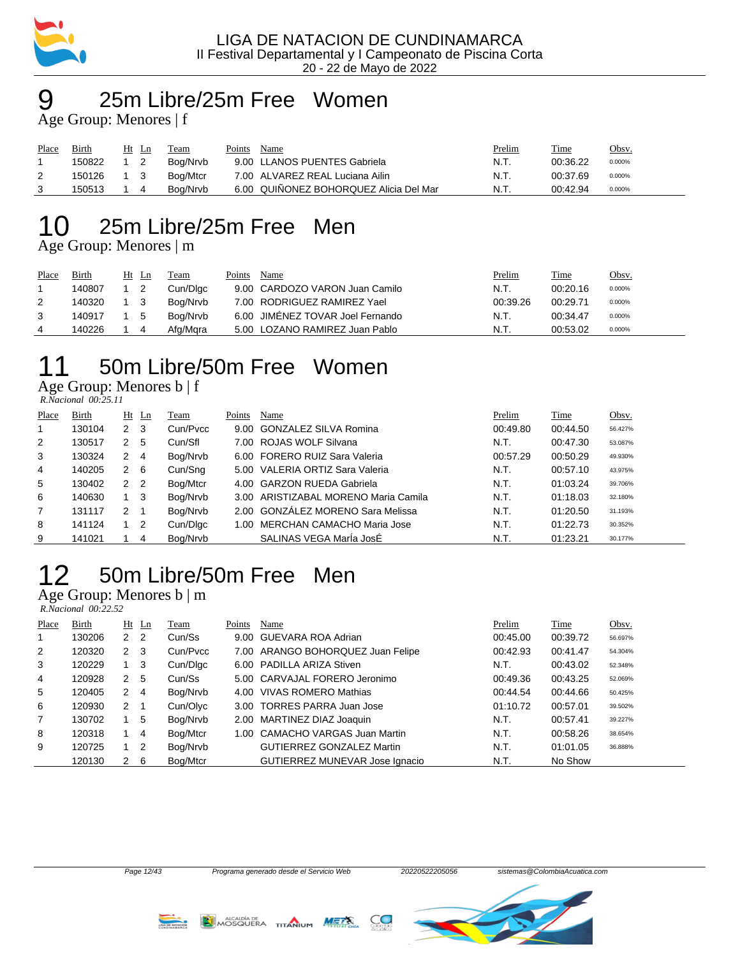

### 25m Libre/25m Free Women Age Group: Menores | f

| Place | Birth  | Ht<br>Ln | Team     | Points | Name                                   | Prelim | Time     | <u>Obsv.</u> |
|-------|--------|----------|----------|--------|----------------------------------------|--------|----------|--------------|
|       | 150822 |          | Boa/Nrvb |        | 9.00 LLANOS PUENTES Gabriela           | N.T.   | 00:36.22 | 0.000%       |
|       | 150126 |          | Bog/Mtcr |        | 7.00 ALVAREZ REAL Luciana Ailin        | N.T.   | 00:37.69 | 0.000%       |
|       | 150513 |          | Boa/Nrvb |        | 6.00 QUIÑONEZ BOHORQUEZ Alicia Del Mar | N.T.   | 00:42.94 | 0.000%       |

# 25m Libre/25m Free Men

Age Group: Menores | m

| Place | Birth  |     | Ht Ln | Team     | Points | Name                             | Prelim   | Time     | Obsv.  |
|-------|--------|-----|-------|----------|--------|----------------------------------|----------|----------|--------|
|       | 140807 |     |       | Cun/Dlgc |        | 9.00 CARDOZO VARON Juan Camilo   | N.T.     | 00:20.16 | 0.000% |
|       | 140320 | 1 3 |       | Bog/Nrvb |        | 7.00 RODRIGUEZ RAMIREZ Yael      | 00:39.26 | 00:29.71 | 0.000% |
|       | 140917 | 1 5 |       | Boa/Nrvb |        | 6.00 JIMÉNEZ TOVAR Joel Fernando | N.T.     | 00:34.47 | 0.000% |
|       | 140226 |     |       | Afg/Mgra |        | 5.00 LOZANO RAMIREZ Juan Pablo   | N.T.     | 00:53.02 | 0.000% |

# 50m Libre/50m Free Women

Age Group: Menores b | f  *R.Nacional 00:25.11* 

| Place | Birth  |                      | $Ht$ Ln | Team     | Points | Name                                 | Prelim   | <b>Time</b> | Obsv.   |
|-------|--------|----------------------|---------|----------|--------|--------------------------------------|----------|-------------|---------|
| 1     | 130104 | 2                    | -3      | Cun/Pvcc |        | 9.00 GONZALEZ SILVA Romina           | 00:49.80 | 00:44.50    | 56.427% |
| 2     | 130517 | 2                    | 5       | Cun/Sfl  |        | 7.00 ROJAS WOLF Silvana              | N.T.     | 00:47.30    | 53.087% |
| 3     | 130324 | $\mathbf{2}^{\circ}$ | -4      | Bog/Nrvb |        | 6.00 FORERO RUIZ Sara Valeria        | 00:57.29 | 00:50.29    | 49.930% |
| 4     | 140205 | 2                    | -6      | Cun/Sng  |        | 5.00 VALERIA ORTIZ Sara Valeria      | N.T.     | 00:57.10    | 43.975% |
| 5     | 130402 | $2\quad 2$           |         | Bog/Mtcr |        | 4.00 GARZON RUEDA Gabriela           | N.T.     | 01:03.24    | 39.706% |
| 6     | 140630 |                      | -3      | Bog/Nrvb |        | 3.00 ARISTIZABAL MORENO Maria Camila | N.T.     | 01:18.03    | 32.180% |
| 7     | 131117 | 2                    |         | Bog/Nrvb |        | 2.00 GONZALEZ MORENO Sara Melissa    | N.T.     | 01:20.50    | 31.193% |
| 8     | 141124 |                      | 2       | Cun/Dlgc |        | 1.00 MERCHAN CAMACHO Maria Jose      | N.T.     | 01:22.73    | 30.352% |
| 9     | 141021 |                      | 4       | Boa/Nrvb |        | SALINAS VEGA Maria JosÉ              | N.T.     | 01:23.21    | 30.177% |

# 50m Libre/50m Free Men

Age Group: Menores b | m

|                | $R. Nacional$ 00:22.52 |             |                |          |        |                                   |          |          |         |
|----------------|------------------------|-------------|----------------|----------|--------|-----------------------------------|----------|----------|---------|
| Place          | <b>Birth</b>           |             | $Ht$ Ln        | Team     | Points | Name                              | Prelim   | Time     | Obsv.   |
| 1              | 130206                 | 2           | -2             | Cun/Ss   |        | 9.00 GUEVARA ROA Adrian           | 00:45.00 | 00:39.72 | 56.697% |
| 2              | 120320                 | $2 \quad 3$ |                | Cun/Pycc |        | 7.00 ARANGO BOHORQUEZ Juan Felipe | 00:42.93 | 00:41.47 | 54.304% |
| 3              | 120229                 | 1           | 3              | Cun/Dlgc |        | 6.00 PADILLA ARIZA Stiven         | N.T.     | 00:43.02 | 52.348% |
| 4              | 120928                 | 2           | 5              | Cun/Ss   |        | 5.00 CARVAJAL FORERO Jeronimo     | 00:49.36 | 00:43.25 | 52.069% |
| 5              | 120405                 | 2           | $\overline{4}$ | Bog/Nrvb | 4.00   | VIVAS ROMERO Mathias              | 00:44.54 | 00:44.66 | 50.425% |
| 6              | 120930                 | $2 \quad 1$ |                | Cun/Olyc |        | 3.00 TORRES PARRA Juan Jose       | 01:10.72 | 00:57.01 | 39.502% |
| $\overline{7}$ | 130702                 | 1.          | 5              | Bog/Nrvb |        | 2.00 MARTINEZ DIAZ Joaquin        | N.T.     | 00:57.41 | 39.227% |
| 8              | 120318                 | 1           | 4              | Bog/Mtcr | 1.00   | <b>CAMACHO VARGAS Juan Martin</b> | N.T.     | 00:58.26 | 38.654% |
| 9              | 120725                 | 1           | 2              | Bog/Nrvb |        | <b>GUTIERREZ GONZALEZ Martin</b>  | N.T.     | 01:01.05 | 36.888% |
|                | 120130                 | 2           | 6              | Bog/Mtcr |        | GUTIERREZ MUNEVAR Jose Ignacio    | N.T.     | No Show  |         |

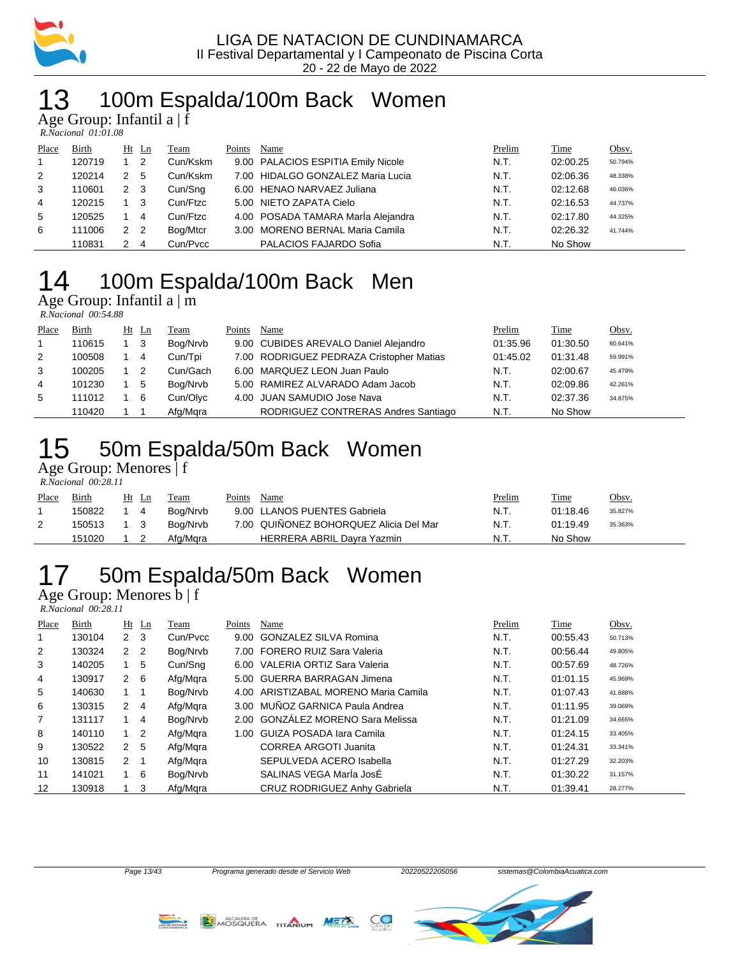

## 13 100m Espalda/100m Back Women

Age Group: Infantil a | f

| R.Nacional 01:01.08 |  |
|---------------------|--|

| Place          | Birth  |             | Ht Ln          | Team     | Points | Name                               | Prelim | Time     | Obsv.   |
|----------------|--------|-------------|----------------|----------|--------|------------------------------------|--------|----------|---------|
| $\overline{1}$ | 120719 |             | 2              | Cun/Kskm |        | 9.00 PALACIOS ESPITIA Emily Nicole | N.T.   | 02:00.25 | 50.794% |
| 2              | 120214 |             | -5             | Cun/Kskm |        | 7.00 HIDALGO GONZALEZ Maria Lucia  | N.T.   | 02:06.36 | 48.338% |
| 3              | 110601 | $2 \quad 3$ |                | Cun/Sng  |        | 6.00 HENAO NARVAEZ Juliana         | N.T.   | 02:12.68 | 46.036% |
| 4              | 120215 |             | -3             | Cun/Ftzc |        | 5.00 NIETO ZAPATA Cielo            | N.T.   | 02:16.53 | 44.737% |
| 5              | 120525 |             | 4              | Cun/Ftzc |        | 4.00 POSADA TAMARA MarÍa Alejandra | N.T.   | 02:17.80 | 44.325% |
| 6              | 111006 | 2           | $\overline{2}$ | Bog/Mtcr |        | 3.00 MORENO BERNAL Maria Camila    | N.T.   | 02:26.32 | 41.744% |
|                | 110831 |             | 4              | Cun/Pvcc |        | PALACIOS FAJARDO Sofia             | N.T.   | No Show  |         |

# 100m Espalda/100m Back Men

Age Group: Infantil a | m  *R.Nacional 00:54.88* 

| Place | Birth  |    | Ht Ln          | Team     | Points | Name                                     | Prelim   | <b>Time</b> | Obsv.   |
|-------|--------|----|----------------|----------|--------|------------------------------------------|----------|-------------|---------|
|       | 110615 |    | - 3            | Bog/Nrvb |        | 9.00 CUBIDES AREVALO Daniel Alejandro    | 01:35.96 | 01:30.50    | 60.641% |
| 2     | 100508 | 14 |                | Cun/Tpi  |        | 7.00 RODRIGUEZ PEDRAZA Cristopher Matias | 01:45.02 | 01:31.48    | 59.991% |
| 3     | 100205 |    | $\overline{2}$ | Cun/Gach |        | 6.00 MARQUEZ LEON Juan Paulo             | N.T.     | 02:00.67    | 45.479% |
| 4     | 101230 |    | 5              | Bog/Nrvb |        | 5.00 RAMIREZ ALVARADO Adam Jacob         | N.T.     | 02:09.86    | 42.261% |
| 5     | 111012 |    | - 6            | Cun/Olyc |        | 4.00 JUAN SAMUDIO Jose Nava              | N.T.     | 02:37.36    | 34.875% |
|       | 110420 |    |                | Afg/Mgra |        | RODRIGUEZ CONTRERAS Andres Santiago      | N.T.     | No Show     |         |

### 50m Espalda/50m Back Women

Age Group: Menores | f  *R.Nacional 00:28.11* 

| Place | Birth  | Ht Ln | Team     | Points | Name                                   | Prelim | Time     | <u>Obsv.</u> |
|-------|--------|-------|----------|--------|----------------------------------------|--------|----------|--------------|
|       | 150822 | -4    | Boa/Nrvb |        | 9.00 LLANOS PUENTES Gabriela           | N.T.   | 01:18.46 | 35.827%      |
| 2     | 150513 |       | Boa/Nrvb |        | 7.00 QUIÑONEZ BOHORQUEZ Alicia Del Mar | N.T.   | 01:19.49 | 35.363%      |
|       | 151020 |       | Afg/Mara |        | HERRERA ABRIL Dayra Yazmin             | N.T.   | No Show  |              |

# 50m Espalda/50m Back Women

Age Group: Menores b | f

 *R.Nacional 00:28.11* 

| Place | Birth  |              | $Ht$ Ln        | Team     | Points | Name                              | Prelim | Time     | Obsv.   |
|-------|--------|--------------|----------------|----------|--------|-----------------------------------|--------|----------|---------|
|       | 130104 | $2 \quad 3$  |                | Cun/Pycc | 9.00   | <b>GONZALEZ SILVA Romina</b>      | N.T.   | 00:55.43 | 50.713% |
| 2     | 130324 | $\mathbf{2}$ | $\overline{2}$ | Bog/Nrvb |        | 7.00 FORERO RUIZ Sara Valeria     | N.T.   | 00:56.44 | 49.805% |
| 3     | 140205 |              | 5              | Cun/Sng  |        | 6.00 VALERIA ORTIZ Sara Valeria   | N.T.   | 00:57.69 | 48.726% |
| 4     | 130917 | $2\quad 6$   |                | Afg/Mgra |        | 5.00 GUERRA BARRAGAN Jimena       | N.T.   | 01:01.15 | 45.969% |
| 5     | 140630 |              |                | Bog/Nrvb | 4.00   | ARISTIZABAL MORENO Maria Camila   | N.T.   | 01:07.43 | 41.688% |
| 6     | 130315 | $\mathbf{2}$ | 4              | Afg/Mgra | 3.00   | MUÑOZ GARNICA Paula Andrea        | N.T.   | 01:11.95 | 39.069% |
| 7     | 131117 |              | 4              | Bog/Nrvb |        | 2.00 GONZÁLEZ MORENO Sara Melissa | N.T.   | 01:21.09 | 34.665% |
| 8     | 140110 | 1            | $\overline{2}$ | Afg/Mgra | 1.00   | GUIZA POSADA Iara Camila          | N.T.   | 01:24.15 | 33.405% |
| 9     | 130522 | $\mathbf{2}$ | 5              | Afg/Mgra |        | CORREA ARGOTI Juanita             | N.T.   | 01:24.31 | 33.341% |
| 10    | 130815 | 2            |                | Afg/Mgra |        | SEPULVEDA ACERO Isabella          | N.T.   | 01:27.29 | 32.203% |
| 11    | 141021 | $1\quad 6$   |                | Bog/Nrvb |        | SALINAS VEGA Maria JosÉ           | N.T.   | 01:30.22 | 31.157% |
| 12    | 130918 |              | 3              | Afg/Mgra |        | CRUZ RODRIGUEZ Anhy Gabriela      | N.T.   | 01:39.41 | 28.277% |





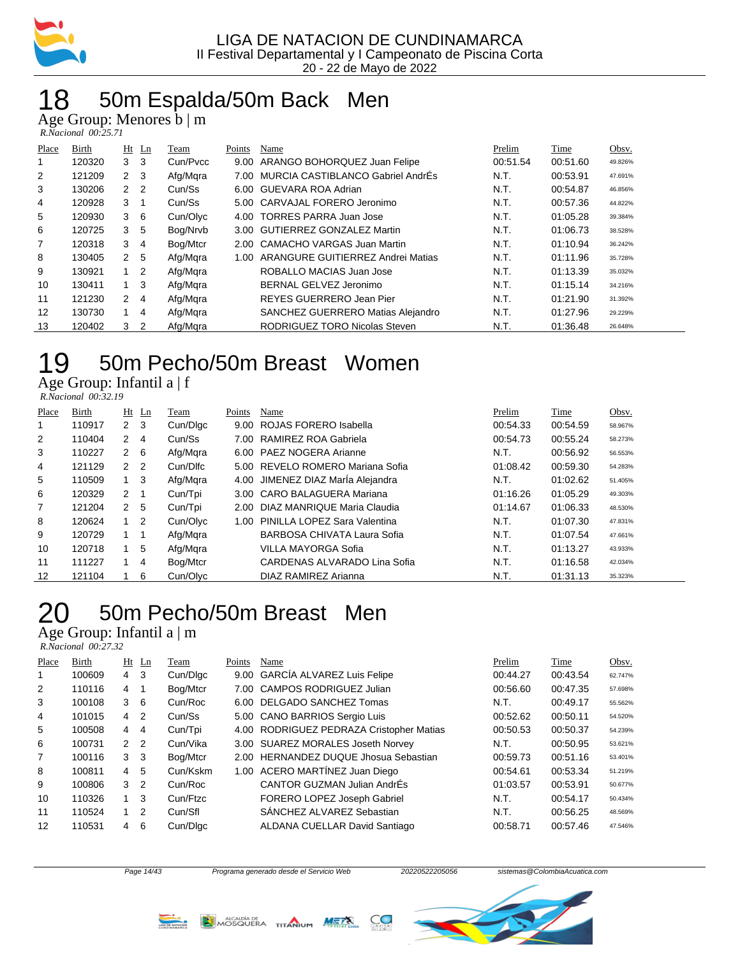

## 50m Espalda/50m Back Men

Age Group: Menores b | m

| R.Nacional 00:25.71 |  |
|---------------------|--|

| Place          | Birth  | $Ht$ Ln        |                | Team     | Points | Name                              | Prelim   | Time     | Obsv.   |
|----------------|--------|----------------|----------------|----------|--------|-----------------------------------|----------|----------|---------|
|                | 120320 | 3              | -3             | Cun/Pvcc | 9.00   | ARANGO BOHORQUEZ Juan Felipe      | 00:51.54 | 00:51.60 | 49.826% |
| 2              | 121209 | 2              | - 3            | Afg/Mgra | 7.00   | MURCIA CASTIBLANCO Gabriel AndrÉs | N.T.     | 00:53.91 | 47.691% |
| 3              | 130206 | $\overline{2}$ | $\overline{2}$ | Cun/Ss   |        | 6.00 GUEVARA ROA Adrian           | N.T.     | 00:54.87 | 46.856% |
| 4              | 120928 | 3              |                | Cun/Ss   |        | 5.00 CARVAJAL FORERO Jeronimo     | N.T.     | 00:57.36 | 44.822% |
| 5              | 120930 | 3              | 6              | Cun/Olyc | 4.00   | <b>TORRES PARRA Juan Jose</b>     | N.T.     | 01:05.28 | 39.384% |
| 6              | 120725 | 3              | 5              | Bog/Nrvb |        | 3.00 GUTIERREZ GONZALEZ Martin    | N.T.     | 01:06.73 | 38.528% |
| $\overline{7}$ | 120318 | 3              | $\overline{4}$ | Bog/Mtcr |        | 2.00 CAMACHO VARGAS Juan Martin   | N.T.     | 01:10.94 | 36.242% |
| 8              | 130405 | $\overline{2}$ | 5              | Afg/Mgra | 1.00   | ARANGURE GUITIERREZ Andrei Matias | N.T.     | 01:11.96 | 35.728% |
| 9              | 130921 | 1.             | $\overline{2}$ | Afg/Mgra |        | ROBALLO MACIAS Juan Jose          | N.T.     | 01:13.39 | 35.032% |
| 10             | 130411 |                | 3              | Afg/Mgra |        | BERNAL GELVEZ Jeronimo            | N.T.     | 01:15.14 | 34.216% |
| 11             | 121230 | 2              | $\overline{4}$ | Afg/Mgra |        | REYES GUERRERO Jean Pier          | N.T.     | 01:21.90 | 31.392% |
| 12             | 130730 | 1.             | $\overline{4}$ | Afg/Mgra |        | SANCHEZ GUERRERO Matias Alejandro | N.T.     | 01:27.96 | 29.229% |
| 13             | 120402 | 3              | 2              | Afg/Mgra |        | RODRIGUEZ TORO Nicolas Steven     | N.T.     | 01:36.48 | 26.648% |

### 50m Pecho/50m Breast Women

Age Group: Infantil a | f  *R.Nacional 00:32.19* 

| Place             | Birth  |                | $Ht$ Ln        | Team     | Points | Name                              | Prelim   | Time     | Obsv.   |
|-------------------|--------|----------------|----------------|----------|--------|-----------------------------------|----------|----------|---------|
| 1                 | 110917 | $\mathbf{2}$   | -3             | Cun/Dlgc | 9.00   | ROJAS FORERO Isabella             | 00:54.33 | 00:54.59 | 58.967% |
| 2                 | 110404 | 2              | $\overline{4}$ | Cun/Ss   |        | 7.00 RAMIREZ ROA Gabriela         | 00:54.73 | 00:55.24 | 58.273% |
| 3                 | 110227 | 2              | - 6            | Afg/Mgra |        | 6.00 PAEZ NOGERA Arianne          | N.T.     | 00:56.92 | 56.553% |
| 4                 | 121129 | 2 <sub>2</sub> |                | Cun/Dlfc |        | 5.00 REVELO ROMERO Mariana Sofia  | 01:08.42 | 00:59.30 | 54.283% |
| 5                 | 110509 | $1 \quad 3$    |                | Afg/Mqra |        | 4.00 JIMENEZ DIAZ Marla Alejandra | N.T.     | 01:02.62 | 51.405% |
| 6                 | 120329 | $\mathbf{2}$   | - 1            | Cun/Tpi  |        | 3.00 CARO BALAGUERA Mariana       | 01:16.26 | 01:05.29 | 49.303% |
| 7                 | 121204 | 2 <sub>5</sub> |                | Cun/Tpi  |        | 2.00 DIAZ MANRIQUE Maria Claudia  | 01:14.67 | 01:06.33 | 48.530% |
| 8                 | 120624 | $1\quad 2$     |                | Cun/Olvc | 1.00   | PINILLA LOPEZ Sara Valentina      | N.T.     | 01:07.30 | 47.831% |
| 9                 | 120729 | $1 \quad 1$    |                | Afg/Mgra |        | BARBOSA CHIVATA Laura Sofia       | N.T.     | 01:07.54 | 47.661% |
| 10                | 120718 |                | 5              | Afg/Mgra |        | <b>VILLA MAYORGA Sofia</b>        | N.T.     | 01:13.27 | 43.933% |
| 11                | 111227 | 1.             | 4              | Bog/Mtcr |        | CARDENAS ALVARADO Lina Sofia      | N.T.     | 01:16.58 | 42.034% |
| $12 \overline{ }$ | 121104 |                | 6              | Cun/Olyc |        | DIAZ RAMIREZ Arianna              | N.T.     | 01:31.13 | 35.323% |

# 50m Pecho/50m Breast Men

Age Group: Infantil a | m

 *R.Nacional 00:27.32* 

| Place | Birth  |                | $Ht$ Ln        | Team     | Points | Name                                     | Prelim   | Time     | Obsv.   |
|-------|--------|----------------|----------------|----------|--------|------------------------------------------|----------|----------|---------|
|       | 100609 | 4 3            |                | Cun/Dlgc |        | 9.00 GARCIA ALVAREZ Luis Felipe          | 00:44.27 | 00:43.54 | 62.747% |
| 2     | 110116 | 4              |                | Bog/Mtcr |        | 7.00 CAMPOS RODRIGUEZ Julian             | 00:56.60 | 00:47.35 | 57.698% |
| 3     | 100108 | 3              | -6             | Cun/Roc  |        | 6.00 DELGADO SANCHEZ Tomas               | N.T.     | 00:49.17 | 55.562% |
| 4     | 101015 | 4              | $\overline{2}$ | Cun/Ss   |        | 5.00 CANO BARRIOS Sergio Luis            | 00:52.62 | 00:50.11 | 54.520% |
| 5     | 100508 | 4              | 4              | Cun/Tpi  |        | 4.00 RODRIGUEZ PEDRAZA Cristopher Matias | 00:50.53 | 00:50.37 | 54.239% |
| 6     | 100731 | $\mathcal{P}$  | 2              | Cun/Vika |        | 3.00 SUAREZ MORALES Joseth Norvey        | N.T.     | 00:50.95 | 53.621% |
| 7     | 100116 | 3              | -3             | Bog/Mtcr |        | 2.00 HERNANDEZ DUQUE Jhosua Sebastian    | 00:59.73 | 00:51.16 | 53.401% |
| 8     | 100811 | $\overline{4}$ | -5             | Cun/Kskm |        | 1.00 ACERO MARTÍNEZ Juan Diego           | 00:54.61 | 00:53.34 | 51.219% |
| 9     | 100806 | 3              | 2              | Cun/Roc  |        | CANTOR GUZMAN Julian AndrÉs              | 01:03.57 | 00:53.91 | 50.677% |
| 10    | 110326 |                | 3              | Cun/Ftzc |        | FORERO LOPEZ Joseph Gabriel              | N.T.     | 00:54.17 | 50.434% |
| 11    | 110524 | 1.             | 2              | Cun/Sfl  |        | SÁNCHEZ ALVAREZ Sebastian                | N.T.     | 00:56.25 | 48.569% |
| 12    | 110531 | 4              | 6              | Cun/Dlgc |        | ALDANA CUELLAR David Santiago            | 00:58.71 | 00:57.46 | 47.546% |







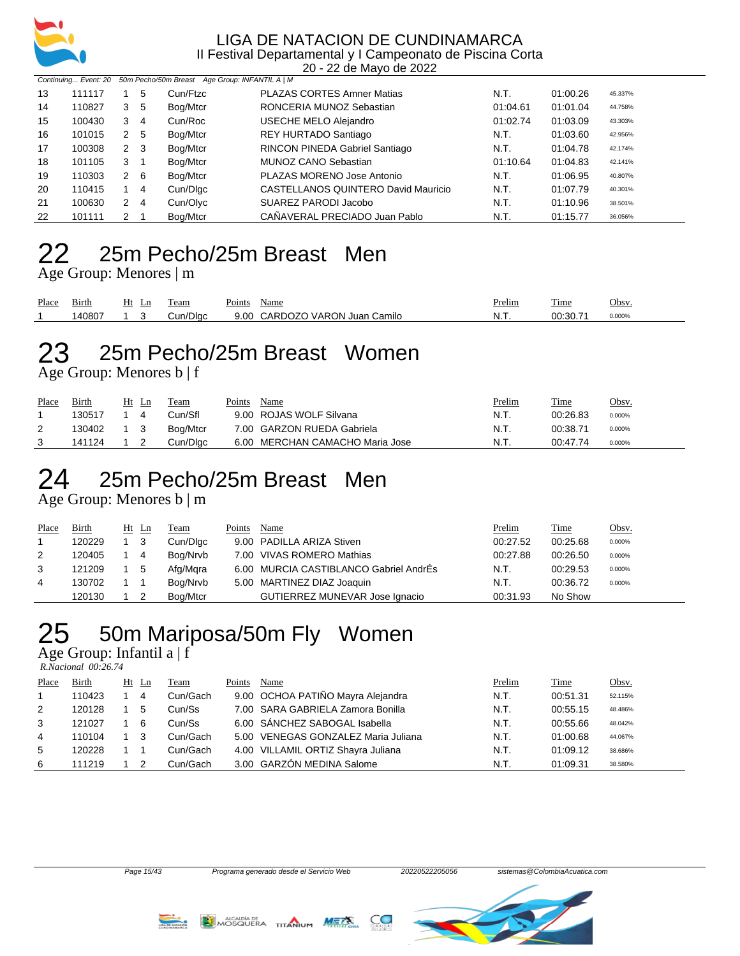

20 - 22 de Mayo de 2022

|    | Continuing Event: 20 50m Pecho/50m Breast Age Group: INFANTIL A   M |              |     |          |                                     |          |          |         |  |  |  |
|----|---------------------------------------------------------------------|--------------|-----|----------|-------------------------------------|----------|----------|---------|--|--|--|
| 13 | 111117                                                              |              | 5   | Cun/Ftzc | <b>PLAZAS CORTES Amner Matias</b>   | N.T.     | 01:00.26 | 45.337% |  |  |  |
| 14 | 110827                                                              | 3            | -5  | Bog/Mtcr | RONCERIA MUNOZ Sebastian            | 01:04.61 | 01:01.04 | 44.758% |  |  |  |
| 15 | 100430                                                              | 3            | -4  | Cun/Roc  | USECHE MELO Alejandro               | 01:02.74 | 01:03.09 | 43.303% |  |  |  |
| 16 | 101015                                                              | $\mathbf{2}$ | -5  | Bog/Mtcr | REY HURTADO Santiago                | N.T.     | 01:03.60 | 42.956% |  |  |  |
| 17 | 100308                                                              | 2            | - 3 | Bog/Mtcr | RINCON PINEDA Gabriel Santiago      | N.T.     | 01:04.78 | 42.174% |  |  |  |
| 18 | 101105                                                              | 3            |     | Bog/Mtcr | MUNOZ CANO Sebastian                | 01:10.64 | 01:04.83 | 42.141% |  |  |  |
| 19 | 110303                                                              | 2            | - 6 | Bog/Mtcr | PLAZAS MORENO Jose Antonio          | N.T.     | 01:06.95 | 40.807% |  |  |  |
| 20 | 110415                                                              |              | -4  | Cun/Dlgc | CASTELLANOS QUINTERO David Mauricio | N.T.     | 01:07.79 | 40.301% |  |  |  |
| 21 | 100630                                                              | 2            | -4  | Cun/Olyc | SUAREZ PARODI Jacobo                | N.T.     | 01:10.96 | 38.501% |  |  |  |
| 22 | 101111                                                              | 2            |     | Bog/Mtcr | CAÑAVERAL PRECIADO Juan Pablo       | N.T.     | 01:15.77 | 36.056% |  |  |  |

### 25m Pecho/25m Breast Men

Age Group: Menores | m

| Place | $-$ .<br>Birth | HЦ | Ln | l'eam                              | $\mathbf{r}$<br>Points | Name                                 | <b>Prelim</b> | m.<br>1 ime | Obsv.  |
|-------|----------------|----|----|------------------------------------|------------------------|--------------------------------------|---------------|-------------|--------|
|       | 140807         |    |    | 'Dlac<br>$\cdot$ in $\cdot$<br>ઝuા | 9.0C                   | VARON.<br>CARDC:<br>Juan (<br>Camilo | N.T           | 00:30.7'    | 0.000% |

# 25m Pecho/25m Breast Women

Age Group: Menores b | f

| Place | Birth  | Ht     | Ln | Team     | Points | Name                            | <b>Prelim</b> | <u>Time</u> | <u>Obsv.</u> |
|-------|--------|--------|----|----------|--------|---------------------------------|---------------|-------------|--------------|
|       | 130517 |        |    | Cun/Sfl  |        | 9.00 ROJAS WOLF Silvana         | N.T.          | 00:26.83    | 0.000%       |
| 2     | 130402 | $_{3}$ |    | Bog/Mtcr |        | 7.00 GARZON RUEDA Gabriela      | N.T.          | 00:38.71    | 0.000%       |
|       | 141124 |        |    | Cun/Dlac |        | 6.00 MERCHAN CAMACHO Maria Jose | N.T.          | 00:47.74    | 0.000%       |

## 25m Pecho/25m Breast Men

Age Group: Menores b | m

| Place | Birth  | Ht Ln |     | Team     | Points | Name                                   | Prelim   | Time     | <u>Obsv.</u> |
|-------|--------|-------|-----|----------|--------|----------------------------------------|----------|----------|--------------|
|       | 120229 |       | - 3 | Cun/Dlgc |        | 9.00 PADILLA ARIZA Stiven              | 00:27.52 | 00:25.68 | 0.000%       |
| 2     | 120405 |       | -4  | Bog/Nrvb |        | 7.00 VIVAS ROMERO Mathias              | 00:27.88 | 00:26.50 | 0.000%       |
| 3     | 121209 |       | - 5 | Afg/Mgra |        | 6.00 MURCIA CASTIBLANCO Gabriel AndrÉs | N.T.     | 00:29.53 | 0.000%       |
| 4     | 130702 |       |     | Bog/Nrvb |        | 5.00 MARTINEZ DIAZ Joaquin             | N.T.     | 00:36.72 | 0.000%       |
|       | 120130 |       |     | Bog/Mtcr |        | GUTIERREZ MUNEVAR Jose Ignacio         | 00:31.93 | No Show  |              |

## 50m Mariposa/50m Fly Women

Age Group: Infantil a | f

 *R.Nacional 00:26.74* 

| Place | Birth  | $Ht$ Ln | Team     | Points | Name                                | Prelim | Time     | Obsv.   |
|-------|--------|---------|----------|--------|-------------------------------------|--------|----------|---------|
|       | 110423 | 4       | Cun/Gach |        | 9.00 OCHOA PATIÑO Mayra Alejandra   | N.T.   | 00:51.31 | 52.115% |
| 2     | 120128 | 5       | Cun/Ss   |        | 7.00 SARA GABRIELA Zamora Bonilla   | N.T.   | 00:55.15 | 48.486% |
| 3     | 121027 | -6      | Cun/Ss   |        | 6.00 SÁNCHEZ SABOGAL Isabella       | N.T.   | 00:55.66 | 48.042% |
| 4     | 110104 | - 3     | Cun/Gach |        | 5.00 VENEGAS GONZALEZ Maria Juliana | N.T.   | 01:00.68 | 44.067% |
| 5     | 120228 |         | Cun/Gach |        | 4.00 VILLAMIL ORTIZ Shayra Juliana  | N.T.   | 01:09.12 | 38.686% |
| 6     | 111219 |         | Cun/Gach |        | 3.00 GARZÓN MEDINA Salome           | N.T.   | 01:09.31 | 38.580% |





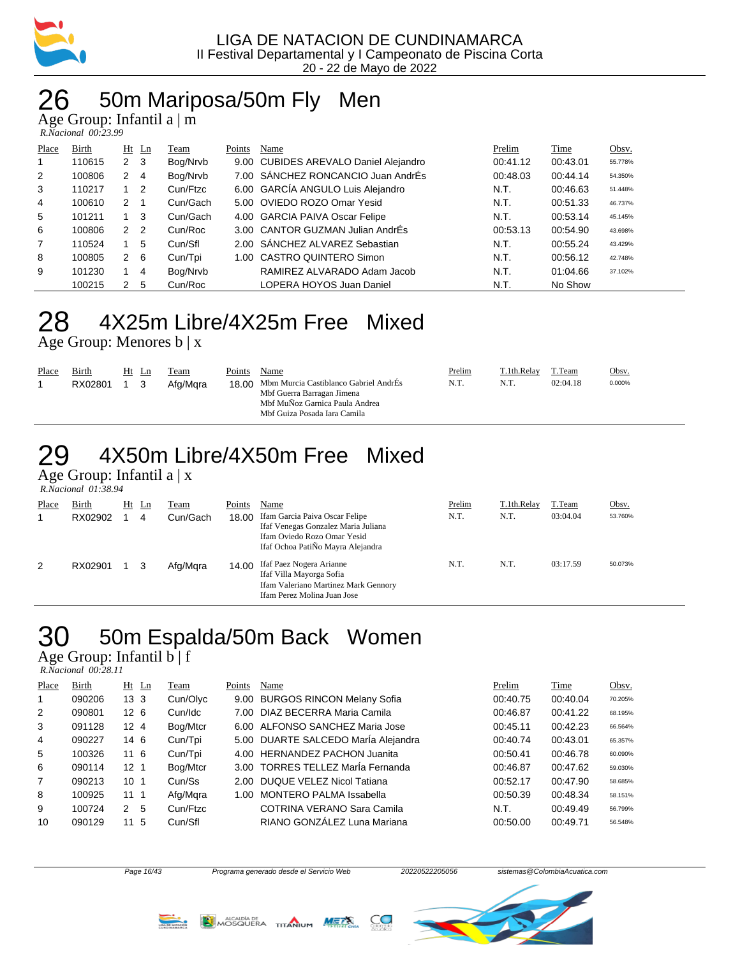

## 26 50m Mariposa/50m Fly Men

Age Group: Infantil a | m

| R.Nacional 00:23.99 |  |
|---------------------|--|
|---------------------|--|

| Place | Birth  |                | $Ht$ Ln        | Team     | Points | Name                                  | Prelim   | Time     | Obsv.   |
|-------|--------|----------------|----------------|----------|--------|---------------------------------------|----------|----------|---------|
| 1     | 110615 | $\mathbf{2}$   | - 3            | Bog/Nrvb |        | 9.00 CUBIDES AREVALO Daniel Alejandro | 00:41.12 | 00:43.01 | 55.778% |
| 2     | 100806 | $\overline{2}$ | 4              | Bog/Nrvb |        | 7.00 SÁNCHEZ RONCANCIO Juan AndrÉs    | 00:48.03 | 00:44.14 | 54.350% |
| 3     | 110217 |                | -2             | Cun/Ftzc |        | 6.00 GARCÍA ANGULO Luis Alejandro     | N.T.     | 00:46.63 | 51.448% |
| 4     | 100610 | $\mathcal{P}$  |                | Cun/Gach |        | 5.00 OVIEDO ROZO Omar Yesid           | N.T.     | 00:51.33 | 46.737% |
| 5     | 101211 |                | -3             | Cun/Gach |        | 4.00 GARCIA PAIVA Oscar Felipe        | N.T.     | 00:53.14 | 45.145% |
| 6     | 100806 | 2              | $\overline{2}$ | Cun/Roc  |        | 3.00 CANTOR GUZMAN Julian AndrÉs      | 00:53.13 | 00:54.90 | 43.698% |
| 7     | 110524 |                | 5              | Cun/Sfl  |        | 2.00 SÁNCHEZ ALVAREZ Sebastian        | N.T.     | 00:55.24 | 43.429% |
| 8     | 100805 | $\mathbf{2}$   | - 6            | Cun/Tpi  |        | 1.00 CASTRO QUINTERO Simon            | N.T.     | 00:56.12 | 42.748% |
| 9     | 101230 |                | 4              | Bog/Nrvb |        | RAMIREZ ALVARADO Adam Jacob           | N.T.     | 01:04.66 | 37.102% |
|       | 100215 | 2              | 5              | Cun/Roc  |        | LOPERA HOYOS Juan Daniel              | N.T.     | No Show  |         |

### 28 4X25m Libre/4X25m Free Mixed

Age Group: Menores b | x

| Place | Birth<br>RX02801 |  | Ht Ln | Team<br>Afg/Mara | Points | Name<br>18.00 Mbm Murcia Castiblanco Gabriel AndrÉs<br>Mbf Guerra Barragan Jimena<br>Mbf MuÑoz Garnica Paula Andrea<br>Mbf Guiza Posada Iara Camila | Prelim<br>N.T. | T.1th.Relay<br>N.T. | T.Team<br>02:04.18 | <u>Obsv.</u><br>0.000% |
|-------|------------------|--|-------|------------------|--------|-----------------------------------------------------------------------------------------------------------------------------------------------------|----------------|---------------------|--------------------|------------------------|
|-------|------------------|--|-------|------------------|--------|-----------------------------------------------------------------------------------------------------------------------------------------------------|----------------|---------------------|--------------------|------------------------|

# 29 4X50m Libre/4X50m Free Mixed

Age Group: Infantil a | x  *R.Nacional 01:38.94* 

| Place | Birth   | Ht | Ln | Team     | Points | Name                                                                                                                                      | Prelim | T.1th.Relay | T.Team   | Obsv.   |
|-------|---------|----|----|----------|--------|-------------------------------------------------------------------------------------------------------------------------------------------|--------|-------------|----------|---------|
|       | RX02902 |    | 4  | Cun/Gach | 18.00  | Ifam Garcia Paiva Oscar Felipe<br>Ifaf Venegas Gonzalez Maria Juliana<br>Ifam Oviedo Rozo Omar Yesid<br>Ifaf Ochoa PatiÑo Mayra Alejandra | N.T.   | N.T.        | 03:04.04 | 53.760% |
| 2     | RX02901 |    |    | Afg/Mgra | 14.00  | Ifaf Paez Nogera Arianne<br>Ifaf Villa Mayorga Sofia<br>Ifam Valeriano Martinez Mark Gennory<br>Ifam Perez Molina Juan Jose               | N.T.   | N.T.        | 03:17.59 | 50.073% |

# 30 50m Espalda/50m Back Women

Age Group: Infantil b | f

| R.Nacional 00:28.11 |  |
|---------------------|--|
|                     |  |

| Place          | Birth  | $Ht$ Ln         | Team     | Points | Name                                | Prelim   | Time     | Obsv.   |
|----------------|--------|-----------------|----------|--------|-------------------------------------|----------|----------|---------|
| 1              | 090206 | 13 <sub>3</sub> | Cun/Olyc |        | 9.00 BURGOS RINCON Melany Sofia     | 00:40.75 | 00:40.04 | 70.205% |
| 2              | 090801 | 12 <sub>6</sub> | Cun/Idc  |        | 7.00 DIAZ BECERRA Maria Camila      | 00:46.87 | 00:41.22 | 68.195% |
| 3              | 091128 | 12 <sub>4</sub> | Bog/Mtcr |        | 6.00 ALFONSO SANCHEZ Maria Jose     | 00:45.11 | 00:42.23 | 66.564% |
| $\overline{4}$ | 090227 | 14 6            | Cun/Tpi  |        | 5.00 DUARTE SALCEDO Marla Alejandra | 00:40.74 | 00:43.01 | 65.357% |
| 5              | 100326 | 11 <sub>6</sub> | Cun/Tpi  |        | 4.00 HERNANDEZ PACHON Juanita       | 00:50.41 | 00:46.78 | 60.090% |
| 6              | 090114 | 12 <sub>1</sub> | Bog/Mtcr |        | 3.00 TORRES TELLEZ María Fernanda   | 00:46.87 | 00:47.62 | 59.030% |
| $\overline{7}$ | 090213 | 10 <sub>1</sub> | Cun/Ss   |        | 2.00 DUQUE VELEZ Nicol Tatiana      | 00:52.17 | 00:47.90 | 58.685% |
| 8              | 100925 | 111             | Afg/Mgra |        | 1.00 MONTERO PALMA Issabella        | 00:50.39 | 00:48.34 | 58.151% |
| 9              | 100724 | -5<br>2         | Cun/Ftzc |        | <b>COTRINA VERANO Sara Camila</b>   | N.T.     | 00:49.49 | 56.799% |
| 10             | 090129 | -5<br>11        | Cun/Sfl  |        | RIANO GONZÁLEZ Luna Mariana         | 00:50.00 | 00:49.71 | 56.548% |

Page 16/43 Programa generado desde el Servicio Web 20220522205056 sistemas@ColombiaAcuatica.com



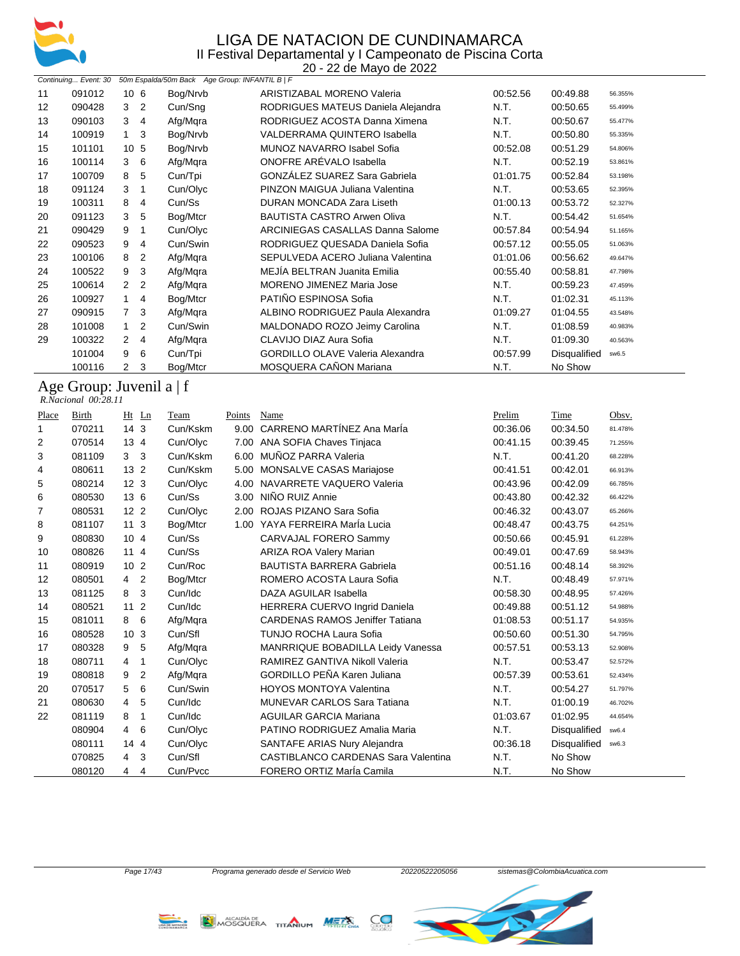

|       |                                                   |                 |                |                                                |        | 20 - 22 de Mayo de 2022                 |          |              |         |
|-------|---------------------------------------------------|-----------------|----------------|------------------------------------------------|--------|-----------------------------------------|----------|--------------|---------|
|       | Continuing Event: 30                              |                 |                | 50m Espalda/50m Back Age Group: INFANTIL B   F |        |                                         |          |              |         |
| 11    | 091012                                            | 10 <sub>6</sub> |                | Bog/Nrvb                                       |        | <b>ARISTIZABAL MORENO Valeria</b>       | 00:52.56 | 00:49.88     | 56.355% |
| 12    | 090428                                            | 3               | 2              | Cun/Sng                                        |        | RODRIGUES MATEUS Daniela Alejandra      | N.T.     | 00:50.65     | 55.499% |
| 13    | 090103                                            | 3               | 4              | Afg/Mqra                                       |        | RODRIGUEZ ACOSTA Danna Ximena           | N.T.     | 00:50.67     | 55.477% |
| 14    | 100919                                            | 1               | 3              | Bog/Nrvb                                       |        | <b>VALDERRAMA QUINTERO Isabella</b>     | N.T.     | 00:50.80     | 55.335% |
| 15    | 101101                                            | 10 <sub>5</sub> |                | Bog/Nrvb                                       |        | MUNOZ NAVARRO Isabel Sofia              | 00:52.08 | 00:51.29     | 54.806% |
| 16    | 100114                                            | 3               | 6              | Afg/Mqra                                       |        | ONOFRE ARÉVALO Isabella                 | N.T.     | 00:52.19     | 53.861% |
| 17    | 100709                                            | 8               | 5              | Cun/Tpi                                        |        | <b>GONZÁLEZ SUAREZ Sara Gabriela</b>    | 01:01.75 | 00:52.84     | 53.198% |
| 18    | 091124                                            | 3               | 1              | Cun/Olyc                                       |        | PINZON MAIGUA Juliana Valentina         | N.T.     | 00:53.65     | 52.395% |
| 19    | 100311                                            | 8               | 4              | Cun/Ss                                         |        | DURAN MONCADA Zara Liseth               | 01:00.13 | 00:53.72     | 52.327% |
| 20    | 091123                                            | 3               | 5              | Bog/Mtcr                                       |        | <b>BAUTISTA CASTRO Arwen Oliva</b>      | N.T.     | 00:54.42     | 51.654% |
| 21    | 090429                                            | 9               | 1              | Cun/Olyc                                       |        | ARCINIEGAS CASALLAS Danna Salome        | 00:57.84 | 00:54.94     | 51.165% |
| 22    | 090523                                            | 9               | 4              | Cun/Swin                                       |        | RODRIGUEZ QUESADA Daniela Sofia         | 00:57.12 | 00:55.05     | 51.063% |
| 23    | 100106                                            | 8               | 2              | Afg/Mqra                                       |        | SEPULVEDA ACERO Juliana Valentina       | 01:01.06 | 00:56.62     | 49.647% |
| 24    | 100522                                            | 9               | 3              | Afg/Mqra                                       |        | MEJİA BELTRAN Juanita Emilia            | 00:55.40 | 00:58.81     | 47.798% |
| 25    | 100614                                            | 2               | $\overline{2}$ | Afg/Mqra                                       |        | <b>MORENO JIMENEZ Maria Jose</b>        | N.T.     | 00:59.23     | 47.459% |
| 26    | 100927                                            | 1               | 4              | Bog/Mtcr                                       |        | PATIÑO ESPINOSA Sofia                   | N.T.     | 01:02.31     | 45.113% |
| 27    | 090915                                            | 7               | 3              | Afg/Mgra                                       |        | ALBINO RODRIGUEZ Paula Alexandra        | 01:09.27 | 01:04.55     | 43.548% |
| 28    | 101008                                            | 1               | $\overline{2}$ | Cun/Swin                                       |        | MALDONADO ROZO Jeimy Carolina           | N.T.     | 01:08.59     | 40.983% |
| 29    | 100322                                            | 2               | 4              | Afg/Mqra                                       |        | CLAVIJO DIAZ Aura Sofia                 | N.T.     | 01:09.30     | 40.563% |
|       | 101004                                            | 9               | 6              | Cun/Tpi                                        |        | <b>GORDILLO OLAVE Valeria Alexandra</b> | 00:57.99 | Disqualified | sw6.5   |
|       | 100116                                            | 2               | 3              | Bog/Mtcr                                       |        | MOSQUERA CAÑON Mariana                  | N.T.     | No Show      |         |
|       | Age Group: Juvenil a $ f $<br>R.Nacional 00:28.11 |                 |                |                                                |        |                                         |          |              |         |
| Place | Birth                                             |                 | $Ht$ Ln        | Team                                           | Points | Name                                    | Prelim   | <b>Time</b>  | Obsv.   |

| <u>i iacc</u> | DILUI  | <u>III.</u><br>ுப                | т саш    | т оппр | тчанно                                 | <u>1 1 сишт</u> | <u>1 1111 t</u>     | <u>OUSV.</u> |
|---------------|--------|----------------------------------|----------|--------|----------------------------------------|-----------------|---------------------|--------------|
| 1             | 070211 | 14 <sub>3</sub>                  | Cun/Kskm | 9.00   | CARRENO MARTÍNEZ Ana MarÍa             | 00:36.06        | 00:34.50            | 81.478%      |
| 2             | 070514 | 13 <sub>4</sub>                  | Cun/Olyc | 7.00   | ANA SOFIA Chaves Tinjaca               | 00:41.15        | 00:39.45            | 71.255%      |
| 3             | 081109 | 3 <sub>3</sub>                   | Cun/Kskm | 6.00   | MUÑOZ PARRA Valeria                    | N.T.            | 00:41.20            | 68.228%      |
| 4             | 080611 | 13 <sub>2</sub>                  | Cun/Kskm | 5.00   | <b>MONSALVE CASAS Mariajose</b>        | 00:41.51        | 00:42.01            | 66.913%      |
| 5             | 080214 | 12 <sub>3</sub>                  | Cun/Olyc | 4.00   | NAVARRETE VAQUERO Valeria              | 00:43.96        | 00:42.09            | 66.785%      |
| 6             | 080530 | 13 6                             | Cun/Ss   | 3.00   | NIÑO RUIZ Annie                        | 00:43.80        | 00:42.32            | 66.422%      |
| 7             | 080531 | 12 <sub>2</sub>                  | Cun/Olyc | 2.00   | ROJAS PIZANO Sara Sofia                | 00:46.32        | 00:43.07            | 65.266%      |
| 8             | 081107 | 11 <sub>3</sub>                  | Bog/Mtcr | 1.00   | YAYA FERREIRA MarÍa Lucia              | 00:48.47        | 00:43.75            | 64.251%      |
| 9             | 080830 | 10 <sub>4</sub>                  | Cun/Ss   |        | CARVAJAL FORERO Sammy                  | 00:50.66        | 00:45.91            | 61.228%      |
| 10            | 080826 | 114                              | Cun/Ss   |        | ARIZA ROA Valery Marian                | 00:49.01        | 00:47.69            | 58.943%      |
| 11            | 080919 | 10 <sub>2</sub>                  | Cun/Roc  |        | <b>BAUTISTA BARRERA Gabriela</b>       | 00:51.16        | 00:48.14            | 58.392%      |
| 12            | 080501 | $\overline{2}$<br>$\overline{4}$ | Bog/Mtcr |        | ROMERO ACOSTA Laura Sofia              | N.T.            | 00:48.49            | 57.971%      |
| 13            | 081125 | 3<br>8                           | Cun/Idc  |        | DAZA AGUILAR Isabella                  | 00:58.30        | 00:48.95            | 57.426%      |
| 14            | 080521 | $112$                            | Cun/Idc  |        | HERRERA CUERVO Ingrid Daniela          | 00:49.88        | 00:51.12            | 54.988%      |
| 15            | 081011 | 6<br>8                           | Afg/Mqra |        | <b>CARDENAS RAMOS Jeniffer Tatiana</b> | 01:08.53        | 00:51.17            | 54.935%      |
| 16            | 080528 | 10 <sub>3</sub>                  | Cun/Sfl  |        | <b>TUNJO ROCHA Laura Sofia</b>         | 00:50.60        | 00:51.30            | 54.795%      |
| 17            | 080328 | 5<br>9                           | Afg/Mqra |        | MANRRIQUE BOBADILLA Leidy Vanessa      | 00:57.51        | 00:53.13            | 52.908%      |
| 18            | 080711 | 4<br>1                           | Cun/Olyc |        | RAMIREZ GANTIVA Nikoll Valeria         | N.T.            | 00:53.47            | 52.572%      |
| 19            | 080818 | 2<br>9                           | Afg/Mqra |        | GORDILLO PEÑA Karen Juliana            | 00:57.39        | 00:53.61            | 52.434%      |
| 20            | 070517 | 6<br>5                           | Cun/Swin |        | <b>HOYOS MONTOYA Valentina</b>         | N.T.            | 00:54.27            | 51.797%      |
| 21            | 080630 | 5<br>4                           | Cun/Idc  |        | <b>MUNEVAR CARLOS Sara Tatiana</b>     | N.T.            | 01:00.19            | 46.702%      |
| 22            | 081119 | 8<br>1                           | Cun/Idc  |        | <b>AGUILAR GARCIA Mariana</b>          | 01:03.67        | 01:02.95            | 44.654%      |
|               | 080904 | 6<br>4                           | Cun/Olyc |        | PATINO RODRIGUEZ Amalia Maria          | N.T.            | Disqualified        | sw6.4        |
|               | 080111 | 144                              | Cun/Olyc |        | SANTAFE ARIAS Nury Alejandra           | 00:36.18        | <b>Disqualified</b> | sw6.3        |
|               | 070825 | $\overline{4}$<br>3              | Cun/Sfl  |        | CASTIBLANCO CARDENAS Sara Valentina    | N.T.            | No Show             |              |
|               | 080120 | 4<br>4                           | Cun/Pvcc |        | FORERO ORTIZ MarÍa Camila              | N.T.            | No Show             |              |
|               |        |                                  |          |        |                                        |                 |                     |              |



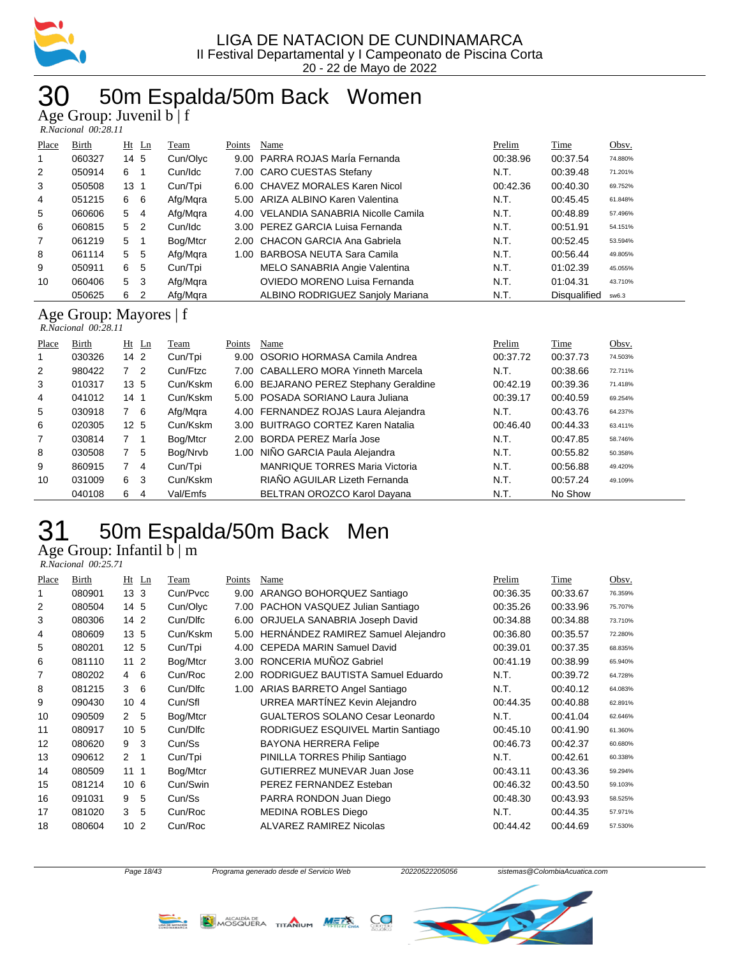

## 50m Espalda/50m Back Women

Age Group: Juvenil b | f

|       | $\Delta$ gu Urbup. Juvulill $0 \mid I$<br>R.Nacional 00:28.11 |                 |                |          |        |                                         |          |                     |         |  |
|-------|---------------------------------------------------------------|-----------------|----------------|----------|--------|-----------------------------------------|----------|---------------------|---------|--|
| Place | Birth                                                         |                 | $Ht$ Ln        | Team     | Points | Name                                    | Prelim   | Time                | Obsv.   |  |
|       | 060327                                                        | 14 5            |                | Cun/Olyc |        | 9.00 PARRA ROJAS Maria Fernanda         | 00:38.96 | 00:37.54            | 74.880% |  |
| 2     | 050914                                                        | 6               | -1             | Cun/Idc  |        | 7.00 CARO CUESTAS Stefany               | N.T.     | 00:39.48            |         |  |
|       |                                                               |                 |                |          |        |                                         |          |                     | 71.201% |  |
| 3     | 050508                                                        | 13 <sub>1</sub> |                | Cun/Tpi  |        | 6.00 CHAVEZ MORALES Karen Nicol         | 00:42.36 | 00:40.30            | 69.752% |  |
| 4     | 051215                                                        | 6               | 6              | Afg/Mgra |        | 5.00 ARIZA ALBINO Karen Valentina       | N.T.     | 00:45.45            | 61.848% |  |
| 5     | 060606                                                        | 5               | 4              | Afg/Mgra | 4.00   | VELANDIA SANABRIA Nicolle Camila        | N.T.     | 00:48.89            | 57.496% |  |
| 6     | 060815                                                        | 5 <sub>2</sub>  |                | Cun/Idc  |        | 3.00 PEREZ GARCIA Luisa Fernanda        | N.T.     | 00:51.91            | 54.151% |  |
| 7     | 061219                                                        | 5               | $\overline{1}$ | Bog/Mtcr |        | 2.00 CHACON GARCIA Ana Gabriela         | N.T.     | 00:52.45            | 53.594% |  |
| 8     | 061114                                                        | 5               | 5              | Afg/Mgra | 1.00   | <b>BARBOSA NEUTA Sara Camila</b>        | N.T.     | 00:56.44            | 49.805% |  |
| 9     | 050911                                                        | 6               | 5              | Cun/Tpi  |        | MELO SANABRIA Angie Valentina           | N.T.     | 01:02.39            | 45.055% |  |
| 10    | 060406                                                        | 5               | -3             | Afg/Mgra |        | OVIEDO MORENO Luisa Fernanda            | N.T.     | 01:04.31            | 43.710% |  |
|       | 050625                                                        | 6               | 2              | Afg/Mgra |        | <b>ALBINO RODRIGUEZ Sanjoly Mariana</b> | N.T.     | <b>Disqualified</b> | sw6.3   |  |
|       | Ago Group: Mayores If                                         |                 |                |          |        |                                         |          |                     |         |  |

Age Group: Mayores | f  *R.Nacional 00:28.11* 

| Place          | Birth  | $Ht$ Ln         | Team     | Points | Name                                   | Prelim   | Time     | Obsv.   |
|----------------|--------|-----------------|----------|--------|----------------------------------------|----------|----------|---------|
| 1              | 030326 | 14 <sub>2</sub> | Cun/Tpi  |        | 9.00 OSORIO HORMASA Camila Andrea      | 00:37.72 | 00:37.73 | 74.503% |
| 2              | 980422 | 7 <sup>2</sup>  | Cun/Ftzc |        | 7.00 CABALLERO MORA Yinneth Marcela    | N.T.     | 00:38.66 | 72.711% |
| 3              | 010317 | 13, 5           | Cun/Kskm |        | 6.00 BEJARANO PEREZ Stephany Geraldine | 00:42.19 | 00:39.36 | 71.418% |
| 4              | 041012 | 14 <sub>1</sub> | Cun/Kskm |        | 5.00 POSADA SORIANO Laura Juliana      | 00:39.17 | 00:40.59 | 69.254% |
| 5              | 030918 | 7 6             | Afg/Mgra |        | 4.00 FERNANDEZ ROJAS Laura Alejandra   | N.T.     | 00:43.76 | 64.237% |
| 6              | 020305 | 12 <sub>5</sub> | Cun/Kskm |        | 3.00 BUITRAGO CORTEZ Karen Natalia     | 00:46.40 | 00:44.33 | 63.411% |
| $\overline{7}$ | 030814 | 7 <sub>1</sub>  | Bog/Mtcr | 2.00   | BORDA PEREZ MarÍa Jose                 | N.T.     | 00:47.85 | 58.746% |
| 8              | 030508 | 7<br>-5         | Bog/Nrvb |        | 1.00 NIÑO GARCIA Paula Alejandra       | N.T.     | 00:55.82 | 50.358% |
| 9              | 860915 | $\overline{4}$  | Cun/Tpi  |        | <b>MANRIQUE TORRES Maria Victoria</b>  | N.T.     | 00:56.88 | 49.420% |
| 10             | 031009 | 6 3             | Cun/Kskm |        | RIAÑO AGUILAR Lizeth Fernanda          | N.T.     | 00:57.24 | 49.109% |
|                | 040108 | 6<br>4          | Val/Emfs |        | BELTRAN OROZCO Karol Dayana            | N.T.     | No Show  |         |

## 50m Espalda/50m Back Men

Age Group: Infantil b | m

 *R.Nacional 00:25.71* 

| Place | Birth  | $Ht$ Ln         |    | Team     | Points | Name                                    | Prelim   | Time     | Obsv.   |
|-------|--------|-----------------|----|----------|--------|-----------------------------------------|----------|----------|---------|
| 1     | 080901 | 13 <sub>3</sub> |    | Cun/Pvcc | 9.00   | ARANGO BOHORQUEZ Santiago               | 00:36.35 | 00:33.67 | 76.359% |
| 2     | 080504 | 14 5            |    | Cun/Olyc | 7.00   | PACHON VASQUEZ Julian Santiago          | 00:35.26 | 00:33.96 | 75.707% |
| 3     | 080306 | 142             |    | Cun/Dlfc | 6.00   | ORJUELA SANABRIA Joseph David           | 00:34.88 | 00:34.88 | 73.710% |
| 4     | 080609 | 13 <sub>5</sub> |    | Cun/Kskm |        | 5.00 HERNÁNDEZ RAMIREZ Samuel Alejandro | 00:36.80 | 00:35.57 | 72.280% |
| 5     | 080201 | 12 <sub>5</sub> |    | Cun/Tpi  | 4.00   | <b>CEPEDA MARIN Samuel David</b>        | 00:39.01 | 00:37.35 | 68.835% |
| 6     | 081110 | 11 <sub>2</sub> |    | Bog/Mtcr | 3.00   | RONCERIA MUÑOZ Gabriel                  | 00:41.19 | 00:38.99 | 65.940% |
| 7     | 080202 | 4               | 6  | Cun/Roc  | 2.00   | RODRIGUEZ BAUTISTA Samuel Eduardo       | N.T.     | 00:39.72 | 64.728% |
| 8     | 081215 | 3               | 6  | Cun/Dlfc | 1.00   | ARIAS BARRETO Angel Santiago            | N.T.     | 00:40.12 | 64.083% |
| 9     | 090430 | 10              | 4  | Cun/Sfl  |        | URREA MARTÍNEZ Kevin Alejandro          | 00:44.35 | 00:40.88 | 62.891% |
| 10    | 090509 | $\mathcal{P}$   | 5  | Bog/Mtcr |        | <b>GUALTEROS SOLANO Cesar Leonardo</b>  | N.T.     | 00:41.04 | 62.646% |
| 11    | 080917 | 10              | 5  | Cun/Dlfc |        | RODRIGUEZ ESQUIVEL Martin Santiago      | 00:45.10 | 00:41.90 | 61.360% |
| 12    | 080620 | 9               | 3  | Cun/Ss   |        | <b>BAYONA HERRERA Felipe</b>            | 00:46.73 | 00:42.37 | 60.680% |
| 13    | 090612 | 2               | 1  | Cun/Tpi  |        | PINILLA TORRES Philip Santiago          | N.T.     | 00:42.61 | 60.338% |
| 14    | 080509 | 11              | -1 | Bog/Mtcr |        | <b>GUTIERREZ MUNEVAR Juan Jose</b>      | 00:43.11 | 00:43.36 | 59.294% |
| 15    | 081214 | 10 <sub>6</sub> |    | Cun/Swin |        | PEREZ FERNANDEZ Esteban                 | 00:46.32 | 00:43.50 | 59.103% |
| 16    | 091031 | 9               | 5  | Cun/Ss   |        | PARRA RONDON Juan Diego                 | 00:48.30 | 00:43.93 | 58.525% |
| 17    | 081020 | 3               | 5  | Cun/Roc  |        | MEDINA ROBLES Diego                     | N.T.     | 00:44.35 | 57.971% |
| 18    | 080604 | 10 <sub>2</sub> |    | Cun/Roc  |        | ALVAREZ RAMIREZ Nicolas                 | 00:44.42 | 00:44.69 | 57.530% |





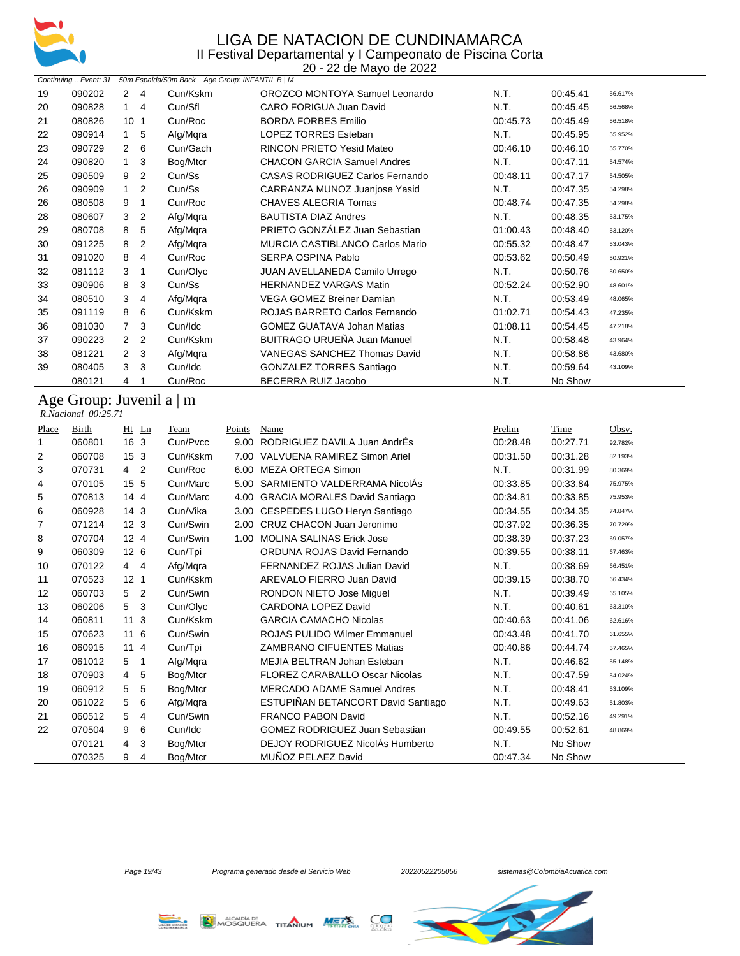

|           |                      |                 |                |                                                | 20 - 22 de Mayo de 2022                |          |          |         |
|-----------|----------------------|-----------------|----------------|------------------------------------------------|----------------------------------------|----------|----------|---------|
|           | Continuing Event: 31 |                 |                | 50m Espalda/50m Back Age Group: INFANTIL B   M |                                        |          |          |         |
| 19        | 090202               | $\overline{2}$  | $\overline{4}$ | Cun/Kskm                                       | OROZCO MONTOYA Samuel Leonardo         | N.T.     | 00:45.41 | 56.617% |
| 20        | 090828               | 1               | $\overline{4}$ | Cun/Sfl                                        | CARO FORIGUA Juan David                | N.T.     | 00:45.45 | 56.568% |
| 21        | 080826               | 10 <sub>1</sub> |                | Cun/Roc                                        | <b>BORDA FORBES Emilio</b>             | 00:45.73 | 00:45.49 | 56.518% |
| 22        | 090914               | 1               | 5              | Afg/Mqra                                       | <b>LOPEZ TORRES Esteban</b>            | N.T.     | 00:45.95 | 55.952% |
| 23        | 090729               | 2               | 6              | Cun/Gach                                       | <b>RINCON PRIETO Yesid Mateo</b>       | 00:46.10 | 00:46.10 | 55.770% |
| 24        | 090820               | 1               | 3              | Bog/Mtcr                                       | <b>CHACON GARCIA Samuel Andres</b>     | N.T.     | 00:47.11 | 54.574% |
| 25        | 090509               | 9               | 2              | Cun/Ss                                         | <b>CASAS RODRIGUEZ Carlos Fernando</b> | 00:48.11 | 00:47.17 | 54.505% |
| 26        | 090909               | 1               | 2              | Cun/Ss                                         | CARRANZA MUNOZ Juanjose Yasid          | N.T.     | 00:47.35 | 54.298% |
| 26        | 080508               | 9               | 1              | Cun/Roc                                        | CHAVES ALEGRIA Tomas                   | 00:48.74 | 00:47.35 | 54.298% |
| 28        | 080607               | 3               | 2              | Afg/Mqra                                       | <b>BAUTISTA DIAZ Andres</b>            | N.T.     | 00:48.35 | 53.175% |
| 29        | 080708               | 8               | 5              | Afg/Mqra                                       | PRIETO GONZÁLEZ Juan Sebastian         | 01:00.43 | 00:48.40 | 53.120% |
| 30        | 091225               | 8               | 2              | Afg/Mqra                                       | <b>MURCIA CASTIBLANCO Carlos Mario</b> | 00:55.32 | 00:48.47 | 53.043% |
| 31        | 091020               | 8               | 4              | Cun/Roc                                        | SERPA OSPINA Pablo                     | 00:53.62 | 00:50.49 | 50.921% |
| 32        | 081112               | 3               | -1             | Cun/Olyc                                       | JUAN AVELLANEDA Camilo Urrego          | N.T.     | 00:50.76 | 50.650% |
| 33        | 090906               | 8               | 3              | Cun/Ss                                         | <b>HERNANDEZ VARGAS Matin</b>          | 00:52.24 | 00:52.90 | 48.601% |
| 34        | 080510               | 3               | 4              | Afg/Mqra                                       | <b>VEGA GOMEZ Breiner Damian</b>       | N.T.     | 00:53.49 | 48.065% |
| 35        | 091119               | 8               | 6              | Cun/Kskm                                       | ROJAS BARRETO Carlos Fernando          | 01:02.71 | 00:54.43 | 47.235% |
| 36        | 081030               | 7               | 3              | Cun/Idc                                        | <b>GOMEZ GUATAVA Johan Matias</b>      | 01:08.11 | 00:54.45 | 47.218% |
| 37        | 090223               | 2               | 2              | Cun/Kskm                                       | BUITRAGO URUEÑA Juan Manuel            | N.T.     | 00:58.48 | 43.964% |
| 38        | 081221               | 2               | 3              | Afg/Mqra                                       | <b>VANEGAS SANCHEZ Thomas David</b>    | N.T.     | 00:58.86 | 43.680% |
| 39        | 080405               | 3               | 3              | Cun/Idc                                        | <b>GONZALEZ TORRES Santiago</b>        | N.T.     | 00:59.64 | 43.109% |
|           | 080121               | 4               |                | Cun/Roc                                        | BECERRA RUIZ Jacobo                    | N.T.     | No Show  |         |
| $\lambda$ | $\sim$               | T.              |                | $\cdot$ 1                                      |                                        |          |          |         |

#### Age Group: Juvenil a | m

| R.Nacional 00:25.71 |  |
|---------------------|--|

| Place | Birth  | Ht<br>Ln                         | Team     | Points            | Name                                  | Prelim   | Time     | Obsv.   |
|-------|--------|----------------------------------|----------|-------------------|---------------------------------------|----------|----------|---------|
| 1     | 060801 | 16 <sub>3</sub>                  | Cun/Pvcc | 9.00              | RODRIGUEZ DAVILA Juan AndrÉs          | 00:28.48 | 00:27.71 | 92.782% |
| 2     | 060708 | 15 <sub>3</sub>                  | Cun/Kskm | 7.00              | VALVUENA RAMIREZ Simon Ariel          | 00:31.50 | 00:31.28 | 82.193% |
| 3     | 070731 | $\overline{2}$<br>$\overline{4}$ | Cun/Roc  | 6.00              | <b>MEZA ORTEGA Simon</b>              | N.T.     | 00:31.99 | 80.369% |
| 4     | 070105 | 15 5                             | Cun/Marc | 5.00              | SARMIENTO VALDERRAMA NicolAs          | 00:33.85 | 00:33.84 | 75.975% |
| 5     | 070813 | 144                              | Cun/Marc | 4.00              | <b>GRACIA MORALES David Santiago</b>  | 00:34.81 | 00:33.85 | 75.953% |
| 6     | 060928 | 14 <sub>3</sub>                  | Cun/Vika | 3.00 <sub>1</sub> | CESPEDES LUGO Heryn Santiago          | 00:34.55 | 00:34.35 | 74.847% |
| 7     | 071214 | 12 <sub>3</sub>                  | Cun/Swin | 2.00              | CRUZ CHACON Juan Jeronimo             | 00:37.92 | 00:36.35 | 70.729% |
| 8     | 070704 | 12 <sub>4</sub>                  | Cun/Swin | 1.00              | <b>MOLINA SALINAS Erick Jose</b>      | 00:38.39 | 00:37.23 | 69.057% |
| 9     | 060309 | 12 <sub>6</sub>                  | Cun/Tpi  |                   | ORDUNA ROJAS David Fernando           | 00:39.55 | 00:38.11 | 67.463% |
| 10    | 070122 | $4\quad 4$                       | Afg/Mgra |                   | FERNANDEZ ROJAS Julian David          | N.T.     | 00:38.69 | 66.451% |
| 11    | 070523 | 12 <sub>1</sub>                  | Cun/Kskm |                   | AREVALO FIERRO Juan David             | 00:39.15 | 00:38.70 | 66.434% |
| 12    | 060703 | $\overline{2}$<br>5              | Cun/Swin |                   | RONDON NIETO Jose Miguel              | N.T.     | 00:39.49 | 65.105% |
| 13    | 060206 | 3<br>5                           | Cun/Olyc |                   | <b>CARDONA LOPEZ David</b>            | N.T.     | 00:40.61 | 63.310% |
| 14    | 060811 | 11<br>3                          | Cun/Kskm |                   | <b>GARCIA CAMACHO Nicolas</b>         | 00:40.63 | 00:41.06 | 62.616% |
| 15    | 070623 | 116                              | Cun/Swin |                   | <b>ROJAS PULIDO Wilmer Emmanuel</b>   | 00:43.48 | 00:41.70 | 61.655% |
| 16    | 060915 | 114                              | Cun/Tpi  |                   | <b>ZAMBRANO CIFUENTES Matias</b>      | 00:40.86 | 00:44.74 | 57.465% |
| 17    | 061012 | 5<br>1                           | Afg/Mqra |                   | MEJIA BELTRAN Johan Esteban           | N.T.     | 00:46.62 | 55.148% |
| 18    | 070903 | $\overline{4}$<br>5              | Bog/Mtcr |                   | <b>FLOREZ CARABALLO Oscar Nicolas</b> | N.T.     | 00:47.59 | 54.024% |
| 19    | 060912 | 5<br>5                           | Bog/Mtcr |                   | <b>MERCADO ADAME Samuel Andres</b>    | N.T.     | 00:48.41 | 53.109% |
| 20    | 061022 | 5<br>6                           | Afg/Mqra |                   | ESTUPIÑAN BETANCORT David Santiago    | N.T.     | 00:49.63 | 51.803% |
| 21    | 060512 | 5<br>4                           | Cun/Swin |                   | <b>FRANCO PABON David</b>             | N.T.     | 00:52.16 | 49.291% |
| 22    | 070504 | 6<br>9                           | Cun/Idc  |                   | <b>GOMEZ RODRIGUEZ Juan Sebastian</b> | 00:49.55 | 00:52.61 | 48.869% |
|       | 070121 | 3<br>4                           | Bog/Mtcr |                   | DEJOY RODRIGUEZ NicolÁs Humberto      | N.T.     | No Show  |         |
|       | 070325 | 9<br>4                           | Bog/Mtcr |                   | MUÑOZ PELAEZ David                    | 00:47.34 | No Show  |         |





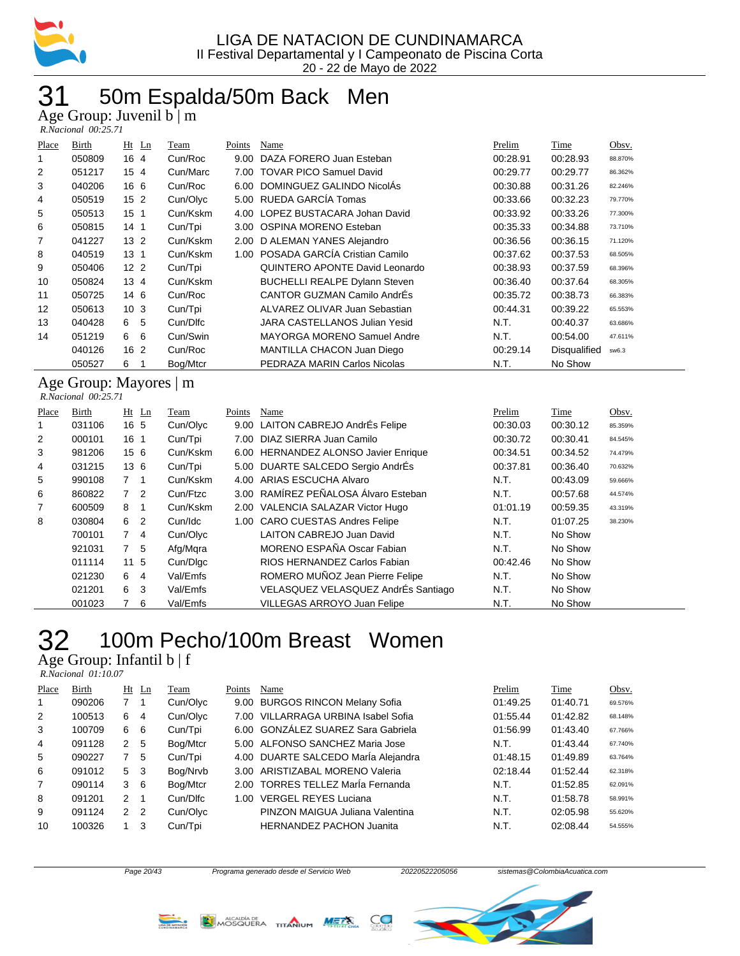

## 31 50m Espalda/50m Back Men

Age Group: Juvenil b | m

| R.Nacional 00:25.71 |  |
|---------------------|--|
|---------------------|--|

| Birth  | $Ht$ Ln         | Team     | Points | Name                                 | Prelim                                                                                                                        | <b>Time</b>  | Obsv.   |
|--------|-----------------|----------|--------|--------------------------------------|-------------------------------------------------------------------------------------------------------------------------------|--------------|---------|
| 050809 | 16 4            | Cun/Roc  | 9.00   | DAZA FORERO Juan Esteban             | 00:28.91                                                                                                                      | 00:28.93     | 88.870% |
| 051217 | 15 <sub>4</sub> | Cun/Marc | 7.00   | <b>TOVAR PICO Samuel David</b>       | 00:29.77                                                                                                                      | 00:29.77     | 86.362% |
| 040206 | 16 6            | Cun/Roc  | 6.00   | DOMINGUEZ GALINDO NicolÁs            | 00:30.88                                                                                                                      | 00:31.26     | 82.246% |
| 050519 | 15 <sub>2</sub> | Cun/Olyc |        |                                      | 00:33.66                                                                                                                      | 00:32.23     | 79.770% |
| 050513 | 15 <sub>1</sub> | Cun/Kskm |        |                                      | 00:33.92                                                                                                                      | 00:33.26     | 77.300% |
| 050815 | 14 <sub>1</sub> | Cun/Tpi  |        |                                      | 00:35.33                                                                                                                      | 00:34.88     | 73.710% |
| 041227 | 13 <sub>2</sub> | Cun/Kskm |        |                                      | 00:36.56                                                                                                                      | 00:36.15     | 71.120% |
| 040519 | 13 <sub>1</sub> | Cun/Kskm | 1.00   | POSADA GARCÍA Cristian Camilo        | 00:37.62                                                                                                                      | 00:37.53     | 68.505% |
| 050406 | 12 <sub>2</sub> | Cun/Tpi  |        | QUINTERO APONTE David Leonardo       | 00:38.93                                                                                                                      | 00:37.59     | 68.396% |
| 050824 | $13 \; 4$       | Cun/Kskm |        | <b>BUCHELLI REALPE Dylann Steven</b> | 00:36.40                                                                                                                      | 00:37.64     | 68.305% |
| 050725 | 14 6            | Cun/Roc  |        | CANTOR GUZMAN Camilo AndrEs          | 00:35.72                                                                                                                      | 00:38.73     | 66.383% |
| 050613 | 10 <sub>3</sub> | Cun/Tpi  |        | ALVAREZ OLIVAR Juan Sebastian        | 00:44.31                                                                                                                      | 00:39.22     | 65.553% |
| 040428 | 6 5             | Cun/Dlfc |        | JARA CASTELLANOS Julian Yesid        | N.T.                                                                                                                          | 00:40.37     | 63.686% |
| 051219 | 6<br>6          | Cun/Swin |        | MAYORGA MORENO Samuel Andre          | N.T.                                                                                                                          | 00:54.00     | 47.611% |
| 040126 | 16 <sub>2</sub> | Cun/Roc  |        | MANTILLA CHACON Juan Diego           | 00:29.14                                                                                                                      | Disqualified | sw6.3   |
| 050527 | 6               | Bog/Mtcr |        | PEDRAZA MARIN Carlos Nicolas         | N.T.                                                                                                                          | No Show      |         |
|        |                 |          |        |                                      | 5.00 RUEDA GARCÍA Tomas<br>4.00 LOPEZ BUSTACARA Johan David<br>OSPINA MORENO Esteban<br>3.00<br>2.00 D ALEMAN YANES Alejandro |              |         |

#### Age Group: Mayores | m  *R.Nacional 00:25.71*

| Place | Birth  |                 | $Ht$ Ln        | Team     | Points | Name                                 | Prelim   | Time     | Obsv.   |
|-------|--------|-----------------|----------------|----------|--------|--------------------------------------|----------|----------|---------|
| 1     | 031106 | 16 5            |                | Cun/Olyc |        | 9.00 LAITON CABREJO AndrÉs Felipe    | 00:30.03 | 00:30.12 | 85.359% |
| 2     | 000101 | 16 <sub>1</sub> |                | Cun/Tpi  |        | 7.00 DIAZ SIERRA Juan Camilo         | 00:30.72 | 00:30.41 | 84.545% |
| 3     | 981206 | 156             |                | Cun/Kskm |        | 6.00 HERNANDEZ ALONSO Javier Enrique | 00:34.51 | 00:34.52 | 74.479% |
| 4     | 031215 | 136             |                | Cun/Tpi  |        | 5.00 DUARTE SALCEDO Sergio AndrÉs    | 00:37.81 | 00:36.40 | 70.632% |
| 5     | 990108 | 7 1             |                | Cun/Kskm |        | 4.00 ARIAS ESCUCHA Alvaro            | N.T.     | 00:43.09 | 59.666% |
| 6     | 860822 | 7 <sup>2</sup>  |                | Cun/Ftzc |        | 3.00 RAMÍREZ PEÑALOSA Álvaro Esteban | N.T.     | 00:57.68 | 44.574% |
| 7     | 600509 | 8               |                | Cun/Kskm |        | 2.00 VALENCIA SALAZAR Victor Hugo    | 01:01.19 | 00:59.35 | 43.319% |
| 8     | 030804 | 6               | $\overline{2}$ | Cun/Idc  |        | 1.00 CARO CUESTAS Andres Felipe      | N.T.     | 01:07.25 | 38.230% |
|       | 700101 | $7\quad 4$      |                | Cun/Olyc |        | LAITON CABREJO Juan David            | N.T.     | No Show  |         |
|       | 921031 | 7 <sub>5</sub>  |                | Afg/Mgra |        | MORENO ESPAÑA Oscar Fabian           | N.T.     | No Show  |         |
|       | 011114 | 11 <sub>5</sub> |                | Cun/Dlgc |        | RIOS HERNANDEZ Carlos Fabian         | 00:42.46 | No Show  |         |
|       | 021230 | 6               | 4              | Val/Emfs |        | ROMERO MUÑOZ Jean Pierre Felipe      | N.T.     | No Show  |         |
|       | 021201 | 6               | -3             | Val/Emfs |        | VELASQUEZ VELASQUEZ AndrÉs Santiago  | N.T.     | No Show  |         |
|       | 001023 |                 | 6              | Val/Emfs |        | <b>VILLEGAS ARROYO Juan Felipe</b>   | N.T.     | No Show  |         |

### 32 100m Pecho/100m Breast Women

 $\mathbf{m}$ : Infantil b  $\mathbf{f}$ 

| Place | Birth  |                | $Ht$ Ln | Team     | Points | Name                                | Prelim   | Time     | Obsv.   |
|-------|--------|----------------|---------|----------|--------|-------------------------------------|----------|----------|---------|
|       | 090206 | 7 <sub>1</sub> |         | Cun/Olyc | 9.00   | <b>BURGOS RINCON Melany Sofia</b>   | 01:49.25 | 01:40.71 | 69.576% |
| 2     | 100513 | 6 4            |         | Cun/Olyc |        | 7.00 VILLARRAGA URBINA Isabel Sofia | 01:55.44 | 01:42.82 | 68.148% |
| 3     | 100709 | 6 6            |         | Cun/Tpi  |        | 6.00 GONZÁLEZ SUAREZ Sara Gabriela  | 01:56.99 | 01:43.40 | 67.766% |
| 4     | 091128 | 2              | -5      | Bog/Mtcr |        | 5.00 ALFONSO SANCHEZ Maria Jose     | N.T.     | 01:43.44 | 67.740% |
| 5     | 090227 | $7^{\circ}$    | 5       | Cun/Tpi  |        | 4.00 DUARTE SALCEDO María Alejandra | 01:48.15 | 01:49.89 | 63.764% |
| 6     | 091012 | 5 <sup>3</sup> |         | Bog/Nrvb | 3.00   | ARISTIZABAL MORENO Valeria          | 02:18.44 | 01:52.44 | 62.318% |
| 7     | 090114 | $3\quad 6$     |         | Bog/Mtcr | 2.00   | TORRES TELLEZ Marla Fernanda        | N.T.     | 01:52.85 | 62.091% |
| 8     | 091201 | $2 \quad 1$    |         | Cun/Dlfc | 1.00   | <b>VERGEL REYES Luciana</b>         | N.T.     | 01:58.78 | 58.991% |
| 9     | 091124 | 2 <sub>2</sub> |         | Cun/Olyc |        | PINZON MAIGUA Juliana Valentina     | N.T.     | 02:05.98 | 55.620% |
| 10    | 100326 | $\mathbf{1}$   | 3       | Cun/Tpi  |        | <b>HERNANDEZ PACHON Juanita</b>     | N.T.     | 02:08.44 | 54.555% |





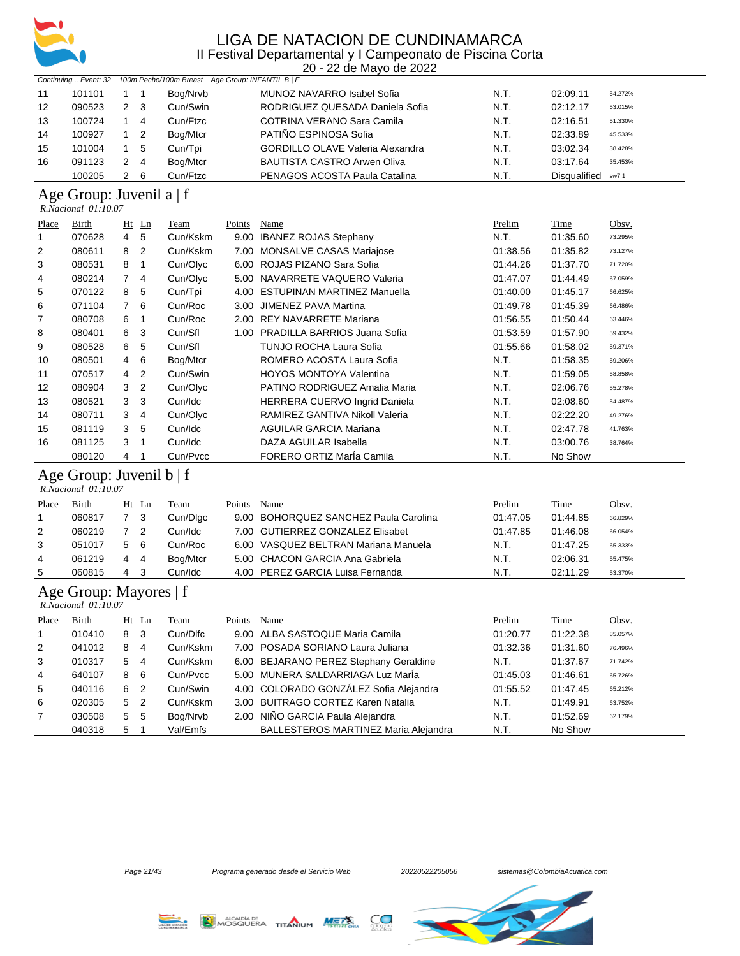

20 - 22 de Mayo de 2022

|              | Continuing Event: 32                                 |                |                          | 100m Pecho/100m Breast Age Group: INFANTIL B   F |               |                                         |          |              |         |
|--------------|------------------------------------------------------|----------------|--------------------------|--------------------------------------------------|---------------|-----------------------------------------|----------|--------------|---------|
| 11           | 101101                                               | $\mathbf{1}$   | $\overline{\phantom{1}}$ | Bog/Nrvb                                         |               | MUNOZ NAVARRO Isabel Sofia              | N.T.     | 02:09.11     | 54.272% |
| 12           | 090523                                               | $\overline{2}$ | 3                        | Cun/Swin                                         |               | RODRIGUEZ QUESADA Daniela Sofia         | N.T.     | 02:12.17     | 53.015% |
| 13           | 100724                                               | $\mathbf{1}$   | 4                        | Cun/Ftzc                                         |               | COTRINA VERANO Sara Camila              | N.T.     | 02:16.51     | 51.330% |
| 14           | 100927                                               | $\mathbf{1}$   | $\overline{2}$           | Bog/Mtcr                                         |               | PATIÑO ESPINOSA Sofia                   | N.T.     | 02:33.89     | 45.533% |
| 15           | 101004                                               | $\mathbf{1}$   | 5                        | Cun/Tpi                                          |               | <b>GORDILLO OLAVE Valeria Alexandra</b> | N.T.     | 03:02.34     | 38.428% |
| 16           | 091123                                               | 2              | 4                        | Bog/Mtcr                                         |               | <b>BAUTISTA CASTRO Arwen Oliva</b>      | N.T.     | 03:17.64     | 35.453% |
|              | 100205                                               | $\overline{2}$ | 6                        | Cun/Ftzc                                         |               | PENAGOS ACOSTA Paula Catalina           | N.T.     | Disqualified | sw7.1   |
|              | Age Group: Juvenil a   f<br>R.Nacional 01:10.07      |                |                          |                                                  |               |                                         |          |              |         |
| <b>Place</b> | <b>Birth</b>                                         |                | $Ht$ Ln                  | <b>Team</b>                                      | <b>Points</b> | Name                                    | Prelim   | Time         | Obsv.   |
| 1            | 070628                                               | 4              | 5                        | Cun/Kskm                                         |               | 9.00 IBANEZ ROJAS Stephany              | N.T.     | 01:35.60     | 73.295% |
| 2            | 080611                                               | 8              | $\overline{2}$           | Cun/Kskm                                         |               | 7.00 MONSALVE CASAS Mariajose           | 01:38.56 | 01:35.82     | 73.127% |
| 3            | 080531                                               | 8              | 1                        | Cun/Olyc                                         |               | 6.00 ROJAS PIZANO Sara Sofia            | 01:44.26 | 01:37.70     | 71.720% |
| 4            | 080214                                               | 7              | 4                        | Cun/Olyc                                         |               | 5.00 NAVARRETE VAQUERO Valeria          | 01:47.07 | 01:44.49     | 67.059% |
| 5            | 070122                                               | 8              | 5                        | Cun/Tpi                                          |               | 4.00 ESTUPINAN MARTINEZ Manuella        | 01:40.00 | 01:45.17     | 66.625% |
| 6            | 071104                                               | 7              | 6                        | Cun/Roc                                          | 3.00          | JIMENEZ PAVA Martina                    | 01:49.78 | 01:45.39     | 66.486% |
| 7            | 080708                                               | 6              | $\overline{1}$           | Cun/Roc                                          |               | 2.00 REY NAVARRETE Mariana              | 01:56.55 | 01:50.44     | 63.446% |
| 8            | 080401                                               | 6              | 3                        | Cun/Sfl                                          |               | 1.00 PRADILLA BARRIOS Juana Sofia       | 01:53.59 | 01:57.90     | 59.432% |
| 9            | 080528                                               | 6              | 5                        | Cun/Sfl                                          |               | <b>TUNJO ROCHA Laura Sofia</b>          | 01:55.66 | 01:58.02     | 59.371% |
| 10           | 080501                                               | 4              | 6                        | Bog/Mtcr                                         |               | ROMERO ACOSTA Laura Sofia               | N.T.     | 01:58.35     | 59.206% |
| 11           | 070517                                               | 4              | $\overline{2}$           | Cun/Swin                                         |               | <b>HOYOS MONTOYA Valentina</b>          | N.T.     | 01:59.05     | 58.858% |
| 12           | 080904                                               | 3              | $\overline{2}$           | Cun/Olyc                                         |               | PATINO RODRIGUEZ Amalia Maria           | N.T.     | 02:06.76     | 55.278% |
| 13           | 080521                                               | 3              | 3                        | Cun/Idc                                          |               | HERRERA CUERVO Ingrid Daniela           | N.T.     | 02:08.60     | 54.487% |
| 14           | 080711                                               | 3              | 4                        | Cun/Olyc                                         |               | RAMIREZ GANTIVA Nikoll Valeria          | N.T.     | 02:22.20     | 49.276% |
| 15           | 081119                                               | 3              | 5                        | Cun/Idc                                          |               | <b>AGUILAR GARCIA Mariana</b>           | N.T.     | 02:47.78     | 41.763% |
| 16           | 081125                                               | 3              | $\mathbf{1}$             | Cun/Idc                                          |               | DAZA AGUILAR Isabella                   | N.T.     | 03:00.76     | 38.764% |
|              | 080120                                               | 4              | $\mathbf{1}$             | Cun/Pvcc                                         |               | FORERO ORTIZ María Camila               | N.T.     | No Show      |         |
|              | Age Group: Juvenil b   f<br>$R. Nacional$ $01:10.07$ |                |                          |                                                  |               |                                         |          |              |         |
| Place        | Birth                                                |                | Ht Ln                    | Team                                             | Points        | Name                                    | Prelim   | Time         | Obsv.   |
| 1            | 060817                                               | $\overline{7}$ | 3                        | Cun/Dlgc                                         | 9.00          | <b>BOHORQUEZ SANCHEZ Paula Carolina</b> | 01:47.05 | 01:44.85     | 66.829% |
| 2            | 060219                                               | $\overline{7}$ | 2                        | Cun/Idc                                          |               | 7.00 GUTIERREZ GONZALEZ Elisabet        | 01:47.85 | 01:46.08     | 66.054% |
| 3            | 051017                                               | 5              | 6                        | Cun/Roc                                          |               | 6.00 VASQUEZ BELTRAN Mariana Manuela    | N.T.     | 01:47.25     | 65.333% |
| 4            | 061219                                               | 4              | 4                        | Bog/Mtcr                                         |               | 5.00 CHACON GARCIA Ana Gabriela         | N.T.     | 02:06.31     | 55.475% |
| 5            | 060815                                               | 4              | 3                        | Cun/Idc                                          |               | 4.00 PEREZ GARCIA Luisa Fernanda        | N.T.     | 02:11.29     | 53.370% |
|              | Age Group: Mayores   f<br>$R. Nacional$ $01:10.07$   |                |                          |                                                  |               |                                         |          |              |         |
| Place        | <b>Birth</b>                                         |                | Ht Ln                    | <b>Team</b>                                      | <b>Points</b> | Name                                    | Prelim   | Time         | Obsv.   |
| 1            | 010410                                               | 8              | 3                        | Cun/Dlfc                                         |               | 9.00 ALBA SASTOQUE Maria Camila         | 01:20.77 | 01:22.38     | 85.057% |
| 2            | 041012                                               | 8              | 4                        | Cun/Kskm                                         |               | 7.00 POSADA SORIANO Laura Juliana       | 01:32.36 | 01:31.60     | 76.496% |
| 3            | 010317                                               | 5              | 4                        | Cun/Kskm                                         |               | 6.00 BEJARANO PEREZ Stephany Geraldine  | N.T.     | 01:37.67     | 71.742% |
| 4            | 640107                                               | 8              | 6                        | Cun/Pvcc                                         |               | 5.00 MUNERA SALDARRIAGA Luz Marla       | 01:45.03 | 01:46.61     | 65.726% |
| 5            | 040116                                               | 6              | $\overline{2}$           | Cun/Swin                                         |               | 4.00 COLORADO GONZÁLEZ Sofia Alejandra  | 01:55.52 | 01:47.45     | 65.212% |
| 6            | 020305                                               | 5              | $\overline{2}$           | Cun/Kskm                                         |               | 3.00 BUITRAGO CORTEZ Karen Natalia      | N.T.     | 01:49.91     | 63.752% |
| 7            | 030508                                               | 5              | 5                        | Bog/Nrvb                                         |               | 2.00 NIÑO GARCIA Paula Alejandra        | N.T.     | 01:52.69     | 62.179% |
|              | 040318                                               | 5              | $\mathbf{1}$             | Val/Emfs                                         |               | BALLESTEROS MARTINEZ Maria Alejandra    | N.T.     | No Show      |         |



 $C_{\bullet}$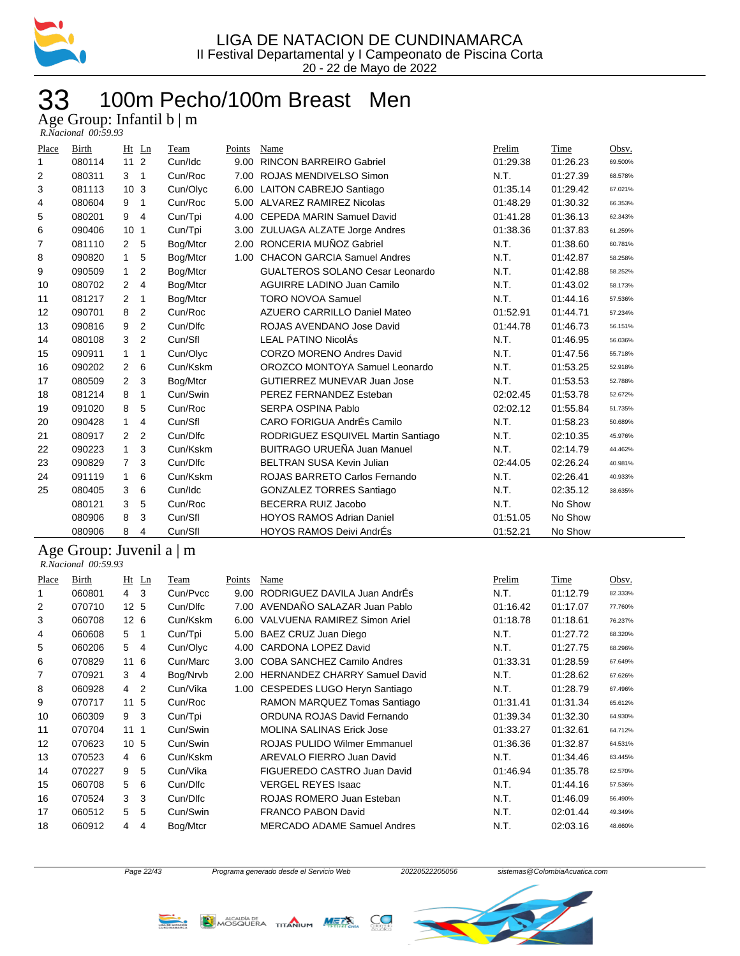

### 100m Pecho/100m Breast Men 33 100m Pecl<br>Age Group: Infantil b | m

| Place | Birth                          | Ht              | Ln             | Team        | Points        | Name                                   | Prelim   | Time        | Obsv.   |
|-------|--------------------------------|-----------------|----------------|-------------|---------------|----------------------------------------|----------|-------------|---------|
| 1     | 080114                         | 11              | 2              | Cun/Idc     | 9.00          | <b>RINCON BARREIRO Gabriel</b>         | 01:29.38 | 01:26.23    | 69.500% |
| 2     | 080311                         | 3               | $\mathbf{1}$   | Cun/Roc     | 7.00          | ROJAS MENDIVELSO Simon                 | N.T.     | 01:27.39    | 68.578% |
| 3     | 081113                         | 10 <sup>1</sup> | 3              | Cun/Olyc    | 6.00          | <b>LAITON CABREJO Santiago</b>         | 01:35.14 | 01:29.42    | 67.021% |
| 4     | 080604                         | 9               | 1              | Cun/Roc     | 5.00          | ALVAREZ RAMIREZ Nicolas                | 01:48.29 | 01:30.32    | 66.353% |
| 5     | 080201                         | 9               | 4              | Cun/Tpi     | 4.00          | <b>CEPEDA MARIN Samuel David</b>       | 01:41.28 | 01:36.13    | 62.343% |
| 6     | 090406                         | 10              | 1              | Cun/Tpi     |               | 3.00 ZULUAGA ALZATE Jorge Andres       | 01:38.36 | 01:37.83    | 61.259% |
| 7     | 081110                         | $\overline{2}$  | 5              | Bog/Mtcr    | 2.00          | RONCERIA MUÑOZ Gabriel                 | N.T.     | 01:38.60    | 60.781% |
| 8     | 090820                         | $\mathbf{1}$    | 5              | Bog/Mtcr    | 1.00          | <b>CHACON GARCIA Samuel Andres</b>     | N.T.     | 01:42.87    | 58.258% |
| 9     | 090509                         | $\mathbf{1}$    | $\overline{2}$ | Bog/Mtcr    |               | <b>GUALTEROS SOLANO Cesar Leonardo</b> | N.T.     | 01:42.88    | 58.252% |
| 10    | 080702                         | $\overline{2}$  | 4              | Bog/Mtcr    |               | <b>AGUIRRE LADINO Juan Camilo</b>      | N.T.     | 01:43.02    | 58.173% |
| 11    | 081217                         | 2               | 1              | Bog/Mtcr    |               | <b>TORO NOVOA Samuel</b>               | N.T.     | 01:44.16    | 57.536% |
| 12    | 090701                         | 8               | $\overline{2}$ | Cun/Roc     |               | <b>AZUERO CARRILLO Daniel Mateo</b>    | 01:52.91 | 01:44.71    | 57.234% |
| 13    | 090816                         | 9               | $\overline{2}$ | Cun/Dlfc    |               | ROJAS AVENDANO Jose David              | 01:44.78 | 01:46.73    | 56.151% |
| 14    | 080108                         | 3               | $\overline{2}$ | Cun/Sfl     |               | <b>LEAL PATINO NicolÁs</b>             | N.T.     | 01:46.95    | 56.036% |
| 15    | 090911                         | $\mathbf{1}$    | 1              | Cun/Olyc    |               | <b>CORZO MORENO Andres David</b>       | N.T.     | 01:47.56    | 55.718% |
| 16    | 090202                         | $\overline{2}$  | 6              | Cun/Kskm    |               | OROZCO MONTOYA Samuel Leonardo         | N.T.     | 01:53.25    | 52.918% |
| 17    | 080509                         | $\overline{2}$  | 3              | Bog/Mtcr    |               | <b>GUTIERREZ MUNEVAR Juan Jose</b>     | N.T.     | 01:53.53    | 52.788% |
| 18    | 081214                         | 8               | 1              | Cun/Swin    |               | PEREZ FERNANDEZ Esteban                | 02:02.45 | 01:53.78    | 52.672% |
| 19    | 091020                         | 8               | 5              | Cun/Roc     |               | <b>SERPA OSPINA Pablo</b>              | 02:02.12 | 01:55.84    | 51.735% |
| 20    | 090428                         | $\mathbf{1}$    | 4              | Cun/Sfl     |               | CARO FORIGUA AndrÉs Camilo             | N.T.     | 01:58.23    | 50.689% |
| 21    | 080917                         | 2               | 2              | Cun/Dlfc    |               | RODRIGUEZ ESQUIVEL Martin Santiago     | N.T.     | 02:10.35    | 45.976% |
| 22    | 090223                         | $\mathbf{1}$    | 3              | Cun/Kskm    |               | <b>BUITRAGO URUEÑA Juan Manuel</b>     | N.T.     | 02:14.79    | 44.462% |
| 23    | 090829                         | $\overline{7}$  | 3              | Cun/Dlfc    |               | <b>BELTRAN SUSA Kevin Julian</b>       | 02:44.05 | 02:26.24    | 40.981% |
| 24    | 091119                         | 1               | 6              | Cun/Kskm    |               | ROJAS BARRETO Carlos Fernando          | N.T.     | 02:26.41    | 40.933% |
| 25    | 080405                         | 3               | 6              | Cun/Idc     |               | <b>GONZALEZ TORRES Santiago</b>        | N.T.     | 02:35.12    | 38.635% |
|       | 080121                         | 3               | 5              | Cun/Roc     |               | BECERRA RUIZ Jacobo                    | N.T.     | No Show     |         |
|       | 080906                         | 8               | 3              | Cun/Sfl     |               | <b>HOYOS RAMOS Adrian Daniel</b>       | 01:51.05 | No Show     |         |
|       | 080906                         | 8               | 4              | Cun/Sfl     |               | <b>HOYOS RAMOS Deivi AndrÉs</b>        | 01:52.21 | No Show     |         |
|       | Age Group: Juvenil a $\vert$ m |                 |                |             |               |                                        |          |             |         |
|       | R.Nacional 00:59.93            |                 |                |             |               |                                        |          |             |         |
| Place | <b>Birth</b>                   |                 | $Ht$ Ln        | <b>Team</b> | <b>Points</b> | <b>Name</b>                            | Prelim   | <b>Time</b> | Obsv.   |
|       |                                |                 |                |             |               |                                        |          |             |         |

| <u>Place</u> | Birth  | Ht              | Ln          | Team     | Points | Name                                 | Prelim   | Time     | Obsv.   |
|--------------|--------|-----------------|-------------|----------|--------|--------------------------------------|----------|----------|---------|
| 1            | 060801 | 4               | 3           | Cun/Pycc | 9.00   | RODRIGUEZ DAVILA Juan AndrEs         | N.T.     | 01:12.79 | 82.333% |
| 2            | 070710 | 12 <sub>5</sub> |             | Cun/Dlfc | 7.00   | AVENDAÑO SALAZAR Juan Pablo          | 01:16.42 | 01:17.07 | 77.760% |
| 3            | 060708 | 12 <sub>6</sub> |             | Cun/Kskm | 6.00   | VALVUENA RAMIREZ Simon Ariel         | 01:18.78 | 01:18.61 | 76.237% |
| 4            | 060608 | 5.              | 1           | Cun/Tpi  |        | 5.00 BAEZ CRUZ Juan Diego            | N.T.     | 01:27.72 | 68.320% |
| 5            | 060206 | 5               | 4           | Cun/Olyc | 4.00   | CARDONA LOPEZ David                  | N.T.     | 01:27.75 | 68.296% |
| 6            | 070829 | 11              | 6           | Cun/Marc | 3.00   | COBA SANCHEZ Camilo Andres           | 01:33.31 | 01:28.59 | 67.649% |
| 7            | 070921 | 3               | 4           | Bog/Nrvb | 2.00   | <b>HERNANDEZ CHARRY Samuel David</b> | N.T.     | 01:28.62 | 67.626% |
| 8            | 060928 | 4               | 2           | Cun/Vika |        | 1.00 CESPEDES LUGO Heryn Santiago    | N.T.     | 01:28.79 | 67.496% |
| 9            | 070717 | 11              | 5           | Cun/Roc  |        | RAMON MARQUEZ Tomas Santiago         | 01:31.41 | 01:31.34 | 65.612% |
| 10           | 060309 | 9               | 3           | Cun/Tpi  |        | ORDUNA ROJAS David Fernando          | 01:39.34 | 01:32.30 | 64.930% |
| 11           | 070704 | 11              | $\mathbf 1$ | Cun/Swin |        | <b>MOLINA SALINAS Erick Jose</b>     | 01:33.27 | 01:32.61 | 64.712% |
| 12           | 070623 | 10 <sup>1</sup> | 5           | Cun/Swin |        | <b>ROJAS PULIDO Wilmer Emmanuel</b>  | 01:36.36 | 01:32.87 | 64.531% |
| 13           | 070523 | 4               | 6           | Cun/Kskm |        | AREVALO FIERRO Juan David            | N.T.     | 01:34.46 | 63.445% |
| 14           | 070227 | 9               | 5           | Cun/Vika |        | FIGUEREDO CASTRO Juan David          | 01:46.94 | 01:35.78 | 62.570% |
| 15           | 060708 | 5               | 6           | Cun/Dlfc |        | <b>VERGEL REYES Isaac</b>            | N.T.     | 01:44.16 | 57.536% |
| 16           | 070524 | 3               | 3           | Cun/Dlfc |        | ROJAS ROMERO Juan Esteban            | N.T.     | 01:46.09 | 56.490% |
| 17           | 060512 | 5.              | 5           | Cun/Swin |        | <b>FRANCO PABON David</b>            | N.T.     | 02:01.44 | 49.349% |
| 18           | 060912 | 4               | 4           | Bog/Mtcr |        | <b>MERCADO ADAME Samuel Andres</b>   | N.T.     | 02:03.16 | 48.660% |





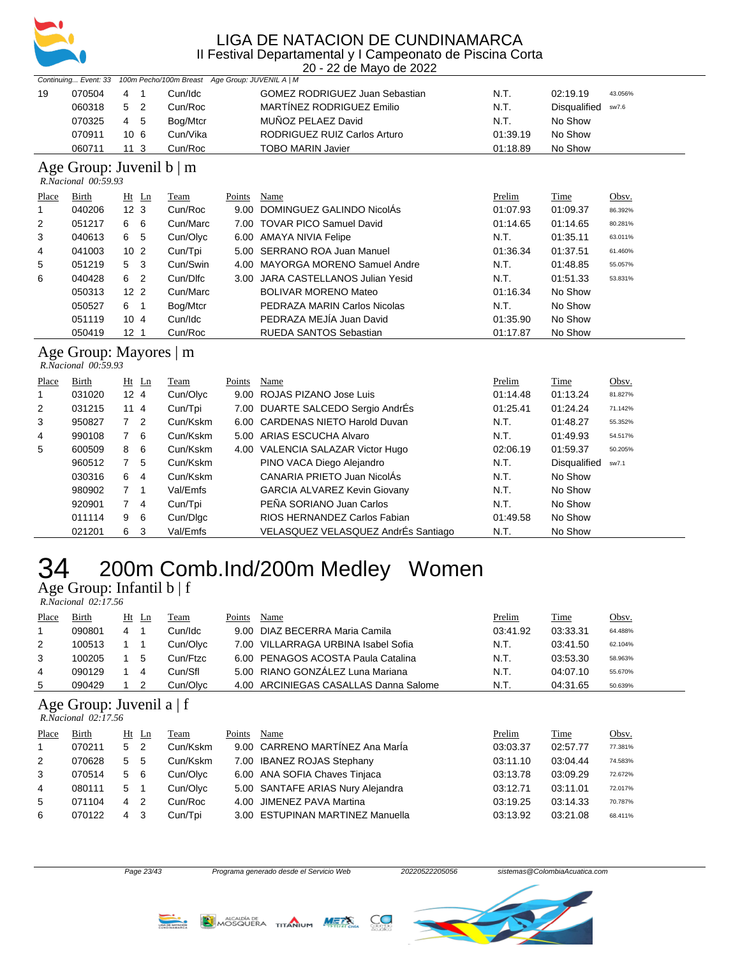

20 - 22 de Mayo de 2022

|       |                                               |                 |                            |                                                                      |        | ZU - ZZ UB IVIAYU UB ZUZZ             |          |                     |         |
|-------|-----------------------------------------------|-----------------|----------------------------|----------------------------------------------------------------------|--------|---------------------------------------|----------|---------------------|---------|
|       |                                               |                 |                            | Continuing Event: 33 100m Pecho/100m Breast Age Group: JUVENIL A   M |        |                                       |          |                     |         |
| 19    | 070504                                        | 4               | $\overline{1}$             | Cun/Idc                                                              |        | <b>GOMEZ RODRIGUEZ Juan Sebastian</b> | N.T.     | 02:19.19            | 43.056% |
|       | 060318                                        | 5               | $\overline{2}$             | Cun/Roc                                                              |        | MARTÍNEZ RODRIGUEZ Emilio             | N.T.     | Disqualified        | sw7.6   |
|       | 070325                                        | 4               | 5                          | Bog/Mtcr                                                             |        | MUÑOZ PELAEZ David                    | N.T.     | No Show             |         |
|       | 070911                                        | 10 <sub>6</sub> |                            | Cun/Vika                                                             |        | RODRIGUEZ RUIZ Carlos Arturo          | 01:39.19 | No Show             |         |
|       | 060711                                        | 11 <sub>3</sub> |                            | Cun/Roc                                                              |        | <b>TOBO MARIN Javier</b>              | 01:18.89 | No Show             |         |
|       | Age Group: Juvenil b   m                      |                 |                            |                                                                      |        |                                       |          |                     |         |
|       | R.Nacional 00:59.93                           |                 |                            |                                                                      |        |                                       |          |                     |         |
| Place | Birth                                         |                 | $Ht$ Ln                    | Team                                                                 | Points | Name                                  | Prelim   | Time                | Obsv.   |
| 1     | 040206                                        | 12 <sub>3</sub> |                            | Cun/Roc                                                              | 9.00   | DOMINGUEZ GALINDO NicolÁs             | 01:07.93 | 01:09.37            | 86.392% |
| 2     | 051217                                        | 6               | 6                          | Cun/Marc                                                             |        | 7.00 TOVAR PICO Samuel David          | 01:14.65 | 01:14.65            | 80.281% |
| 3     | 040613                                        | 6               | 5                          | Cun/Olyc                                                             |        | 6.00 AMAYA NIVIA Felipe               | N.T.     | 01:35.11            | 63.011% |
| 4     | 041003                                        | 10 <sub>2</sub> |                            | Cun/Tpi                                                              | 5.00   | <b>SERRANO ROA Juan Manuel</b>        | 01:36.34 | 01:37.51            | 61.460% |
| 5     | 051219                                        | 5               | 3                          | Cun/Swin                                                             | 4.00   | <b>MAYORGA MORENO Samuel Andre</b>    | N.T.     | 01:48.85            | 55.057% |
| 6     | 040428                                        | 6               | $\overline{2}$             | Cun/Dlfc                                                             | 3.00   | JARA CASTELLANOS Julian Yesid         | N.T.     | 01:51.33            | 53.831% |
|       | 050313                                        | 12 <sub>2</sub> |                            | Cun/Marc                                                             |        | <b>BOLIVAR MORENO Mateo</b>           | 01:16.34 | No Show             |         |
|       | 050527                                        | 6.              | $\overline{\phantom{0}}$ 1 | Bog/Mtcr                                                             |        | PEDRAZA MARIN Carlos Nicolas          | N.T.     | No Show             |         |
|       | 051119                                        | 10 <sub>4</sub> |                            | Cun/Idc                                                              |        | PEDRAZA MEJÍA Juan David              | 01:35.90 | No Show             |         |
|       | 050419                                        | 12 <sub>1</sub> |                            | Cun/Roc                                                              |        | <b>RUEDA SANTOS Sebastian</b>         | 01:17.87 | No Show             |         |
|       |                                               |                 |                            |                                                                      |        |                                       |          |                     |         |
|       | Age Group: Mayores   m<br>R.Nacional 00:59.93 |                 |                            |                                                                      |        |                                       |          |                     |         |
|       |                                               |                 |                            |                                                                      |        |                                       |          |                     |         |
| Place | Birth                                         |                 | $Ht$ Ln                    | Team                                                                 | Points | Name                                  | Prelim   | Time                | Obsv.   |
| 1     | 031020                                        | 12 <sub>4</sub> |                            | Cun/Olyc                                                             | 9.00   | ROJAS PIZANO Jose Luis                | 01:14.48 | 01:13.24            | 81.827% |
| 2     | 031215                                        | 114             |                            | Cun/Tpi                                                              |        | 7.00 DUARTE SALCEDO Sergio AndrEs     | 01:25.41 | 01:24.24            | 71.142% |
| 3     | 950827                                        | $\overline{7}$  | $\overline{2}$             | Cun/Kskm                                                             | 6.00   | <b>CARDENAS NIETO Harold Duvan</b>    | N.T.     | 01:48.27            | 55.352% |
| 4     | 990108                                        | $\overline{7}$  | 6                          | Cun/Kskm                                                             |        | 5.00 ARIAS ESCUCHA Alvaro             | N.T.     | 01:49.93            | 54.517% |
| 5     | 600509                                        | 8               | 6                          | Cun/Kskm                                                             |        | 4.00 VALENCIA SALAZAR Victor Hugo     | 02:06.19 | 01:59.37            | 50.205% |
|       | 960512                                        | 7               | 5                          | Cun/Kskm                                                             |        | PINO VACA Diego Alejandro             | N.T.     | <b>Disqualified</b> | sw7.1   |
|       | 030316                                        | 6               | $\overline{4}$             | Cun/Kskm                                                             |        | CANARIA PRIETO Juan NicolÁs           | N.T.     | No Show             |         |
|       | 980902                                        | 7               | $\overline{1}$             | Val/Emfs                                                             |        | <b>GARCIA ALVAREZ Kevin Giovany</b>   | N.T.     | No Show             |         |
|       | 920901                                        | 7               | $\overline{4}$             | Cun/Tpi                                                              |        | PEÑA SORIANO Juan Carlos              | N.T.     | No Show             |         |
|       | 011114                                        | 9               | 6                          | Cun/Dlgc                                                             |        | RIOS HERNANDEZ Carlos Fabian          | 01:49.58 | No Show             |         |

### 200m Comb.Ind/200m Medley Women

#### Age Group: Infantil b | f  *R.Nacional 02:17.56*

| <b>Place</b> | <b>Birth</b> |   | Ht Ln | Team     | Points | Name                                  | Prelim   | <u>Time</u> | Obsv.   |
|--------------|--------------|---|-------|----------|--------|---------------------------------------|----------|-------------|---------|
|              | 090801       | 4 |       | Cun/Idc  |        | 9.00 DIAZ BECERRA Maria Camila        | 03:41.92 | 03:33.31    | 64.488% |
| 2            | 100513       |   |       | Cun/Olyc |        | 7.00 VILLARRAGA URBINA Isabel Sofia   | N.T.     | 03:41.50    | 62.104% |
| 3            | 100205       |   | 5     | Cun/Ftzc |        | 6.00 PENAGOS ACOSTA Paula Catalina    | N.T.     | 03:53.30    | 58.963% |
| 4            | 090129       |   | 4     | Cun/Sfl  |        | 5.00 RIANO GONZÁLEZ Luna Mariana      | N.T.     | 04:07.10    | 55.670% |
| 5            | 090429       |   |       | Cun/Olyc |        | 4.00 ARCINIEGAS CASALLAS Danna Salome | N.T.     | 04:31.65    | 50.639% |

021201 6 3 Val/Emfs VELASQUEZ VELASQUEZ AndrÉs Santiago N.T. No Show

#### Age Group: Juvenil a | f  *R.Nacional 02:17.56*

| Place | Birth  |   | Ht Ln | Team     | Points | Name                              | Prelim   | Time     | Obsv.   |
|-------|--------|---|-------|----------|--------|-----------------------------------|----------|----------|---------|
|       | 070211 | 5 | -2    | Cun/Kskm |        | 9.00 CARRENO MARTÍNEZ Ana MarÍa   | 03:03.37 | 02:57.77 | 77.381% |
| 2     | 070628 | 5 | 5     | Cun/Kskm |        | 7.00 IBANEZ ROJAS Stephany        | 03:11.10 | 03:04.44 | 74.583% |
| 3     | 070514 | 5 | - 6   | Cun/Olvc |        | 6.00 ANA SOFIA Chaves Tinjaca     | 03:13.78 | 03:09.29 | 72.672% |
| 4     | 080111 | 5 |       | Cun/Olyc |        | 5.00 SANTAFE ARIAS Nury Alejandra | 03:12.71 | 03:11.01 | 72.017% |
| 5     | 071104 | 4 | -2    | Cun/Roc  |        | 4.00 JIMENEZ PAVA Martina         | 03:19.25 | 03:14.33 | 70.787% |
| 6     | 070122 | 4 | -3    | Cun/Tpi  |        | 3.00 ESTUPINAN MARTINEZ Manuella  | 03:13.92 | 03:21.08 | 68.411% |





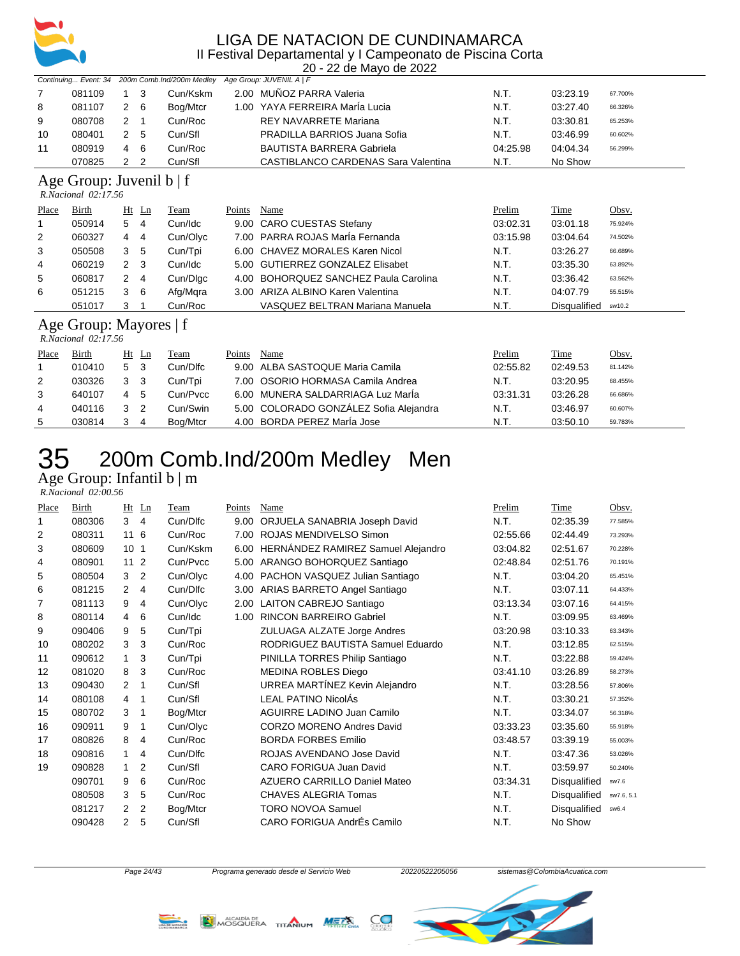

20 - 22 de Mayo de 2022

|       |                                                      |    |         | Continuing Event: 34 200m Comb.Ind/200m Medley |        | Age Group: JUVENIL A   F                   |          |              |         |
|-------|------------------------------------------------------|----|---------|------------------------------------------------|--------|--------------------------------------------|----------|--------------|---------|
| 7     | 081109                                               |    | 3       | Cun/Kskm                                       |        | 2.00 MUÑOZ PARRA Valeria                   | N.T.     | 03:23.19     | 67.700% |
| 8     | 081107                                               | 2  | 6       | Bog/Mtcr                                       | 1.00   | YAYA FERREIRA MarÍa Lucia                  | N.T.     | 03:27.40     | 66.326% |
| 9     | 080708                                               | 2  | 1       | Cun/Roc                                        |        | <b>REY NAVARRETE Mariana</b>               | N.T.     | 03:30.81     | 65.253% |
| 10    | 080401                                               | 2  | 5       | Cun/Sfl                                        |        | PRADILLA BARRIOS Juana Sofia               | N.T.     | 03:46.99     | 60.602% |
| 11    | 080919                                               | 4  | 6       | Cun/Roc                                        |        | <b>BAUTISTA BARRERA Gabriela</b>           | 04:25.98 | 04:04.34     | 56.299% |
|       | 070825                                               | 2  | 2       | Cun/Sfl                                        |        | <b>CASTIBLANCO CARDENAS Sara Valentina</b> | N.T.     | No Show      |         |
|       | Age Group: Juvenil $b \mid f$<br>R.Nacional 02:17.56 |    |         |                                                |        |                                            |          |              |         |
| Place | Birth                                                |    | $Ht$ Ln | Team                                           | Points | Name                                       | Prelim   | Time         | Obsv.   |
|       | 050914                                               | 5  | 4       | Cun/Idc                                        |        | 9.00 CARO CUESTAS Stefany                  | 03:02.31 | 03:01.18     | 75.924% |
| 2     | 060327                                               | 4  | 4       | Cun/Olyc                                       | 7.00   | <b>PARRA ROJAS MarÍa Fernanda</b>          | 03:15.98 | 03:04.64     | 74.502% |
| 3     | 050508                                               | 3  | 5       | Cun/Tpi                                        | 6.00   | <b>CHAVEZ MORALES Karen Nicol</b>          | N.T.     | 03:26.27     | 66.689% |
| 4     | 060219                                               | 2  | 3       | Cun/Idc                                        | 5.00   | <b>GUTIERREZ GONZALEZ Elisabet</b>         | N.T.     | 03:35.30     | 63.892% |
| 5     | 060817                                               | 2  | 4       | Cun/Dlgc                                       | 4.00   | <b>BOHORQUEZ SANCHEZ Paula Carolina</b>    | N.T.     | 03:36.42     | 63.562% |
| 6     | 051215                                               | 3  | 6       | Afg/Mqra                                       | 3.00   | ARIZA ALBINO Karen Valentina               | N.T.     | 04:07.79     | 55.515% |
|       | 051017                                               | 3  |         | Cun/Roc                                        |        | VASQUEZ BELTRAN Mariana Manuela            | N.T.     | Disqualified | sw10.2  |
|       | Age Group: Mayores   f<br>R.Nacional 02:17.56        |    |         |                                                |        |                                            |          |              |         |
| Place | Birth                                                | Ht | Ln      | Team                                           | Points | Name                                       | Prelim   | Time         | Obsv.   |
|       | 010410                                               | 5  | 3       | Cun/Dlfc                                       | 9.00   | ALBA SASTOQUE Maria Camila                 | 02:55.82 | 02:49.53     | 81.142% |
| 2     | 030326                                               | 3  | 3       | Cun/Tpi                                        | 7.00   | OSORIO HORMASA Camila Andrea               | N.T.     | 03:20.95     | 68.455% |
| 3     | 640107                                               | 4  | 5       | Cun/Pvcc                                       | 6.00   | MUNERA SALDARRIAGA Luz Maria               | 03:31.31 | 03:26.28     | 66.686% |
| 4     | 040116                                               | 3  | 2       | Cun/Swin                                       | 5.00   | COLORADO GONZÁLEZ Sofia Alejandra          | N.T.     | 03:46.97     | 60.607% |
| 5     | 030814                                               | 3  | 4       | Boa/Mtcr                                       |        | 4.00 BORDA PEREZ MarÍa Jose                | N.T.     | 03:50.10     | 59.783% |

### 35 200m Comb.Ind/200m Medley Men Age Group: Infantil b | m

 *R.Nacional 02:00.56* 

| Place | Birth  | Ht              | Ln | Team     | Points | Name                               | Prelim   | Time                | Obsv.      |
|-------|--------|-----------------|----|----------|--------|------------------------------------|----------|---------------------|------------|
|       | 080306 | 3               | 4  | Cun/Dlfc | 9.00   | ORJUELA SANABRIA Joseph David      | N.T.     | 02:35.39            | 77.585%    |
| 2     | 080311 | 11              | 6  | Cun/Roc  |        | 7.00 ROJAS MENDIVELSO Simon        | 02:55.66 | 02:44.49            | 73.293%    |
| 3     | 080609 | 10 <sub>1</sub> |    | Cun/Kskm | 6.00   | HERNÁNDEZ RAMIREZ Samuel Alejandro | 03:04.82 | 02:51.67            | 70.228%    |
| 4     | 080901 | 11              | 2  | Cun/Pvcc | 5.00   | ARANGO BOHORQUEZ Santiago          | 02:48.84 | 02:51.76            | 70.191%    |
| 5     | 080504 | 3               | 2  | Cun/Olyc | 4.00   | PACHON VASQUEZ Julian Santiago     | N.T.     | 03:04.20            | 65.451%    |
| 6     | 081215 | 2               | 4  | Cun/Dlfc | 3.00   | ARIAS BARRETO Angel Santiago       | N.T.     | 03:07.11            | 64.433%    |
| 7     | 081113 | 9               | 4  | Cun/Olyc |        | 2.00 LAITON CABREJO Santiago       | 03:13.34 | 03:07.16            | 64.415%    |
| 8     | 080114 | 4               | 6  | Cun/Idc  | 1.00   | <b>RINCON BARREIRO Gabriel</b>     | N.T.     | 03:09.95            | 63.469%    |
| 9     | 090406 | 9               | 5  | Cun/Tpi  |        | ZULUAGA ALZATE Jorge Andres        | 03:20.98 | 03:10.33            | 63.343%    |
| 10    | 080202 | 3               | 3  | Cun/Roc  |        | RODRIGUEZ BAUTISTA Samuel Eduardo  | N.T.     | 03:12.85            | 62.515%    |
| 11    | 090612 | 1               | 3  | Cun/Tpi  |        | PINILLA TORRES Philip Santiago     | N.T.     | 03:22.88            | 59.424%    |
| 12    | 081020 | 8               | 3  | Cun/Roc  |        | <b>MEDINA ROBLES Diego</b>         | 03:41.10 | 03:26.89            | 58.273%    |
| 13    | 090430 | 2               | 1  | Cun/Sfl  |        | URREA MARTÍNEZ Kevin Alejandro     | N.T.     | 03:28.56            | 57.806%    |
| 14    | 080108 | 4               | 1  | Cun/Sfl  |        | LEAL PATINO NicolAs                | N.T.     | 03:30.21            | 57.352%    |
| 15    | 080702 | 3               | 1  | Bog/Mtcr |        | AGUIRRE LADINO Juan Camilo         | N.T.     | 03:34.07            | 56.318%    |
| 16    | 090911 | 9               | 1  | Cun/Olyc |        | <b>CORZO MORENO Andres David</b>   | 03:33.23 | 03:35.60            | 55.918%    |
| 17    | 080826 | 8               | 4  | Cun/Roc  |        | <b>BORDA FORBES Emilio</b>         | 03:48.57 | 03:39.19            | 55.003%    |
| 18    | 090816 | 1               | 4  | Cun/Dlfc |        | ROJAS AVENDANO Jose David          | N.T.     | 03:47.36            | 53.026%    |
| 19    | 090828 | 1               | 2  | Cun/Sfl  |        | <b>CARO FORIGUA Juan David</b>     | N.T.     | 03:59.97            | 50.240%    |
|       | 090701 | 9               | 6  | Cun/Roc  |        | AZUERO CARRILLO Daniel Mateo       | 03:34.31 | <b>Disqualified</b> | sw7.6      |
|       | 080508 | 3               | 5  | Cun/Roc  |        | CHAVES ALEGRIA Tomas               | N.T.     | Disqualified        | sw7.6, 5.1 |
|       | 081217 | 2               | 2  | Bog/Mtcr |        | <b>TORO NOVOA Samuel</b>           | N.T.     | <b>Disqualified</b> | sw6.4      |
|       | 090428 | 2               | 5  | Cun/Sfl  |        | CARO FORIGUA AndrÉs Camilo         | N.T.     | No Show             |            |
|       |        |                 |    |          |        |                                    |          |                     |            |





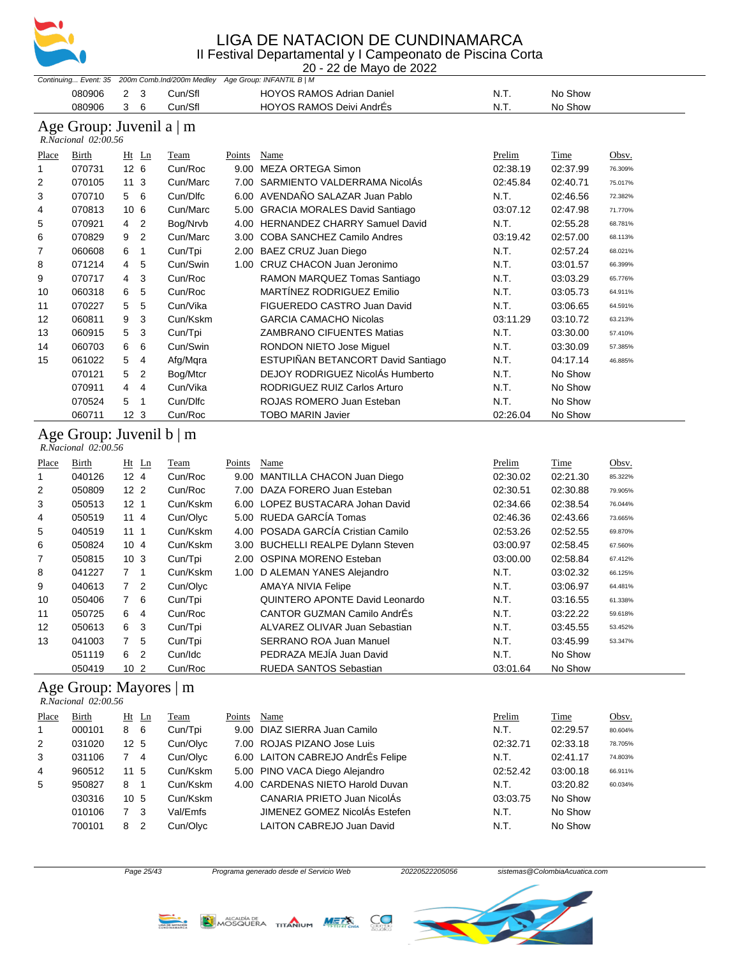

20 - 22 de Mayo de 2022

|            |            |         | Continuing Event: 35 200m Comb.Ind/200m Medley Age Group: INFANTIL B   M |      |         |  |  |
|------------|------------|---------|--------------------------------------------------------------------------|------|---------|--|--|
| 080906 2 3 |            | Cun/Sfl | <b>HOYOS RAMOS Adrian Daniel</b>                                         | .N.T | No Show |  |  |
| 080906     | $3\quad 6$ | Cun/Sfl | HOYOS RAMOS Deivi AndrÉs                                                 | N.T. | No Show |  |  |

#### Age Group: Juvenil a | m

| Place | Birth  | $Ht$ Ln         |                | Team     | Points | Name                                 | Prelim   | Time     | Obsv.   |
|-------|--------|-----------------|----------------|----------|--------|--------------------------------------|----------|----------|---------|
| 1     | 070731 | 12 <sub>6</sub> |                | Cun/Roc  | 9.00   | MEZA ORTEGA Simon                    | 02:38.19 | 02:37.99 | 76.309% |
| 2     | 070105 | 11 <sub>3</sub> |                | Cun/Marc | 7.00   | SARMIENTO VALDERRAMA NicolAs         | 02:45.84 | 02:40.71 | 75.017% |
| 3     | 070710 | 5 6             |                | Cun/Dlfc |        | 6.00 AVENDAÑO SALAZAR Juan Pablo     | N.T.     | 02:46.56 | 72.382% |
| 4     | 070813 | 10 <sub>6</sub> |                | Cun/Marc |        | 5.00 GRACIA MORALES David Santiago   | 03:07.12 | 02:47.98 | 71.770% |
| 5     | 070921 | $\overline{4}$  | $\overline{2}$ | Bog/Nrvb | 4.00   | <b>HERNANDEZ CHARRY Samuel David</b> | N.T.     | 02:55.28 | 68.781% |
| 6     | 070829 | 9               | 2              | Cun/Marc | 3.00   | COBA SANCHEZ Camilo Andres           | 03:19.42 | 02:57.00 | 68.113% |
| 7     | 060608 | 6               | 1              | Cun/Tpi  |        | 2.00 BAEZ CRUZ Juan Diego            | N.T.     | 02:57.24 | 68.021% |
| 8     | 071214 | 4               | 5              | Cun/Swin | 1.00   | CRUZ CHACON Juan Jeronimo            | N.T.     | 03:01.57 | 66.399% |
| 9     | 070717 | 4               | 3              | Cun/Roc  |        | RAMON MARQUEZ Tomas Santiago         | N.T.     | 03:03.29 | 65.776% |
| 10    | 060318 | 6               | 5              | Cun/Roc  |        | MARTÍNEZ RODRIGUEZ Emilio            | N.T.     | 03:05.73 | 64.911% |
| 11    | 070227 | 5               | 5              | Cun/Vika |        | FIGUEREDO CASTRO Juan David          | N.T.     | 03:06.65 | 64.591% |
| 12    | 060811 | 9               | 3              | Cun/Kskm |        | <b>GARCIA CAMACHO Nicolas</b>        | 03:11.29 | 03:10.72 | 63.213% |
| 13    | 060915 | 5               | 3              | Cun/Tpi  |        | <b>ZAMBRANO CIFUENTES Matias</b>     | N.T.     | 03:30.00 | 57.410% |
| 14    | 060703 | 6               | 6              | Cun/Swin |        | RONDON NIETO Jose Miguel             | N.T.     | 03:30.09 | 57.385% |
| 15    | 061022 | 5               | 4              | Afg/Mqra |        | ESTUPIÑAN BETANCORT David Santiago   | N.T.     | 04:17.14 | 46.885% |
|       | 070121 | 5               | 2              | Bog/Mtcr |        | DEJOY RODRIGUEZ NicolÁs Humberto     | N.T.     | No Show  |         |
|       | 070911 | 4               | 4              | Cun/Vika |        | RODRIGUEZ RUIZ Carlos Arturo         | N.T.     | No Show  |         |
|       | 070524 | 5               | 1              | Cun/Dlfc |        | ROJAS ROMERO Juan Esteban            | N.T.     | No Show  |         |
|       | 060711 | 12 <sub>3</sub> |                | Cun/Roc  |        | <b>TOBO MARIN Javier</b>             | 02:26.04 | No Show  |         |

| Place          | Birth  | $Ht$ Ln             | Team     | Points | Name                               | Prelim   | Time     | Obsv.   |
|----------------|--------|---------------------|----------|--------|------------------------------------|----------|----------|---------|
|                | 040126 | 12 <sub>4</sub>     | Cun/Roc  | 9.00   | MANTILLA CHACON Juan Diego         | 02:30.02 | 02:21.30 | 85.322% |
| 2              | 050809 | 12 <sub>2</sub>     | Cun/Roc  |        | 7.00 DAZA FORERO Juan Esteban      | 02:30.51 | 02:30.88 | 79.905% |
| 3              | 050513 | 12 <sub>1</sub>     | Cun/Kskm |        | 6.00 LOPEZ BUSTACARA Johan David   | 02:34.66 | 02:38.54 | 76.044% |
| 4              | 050519 | 114                 | Cun/Olyc |        | 5.00 RUEDA GARCÍA Tomas            | 02:46.36 | 02:43.66 | 73.665% |
| 5              | 040519 | 111                 | Cun/Kskm |        | 4.00 POSADA GARCÍA Cristian Camilo | 02:53.26 | 02:52.55 | 69.870% |
| 6              | 050824 | 104                 | Cun/Kskm |        | 3.00 BUCHELLI REALPE Dylann Steven | 03:00.97 | 02:58.45 | 67.560% |
| $\overline{7}$ | 050815 | 10 <sub>3</sub>     | Cun/Tpi  |        | 2.00 OSPINA MORENO Esteban         | 03:00.00 | 02:58.84 | 67.412% |
| 8              | 041227 | 7 <sub>1</sub>      | Cun/Kskm |        | 1.00 D ALEMAN YANES Alejandro      | N.T.     | 03:02.32 | 66.125% |
| 9              | 040613 | 7 <sup>2</sup>      | Cun/Olyc |        | <b>AMAYA NIVIA Felipe</b>          | N.T.     | 03:06.97 | 64.481% |
| 10             | 050406 | 76                  | Cun/Tpi  |        | QUINTERO APONTE David Leonardo     | N.T.     | 03:16.55 | 61.338% |
| 11             | 050725 | 6<br>$\overline{4}$ | Cun/Roc  |        | CANTOR GUZMAN Camilo AndrEs        | N.T.     | 03:22.22 | 59.618% |
| 12             | 050613 | 6<br>3              | Cun/Tpi  |        | ALVAREZ OLIVAR Juan Sebastian      | N.T.     | 03:45.55 | 53.452% |
| 13             | 041003 | $7^{\circ}$<br>-5   | Cun/Tpi  |        | <b>SERRANO ROA Juan Manuel</b>     | N.T.     | 03:45.99 | 53.347% |
|                | 051119 | 6<br>$\overline{2}$ | Cun/Idc  |        | PEDRAZA MEJÍA Juan David           | N.T.     | No Show  |         |
|                | 050419 | 10 <sub>2</sub>     | Cun/Roc  |        | RUEDA SANTOS Sebastian             | 03:01.64 | No Show  |         |

#### Age Group: Mayores | m

 *R.Nacional 02:00.56* 

| Place          | Birth  | $Ht$ Ln         | Team     | Points | Name                              | Prelim   | Time     | Obsv.   |
|----------------|--------|-----------------|----------|--------|-----------------------------------|----------|----------|---------|
|                | 000101 | 6<br>8          | Cun/Tpi  |        | 9.00 DIAZ SIERRA Juan Camilo      | N.T.     | 02:29.57 | 80.604% |
| 2              | 031020 | 12 <sub>5</sub> | Cun/Olyc |        | 7.00 ROJAS PIZANO Jose Luis       | 02:32.71 | 02:33.18 | 78.705% |
| 3              | 031106 | 4               | Cun/Olyc |        | 6.00 LAITON CABREJO AndrÉs Felipe | N.T.     | 02:41.17 | 74.803% |
| $\overline{4}$ | 960512 | 11 5            | Cun/Kskm |        | 5.00 PINO VACA Diego Alejandro    | 02:52.42 | 03:00.18 | 66.911% |
| 5              | 950827 | 8               | Cun/Kskm |        | 4.00 CARDENAS NIETO Harold Duvan  | N.T.     | 03:20.82 | 60.034% |
|                | 030316 | 10 <sub>5</sub> | Cun/Kskm |        | CANARIA PRIETO Juan NicolÁs       | 03:03.75 | No Show  |         |
|                | 010106 | 3               | Val/Emfs |        | JIMENEZ GOMEZ NicolÁs Estefen     | N.T.     | No Show  |         |
|                | 700101 | 2<br>8          | Cun/Olyc |        | <b>LAITON CABREJO Juan David</b>  | N.T.     | No Show  |         |





CC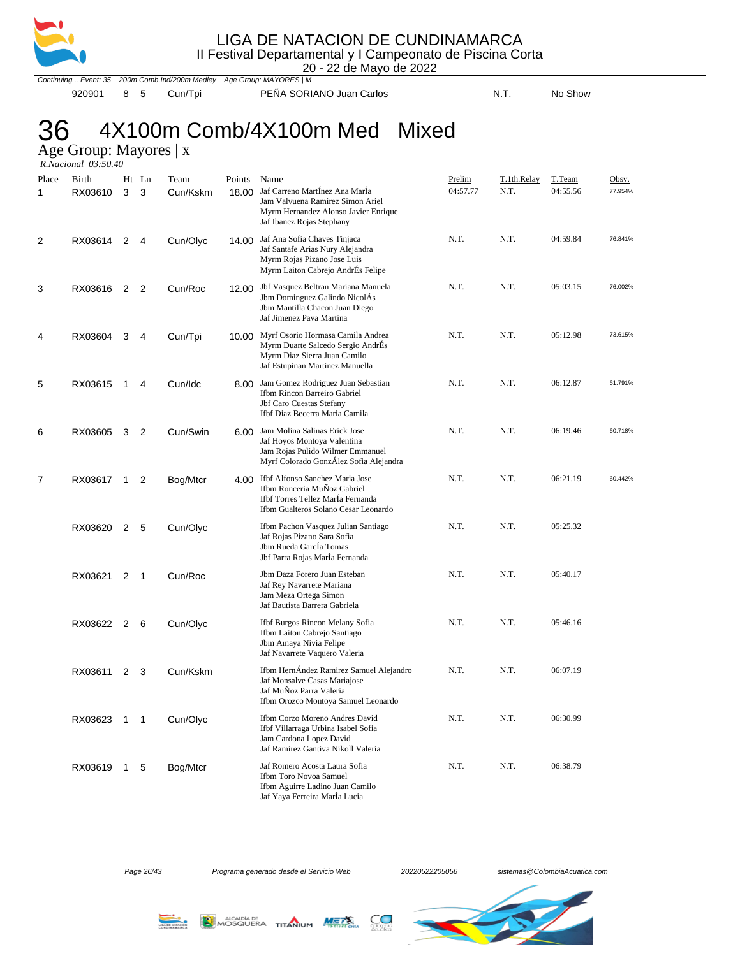

#### LIGA DE NATACION DE CUNDINAMARCA

| II Festival Departamental y I Campeonato de Piscina Corta |  |  |   |  |  |
|-----------------------------------------------------------|--|--|---|--|--|
|                                                           |  |  | . |  |  |

20 - 22 de Mayo de 2022

Continuing... Event: 35 200m Comb.Ind/200m Medley Age Group: MAYORES | M 920901 8 5 Cun/Tpi PEÑA SORIANO Juan Carlos N.T. No Show

# 36 4X100m Comb/4X100m Med Mixed

Age Group: Mayores | x

| R.Nacional 03:50.40 |
|---------------------|
|                     |

| <u>Place</u><br>1 | <b>Birth</b><br>RX03610 | Ht<br>3 | $_{\text{Ln}}$<br>3 | <b>Team</b><br>Cun/Kskm | <b>Points</b><br>18.00 | <b>Name</b><br>Jaf Carreno MartÍnez Ana MarÍa<br>Jam Valvuena Ramirez Simon Ariel<br>Myrm Hernandez Alonso Javier Enrique<br>Jaf Ibanez Rojas Stephany | <b>Prelim</b><br>04:57.77 | T.1th.Relay<br>N.T. | T.Team<br>04:55.56 | Obsv.<br>77.954% |
|-------------------|-------------------------|---------|---------------------|-------------------------|------------------------|--------------------------------------------------------------------------------------------------------------------------------------------------------|---------------------------|---------------------|--------------------|------------------|
| 2                 | RX03614 2               |         | 4                   | Cun/Olyc                |                        | 14.00 Jaf Ana Sofia Chaves Tinjaca<br>Jaf Santafe Arias Nury Alejandra<br>Myrm Rojas Pizano Jose Luis<br>Myrm Laiton Cabrejo AndrÉs Felipe             | N.T.                      | N.T.                | 04:59.84           | 76.841%          |
| 3                 | RX03616 2               |         | 2                   | Cun/Roc                 |                        | 12.00 Jbf Vasquez Beltran Mariana Manuela<br>Jbm Dominguez Galindo NicolÁs<br>Jbm Mantilla Chacon Juan Diego<br>Jaf Jimenez Pava Martina               | N.T.                      | N.T.                | 05:03.15           | 76.002%          |
| 4                 | RX03604                 | 3       | 4                   | Cun/Tpi                 |                        | 10.00 Myrf Osorio Hormasa Camila Andrea<br>Myrm Duarte Salcedo Sergio AndrÉs<br>Myrm Diaz Sierra Juan Camilo<br>Jaf Estupinan Martinez Manuella        | N.T.                      | N.T.                | 05:12.98           | 73.615%          |
| 5                 | RX03615 1               |         | 4                   | Cun/Idc                 | 8.00                   | Jam Gomez Rodriguez Juan Sebastian<br>Ifbm Rincon Barreiro Gabriel<br>Jbf Caro Cuestas Stefany<br>Ifbf Diaz Becerra Maria Camila                       | N.T.                      | N.T.                | 06:12.87           | 61.791%          |
| 6                 | RX03605 3               |         | 2                   | Cun/Swin                |                        | 6.00 Jam Molina Salinas Erick Jose<br>Jaf Hoyos Montoya Valentina<br>Jam Rojas Pulido Wilmer Emmanuel<br>Myrf Colorado GonzÁlez Sofia Alejandra        | N.T.                      | N.T.                | 06:19.46           | 60.718%          |
| 7                 | RX03617 1               |         | 2                   | Bog/Mtcr                |                        | 4.00 Ifbf Alfonso Sanchez Maria Jose<br>Ifbm Ronceria MuÑoz Gabriel<br>Ifbf Torres Tellez MarÍa Fernanda<br>Ifbm Gualteros Solano Cesar Leonardo       | N.T.                      | N.T.                | 06:21.19           | 60.442%          |
|                   | RX03620 2               |         | 5                   | Cun/Olyc                |                        | Ifbm Pachon Vasquez Julian Santiago<br>Jaf Rojas Pizano Sara Sofia<br>Jbm Rueda García Tomas<br>Jbf Parra Rojas Marla Fernanda                         | N.T.                      | N.T.                | 05:25.32           |                  |
|                   | RX03621                 | 2 1     |                     | Cun/Roc                 |                        | Jbm Daza Forero Juan Esteban<br>Jaf Rey Navarrete Mariana<br>Jam Meza Ortega Simon<br>Jaf Bautista Barrera Gabriela                                    | N.T.                      | N.T.                | 05:40.17           |                  |
|                   | RX03622 2               |         | 6                   | Cun/Olyc                |                        | Ifbf Burgos Rincon Melany Sofia<br>Ifbm Laiton Cabrejo Santiago<br>Jbm Amaya Nivia Felipe<br>Jaf Navarrete Vaquero Valeria                             | N.T.                      | N.T.                | 05:46.16           |                  |
|                   | RX03611 2               |         | 3                   | Cun/Kskm                |                        | Ifbm HernÁndez Ramirez Samuel Alejandro<br>Jaf Monsalve Casas Mariajose<br>Jaf MuÑoz Parra Valeria<br>Ifbm Orozco Montoya Samuel Leonardo              | N.T.                      | N.T.                | 06:07.19           |                  |
|                   | RX03623 1               |         | 1                   | Cun/Olyc                |                        | Ifbm Corzo Moreno Andres David<br>Ifbf Villarraga Urbina Isabel Sofia<br>Jam Cardona Lopez David<br>Jaf Ramirez Gantiva Nikoll Valeria                 | N.T.                      | N.T.                | 06:30.99           |                  |
|                   | RX03619 1               |         | 5                   | Bog/Mtcr                |                        | Jaf Romero Acosta Laura Sofia<br>Ifbm Toro Novoa Samuel<br>Ifbm Aguirre Ladino Juan Camilo<br>Jaf Yaya Ferreira Marla Lucia                            | N.T.                      | N.T.                | 06:38.79           |                  |





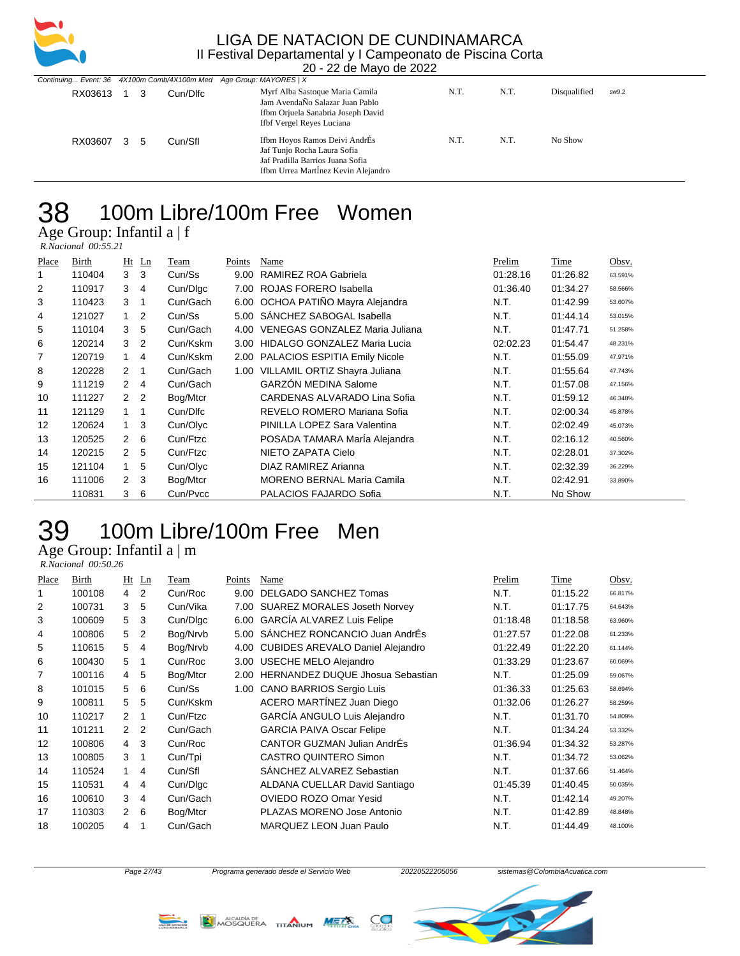

|         |    |                 |         | Continuing Event: 36 4X100m Comb/4X100m Med Age Group: MAYORES   X                                                                      |      |      |              |       |
|---------|----|-----------------|---------|-----------------------------------------------------------------------------------------------------------------------------------------|------|------|--------------|-------|
| RX03613 |    | Cun/Dlfc<br>- 3 |         | Myrf Alba Sastoque Maria Camila<br>Jam AvendaÑo Salazar Juan Pablo<br>Ifbm Orjuela Sanabria Joseph David<br>Ifbf Vergel Reyes Luciana   | N.T. | N.T. | Disqualified | sw9.2 |
| RX03607 | -3 | 5               | Cun/Sfl | Ifbm Hoyos Ramos Deivi AndrÉs<br>Jaf Tunjo Rocha Laura Sofia<br>Jaf Pradilla Barrios Juana Sofia<br>Ifbm Urrea Martinez Kevin Alejandro | N.T. | N.T. | No Show      |       |

### 100m Libre/100m Free Women

Age Group: Infantil a | f

 *R.Nacional 00:55.21* 

| Place | Birth  |               | $Ht$ Ln | Team     | Points | Name                                 | Prelim   | Time     | Obsv.   |
|-------|--------|---------------|---------|----------|--------|--------------------------------------|----------|----------|---------|
| 1     | 110404 | 3             | 3       | Cun/Ss   | 9.00   | RAMIREZ ROA Gabriela                 | 01:28.16 | 01:26.82 | 63.591% |
| 2     | 110917 | 3             | 4       | Cun/Dlgc | 7.00   | ROJAS FORERO Isabella                | 01:36.40 | 01:34.27 | 58.566% |
| 3     | 110423 | 3             | 1       | Cun/Gach |        | 6.00 OCHOA PATIÑO Mayra Alejandra    | N.T.     | 01:42.99 | 53.607% |
| 4     | 121027 | $\mathbf 1$   | 2       | Cun/Ss   | 5.00   | SANCHEZ SABOGAL Isabella             | N.T.     | 01:44.14 | 53.015% |
| 5     | 110104 | 3             | 5       | Cun/Gach | 4.00   | VENEGAS GONZALEZ Maria Juliana       | N.T.     | 01:47.71 | 51.258% |
| 6     | 120214 | 3             | 2       | Cun/Kskm | 3.00   | <b>HIDALGO GONZALEZ Maria Lucia</b>  | 02:02.23 | 01:54.47 | 48.231% |
| 7     | 120719 | 1.            | 4       | Cun/Kskm | 2.00   | <b>PALACIOS ESPITIA Emily Nicole</b> | N.T.     | 01:55.09 | 47.971% |
| 8     | 120228 | $\mathcal{P}$ | 1       | Cun/Gach | 1.00   | VILLAMIL ORTIZ Shayra Juliana        | N.T.     | 01:55.64 | 47.743% |
| 9     | 111219 | $\mathcal{P}$ | 4       | Cun/Gach |        | <b>GARZÓN MEDINA Salome</b>          | N.T.     | 01:57.08 | 47.156% |
| 10    | 111227 | $\mathcal{P}$ | 2       | Bog/Mtcr |        | CARDENAS ALVARADO Lina Sofia         | N.T.     | 01:59.12 | 46.348% |
| 11    | 121129 | 1             | 1       | Cun/Dlfc |        | REVELO ROMERO Mariana Sofia          | N.T.     | 02:00.34 | 45.878% |
| 12    | 120624 | 1             | 3       | Cun/Olyc |        | PINILLA LOPEZ Sara Valentina         | N.T.     | 02:02.49 | 45.073% |
| 13    | 120525 | $\mathcal{P}$ | 6       | Cun/Ftzc |        | POSADA TAMARA MarÍa Alejandra        | N.T.     | 02:16.12 | 40.560% |
| 14    | 120215 | $\mathcal{P}$ | 5       | Cun/Ftzc |        | NIETO ZAPATA Cielo                   | N.T.     | 02:28.01 | 37.302% |
| 15    | 121104 | 1             | 5       | Cun/Olyc |        | DIAZ RAMIREZ Arianna                 | N.T.     | 02:32.39 | 36.229% |
| 16    | 111006 | $\mathcal{P}$ | 3       | Bog/Mtcr |        | <b>MORENO BERNAL Maria Camila</b>    | N.T.     | 02:42.91 | 33.890% |
|       | 110831 | 3             | 6       | Cun/Pvcc |        | PALACIOS FAJARDO Sofia               | N.T.     | No Show  |         |

## 100m Libre/100m Free Men

Age Group: Infantil a $\mid$  m

 *R.Nacional 00:50.26* 

| Place | Birth  | Ht             | Ln             | Team     | Points | Name                                    | Prelim   | Time     | Obsv.   |
|-------|--------|----------------|----------------|----------|--------|-----------------------------------------|----------|----------|---------|
|       | 100108 | $\overline{4}$ | 2              | Cun/Roc  | 9.00   | DELGADO SANCHEZ Tomas                   | N.T.     | 01:15.22 | 66.817% |
| 2     | 100731 | 3              | 5              | Cun/Vika |        | 7.00 SUAREZ MORALES Joseth Norvey       | N.T.     | 01:17.75 | 64.643% |
| 3     | 100609 | 5              | 3              | Cun/Dlgc | 6.00   | <b>GARCÍA ALVAREZ Luis Felipe</b>       | 01:18.48 | 01:18.58 | 63.960% |
| 4     | 100806 | 5              | 2              | Bog/Nrvb | 5.00   | SANCHEZ RONCANCIO Juan AndrÉs           | 01:27.57 | 01:22.08 | 61.233% |
| 5     | 110615 | 5              | 4              | Bog/Nrvb | 4.00   | <b>CUBIDES AREVALO Daniel Alejandro</b> | 01:22.49 | 01:22.20 | 61.144% |
| 6     | 100430 | 5              | 1              | Cun/Roc  | 3.00   | <b>USECHE MELO Alejandro</b>            | 01:33.29 | 01:23.67 | 60.069% |
| 7     | 100116 | 4              | 5              | Bog/Mtcr | 2.00   | <b>HERNANDEZ DUQUE Jhosua Sebastian</b> | N.T.     | 01:25.09 | 59.067% |
| 8     | 101015 | 5              | 6              | Cun/Ss   | 1.00   | <b>CANO BARRIOS Sergio Luis</b>         | 01:36.33 | 01:25.63 | 58.694% |
| 9     | 100811 | 5              | 5              | Cun/Kskm |        | ACERO MARTÍNEZ Juan Diego               | 01:32.06 | 01:26.27 | 58.259% |
| 10    | 110217 | $\mathcal{P}$  | 1              | Cun/Ftzc |        | GARCÍA ANGULO Luis Alejandro            | N.T.     | 01:31.70 | 54.809% |
| 11    | 101211 | $\mathcal{P}$  | $\overline{2}$ | Cun/Gach |        | <b>GARCIA PAIVA Oscar Felipe</b>        | N.T.     | 01:34.24 | 53.332% |
| 12    | 100806 | $\overline{4}$ | 3              | Cun/Roc  |        | CANTOR GUZMAN Julian AndrÉs             | 01:36.94 | 01:34.32 | 53.287% |
| 13    | 100805 | 3              | 1              | Cun/Tpi  |        | <b>CASTRO QUINTERO Simon</b>            | N.T.     | 01:34.72 | 53.062% |
| 14    | 110524 | $\mathbf{1}$   | 4              | Cun/Sfl  |        | SANCHEZ ALVAREZ Sebastian               | N.T.     | 01:37.66 | 51.464% |
| 15    | 110531 | 4              | 4              | Cun/Dlgc |        | ALDANA CUELLAR David Santiago           | 01:45.39 | 01:40.45 | 50.035% |
| 16    | 100610 | 3              | 4              | Cun/Gach |        | <b>OVIEDO ROZO Omar Yesid</b>           | N.T.     | 01:42.14 | 49.207% |
| 17    | 110303 | 2              | 6              | Bog/Mtcr |        | PLAZAS MORENO Jose Antonio              | N.T.     | 01:42.89 | 48.848% |
| 18    | 100205 | 4              |                | Cun/Gach |        | MARQUEZ LEON Juan Paulo                 | N.T.     | 01:44.49 | 48.100% |
|       |        |                |                |          |        |                                         |          |          |         |





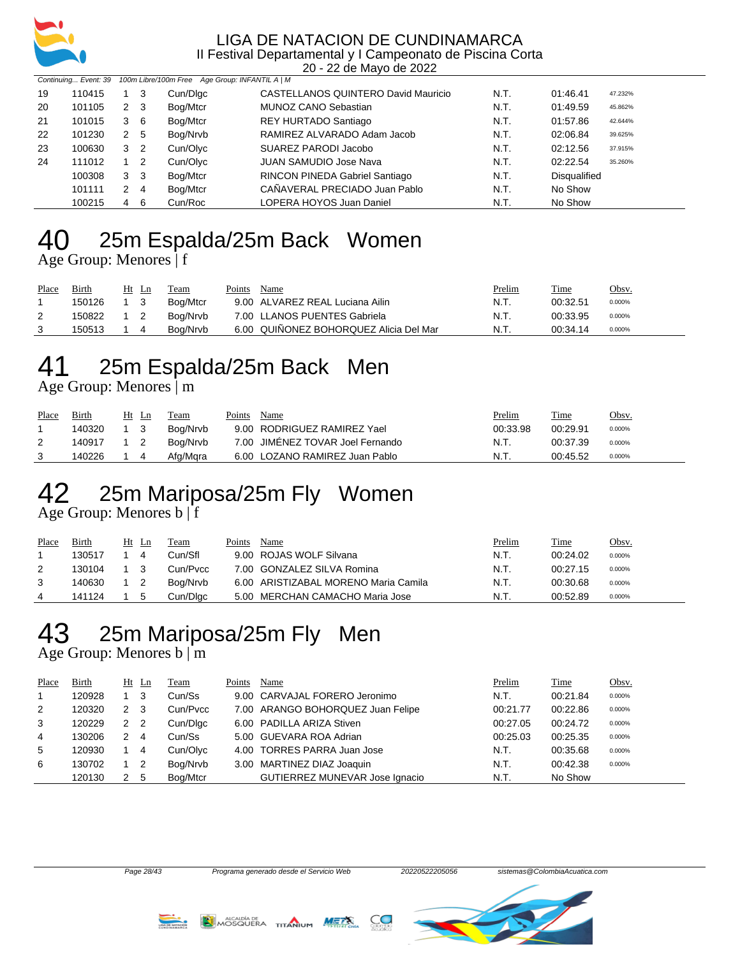

20 - 22 de Mayo de 2022

|    |        | Continuing Event: 39 100m Libre/100m Free Age Group: INFANTIL A   M |                |          |                                     |      |                     |         |
|----|--------|---------------------------------------------------------------------|----------------|----------|-------------------------------------|------|---------------------|---------|
| 19 | 110415 |                                                                     | -3             | Cun/Dlgc | CASTELLANOS QUINTERO David Mauricio | N.T. | 01:46.41            | 47.232% |
| 20 | 101105 | 2                                                                   | - 3            | Bog/Mtcr | MUNOZ CANO Sebastian                | N.T. | 01:49.59            | 45.862% |
| 21 | 101015 | 3                                                                   | - 6            | Bog/Mtcr | REY HURTADO Santiago                | N.T. | 01:57.86            | 42.644% |
| 22 | 101230 | $\mathbf{2}^{\circ}$                                                | -5             | Bog/Nrvb | RAMIREZ ALVARADO Adam Jacob         | N.T. | 02:06.84            | 39.625% |
| 23 | 100630 | 3                                                                   | -2             | Cun/Olyc | SUAREZ PARODI Jacobo                | N.T. | 02:12.56            | 37.915% |
| 24 | 111012 |                                                                     | -2             | Cun/Olyc | <b>JUAN SAMUDIO Jose Nava</b>       | N.T. | 02:22.54            | 35.260% |
|    | 100308 | 3                                                                   | -3             | Bog/Mtcr | RINCON PINEDA Gabriel Santiago      | N.T. | <b>Disqualified</b> |         |
|    | 101111 | 2                                                                   | $\overline{4}$ | Bog/Mtcr | CAÑAVERAL PRECIADO Juan Pablo       | N.T. | No Show             |         |
|    | 100215 | 4                                                                   | - 6            | Cun/Roc  | LOPERA HOYOS Juan Daniel            | N.T. | No Show             |         |

# 25m Espalda/25m Back Women

Age Group: Menores | f

| Place | Birth  | Ht<br>- Ln | Team     | Name<br>Points                         | <u>Prelim</u> | Time     | Obsv.  |
|-------|--------|------------|----------|----------------------------------------|---------------|----------|--------|
|       | 150126 |            | Boa/Mtcr | 9.00 ALVAREZ REAL Luciana Ailin        | N.T.          | 00:32.51 | 0.000% |
|       | 150822 |            | Boa/Nrvb | 7.00 LLANOS PUENTES Gabriela           | N.T.          | 00:33.95 | 0.000% |
|       | 150513 |            | Boa/Nrvb | 6.00 QUIÑONEZ BOHORQUEZ Alicia Del Mar | N.T.          | 00:34.14 | 0.000% |

## 25m Espalda/25m Back Men

Age Group: Menores | m

| Place | <b>Birth</b> | $Ht$ Ln    | Team     | Name<br>Points                   | <b>Prelim</b> | <u>Time</u> | Obsv.  |
|-------|--------------|------------|----------|----------------------------------|---------------|-------------|--------|
|       | 140320       | 1 3        | Boa/Nrvb | 9.00 RODRIGUEZ RAMIREZ Yael      | 00:33.98      | 00:29.91    | 0.000% |
|       | 140917       | $1\quad 2$ | Boa/Nrvb | 7.00 JIMÉNEZ TOVAR Joel Fernando | N.T.          | 00:37.39    | 0.000% |
|       | 140226       |            | Afg/Mara | 6.00 LOZANO RAMIREZ Juan Pablo   | N.T.          | 00:45.52    | 0.000% |

# 25m Mariposa/25m Fly Women

Age Group: Menores b | f

| Place | <b>Birth</b> | Ht          | Ln | Team     | Points | Name                                 | <u>Prelim</u> | <b>Time</b> | <u>Obsv.</u> |
|-------|--------------|-------------|----|----------|--------|--------------------------------------|---------------|-------------|--------------|
|       | 130517       |             |    | Cun/Sfl  |        | 9.00 ROJAS WOLF Silvana              | N.T.          | 00:24.02    | 0.000%       |
|       | 130104       | $1 \quad 3$ |    | Cun/Pycc |        | 7.00 GONZALEZ SILVA Romina           | N.T.          | 00:27.15    | 0.000%       |
|       | 140630       |             |    | Boa/Nrvb |        | 6.00 ARISTIZABAL MORENO Maria Camila | N.T.          | 00:30.68    | 0.000%       |
| 4     | 141124       |             |    | Cun/Dlgc |        | 5.00 MERCHAN CAMACHO Maria Jose      | N.T.          | 00:52.89    | 0.000%       |

## 25m Mariposa/25m Fly Men

Age Group: Menores b | m

| Place | <b>Birth</b> |                | $Ht$ Ln                    | Team     | Points | Name                              | Prelim   | Time     | Obsv.  |
|-------|--------------|----------------|----------------------------|----------|--------|-----------------------------------|----------|----------|--------|
|       | 120928       |                | - 3                        | Cun/Ss   |        | 9.00 CARVAJAL FORERO Jeronimo     | N.T.     | 00:21.84 | 0.000% |
| 2     | 120320       | 2 3            |                            | Cun/Pvcc |        | 7.00 ARANGO BOHORQUEZ Juan Felipe | 00:21.77 | 00:22.86 | 0.000% |
| 3     | 120229       | 2 <sub>2</sub> |                            | Cun/Dlgc |        | 6.00 PADILLA ARIZA Stiven         | 00:27.05 | 00:24.72 | 0.000% |
| 4     | 130206       | 2              | $\overline{4}$             | Cun/Ss   |        | 5.00 GUEVARA ROA Adrian           | 00:25.03 | 00:25.35 | 0.000% |
| 5     | 120930       |                | 4                          | Cun/Olyc |        | 4.00 TORRES PARRA Juan Jose       | N.T.     | 00:35.68 | 0.000% |
| 6     | 130702       |                | $\overline{\phantom{0}}^2$ | Bog/Nrvb |        | 3.00 MARTINEZ DIAZ Joaquin        | N.T.     | 00:42.38 | 0.000% |
|       | 120130       | 2              | - 5                        | Bog/Mtcr |        | GUTIERREZ MUNEVAR Jose Ignacio    | N.T.     | No Show  |        |





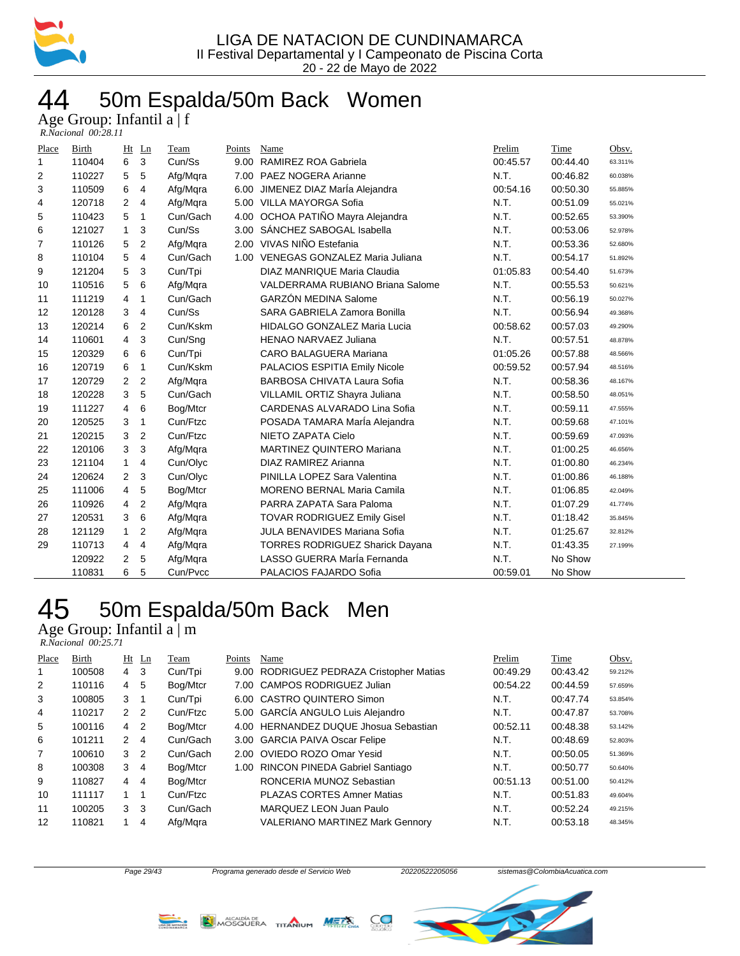

## 44 50m Espalda/50m Back Women

Age Group: Infantil a | f

| R.Nacional 00:28.11 |  |
|---------------------|--|
|---------------------|--|

| Place | Birth  | Ht             | $_{\text{Ln}}$ | Team     | Points | Name                                   | Prelim   | Time     | Obsv.   |
|-------|--------|----------------|----------------|----------|--------|----------------------------------------|----------|----------|---------|
| 1     | 110404 | 6              | 3              | Cun/Ss   |        | 9.00 RAMIREZ ROA Gabriela              | 00:45.57 | 00:44.40 | 63.311% |
| 2     | 110227 | 5              | 5              | Afg/Mqra |        | 7.00 PAEZ NOGERA Arianne               | N.T.     | 00:46.82 | 60.038% |
| 3     | 110509 | 6              | 4              | Afg/Mgra | 6.00   | JIMENEZ DIAZ Marla Alejandra           | 00:54.16 | 00:50.30 | 55.885% |
| 4     | 120718 | $\overline{2}$ | 4              | Afg/Mqra |        | 5.00 VILLA MAYORGA Sofia               | N.T.     | 00:51.09 | 55.021% |
| 5     | 110423 | 5              | 1              | Cun/Gach |        | 4.00 OCHOA PATIÑO Mayra Alejandra      | N.T.     | 00:52.65 | 53.390% |
| 6     | 121027 | $\mathbf{1}$   | 3              | Cun/Ss   |        | 3.00 SÁNCHEZ SABOGAL Isabella          | N.T.     | 00:53.06 | 52.978% |
| 7     | 110126 | 5              | 2              | Afg/Mgra |        | 2.00 VIVAS NIÑO Estefania              | N.T.     | 00:53.36 | 52.680% |
| 8     | 110104 | 5              | 4              | Cun/Gach |        | 1.00 VENEGAS GONZALEZ Maria Juliana    | N.T.     | 00:54.17 | 51.892% |
| 9     | 121204 | 5              | 3              | Cun/Tpi  |        | DIAZ MANRIQUE Maria Claudia            | 01:05.83 | 00:54.40 | 51.673% |
| 10    | 110516 | 5              | 6              | Afg/Mqra |        | VALDERRAMA RUBIANO Briana Salome       | N.T.     | 00:55.53 | 50.621% |
| 11    | 111219 | 4              | 1              | Cun/Gach |        | <b>GARZÓN MEDINA Salome</b>            | N.T.     | 00:56.19 | 50.027% |
| 12    | 120128 | 3              | 4              | Cun/Ss   |        | SARA GABRIELA Zamora Bonilla           | N.T.     | 00:56.94 | 49.368% |
| 13    | 120214 | 6              | 2              | Cun/Kskm |        | <b>HIDALGO GONZALEZ Maria Lucia</b>    | 00:58.62 | 00:57.03 | 49.290% |
| 14    | 110601 | 4              | 3              | Cun/Sng  |        | <b>HENAO NARVAEZ Juliana</b>           | N.T.     | 00:57.51 | 48.878% |
| 15    | 120329 | 6              | 6              | Cun/Tpi  |        | CARO BALAGUERA Mariana                 | 01:05.26 | 00:57.88 | 48.566% |
| 16    | 120719 | 6              | 1              | Cun/Kskm |        | PALACIOS ESPITIA Emily Nicole          | 00:59.52 | 00:57.94 | 48.516% |
| 17    | 120729 | 2              | 2              | Afg/Mqra |        | BARBOSA CHIVATA Laura Sofia            | N.T.     | 00:58.36 | 48.167% |
| 18    | 120228 | 3              | 5              | Cun/Gach |        | VILLAMIL ORTIZ Shayra Juliana          | N.T.     | 00:58.50 | 48.051% |
| 19    | 111227 | 4              | 6              | Bog/Mtcr |        | CARDENAS ALVARADO Lina Sofia           | N.T.     | 00:59.11 | 47.555% |
| 20    | 120525 | 3              | 1              | Cun/Ftzc |        | POSADA TAMARA Marla Alejandra          | N.T.     | 00:59.68 | 47.101% |
| 21    | 120215 | 3              | 2              | Cun/Ftzc |        | NIETO ZAPATA Cielo                     | N.T.     | 00:59.69 | 47.093% |
| 22    | 120106 | 3              | 3              | Afg/Mgra |        | <b>MARTINEZ QUINTERO Mariana</b>       | N.T.     | 01:00.25 | 46.656% |
| 23    | 121104 | $\mathbf{1}$   | 4              | Cun/Olyc |        | DIAZ RAMIREZ Arianna                   | N.T.     | 01:00.80 | 46.234% |
| 24    | 120624 | 2              | 3              | Cun/Olyc |        | PINILLA LOPEZ Sara Valentina           | N.T.     | 01:00.86 | 46.188% |
| 25    | 111006 | 4              | 5              | Bog/Mtcr |        | <b>MORENO BERNAL Maria Camila</b>      | N.T.     | 01:06.85 | 42.049% |
| 26    | 110926 | $\overline{4}$ | 2              | Afg/Mgra |        | PARRA ZAPATA Sara Paloma               | N.T.     | 01:07.29 | 41.774% |
| 27    | 120531 | 3              | 6              | Afg/Mqra |        | <b>TOVAR RODRIGUEZ Emily Gisel</b>     | N.T.     | 01:18.42 | 35.845% |
| 28    | 121129 | $\mathbf{1}$   | 2              | Afg/Mgra |        | <b>JULA BENAVIDES Mariana Sofia</b>    | N.T.     | 01:25.67 | 32.812% |
| 29    | 110713 | 4              | 4              | Afg/Mqra |        | <b>TORRES RODRIGUEZ Sharick Dayana</b> | N.T.     | 01:43.35 | 27.199% |
|       | 120922 | 2              | 5              | Afg/Mgra |        | LASSO GUERRA MarÍa Fernanda            | N.T.     | No Show  |         |
|       | 110831 | 6              | 5              | Cun/Pvcc |        | PALACIOS FAJARDO Sofia                 | 00:59.01 | No Show  |         |

## 50m Espalda/50m Back Men

Age Group: Infantil a | m

| R.Nacional 00:25.71 |  |
|---------------------|--|
|---------------------|--|

| Place | Birth  |                      | $Ht$ Ln        | Team     | Points | Name                                     | Prelim   | Time     | Obsv.   |
|-------|--------|----------------------|----------------|----------|--------|------------------------------------------|----------|----------|---------|
|       | 100508 | 4                    | 3              | Cun/Tpi  |        | 9.00 RODRIGUEZ PEDRAZA Cristopher Matias | 00:49.29 | 00:43.42 | 59.212% |
| 2     | 110116 | 4                    | 5              | Bog/Mtcr |        | 7.00 CAMPOS RODRIGUEZ Julian             | 00:54.22 | 00:44.59 | 57.659% |
| 3     | 100805 | 3                    | -1             | Cun/Tpi  |        | 6.00 CASTRO QUINTERO Simon               | N.T.     | 00:47.74 | 53.854% |
| 4     | 110217 | $\mathcal{P}$        | $\overline{2}$ | Cun/Ftzc |        | 5.00 GARCÍA ANGULO Luis Alejandro        | N.T.     | 00:47.87 | 53.708% |
| 5     | 100116 | 4                    | $\overline{2}$ | Bog/Mtcr |        | 4.00 HERNANDEZ DUQUE Jhosua Sebastian    | 00:52.11 | 00:48.38 | 53.142% |
| 6     | 101211 | $\mathcal{P} \equiv$ | 4              | Cun/Gach |        | 3.00 GARCIA PAIVA Oscar Felipe           | N.T.     | 00:48.69 | 52.803% |
| 7     | 100610 | $\mathcal{S}$        | $\overline{2}$ | Cun/Gach |        | 2.00 OVIEDO ROZO Omar Yesid              | N.T.     | 00:50.05 | 51.369% |
| 8     | 100308 | 3                    | $\overline{4}$ | Bog/Mtcr |        | 1.00 RINCON PINEDA Gabriel Santiago      | N.T.     | 00:50.77 | 50.640% |
| 9     | 110827 | $\overline{4}$       | $\overline{4}$ | Bog/Mtcr |        | RONCERIA MUNOZ Sebastian                 | 00:51.13 | 00:51.00 | 50.412% |
| 10    | 111117 |                      |                | Cun/Ftzc |        | <b>PLAZAS CORTES Amner Matias</b>        | N.T.     | 00:51.83 | 49.604% |
| 11    | 100205 | 3                    | 3              | Cun/Gach |        | MARQUEZ LEON Juan Paulo                  | N.T.     | 00:52.24 | 49.215% |
| 12    | 110821 |                      | 4              | Afg/Mgra |        | <b>VALERIANO MARTINEZ Mark Gennory</b>   | N.T.     | 00:53.18 | 48.345% |





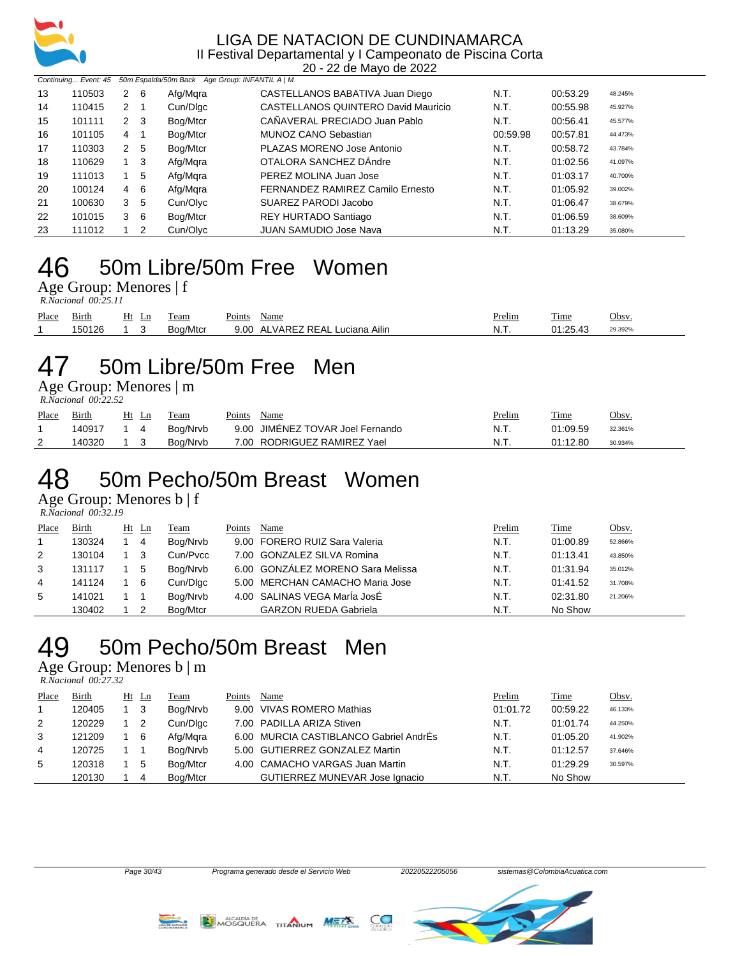

20 - 22 de Mayo de 2022

|    | Continuing Event: 45 50m Espalda/50m Back Age Group: INFANTIL A   M |                |             |          |                                     |          |          |         |  |  |  |  |
|----|---------------------------------------------------------------------|----------------|-------------|----------|-------------------------------------|----------|----------|---------|--|--|--|--|
| 13 | 110503                                                              | 2              | -6          | Afg/Mqra | CASTELLANOS BABATIVA Juan Diego     | N.T.     | 00:53.29 | 48.245% |  |  |  |  |
| 14 | 110415                                                              | $2 \quad 1$    |             | Cun/Dlgc | CASTELLANOS QUINTERO David Mauricio | N.T.     | 00:55.98 | 45.927% |  |  |  |  |
| 15 | 101111                                                              | $2 \quad 3$    |             | Bog/Mtcr | CAÑAVERAL PRECIADO Juan Pablo       | N.T.     | 00:56.41 | 45.577% |  |  |  |  |
| 16 | 101105                                                              | $\overline{4}$ | -1          | Bog/Mtcr | MUNOZ CANO Sebastian                | 00:59.98 | 00:57.81 | 44.473% |  |  |  |  |
| 17 | 110303                                                              | $2^{\circ}$    | -5          | Bog/Mtcr | PLAZAS MORENO Jose Antonio          | N.T.     | 00:58.72 | 43.784% |  |  |  |  |
| 18 | 110629                                                              |                | $1 \quad 3$ | Afg/Mgra | OTALORA SANCHEZ DAndre              | N.T.     | 01:02.56 | 41.097% |  |  |  |  |
| 19 | 111013                                                              |                | 5           | Afg/Mgra | PEREZ MOLINA Juan Jose              | N.T.     | 01:03.17 | 40.700% |  |  |  |  |
| 20 | 100124                                                              | $\overline{4}$ | -6          | Afg/Mgra | FERNANDEZ RAMIREZ Camilo Ernesto    | N.T.     | 01:05.92 | 39.002% |  |  |  |  |
| 21 | 100630                                                              | 3              | -5          | Cun/Olyc | SUAREZ PARODI Jacobo                | N.T.     | 01:06.47 | 38.679% |  |  |  |  |
| 22 | 101015                                                              | 3              | - 6         | Bog/Mtcr | REY HURTADO Santiago                | N.T.     | 01:06.59 | 38.609% |  |  |  |  |
| 23 | 111012                                                              |                | 2           | Cun/Olyc | <b>JUAN SAMUDIO Jose Nava</b>       | N.T.     | 01:13.29 | 35.080% |  |  |  |  |

### 50m Libre/50m Free Women

Age Group: Menores | f  *R.Nacional 00:25.11* 

| Place | $\sim$<br>Birth | Ht<br>Ln. | eam      | $\sim$<br>oints' | Name                            | Prelim  | $\mathbf{r}$<br><u>i ime</u> | Jbsv.   |
|-------|-----------------|-----------|----------|------------------|---------------------------------|---------|------------------------------|---------|
|       | 150126          |           | Boa/Mtcr | 9.00             | ALVAREZ REAL L<br>∟uciana Ailin | N.<br>. | 01.25A2                      | 29.392% |

### 50m Libre/50m Free Men

Age Group: Menores | m  *R.Nacional 00:22.52* 

| Place | <b>Birth</b> | Ht Ln       | Team     | Points | Name                             | <u>Prelim</u> | <b>Time</b> | Obsv.   |
|-------|--------------|-------------|----------|--------|----------------------------------|---------------|-------------|---------|
|       | 140917       | $1\quad 4$  | Boa/Nrvb |        | 9.00 JIMÉNEZ TOVAR Joel Fernando | -N.T.         | 01:09.59    | 32.361% |
|       | 140320       | $1 \quad 3$ | Boa/Nrvb |        | 7.00 RODRIGUEZ RAMIREZ Yael      | N.T.          | 01:12.80    | 30.934% |

### 50m Pecho/50m Breast Women

Age Group: Menores b | f

|                | $\frac{1}{2}$<br>R.Nacional 00:32.19 |             |    |          |        |                                   |        |          |         |
|----------------|--------------------------------------|-------------|----|----------|--------|-----------------------------------|--------|----------|---------|
| Place          | Birth                                | Ht Ln       |    | Team     | Points | Name                              | Prelim | Time     | Obsv.   |
|                | 130324                               | $1 \quad 4$ |    | Bog/Nrvb |        | 9.00 FORERO RUIZ Sara Valeria     | N.T.   | 01:00.89 | 52.866% |
| 2              | 130104                               | $1 \quad 3$ |    | Cun/Pycc |        | 7.00 GONZALEZ SILVA Romina        | N.T.   | 01:13.41 | 43.850% |
| 3              | 131117                               |             | -5 | Bog/Nrvb |        | 6.00 GONZÁLEZ MORENO Sara Melissa | N.T.   | 01:31.94 | 35.012% |
| $\overline{4}$ | 141124                               |             | -6 | Cun/Dlgc |        | 5.00 MERCHAN CAMACHO Maria Jose   | N.T.   | 01:41.52 | 31.708% |
| 5              | 141021                               |             |    | Bog/Nrvb |        | 4.00 SALINAS VEGA MarÍa JosÉ      | N.T.   | 02:31.80 | 21.206% |
|                | 130402                               |             |    | Boa/Mtcr |        | <b>GARZON RUEDA Gabriela</b>      | N.T.   | No Show  |         |

## 50m Pecho/50m Breast Men

Age Group: Menores b | m

| R.Nacional 00:27.32 |  |
|---------------------|--|

| Place | Birth  | $Ht$ Ln                    | <u>Team</u> | Points | Name                                   | Prelim   | Time     | Obsv.   |
|-------|--------|----------------------------|-------------|--------|----------------------------------------|----------|----------|---------|
|       | 120405 | - 3                        | Bog/Nrvb    |        | 9.00 VIVAS ROMERO Mathias              | 01:01.72 | 00:59.22 | 46.133% |
| 2     | 120229 | $\overline{\phantom{0}}^2$ | Cun/Dlgc    |        | 7.00 PADILLA ARIZA Stiven              | N.T.     | 01:01.74 | 44.250% |
| 3     | 121209 | - 6                        | Afg/Mgra    |        | 6.00 MURCIA CASTIBLANCO Gabriel AndrÉs | N.T.     | 01:05.20 | 41.902% |
| 4     | 120725 |                            | Bog/Nrvb    |        | 5.00 GUTIERREZ GONZALEZ Martin         | N.T.     | 01:12.57 | 37.646% |
| 5     | 120318 | -5                         | Bog/Mtcr    |        | 4.00 CAMACHO VARGAS Juan Martin        | N.T.     | 01:29.29 | 30.597% |
|       | 120130 | 4                          | Bog/Mtcr    |        | GUTIERREZ MUNEVAR Jose Ignacio         | N.T.     | No Show  |         |





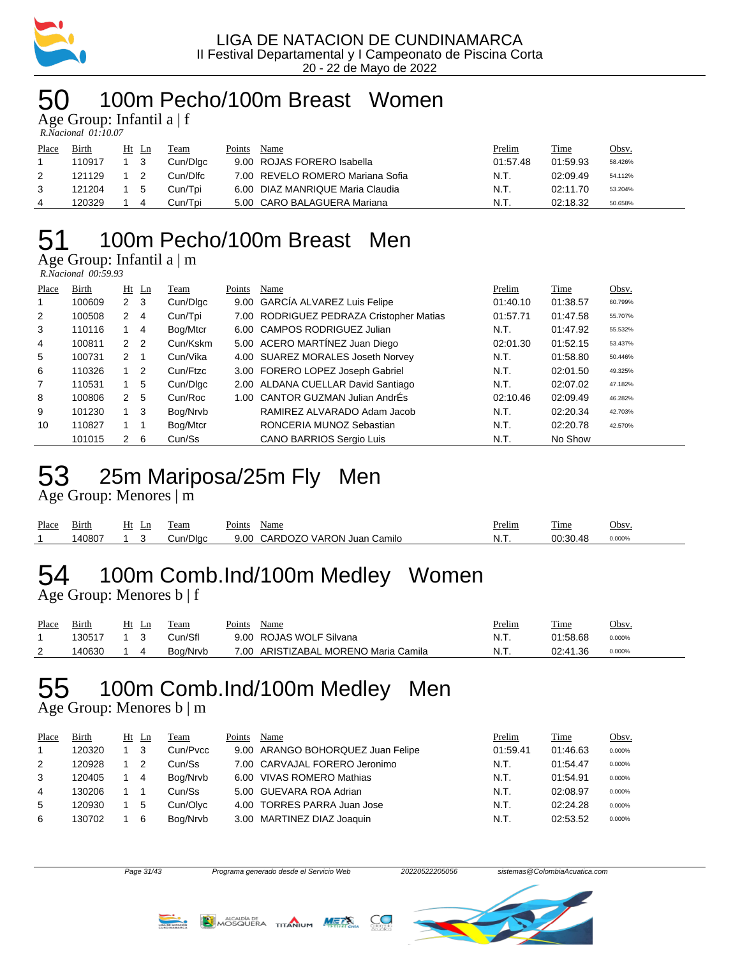

### 100m Pecho/100m Breast Women

Age Group: Infantil a  $|f|$ 

| R.Nacional 01:10.07 |  |
|---------------------|--|

| Place | Birth  | Ht Ln | Team     | Points | Name                             | Prelim   | Time     | <u>Obsv.</u> |
|-------|--------|-------|----------|--------|----------------------------------|----------|----------|--------------|
|       | 110917 |       | Cun/Dlac |        | 9.00 ROJAS FORERO Isabella       | 01:57.48 | 01:59.93 | 58.426%      |
|       | 121129 |       | Cun/Dlfc |        | 7.00 REVELO ROMERO Mariana Sofia | N.T.     | 02:09.49 | 54.112%      |
| 3     | 121204 | -5    | Cun/Tpi  |        | 6.00 DIAZ MANRIQUE Maria Claudia | N.T.     | 02:11.70 | 53.204%      |
| 4     | 120329 |       | Cun/Tpi  |        | 5.00 CARO BALAGUERA Mariana      | N.T.     | 02:18.32 | 50.658%      |

## 100m Pecho/100m Breast Men

Age Group: Infantil a | m

| R.Nacional 00:59.93 |  |
|---------------------|--|
|---------------------|--|

| Place | Birth  |                | $Ht$ Ln        | Team     | Points | Name                                     | Prelim   | Time     | Obsv.   |
|-------|--------|----------------|----------------|----------|--------|------------------------------------------|----------|----------|---------|
| 1     | 100609 | 2 <sub>3</sub> |                | Cun/Digc |        | 9.00 GARCIA ALVAREZ Luis Felipe          | 01:40.10 | 01:38.57 | 60.799% |
| 2     | 100508 | $\mathbf{2}$   | $\overline{4}$ | Cun/Tpi  |        | 7.00 RODRIGUEZ PEDRAZA Cristopher Matias | 01:57.71 | 01:47.58 | 55.707% |
| 3     | 110116 |                | 4              | Bog/Mtcr |        | 6.00 CAMPOS RODRIGUEZ Julian             | N.T.     | 01:47.92 | 55.532% |
| 4     | 100811 | 2 <sub>2</sub> |                | Cun/Kskm |        | 5.00 ACERO MARTÍNEZ Juan Diego           | 02:01.30 | 01:52.15 | 53.437% |
| 5     | 100731 | $2 \quad 1$    |                | Cun/Vika |        | 4.00 SUAREZ MORALES Joseth Norvey        | N.T.     | 01:58.80 | 50.446% |
| 6     | 110326 |                | $1\quad 2$     | Cun/Ftzc |        | 3.00 FORERO LOPEZ Joseph Gabriel         | N.T.     | 02:01.50 | 49.325% |
| 7     | 110531 |                | 5              | Cun/Dlgc |        | 2.00 ALDANA CUELLAR David Santiago       | N.T.     | 02:07.02 | 47.182% |
| 8     | 100806 | 2              | -5             | Cun/Roc  |        | 1.00 CANTOR GUZMAN Julian AndrÉs         | 02:10.46 | 02:09.49 | 46.282% |
| 9     | 101230 | $1 \quad 3$    |                | Bog/Nrvb |        | RAMIREZ ALVARADO Adam Jacob              | N.T.     | 02:20.34 | 42.703% |
| 10    | 110827 |                |                | Bog/Mtcr |        | RONCERIA MUNOZ Sebastian                 | N.T.     | 02:20.78 | 42.570% |
|       | 101015 | 2              | -6             | Cun/Ss   |        | <b>CANO BARRIOS Sergio Luis</b>          | N.T.     | No Show  |         |

## 25m Mariposa/25m Fly Men

Age Group: Menores | m

| Place | Birth | Ht<br>Ln | eam      | Points | Name                      | <b>Prelim</b> | m.<br>1 <sub>me</sub> | Obsv   |
|-------|-------|----------|----------|--------|---------------------------|---------------|-----------------------|--------|
|       | 40807 |          | Cun/Dlac | 9.00   | CARDOZO VARON Juan Camilo | -N. L         | 00.3048               | 0.000% |

# 100m Comb.Ind/100m Medley Women

Age Group: Menores b | f

| Place    | Birth  | Ln | Team     | Points | Name                            | <u>Prelim</u> | Time     | Obsv.  |
|----------|--------|----|----------|--------|---------------------------------|---------------|----------|--------|
|          | 130517 |    | วun/Sfl  |        | 9.00 ROJAS WOLF Silvana         | N.T.          | 01:58.68 | 0.000% |
| <u>_</u> | 140630 |    | Boa/Nrvb | 7.00   | ARISTIZABAL MORENO Maria Camila | N.T.          | 02:41.36 | 0.000% |

## 100m Comb.Ind/100m Medley Men

Age Group: Menores b | m

| Place | Birth  | $Ht$ Ln | Team     | Points | Name                              | Prelim   | Time     | Obsv.  |
|-------|--------|---------|----------|--------|-----------------------------------|----------|----------|--------|
|       | 120320 | - 3     | Cun/Pycc |        | 9.00 ARANGO BOHORQUEZ Juan Felipe | 01:59.41 | 01:46.63 | 0.000% |
| 2     | 120928 |         | Cun/Ss   |        | 7.00 CARVAJAL FORERO Jeronimo     | N.T.     | 01:54.47 | 0.000% |
|       | 120405 | -4      | Bog/Nrvb |        | 6.00 VIVAS ROMERO Mathias         | N.T.     | 01:54.91 | 0.000% |
| 4     | 130206 |         | Cun/Ss   |        | 5.00 GUEVARA ROA Adrian           | N.T.     | 02:08.97 | 0.000% |
| 5.    | 120930 | -5      | Cun/Olvc |        | 4.00 TORRES PARRA Juan Jose       | N.T.     | 02:24.28 | 0.000% |
| 6     | 130702 | 6       | Bog/Nrvb |        | 3.00 MARTINEZ DIAZ Joaquin        | N.T.     | 02:53.52 | 0.000% |





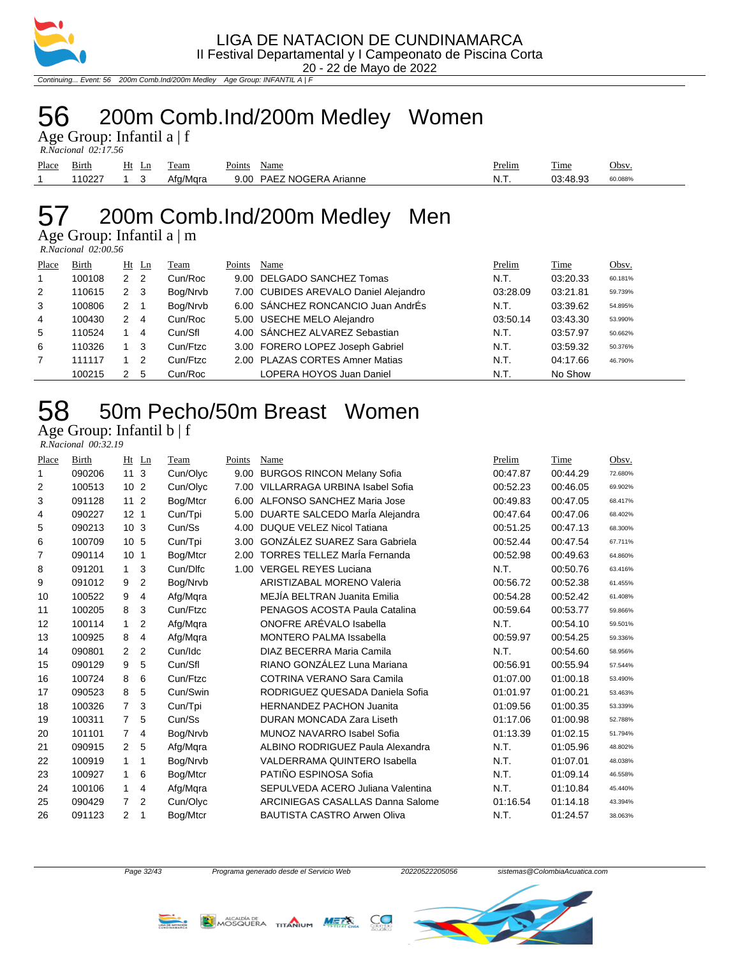

Continuing... Event: 56 200m Comb.Ind/200m Medley Age Group: INFANTIL A | F

### 200m Comb.Ind/200m Medley Women

Age Group: Infantil a | f  *R.Nacional 02:17.56* 

| Place | Birth      | Ht | eam      | Name<br>Points           | Prelim      | ---<br>l'ime | Obsv.   |
|-------|------------|----|----------|--------------------------|-------------|--------------|---------|
|       | <b>UZZ</b> |    | Afa/Mara | 9.00 PAEZ NOGERA Arianne | $N_{\rm H}$ | 73.AR 03     | 50.088% |

# 200m Comb.Ind/200m Medley Men

Age Group: Infantil a | m

| $R. Nacional$ 02:00.56 |  |
|------------------------|--|
|                        |  |

| Place | Birth  | Ht                   | Ln  | Team     | Points | Name                                  | Prelim   | Time     | Obsv.   |
|-------|--------|----------------------|-----|----------|--------|---------------------------------------|----------|----------|---------|
| 1     | 100108 | 2                    | 2   | Cun/Roc  |        | 9.00 DELGADO SANCHEZ Tomas            | N.T.     | 03:20.33 | 60.181% |
| 2     | 110615 | $\mathbf{2}^{\circ}$ | - 3 | Bog/Nrvb |        | 7.00 CUBIDES AREVALO Daniel Alejandro | 03:28.09 | 03:21.81 | 59.739% |
| 3     | 100806 | 2                    |     | Bog/Nrvb |        | 6.00 SÁNCHEZ RONCANCIO Juan AndrÉs    | N.T.     | 03:39.62 | 54.895% |
| 4     | 100430 | 2                    | 4   | Cun/Roc  |        | 5.00 USECHE MELO Alejandro            | 03:50.14 | 03:43.30 | 53.990% |
| 5     | 110524 |                      | 4   | Cun/Sfl  |        | 4.00 SÁNCHEZ ALVAREZ Sebastian        | N.T.     | 03:57.97 | 50.662% |
| 6     | 110326 |                      | 3   | Cun/Ftzc |        | 3.00 FORERO LOPEZ Joseph Gabriel      | N.T.     | 03:59.32 | 50.376% |
| 7     | 111117 |                      | 2   | Cun/Ftzc |        | 2.00 PLAZAS CORTES Amner Matias       | N.T.     | 04:17.66 | 46.790% |
|       | 100215 |                      | 5   | Cun/Roc  |        | LOPERA HOYOS Juan Daniel              | N.T.     | No Show  |         |

# 50m Pecho/50m Breast Women

Age Group: Infantil b | f  *R.Nacional 00:32.19* 

| Place | Birth  | Ln<br>Ht            | Team     | Points | Name                                  | Prelim   | Time     | Obsv.   |
|-------|--------|---------------------|----------|--------|---------------------------------------|----------|----------|---------|
| 1     | 090206 | 11<br>3             | Cun/Olyc | 9.00   | <b>BURGOS RINCON Melany Sofia</b>     | 00:47.87 | 00:44.29 | 72.680% |
| 2     | 100513 | 10 <sub>2</sub>     | Cun/Olyc | 7.00   | <b>VILLARRAGA URBINA Isabel Sofia</b> | 00:52.23 | 00:46.05 | 69.902% |
| 3     | 091128 | 11 <sub>2</sub>     | Bog/Mtcr | 6.00   | ALFONSO SANCHEZ Maria Jose            | 00:49.83 | 00:47.05 | 68.417% |
| 4     | 090227 | 12 <sub>1</sub>     | Cun/Tpi  | 5.00   | DUARTE SALCEDO MarÍa Alejandra        | 00:47.64 | 00:47.06 | 68.402% |
| 5     | 090213 | 10 <sub>3</sub>     | Cun/Ss   | 4.00   | <b>DUQUE VELEZ Nicol Tatiana</b>      | 00:51.25 | 00:47.13 | 68.300% |
| 6     | 100709 | 10 <sub>5</sub>     | Cun/Tpi  | 3.00   | <b>GONZÁLEZ SUAREZ Sara Gabriela</b>  | 00:52.44 | 00:47.54 | 67.711% |
| 7     | 090114 | 10 <sub>1</sub>     | Bog/Mtcr | 2.00   | <b>TORRES TELLEZ María Fernanda</b>   | 00:52.98 | 00:49.63 | 64.860% |
| 8     | 091201 | 3<br>$\mathbf{1}$   | Cun/Dlfc | 1.00   | <b>VERGEL REYES Luciana</b>           | N.T.     | 00:50.76 | 63.416% |
| 9     | 091012 | 2<br>9              | Bog/Nrvb |        | <b>ARISTIZABAL MORENO Valeria</b>     | 00:56.72 | 00:52.38 | 61.455% |
| 10    | 100522 | 9<br>4              | Afg/Mgra |        | MEJÍA BELTRAN Juanita Emilia          | 00:54.28 | 00:52.42 | 61.408% |
| 11    | 100205 | 3<br>8              | Cun/Ftzc |        | PENAGOS ACOSTA Paula Catalina         | 00:59.64 | 00:53.77 | 59.866% |
| 12    | 100114 | 1<br>2              | Afg/Mqra |        | ONOFRE ARÉVALO Isabella               | N.T.     | 00:54.10 | 59.501% |
| 13    | 100925 | 8<br>4              | Afg/Mqra |        | <b>MONTERO PALMA Issabella</b>        | 00:59.97 | 00:54.25 | 59.336% |
| 14    | 090801 | 2<br>2              | Cun/Idc  |        | DIAZ BECERRA Maria Camila             | N.T.     | 00:54.60 | 58.956% |
| 15    | 090129 | 5<br>9              | Cun/Sfl  |        | RIANO GONZÁLEZ Luna Mariana           | 00:56.91 | 00:55.94 | 57.544% |
| 16    | 100724 | 8<br>6              | Cun/Ftzc |        | COTRINA VERANO Sara Camila            | 01:07.00 | 01:00.18 | 53.490% |
| 17    | 090523 | 5<br>8              | Cun/Swin |        | RODRIGUEZ QUESADA Daniela Sofia       | 01:01.97 | 01:00.21 | 53.463% |
| 18    | 100326 | 7<br>3              | Cun/Tpi  |        | <b>HERNANDEZ PACHON Juanita</b>       | 01:09.56 | 01:00.35 | 53.339% |
| 19    | 100311 | 5<br>7              | Cun/Ss   |        | DURAN MONCADA Zara Liseth             | 01:17.06 | 01:00.98 | 52.788% |
| 20    | 101101 | 7<br>4              | Bog/Nrvb |        | MUNOZ NAVARRO Isabel Sofia            | 01:13.39 | 01:02.15 | 51.794% |
| 21    | 090915 | 5<br>$\overline{2}$ | Afg/Mqra |        | ALBINO RODRIGUEZ Paula Alexandra      | N.T.     | 01:05.96 | 48.802% |
| 22    | 100919 | 1<br>1              | Bog/Nrvb |        | <b>VALDERRAMA QUINTERO Isabella</b>   | N.T.     | 01:07.01 | 48.038% |
| 23    | 100927 | 6<br>1              | Bog/Mtcr |        | PATIÑO ESPINOSA Sofia                 | N.T.     | 01:09.14 | 46.558% |
| 24    | 100106 | 1<br>4              | Afg/Mgra |        | SEPULVEDA ACERO Juliana Valentina     | N.T.     | 01:10.84 | 45.440% |
| 25    | 090429 | 2<br>7              | Cun/Olyc |        | ARCINIEGAS CASALLAS Danna Salome      | 01:16.54 | 01:14.18 | 43.394% |
| 26    | 091123 | 2<br>1              | Bog/Mtcr |        | <b>BAUTISTA CASTRO Arwen Oliva</b>    | N.T.     | 01:24.57 | 38.063% |





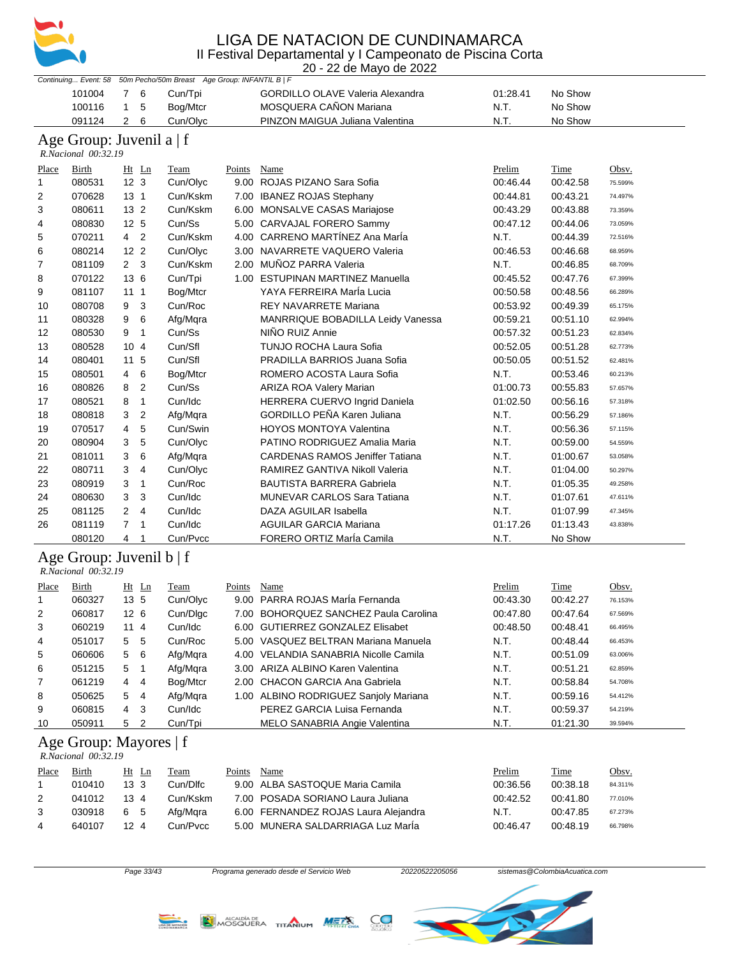

20 - 22 de Mayo de 2022

| $20 - 22$ do mayo do $2022$<br>Continuing Event: 58 50m Pecho/50m Breast Age Group: INFANTIL B   F |                                                      |                                  |             |               |                                        |          |             |         |
|----------------------------------------------------------------------------------------------------|------------------------------------------------------|----------------------------------|-------------|---------------|----------------------------------------|----------|-------------|---------|
|                                                                                                    | 101004                                               | 7 6                              | Cun/Tpi     |               | GORDILLO OLAVE Valeria Alexandra       | 01:28.41 | No Show     |         |
|                                                                                                    | 100116                                               | $\mathbf{1}$<br>5                | Bog/Mtcr    |               | MOSQUERA CAÑON Mariana                 | N.T.     | No Show     |         |
|                                                                                                    | 091124                                               | $\overline{2}$<br>6              | Cun/Olyc    |               | PINZON MAIGUA Juliana Valentina        | N.T.     | No Show     |         |
|                                                                                                    | Age Group: Juvenil a   f<br>R.Nacional 00:32.19      |                                  |             |               |                                        |          |             |         |
| Place                                                                                              | <b>Birth</b>                                         | $Ht$ Ln                          | <b>Team</b> | <b>Points</b> | <b>Name</b>                            | Prelim   | <u>Time</u> | Obsv.   |
| $\mathbf{1}$                                                                                       | 080531                                               | 12 <sub>3</sub>                  | Cun/Olyc    |               | 9.00 ROJAS PIZANO Sara Sofia           | 00:46.44 | 00:42.58    | 75.599% |
| 2                                                                                                  | 070628                                               | 13 <sub>1</sub>                  | Cun/Kskm    |               | 7.00 IBANEZ ROJAS Stephany             | 00:44.81 | 00:43.21    | 74.497% |
| 3                                                                                                  | 080611                                               | 13 <sub>2</sub>                  | Cun/Kskm    |               | 6.00 MONSALVE CASAS Mariajose          | 00:43.29 | 00:43.88    | 73.359% |
| 4                                                                                                  | 080830                                               | 12 5                             | Cun/Ss      |               | 5.00 CARVAJAL FORERO Sammy             | 00:47.12 | 00:44.06    | 73.059% |
| 5                                                                                                  | 070211                                               | 4 <sup>2</sup>                   | Cun/Kskm    |               | 4.00 CARRENO MARTÍNEZ Ana MarÍa        | N.T.     | 00:44.39    | 72.516% |
| 6                                                                                                  | 080214                                               | 12 <sub>2</sub>                  | Cun/Olyc    |               | 3.00 NAVARRETE VAQUERO Valeria         | 00:46.53 | 00:46.68    | 68.959% |
| 7                                                                                                  | 081109                                               | 2 <sub>3</sub>                   | Cun/Kskm    |               | 2.00 MUÑOZ PARRA Valeria               | N.T.     | 00:46.85    | 68.709% |
| 8                                                                                                  | 070122                                               | 13 6                             | Cun/Tpi     |               | 1.00 ESTUPINAN MARTINEZ Manuella       | 00:45.52 | 00:47.76    | 67.399% |
| 9                                                                                                  | 081107                                               | 111                              | Bog/Mtcr    |               | YAYA FERREIRA MarÍa Lucia              | 00:50.58 | 00:48.56    | 66.289% |
| 10                                                                                                 | 080708                                               | 9 3                              | Cun/Roc     |               | <b>REY NAVARRETE Mariana</b>           | 00:53.92 | 00:49.39    | 65.175% |
| 11                                                                                                 | 080328                                               | 9<br>6                           | Afg/Mqra    |               | MANRRIQUE BOBADILLA Leidy Vanessa      | 00:59.21 | 00:51.10    | 62.994% |
| 12                                                                                                 | 080530                                               | $\overline{\phantom{0}}$<br>9    | Cun/Ss      |               | NIÑO RUIZ Annie                        | 00:57.32 | 00:51.23    | 62.834% |
| 13                                                                                                 | 080528                                               | 104                              | Cun/Sfl     |               | TUNJO ROCHA Laura Sofia                | 00:52.05 | 00:51.28    | 62.773% |
| 14                                                                                                 | 080401                                               | 11 5                             | Cun/Sfl     |               | PRADILLA BARRIOS Juana Sofia           | 00:50.05 | 00:51.52    | 62.481% |
| 15                                                                                                 | 080501                                               | 6<br>4                           | Bog/Mtcr    |               | ROMERO ACOSTA Laura Sofia              | N.T.     | 00:53.46    | 60.213% |
| 16                                                                                                 | 080826                                               | 8<br>$\overline{2}$              | Cun/Ss      |               | ARIZA ROA Valery Marian                | 01:00.73 | 00:55.83    | 57.657% |
| 17                                                                                                 | 080521                                               | $\overline{1}$<br>8              | Cun/Idc     |               | HERRERA CUERVO Ingrid Daniela          | 01:02.50 | 00:56.16    | 57.318% |
| 18                                                                                                 | 080818                                               | 3<br>2                           | Afg/Mqra    |               | <b>GORDILLO PEÑA Karen Juliana</b>     | N.T.     | 00:56.29    | 57.186% |
| 19                                                                                                 | 070517                                               | 5<br>4                           | Cun/Swin    |               | <b>HOYOS MONTOYA Valentina</b>         | N.T.     | 00:56.36    | 57.115% |
| 20                                                                                                 | 080904                                               | 3<br>5                           | Cun/Olyc    |               | PATINO RODRIGUEZ Amalia Maria          | N.T.     | 00:59.00    | 54.559% |
| 21                                                                                                 | 081011                                               | 3<br>6                           | Afg/Mqra    |               | <b>CARDENAS RAMOS Jeniffer Tatiana</b> | N.T.     | 01:00.67    | 53.058% |
| 22                                                                                                 | 080711                                               | 3<br>4                           | Cun/Olyc    |               | RAMIREZ GANTIVA Nikoll Valeria         | N.T.     | 01:04.00    | 50.297% |
| 23                                                                                                 | 080919                                               | 3<br>$\overline{1}$              | Cun/Roc     |               | <b>BAUTISTA BARRERA Gabriela</b>       | N.T.     | 01:05.35    | 49.258% |
| 24                                                                                                 | 080630                                               | 3<br>3                           | Cun/Idc     |               | <b>MUNEVAR CARLOS Sara Tatiana</b>     | N.T.     | 01:07.61    | 47.611% |
| 25                                                                                                 | 081125                                               | $\overline{2}$<br>$\overline{4}$ | Cun/Idc     |               | DAZA AGUILAR Isabella                  | N.T.     | 01:07.99    | 47.345% |
| 26                                                                                                 | 081119                                               | 7 <sub>1</sub>                   | Cun/Idc     |               | <b>AGUILAR GARCIA Mariana</b>          | 01:17.26 | 01:13.43    | 43.838% |
|                                                                                                    | 080120                                               | $4\overline{ }$<br>$\mathbf{1}$  | Cun/Pvcc    |               | FORERO ORTIZ María Camila              | N.T.     | No Show     |         |
|                                                                                                    | Age Group: Juvenil $b \mid f$<br>R.Nacional 00:32.19 |                                  |             |               |                                        |          |             |         |
| Place                                                                                              | <b>Birth</b>                                         | $Ht$ Ln                          | <b>Team</b> | <b>Points</b> | <b>Name</b>                            | Prelim   | <b>Time</b> | Obsy.   |
| 1                                                                                                  | 060327                                               | 13 <sub>5</sub>                  | Cun/Olyc    |               | 9.00 PARRA ROJAS María Fernanda        | 00:43.30 | 00:42.27    | 76.153% |
| 2                                                                                                  | 060817                                               | 12 6                             | Cun/Dlgc    |               | 7.00 BOHORQUEZ SANCHEZ Paula Carolina  | 00:47.80 | 00:47.64    | 67.569% |
| 3                                                                                                  | 060219                                               | 11 4                             | Cun/Idc     |               | 6.00 GUTIERREZ GONZALEZ Elisabet       | 00:48.50 | 00:48.41    | 66.495% |
| 4                                                                                                  | 051017                                               | $-5$<br>5                        | Cun/Roc     |               | 5.00 VASQUEZ BELTRAN Mariana Manuela   | N.T.     | 00:48.44    | 66.453% |
| 5                                                                                                  | 060606                                               | 6<br>5                           | Afg/Mqra    |               | 4.00 VELANDIA SANABRIA Nicolle Camila  | N.T.     | 00:51.09    | 63.006% |
| 6                                                                                                  | 051215                                               | $\overline{1}$<br>5              | Afg/Mqra    |               | 3.00 ARIZA ALBINO Karen Valentina      | N.T.     | 00:51.21    | 62.859% |
| 7                                                                                                  | 061219                                               | 4<br>4                           | Bog/Mtcr    |               | 2.00 CHACON GARCIA Ana Gabriela        | N.T.     | 00:58.84    | 54.708% |
| 8                                                                                                  | 050625                                               | 5<br>4                           | Afg/Mqra    |               | 1.00 ALBINO RODRIGUEZ Sanjoly Mariana  | N.T.     | 00:59.16    | 54.412% |
| 9                                                                                                  | 060815                                               | 3<br>4                           | Cun/Idc     |               | PEREZ GARCIA Luisa Fernanda            | N.T.     | 00:59.37    | 54.219% |
| 10                                                                                                 | 050911                                               | 5<br>2                           | Cun/Tpi     |               | MELO SANABRIA Angie Valentina          | N.T.     | 01:21.30    | 39.594% |
|                                                                                                    | Age Group: Mayores   f<br>R.Nacional 00:32.19        |                                  |             |               |                                        |          |             |         |
| Place                                                                                              | Birth                                                | $Ht$ Ln                          | <b>Team</b> | Points Name   |                                        | Prelim   | <b>Time</b> | Obsv.   |
| 1                                                                                                  | 010410                                               | 13 <sub>3</sub>                  | Cun/Dlfc    |               | 9.00 ALBA SASTOQUE Maria Camila        | 00:36.56 | 00:38.18    | 84.311% |
| 2                                                                                                  | 041012                                               | 13 4                             | Cun/Kskm    |               | 7.00 POSADA SORIANO Laura Juliana      | 00:42.52 | 00:41.80    | 77.010% |
| 3                                                                                                  | 030918                                               | 6 5                              | Afg/Mqra    |               | 6.00 FERNANDEZ ROJAS Laura Alejandra   | N.T.     | 00:47.85    | 67.273% |
| 4                                                                                                  | 640107                                               | 12 4                             | Cun/Pvcc    |               | 5.00 MUNERA SALDARRIAGA Luz Marla      | 00:46.47 | 00:48.19    | 66.798% |
|                                                                                                    |                                                      |                                  |             |               |                                        |          |             |         |



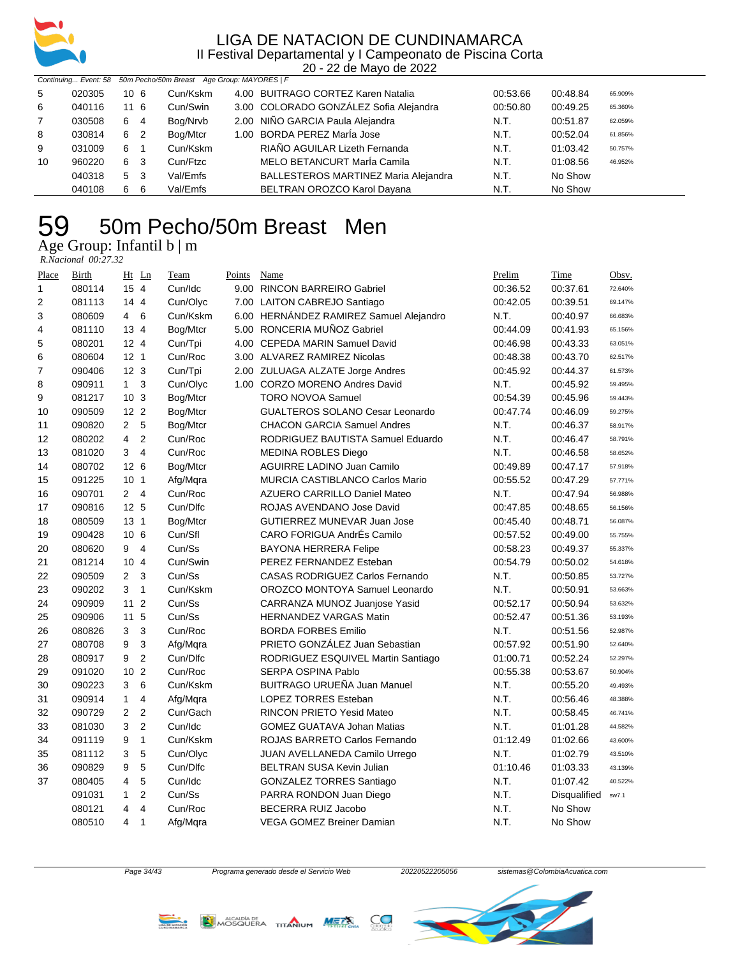

20 - 22 de Mayo de 2022

|    |        |                     | Continuing Event: 58 50m Pecho/50m Breast Age Group: MAYORES   F |                                        |          |          |         |
|----|--------|---------------------|------------------------------------------------------------------|----------------------------------------|----------|----------|---------|
| 5  | 020305 | 10 <sub>6</sub>     | Cun/Kskm                                                         | 4.00 BUITRAGO CORTEZ Karen Natalia     | 00:53.66 | 00:48.84 | 65.909% |
| 6  | 040116 | 116                 | Cun/Swin                                                         | 3.00 COLORADO GONZÁLEZ Sofia Alejandra | 00:50.80 | 00:49.25 | 65.360% |
| 7  | 030508 | 6 4                 | Bog/Nrvb                                                         | 2.00 NIÑO GARCIA Paula Alejandra       | N.T.     | 00:51.87 | 62.059% |
| 8  | 030814 | 6 2                 | Bog/Mtcr                                                         | 1.00 BORDA PEREZ MarÍa Jose            | N.T.     | 00:52.04 | 61.856% |
| 9  | 031009 | 6<br>$\overline{1}$ | Cun/Kskm                                                         | RIAÑO AGUILAR Lizeth Fernanda          | N.T.     | 01:03.42 | 50.757% |
| 10 | 960220 | 6 3                 | Cun/Ftzc                                                         | MELO BETANCURT MarÍa Camila            | N.T.     | 01:08.56 | 46.952% |
|    | 040318 | 5 3                 | Val/Emfs                                                         | BALLESTEROS MARTINEZ Maria Alejandra   | N.T.     | No Show  |         |
|    | 040108 | -6<br>6             | Val/Emfs                                                         | BELTRAN OROZCO Karol Dayana            | N.T.     | No Show  |         |

### 50m Pecho/50m Breast Men Age Group: Infantil b | m

 *R.Nacional 00:27.32* 

| Place          | Birth  |                         | $Ht$ Ln                 | Team     | Points | Name                                    | Prelim   | Time         | Obsv.   |
|----------------|--------|-------------------------|-------------------------|----------|--------|-----------------------------------------|----------|--------------|---------|
| $\mathbf{1}$   | 080114 | 15 4                    |                         | Cun/Idc  |        | 9.00 RINCON BARREIRO Gabriel            | 00:36.52 | 00:37.61     | 72.640% |
| $\overline{2}$ | 081113 | 14 4                    |                         | Cun/Olyc |        | 7.00 LAITON CABREJO Santiago            | 00:42.05 | 00:39.51     | 69.147% |
| 3              | 080609 | $\overline{4}$          | 6                       | Cun/Kskm |        | 6.00 HERNÁNDEZ RAMIREZ Samuel Alejandro | N.T.     | 00:40.97     | 66.683% |
| 4              | 081110 | 13 4                    |                         | Bog/Mtcr |        | 5.00 RONCERIA MUÑOZ Gabriel             | 00:44.09 | 00:41.93     | 65.156% |
| 5              | 080201 | $12 \quad 4$            |                         | Cun/Tpi  |        | 4.00 CEPEDA MARIN Samuel David          | 00:46.98 | 00:43.33     | 63.051% |
| 6              | 080604 | 12 <sub>1</sub>         |                         | Cun/Roc  |        | 3.00 ALVAREZ RAMIREZ Nicolas            | 00:48.38 | 00:43.70     | 62.517% |
| $\overline{7}$ | 090406 | 12 <sub>3</sub>         |                         | Cun/Tpi  |        | 2.00 ZULUAGA ALZATE Jorge Andres        | 00:45.92 | 00:44.37     | 61.573% |
| 8              | 090911 | $\mathbf{1}$            | 3                       | Cun/Olyc |        | 1.00 CORZO MORENO Andres David          | N.T.     | 00:45.92     | 59.495% |
| 9              | 081217 | 10 <sub>3</sub>         |                         | Bog/Mtcr |        | <b>TORO NOVOA Samuel</b>                | 00:54.39 | 00:45.96     | 59.443% |
| 10             | 090509 | 12 2                    |                         | Bog/Mtcr |        | <b>GUALTEROS SOLANO Cesar Leonardo</b>  | 00:47.74 | 00:46.09     | 59.275% |
| 11             | 090820 | $\overline{2}$          | 5                       | Bog/Mtcr |        | <b>CHACON GARCIA Samuel Andres</b>      | N.T.     | 00:46.37     | 58.917% |
| 12             | 080202 | $\overline{\mathbf{4}}$ | $\overline{c}$          | Cun/Roc  |        | RODRIGUEZ BAUTISTA Samuel Eduardo       | N.T.     | 00:46.47     | 58.791% |
| 13             | 081020 | 3                       | $\overline{4}$          | Cun/Roc  |        | <b>MEDINA ROBLES Diego</b>              | N.T.     | 00:46.58     | 58.652% |
| 14             | 080702 | 12 <sub>6</sub>         |                         | Bog/Mtcr |        | <b>AGUIRRE LADINO Juan Camilo</b>       | 00:49.89 | 00:47.17     | 57.918% |
| 15             | 091225 | 10 <sub>1</sub>         |                         | Afg/Mqra |        | MURCIA CASTIBLANCO Carlos Mario         | 00:55.52 | 00:47.29     | 57.771% |
| 16             | 090701 | $\overline{2}$          | $\overline{4}$          | Cun/Roc  |        | AZUERO CARRILLO Daniel Mateo            | N.T.     | 00:47.94     | 56.988% |
| 17             | 090816 | 12 <sub>5</sub>         |                         | Cun/Dlfc |        | ROJAS AVENDANO Jose David               | 00:47.85 | 00:48.65     | 56.156% |
| 18             | 080509 | 13 <sub>1</sub>         |                         | Bog/Mtcr |        | <b>GUTIERREZ MUNEVAR Juan Jose</b>      | 00:45.40 | 00:48.71     | 56.087% |
| 19             | 090428 | 10 <sub>6</sub>         |                         | Cun/Sfl  |        | CARO FORIGUA AndrÉs Camilo              | 00:57.52 | 00:49.00     | 55.755% |
| 20             | 080620 | 9                       | $\overline{4}$          | Cun/Ss   |        | BAYONA HERRERA Felipe                   | 00:58.23 | 00:49.37     | 55.337% |
| 21             | 081214 | 104                     |                         | Cun/Swin |        | PEREZ FERNANDEZ Esteban                 | 00:54.79 | 00:50.02     | 54.618% |
| 22             | 090509 | $\overline{2}$          | 3                       | Cun/Ss   |        | <b>CASAS RODRIGUEZ Carlos Fernando</b>  | N.T.     | 00:50.85     | 53.727% |
| 23             | 090202 | 3                       | $\mathbf{1}$            | Cun/Kskm |        | OROZCO MONTOYA Samuel Leonardo          | N.T.     | 00:50.91     | 53.663% |
| 24             | 090909 | 11                      | $\overline{2}$          | Cun/Ss   |        | CARRANZA MUNOZ Juanjose Yasid           | 00:52.17 | 00:50.94     | 53.632% |
| 25             | 090906 | 11                      | 5                       | Cun/Ss   |        | <b>HERNANDEZ VARGAS Matin</b>           | 00:52.47 | 00:51.36     | 53.193% |
| 26             | 080826 | 3                       | 3                       | Cun/Roc  |        | <b>BORDA FORBES Emilio</b>              | N.T.     | 00:51.56     | 52.987% |
| 27             | 080708 | 9                       | 3                       | Afg/Mqra |        | PRIETO GONZÁLEZ Juan Sebastian          | 00:57.92 | 00:51.90     | 52.640% |
| 28             | 080917 | 9                       | $\overline{c}$          | Cun/Dlfc |        | RODRIGUEZ ESQUIVEL Martin Santiago      | 01:00.71 | 00:52.24     | 52.297% |
| 29             | 091020 | 10                      | $\overline{2}$          | Cun/Roc  |        | <b>SERPA OSPINA Pablo</b>               | 00:55.38 | 00:53.67     | 50.904% |
| 30             | 090223 | 3                       | 6                       | Cun/Kskm |        | BUITRAGO URUEÑA Juan Manuel             | N.T.     | 00:55.20     | 49.493% |
| 31             | 090914 | $\mathbf{1}$            | 4                       | Afg/Mqra |        | <b>LOPEZ TORRES Esteban</b>             | N.T.     | 00:56.46     | 48.388% |
| 32             | 090729 | $\overline{2}$          | $\overline{2}$          | Cun/Gach |        | RINCON PRIETO Yesid Mateo               | N.T.     | 00:58.45     | 46.741% |
| 33             | 081030 | 3                       | $\overline{2}$          | Cun/Idc  |        | <b>GOMEZ GUATAVA Johan Matias</b>       | N.T.     | 01:01.28     | 44.582% |
| 34             | 091119 | 9                       | $\mathbf{1}$            | Cun/Kskm |        | ROJAS BARRETO Carlos Fernando           | 01:12.49 | 01:02.66     | 43.600% |
| 35             | 081112 | 3                       | 5                       | Cun/Olyc |        | JUAN AVELLANEDA Camilo Urrego           | N.T.     | 01:02.79     | 43.510% |
| 36             | 090829 | 9                       | 5                       | Cun/Dlfc |        | <b>BELTRAN SUSA Kevin Julian</b>        | 01:10.46 | 01:03.33     | 43.139% |
| 37             | 080405 | $\overline{4}$          | 5                       | Cun/Idc  |        | <b>GONZALEZ TORRES Santiago</b>         | N.T.     | 01:07.42     | 40.522% |
|                | 091031 | $\mathbf{1}$            | $\overline{c}$          | Cun/Ss   |        | PARRA RONDON Juan Diego                 | N.T.     | Disqualified | sw7.1   |
|                | 080121 | $\overline{4}$          | $\overline{\mathbf{4}}$ | Cun/Roc  |        | <b>BECERRA RUIZ Jacobo</b>              | N.T.     | No Show      |         |
|                | 080510 | 4                       | $\mathbf{1}$            | Afg/Mqra |        | <b>VEGA GOMEZ Breiner Damian</b>        | N.T.     | No Show      |         |





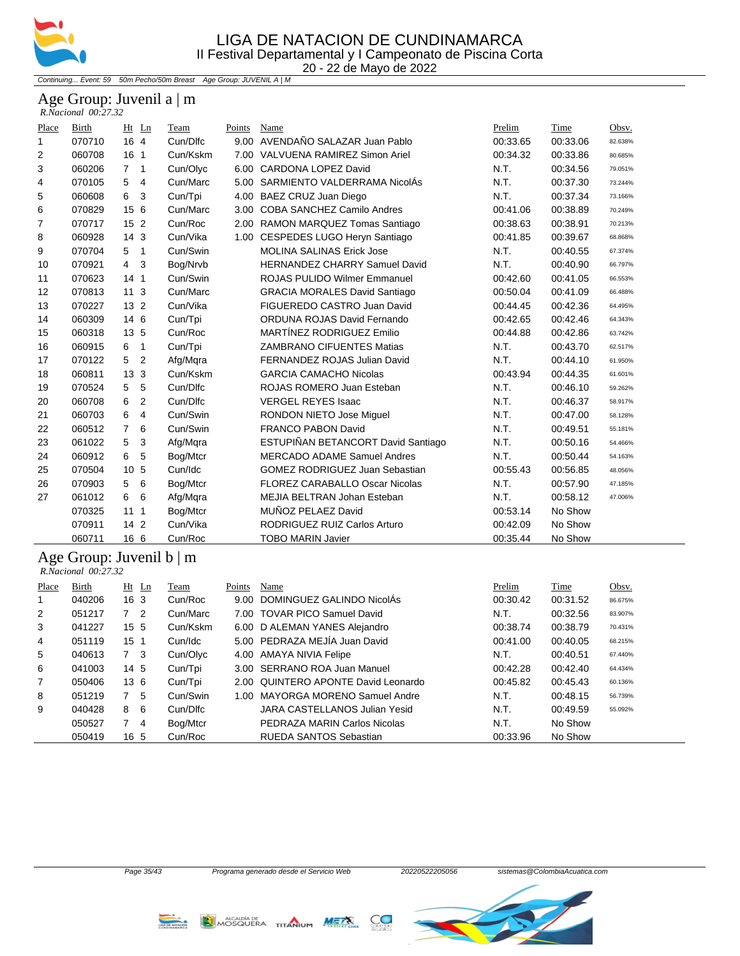

Continuing... Event: 59 50m Pecho/50m Breast Age Group: JUVENIL A | M

#### Age Group: Juvenil a | m  *R.Nacional 00:27.32*

| Place        | <b>Birth</b>                  | Ht Ln                 | Team     | Points | Name                                  | Prelim   | Time     | Obsv.   |  |
|--------------|-------------------------------|-----------------------|----------|--------|---------------------------------------|----------|----------|---------|--|
| $\mathbf{1}$ | 070710                        | 16 4                  | Cun/Dlfc |        | 9.00 AVENDAÑO SALAZAR Juan Pablo      | 00:33.65 | 00:33.06 | 82.638% |  |
| 2            | 060708                        | 16 <sub>1</sub>       | Cun/Kskm | 7.00   | VALVUENA RAMIREZ Simon Ariel          | 00:34.32 | 00:33.86 | 80.685% |  |
| 3            | 060206                        | $7^{\circ}$<br>1      | Cun/Olyc | 6.00   | <b>CARDONA LOPEZ David</b>            | N.T.     | 00:34.56 | 79.051% |  |
| 4            | 070105                        | 5<br>4                | Cun/Marc | 5.00   | SARMIENTO VALDERRAMA NicolÁs          | N.T.     | 00:37.30 | 73.244% |  |
| 5            | 060608                        | 6<br>3                | Cun/Tpi  | 4.00   | BAEZ CRUZ Juan Diego                  | N.T.     | 00:37.34 | 73.166% |  |
| 6            | 070829                        | 15 6                  | Cun/Marc | 3.00   | <b>COBA SANCHEZ Camilo Andres</b>     | 00:41.06 | 00:38.89 | 70.249% |  |
| 7            | 070717                        | 15 <sub>2</sub>       | Cun/Roc  |        | 2.00 RAMON MARQUEZ Tomas Santiago     | 00:38.63 | 00:38.91 | 70.213% |  |
| 8            | 060928                        | 14 <sub>3</sub>       | Cun/Vika | 1.00   | CESPEDES LUGO Heryn Santiago          | 00:41.85 | 00:39.67 | 68.868% |  |
| 9            | 070704                        | 5<br>$\mathbf{1}$     | Cun/Swin |        | <b>MOLINA SALINAS Erick Jose</b>      | N.T.     | 00:40.55 | 67.374% |  |
| 10           | 070921                        | $\overline{4}$<br>3   | Bog/Nrvb |        | HERNANDEZ CHARRY Samuel David         | N.T.     | 00:40.90 | 66.797% |  |
| 11           | 070623                        | 14 <sub>1</sub>       | Cun/Swin |        | <b>ROJAS PULIDO Wilmer Emmanuel</b>   | 00:42.60 | 00:41.05 | 66.553% |  |
| 12           | 070813                        | 11 <sub>3</sub>       | Cun/Marc |        | <b>GRACIA MORALES David Santiago</b>  | 00:50.04 | 00:41.09 | 66.488% |  |
| 13           | 070227                        | 13 <sub>2</sub>       | Cun/Vika |        | FIGUEREDO CASTRO Juan David           | 00:44.45 | 00:42.36 | 64.495% |  |
| 14           | 060309                        | 14 6                  | Cun/Tpi  |        | ORDUNA ROJAS David Fernando           | 00:42.65 | 00:42.46 | 64.343% |  |
| 15           | 060318                        | 13 5                  | Cun/Roc  |        | MARTÍNEZ RODRIGUEZ Emilio             | 00:44.88 | 00:42.86 | 63.742% |  |
| 16           | 060915                        | 6<br>$\mathbf{1}$     | Cun/Tpi  |        | <b>ZAMBRANO CIFUENTES Matias</b>      | N.T.     | 00:43.70 | 62.517% |  |
| 17           | 070122                        | $\overline{2}$<br>5   | Afg/Mqra |        | FERNANDEZ ROJAS Julian David          | N.T.     | 00:44.10 | 61.950% |  |
| 18           | 060811                        | 3<br>13 <sup>13</sup> | Cun/Kskm |        | <b>GARCIA CAMACHO Nicolas</b>         | 00:43.94 | 00:44.35 | 61.601% |  |
| 19           | 070524                        | 5<br>5                | Cun/Dlfc |        | ROJAS ROMERO Juan Esteban             | N.T.     | 00:46.10 | 59.262% |  |
| 20           | 060708                        | $\overline{2}$<br>6   | Cun/Dlfc |        | <b>VERGEL REYES Isaac</b>             | N.T.     | 00:46.37 | 58.917% |  |
| 21           | 060703                        | 4<br>6                | Cun/Swin |        | <b>RONDON NIETO Jose Miquel</b>       | N.T.     | 00:47.00 | 58.128% |  |
| 22           | 060512                        | $\overline{7}$<br>6   | Cun/Swin |        | <b>FRANCO PABON David</b>             | N.T.     | 00:49.51 | 55.181% |  |
| 23           | 061022                        | 5<br>3                | Afg/Mqra |        | ESTUPIÑAN BETANCORT David Santiago    | N.T.     | 00:50.16 | 54.466% |  |
| 24           | 060912                        | 5<br>6                | Bog/Mtcr |        | MERCADO ADAME Samuel Andres           | N.T.     | 00:50.44 | 54.163% |  |
| 25           | 070504                        | 10 5                  | Cun/Idc  |        | <b>GOMEZ RODRIGUEZ Juan Sebastian</b> | 00:55.43 | 00:56.85 | 48.056% |  |
| 26           | 070903                        | 6<br>5                | Bog/Mtcr |        | <b>FLOREZ CARABALLO Oscar Nicolas</b> | N.T.     | 00:57.90 | 47.185% |  |
| 27           | 061012                        | 6<br>6                | Afg/Mqra |        | MEJIA BELTRAN Johan Esteban           | N.T.     | 00:58.12 | 47.006% |  |
|              | 070325                        | 1111                  | Bog/Mtcr |        | MUÑOZ PELAEZ David                    | 00:53.14 | No Show  |         |  |
|              | 070911                        | 14 <sub>2</sub>       | Cun/Vika |        | RODRIGUEZ RUIZ Carlos Arturo          | 00:42.09 | No Show  |         |  |
|              | 060711                        | 16 6                  | Cun/Roc  |        | <b>TOBO MARIN Javier</b>              | 00:35.44 | No Show  |         |  |
|              |                               |                       |          |        |                                       |          |          |         |  |
|              | Age Group: Juvenil $b \mid m$ |                       |          |        |                                       |          |          |         |  |

### *R.Nacional 00:27.32*

| Place          | Birth  | $Ht$ Ln         | Team     | Points | Name                                | Prelim   | Time     | Obsv.   |
|----------------|--------|-----------------|----------|--------|-------------------------------------|----------|----------|---------|
|                | 040206 | 16 <sub>3</sub> | Cun/Roc  | 9.00   | DOMINGUEZ GALINDO NicolÁs           | 00:30.42 | 00:31.52 | 86.675% |
| 2              | 051217 | 7 <sup>2</sup>  | Cun/Marc |        | 7.00 TOVAR PICO Samuel David        | N.T.     | 00:32.56 | 83.907% |
| 3              | 041227 | $15 \;\; 5$     | Cun/Kskm |        | 6.00 D ALEMAN YANES Alejandro       | 00:38.74 | 00:38.79 | 70.431% |
| 4              | 051119 | 15 <sub>1</sub> | Cun/Idc  |        | 5.00 PEDRAZA MEJÍA Juan David       | 00:41.00 | 00:40.05 | 68.215% |
| 5              | 040613 | 7 <sup>3</sup>  | Cun/Olyc |        | 4.00 AMAYA NIVIA Felipe             | N.T.     | 00:40.51 | 67.440% |
| 6              | 041003 | 14 5            | Cun/Tpi  |        | 3.00 SERRANO ROA Juan Manuel        | 00:42.28 | 00:42.40 | 64.434% |
| $\overline{7}$ | 050406 | 136             | Cun/Tpi  |        | 2.00 QUINTERO APONTE David Leonardo | 00:45.82 | 00:45.43 | 60.136% |
| 8              | 051219 | -5              | Cun/Swin | 1.00   | MAYORGA MORFNO Samuel Andre         | N.T.     | 00:48.15 | 56.739% |
| 9              | 040428 | - 6<br>8        | Cun/Dlfc |        | JARA CASTELLANOS Julian Yesid       | N.T.     | 00:49.59 | 55.092% |
|                | 050527 | -4              | Bog/Mtcr |        | PEDRAZA MARIN Carlos Nicolas        | N.T.     | No Show  |         |
|                | 050419 | 16 5            | Cun/Roc  |        | RUEDA SANTOS Sebastian              | 00:33.96 | No Show  |         |





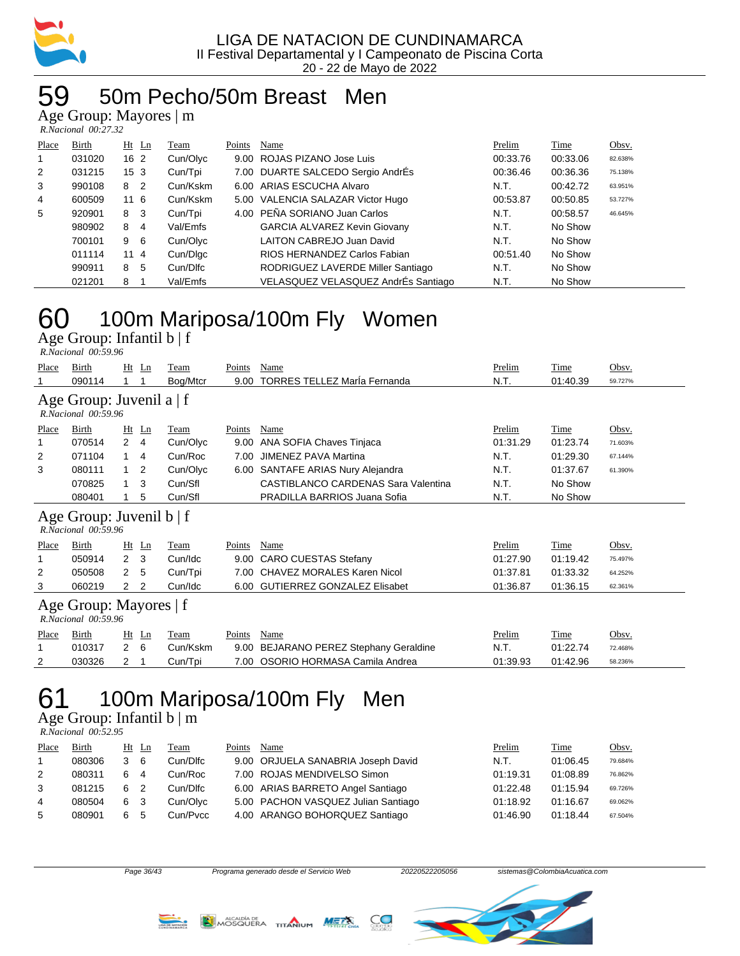

### 59 50m Pecho/50m Breast Men

Age Group: Mayores | m  *R.Nacional 00:27.32* 

| Place          | Birth  | $Ht$ Ln         |                | Team     | Points | Name                                | Prelim   | Time     | Obsv.   |
|----------------|--------|-----------------|----------------|----------|--------|-------------------------------------|----------|----------|---------|
| 1              | 031020 | 16 <sub>2</sub> |                | Cun/Olyc |        | 9.00 ROJAS PIZANO Jose Luis         | 00:33.76 | 00:33.06 | 82.638% |
| $\overline{2}$ | 031215 | 15 <sub>3</sub> |                | Cun/Tpi  |        | 7.00 DUARTE SALCEDO Sergio AndrÉs   | 00:36.46 | 00:36.36 | 75.138% |
| 3              | 990108 | 8               | $\overline{2}$ | Cun/Kskm |        | 6.00 ARIAS ESCUCHA Alvaro           | N.T.     | 00:42.72 | 63.951% |
| 4              | 600509 | 116             |                | Cun/Kskm |        | 5.00 VALENCIA SALAZAR Victor Hugo   | 00:53.87 | 00:50.85 | 53.727% |
| 5              | 920901 | 8               | -3             | Cun/Tpi  |        | 4.00 PEÑA SORIANO Juan Carlos       | N.T.     | 00:58.57 | 46.645% |
|                | 980902 | 8               | 4              | Val/Emfs |        | <b>GARCIA ALVAREZ Kevin Giovany</b> | N.T.     | No Show  |         |
|                | 700101 | 9               | - 6            | Cun/Olyc |        | <b>LAITON CABREJO Juan David</b>    | N.T.     | No Show  |         |
|                | 011114 | 114             |                | Cun/Dlgc |        | RIOS HERNANDEZ Carlos Fabian        | 00:51.40 | No Show  |         |
|                | 990911 | 8               | 5              | Cun/Dlfc |        | RODRIGUEZ LAVERDE Miller Santiago   | N.T.     | No Show  |         |
|                | 021201 | 8               |                | Val/Emfs |        | VELASQUEZ VELASQUEZ AndrÉs Santiago | N.T.     | No Show  |         |

# 60 100m Mariposa/100m Fly Women

Age Group: Infantil b | f  *R.Nacional 00:59.96* 

| Place | Birth<br>090114                                      | Ht             | Ln                                 | Team<br>Bog/Mtcr | Points<br>9.00 | Name<br><b>TORRES TELLEZ MarÍa Fernanda</b> | Prelim<br>N.T. | Time<br>01:40.39 | Obsv.<br>59.727% |  |
|-------|------------------------------------------------------|----------------|------------------------------------|------------------|----------------|---------------------------------------------|----------------|------------------|------------------|--|
|       | Age Group: Juvenil a   f<br>R.Nacional 00:59.96      |                |                                    |                  |                |                                             |                |                  |                  |  |
| Place | Birth                                                | Ht             | Ln                                 | Team             | Points         | Name                                        | Prelim         | Time             | Obsv.            |  |
|       | 070514                                               | $\mathbf{2}$   | $\overline{4}$                     | Cun/Olyc         | 9.00           | ANA SOFIA Chaves Tinjaca                    | 01:31.29       | 01:23.74         | 71.603%          |  |
| 2     | 071104                                               | $\mathbf{1}$   | 4                                  | Cun/Roc          | 7.00           | <b>JIMENEZ PAVA Martina</b>                 | N.T.           | 01:29.30         | 67.144%          |  |
| 3     | 080111                                               | 1              | 2                                  | Cun/Olyc         | 6.00           | SANTAFE ARIAS Nury Alejandra                | N.T.           | 01:37.67         | 61.390%          |  |
|       | 070825                                               | 1              | 3                                  | Cun/Sfl          |                | CASTIBLANCO CARDENAS Sara Valentina         | N.T.           | No Show          |                  |  |
|       | 080401                                               |                | 5                                  | Cun/Sfl          |                | PRADILLA BARRIOS Juana Sofia                | N.T.           | No Show          |                  |  |
|       | Age Group: Juvenil $b \mid f$<br>R.Nacional 00:59.96 |                |                                    |                  |                |                                             |                |                  |                  |  |
| Place | Birth                                                | Ht             | $\mathop{\underline{\mathsf{Ln}}}$ | Team             | Points         | Name                                        | Prelim         | Time             | Obsv.            |  |
| 1     | 050914                                               | $\overline{2}$ | 3                                  | Cun/Idc          | 9.00           | <b>CARO CUESTAS Stefany</b>                 | 01:27.90       | 01:19.42         | 75.497%          |  |
| 2     | 050508                                               | 2              | 5                                  | Cun/Tpi          | 7.00           | <b>CHAVEZ MORALES Karen Nicol</b>           | 01:37.81       | 01:33.32         | 64.252%          |  |
| 3     | 060219                                               | 2              | 2                                  | Cun/Idc          | 6.00           | <b>GUTIERREZ GONZALEZ Elisabet</b>          | 01:36.87       | 01:36.15         | 62.361%          |  |
|       | Age Group: Mayores   f<br>$R. Nacional$ 00:59.96     |                |                                    |                  |                |                                             |                |                  |                  |  |
| Place | Birth                                                | Ht             | Ln                                 | Team             | Points         | Name                                        | Prelim         | Time             | Obsv.            |  |
| 1     | 010317                                               | 2              | 6                                  | Cun/Kskm         | 9.00           | BEJARANO PEREZ Stephany Geraldine           | N.T.           | 01:22.74         | 72.468%          |  |
| 2     | 030326                                               | 2              | 1                                  | Cun/Tpi          | 7.00           | OSORIO HORMASA Camila Andrea                | 01:39.93       | 01:42.96         | 58.236%          |  |
|       |                                                      |                |                                    |                  |                |                                             |                |                  |                  |  |

# 61 100m Mariposa/100m Fly Men

Age Group: Infantil b | m

 *R.Nacional 00:52.95* 

| Place | Birth  |    | Ht Ln | Team     | Points | Name                                | Prelim   | Time     | Obsv.   |
|-------|--------|----|-------|----------|--------|-------------------------------------|----------|----------|---------|
|       | 080306 |    | - 6   | Cun/Dlfc |        | 9.00 ORJUELA SANABRIA Joseph David  | N.T.     | 01:06.45 | 79.684% |
| 2     | 080311 | 6. | 4     | Cun/Roc  |        | 7.00 ROJAS MENDIVELSO Simon         | 01:19.31 | 01:08.89 | 76.862% |
| 3     | 081215 | 6. |       | Cun/Dlfc |        | 6.00 ARIAS BARRETO Angel Santiago   | 01:22.48 | 01:15.94 | 69.726% |
| 4     | 080504 | 6  |       | Cun/Olvc |        | 5.00 PACHON VASQUEZ Julian Santiago | 01:18.92 | 01:16.67 | 69.062% |
| 5     | 080901 | 6  | 5     | Cun/Pvcc |        | 4.00 ARANGO BOHORQUEZ Santiago      | 01:46.90 | 01:18.44 | 67.504% |







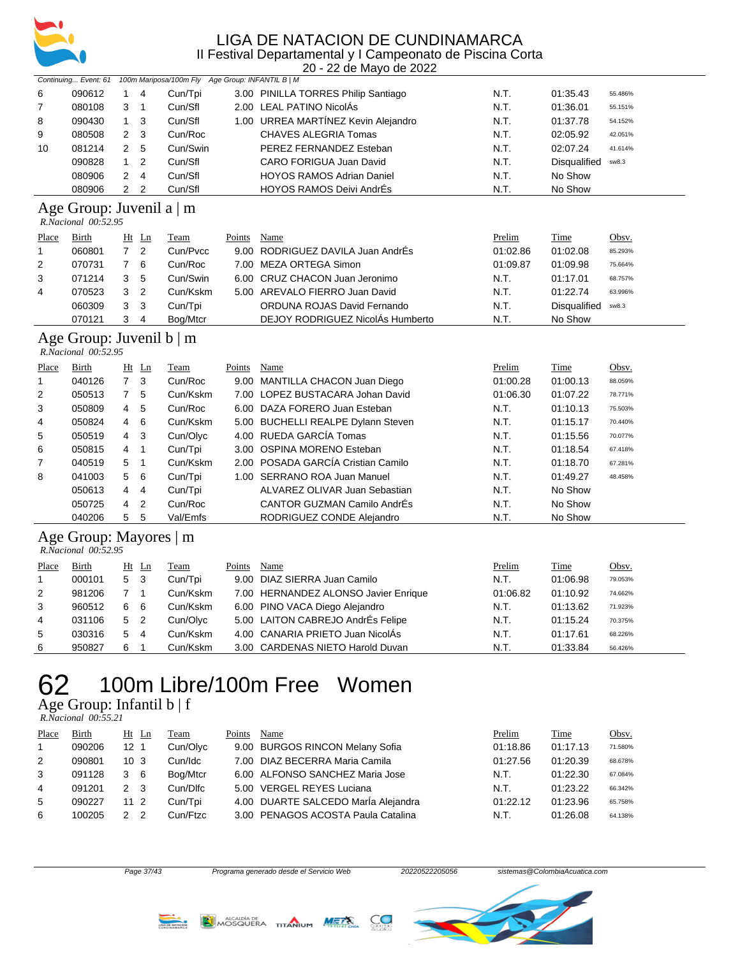

20 - 22 de Mayo de 2022

|    |        | Continuing Event: 61 100m Mariposa/100m Fly Age Group: INFANTIL B   M |                |          |                                     |      |              |         |
|----|--------|-----------------------------------------------------------------------|----------------|----------|-------------------------------------|------|--------------|---------|
| 6  | 090612 |                                                                       | 4              | Cun/Tpi  | 3.00 PINILLA TORRES Philip Santiago | N.T. | 01:35.43     | 55.486% |
| 7  | 080108 | 3                                                                     |                | Cun/Sfl  | 2.00 LEAL PATINO NicolÁs            | N.T. | 01:36.01     | 55.151% |
| 8  | 090430 |                                                                       | 1 3            | Cun/Sfl  | 1.00 URREA MARTÍNEZ Kevin Alejandro | N.T. | 01:37.78     | 54.152% |
| 9  | 080508 |                                                                       | 2 3            | Cun/Roc  | CHAVES ALEGRIA Tomas                | N.T. | 02:05.92     | 42.051% |
| 10 | 081214 |                                                                       | 2 5            | Cun/Swin | PEREZ FERNANDEZ Esteban             | N.T. | 02:07.24     | 41.614% |
|    | 090828 |                                                                       | $\overline{2}$ | Cun/Sfl  | CARO FORIGUA Juan David             | N.T. | Disqualified | sw8.3   |
|    | 080906 | 2                                                                     | -4             | Cun/Sfl  | <b>HOYOS RAMOS Adrian Daniel</b>    | N.T. | No Show      |         |
|    | 080906 |                                                                       | $\overline{2}$ | Cun/Sfl  | <b>HOYOS RAMOS Deivi AndrÉs</b>     | N.T. | No Show      |         |

#### Age Group: Juvenil a | m

 *R.Nacional 00:52.95* 

| Place | Birth  |   | Ht Ln | Team     | Points | Name                              | Prelim   | Time         | <u>Obsv.</u> |
|-------|--------|---|-------|----------|--------|-----------------------------------|----------|--------------|--------------|
|       | 060801 |   | - 2   | Cun/Pycc |        | 9.00 RODRIGUEZ DAVILA Juan AndrEs | 01:02.86 | 01:02.08     | 85.293%      |
| 2     | 070731 |   | -6    | Cun/Roc  |        | 7.00 MEZA ORTEGA Simon            | 01:09.87 | 01:09.98     | 75.664%      |
| 3     | 071214 |   | 5     | Cun/Swin |        | 6.00 CRUZ CHACON Juan Jeronimo    | N.T.     | 01:17.01     | 68.757%      |
| 4     | 070523 | 3 | -2    | Cun/Kskm |        | 5.00 AREVALO FIERRO Juan David    | N.T.     | 01:22.74     | 63.996%      |
|       | 060309 | 3 | -3    | Cun/Tpi  |        | ORDUNA ROJAS David Fernando       | N.T.     | Disqualified | sw8.3        |
|       | 070121 |   | 4     | Bog/Mtcr |        | DEJOY RODRIGUEZ NicolÁs Humberto  | N.T.     | No Show      |              |

#### Age Group: Juvenil b | m

| R.Nacional 00:52.95 |  |
|---------------------|--|

| Place          | Birth  |                | $Ht$ Ln        | Team     | Points | Name                               | Prelim   | Time     | Obsv.   |
|----------------|--------|----------------|----------------|----------|--------|------------------------------------|----------|----------|---------|
| 1              | 040126 | 7 <sup>3</sup> |                | Cun/Roc  |        | 9.00 MANTILLA CHACON Juan Diego    | 01:00.28 | 01:00.13 | 88.059% |
| 2              | 050513 | 7              | 5              | Cun/Kskm |        | 7.00 LOPEZ BUSTACARA Johan David   | 01:06.30 | 01:07.22 | 78.771% |
| 3              | 050809 | 4              | 5              | Cun/Roc  |        | 6.00 DAZA FORERO Juan Esteban      | N.T.     | 01:10.13 | 75.503% |
| 4              | 050824 | 4 6            |                | Cun/Kskm |        | 5.00 BUCHELLI REALPE Dylann Steven | N.T.     | 01:15.17 | 70.440% |
| 5              | 050519 | 4              | $_{3}$         | Cun/Olyc |        | 4.00 RUEDA GARCÍA Tomas            | N.T.     | 01:15.56 | 70.077% |
| 6              | 050815 | 4              | $\overline{1}$ | Cun/Tpi  |        | 3.00 OSPINA MORENO Esteban         | N.T.     | 01:18.54 | 67.418% |
| $\overline{7}$ | 040519 | 5              | $\overline{1}$ | Cun/Kskm |        | 2.00 POSADA GARCÍA Cristian Camilo | N.T.     | 01:18.70 | 67.281% |
| 8              | 041003 | 5 6            |                | Cun/Tpi  |        | 1.00 SERRANO ROA Juan Manuel       | N.T.     | 01:49.27 | 48.458% |
|                | 050613 | 4              | $\overline{4}$ | Cun/Tpi  |        | ALVAREZ OLIVAR Juan Sebastian      | N.T.     | No Show  |         |
|                | 050725 | 4              | $\overline{2}$ | Cun/Roc  |        | CANTOR GUZMAN Camilo AndrÉs        | N.T.     | No Show  |         |
|                | 040206 | 5              | 5              | Val/Emfs |        | RODRIGUEZ CONDE Alejandro          | N.T.     | No Show  |         |

#### Age Group: Mayores | m

|                | R.Nacional 00:52.95 |                |         |          |        |                                      |          |          |         |
|----------------|---------------------|----------------|---------|----------|--------|--------------------------------------|----------|----------|---------|
| Place          | Birth               |                | $Ht$ Ln | Team     | Points | Name                                 | Prelim   | Time     | Obsv.   |
|                | 000101              | 5 <sub>3</sub> |         | Cun/Tpi  |        | 9.00 DIAZ SIERRA Juan Camilo         | N.T.     | 01:06.98 | 79.053% |
| $\overline{2}$ | 981206              |                |         | Cun/Kskm |        | 7.00 HERNANDEZ ALONSO Javier Enrique | 01:06.82 | 01:10.92 | 74.662% |
| 3              | 960512              | 6              | -6      | Cun/Kskm |        | 6.00 PINO VACA Diego Alejandro       | N.T.     | 01:13.62 | 71.923% |
| 4              | 031106              | 5              | - 2     | Cun/Olyc |        | 5.00 LAITON CABREJO AndrÉs Felipe    | N.T.     | 01:15.24 | 70.375% |
| 5              | 030316              | 5              | -4      | Cun/Kskm |        | 4.00 CANARIA PRIETO Juan NicolÁs     | N.T.     | 01:17.61 | 68.226% |
| 6              | 950827              | 6              |         | Cun/Kskm |        | 3.00 CARDENAS NIETO Harold Duvan     | N.T.     | 01:33.84 | 56.426% |

# 100m Libre/100m Free Women

### Age Group: Infantil  $b \mid f$

| R.Nacional 00:55.21 |  |
|---------------------|--|

| Place | <b>Birth</b> | $Ht$ Ln         | Team     | Points | Name                                | Prelim   | Time     | Obsv.   |
|-------|--------------|-----------------|----------|--------|-------------------------------------|----------|----------|---------|
|       | 090206       | 12 <sub>1</sub> | Cun/Olyc |        | 9.00 BURGOS RINCON Melany Sofia     | 01:18.86 | 01:17.13 | 71.580% |
| 2     | 090801       | 10 <sub>3</sub> | Cun/Idc  |        | 7.00 DIAZ BECERRA Maria Camila      | 01:27.56 | 01:20.39 | 68.678% |
| 3     | 091128       | 3 6             | Bog/Mtcr |        | 6.00 ALFONSO SANCHEZ Maria Jose     | N.T.     | 01:22.30 | 67.084% |
| 4     | 091201       | 2 <sub>3</sub>  | Cun/Dlfc |        | 5.00 VERGEL REYES Luciana           | N.T.     | 01:23.22 | 66.342% |
| 5     | 090227       | 11 2            | Cun/Tpi  |        | 4.00 DUARTE SALCEDO María Alejandra | 01:22.12 | 01:23.96 | 65.758% |
| 6     | 100205       | $\mathcal{P}$   | Cun/Ftzc |        | 3.00 PENAGOS ACOSTA Paula Catalina  | N.T.     | 01:26.08 | 64.138% |



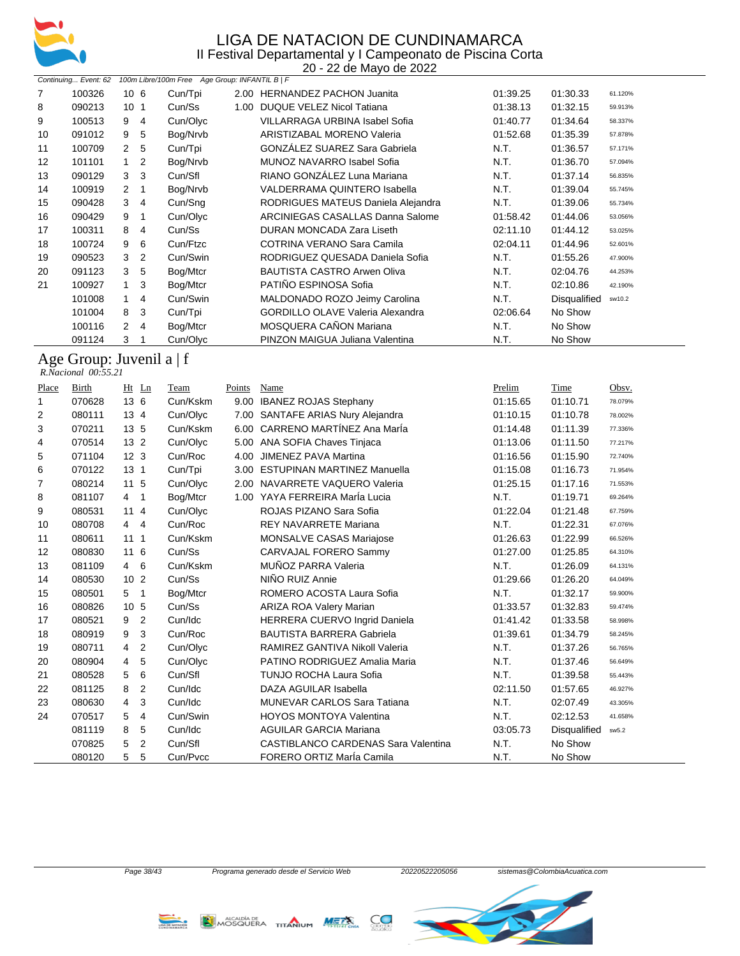

20 - 22 de Mayo de 2022

|       |                                |                                  | 100m Libre/100m Free Age Group: INFANTIL B   F |             | ZU - ZZ UB MAYU UB ZUZZ                           |                  |                          |         |
|-------|--------------------------------|----------------------------------|------------------------------------------------|-------------|---------------------------------------------------|------------------|--------------------------|---------|
| 7     | Continuing Event: 62<br>100326 | 106                              | Cun/Tpi                                        |             | 2.00 HERNANDEZ PACHON Juanita                     | 01:39.25         | 01:30.33                 | 61.120% |
| 8     | 090213                         | 10 <sub>1</sub>                  | Cun/Ss                                         |             | 1.00 DUQUE VELEZ Nicol Tatiana                    | 01:38.13         | 01:32.15                 | 59.913% |
| 9     | 100513                         | 9<br>4                           | Cun/Olyc                                       |             | VILLARRAGA URBINA Isabel Sofia                    | 01:40.77         | 01:34.64                 | 58.337% |
| 10    | 091012                         | 9<br>5                           | Bog/Nrvb                                       |             | ARISTIZABAL MORENO Valeria                        | 01:52.68         | 01:35.39                 | 57.878% |
| 11    | 100709                         | $\boldsymbol{2}$<br>5            | Cun/Tpi                                        |             | GONZÁLEZ SUAREZ Sara Gabriela                     | N.T.             | 01:36.57                 | 57.171% |
| 12    | 101101                         | $\mathbf{1}$<br>$\overline{c}$   | Bog/Nrvb                                       |             | <b>MUNOZ NAVARRO Isabel Sofia</b>                 | N.T.             | 01:36.70                 | 57.094% |
| 13    | 090129                         | 3<br>3                           | Cun/Sfl                                        |             | RIANO GONZÁLEZ Luna Mariana                       | N.T.             | 01:37.14                 | 56.835% |
| 14    | 100919                         | $\overline{c}$<br>1              | Bog/Nrvb                                       |             | VALDERRAMA QUINTERO Isabella                      | N.T.             | 01:39.04                 | 55.745% |
| 15    | 090428                         | 3<br>4                           | Cun/Sng                                        |             | RODRIGUES MATEUS Daniela Alejandra                | N.T.             | 01:39.06                 | 55.734% |
| 16    | 090429                         | 9<br>1                           | Cun/Olyc                                       |             | ARCINIEGAS CASALLAS Danna Salome                  | 01:58.42         | 01:44.06                 | 53.056% |
| 17    | 100311                         | 8<br>4                           | Cun/Ss                                         |             | DURAN MONCADA Zara Liseth                         | 02:11.10         | 01:44.12                 | 53.025% |
| 18    | 100724                         | 6<br>9                           | Cun/Ftzc                                       |             | COTRINA VERANO Sara Camila                        | 02:04.11         | 01:44.96                 | 52.601% |
| 19    | 090523                         | 3<br>$\overline{2}$              | Cun/Swin                                       |             | RODRIGUEZ QUESADA Daniela Sofia                   | N.T.             | 01:55.26                 | 47.900% |
| 20    | 091123                         | 5<br>3                           | Bog/Mtcr                                       |             | <b>BAUTISTA CASTRO Arwen Oliva</b>                | N.T.             | 02:04.76                 | 44.253% |
| 21    | 100927                         | 3<br>1                           | Bog/Mtcr                                       |             | PATIÑO ESPINOSA Sofia                             | N.T.             | 02:10.86                 | 42.190% |
|       | 101008                         | $\mathbf{1}$<br>4                | Cun/Swin                                       |             | MALDONADO ROZO Jeimy Carolina                     | N.T.             | Disqualified             | sw10.2  |
|       | 101004                         | 8<br>3                           | Cun/Tpi                                        |             | GORDILLO OLAVE Valeria Alexandra                  | 02:06.64         | No Show                  |         |
|       | 100116                         | $\overline{2}$<br>4              | Bog/Mtcr                                       |             | MOSQUERA CAÑON Mariana                            | N.T.             | No Show                  |         |
|       | 091124                         | 3<br>1                           | Cun/Olyc                                       |             | PINZON MAIGUA Juliana Valentina                   | N.T.             | No Show                  |         |
|       | Age Group: Juvenil a   f       |                                  |                                                |             |                                                   |                  |                          |         |
|       | R.Nacional 00:55.21            |                                  |                                                |             |                                                   |                  |                          |         |
| Place | <b>Birth</b>                   | Ht Ln                            | <b>Team</b>                                    | Points Name |                                                   | Prelim           | <b>Time</b>              | Obsv.   |
| 1     | 070628                         | 13 6                             | Cun/Kskm                                       |             | 9.00 IBANEZ ROJAS Stephany                        | 01:15.65         | 01:10.71                 | 78.079% |
| 2     | 080111                         | 13 4                             | Cun/Olyc                                       |             | 7.00 SANTAFE ARIAS Nury Alejandra                 | 01:10.15         | 01:10.78                 | 78.002% |
| 3     | 070211                         | 13 5                             | Cun/Kskm                                       |             | 6.00 CARRENO MARTÍNEZ Ana MarÍa                   | 01:14.48         | 01:11.39                 | 77.336% |
| 4     | 070514                         | 13 2                             | Cun/Olyc                                       |             | 5.00 ANA SOFIA Chaves Tinjaca                     | 01:13.06         | 01:11.50                 | 77.217% |
| 5     | 071104                         | 12 <sub>3</sub>                  | Cun/Roc                                        |             | 4.00 JIMENEZ PAVA Martina                         | 01:16.56         | 01:15.90                 | 72.740% |
| 6     | 070122                         | 13 <sub>1</sub>                  | Cun/Tpi                                        |             | 3.00 ESTUPINAN MARTINEZ Manuella                  | 01:15.08         | 01:16.73                 | 71.954% |
| 7     | 080214                         | 11 5                             | Cun/Olyc                                       |             | 2.00 NAVARRETE VAQUERO Valeria                    | 01:25.15         | 01:17.16                 | 71.553% |
| 8     | 081107                         | $\overline{4}$<br>$\overline{1}$ | Bog/Mtcr                                       |             | 1.00 YAYA FERREIRA MarÍa Lucia                    | N.T.             | 01:19.71                 | 69.264% |
| 9     | 080531                         | 114                              | Cun/Olyc                                       |             | ROJAS PIZANO Sara Sofia                           | 01:22.04         | 01:21.48                 | 67.759% |
| 10    | 080708                         | $\overline{4}$<br>$\overline{4}$ | Cun/Roc                                        |             | REY NAVARRETE Mariana                             | N.T.             | 01:22.31                 | 67.076% |
| 11    | 080611                         | 111                              | Cun/Kskm<br>Cun/Ss                             |             | MONSALVE CASAS Mariajose                          | 01:26.63         | 01:22.99                 | 66.526% |
| 12    | 080830                         | 116                              |                                                |             | CARVAJAL FORERO Sammy                             | 01:27.00         | 01:25.85                 | 64.310% |
| 13    | 081109                         | 6<br>$\overline{4}$              | Cun/Kskm<br>Cun/Ss                             |             | MUÑOZ PARRA Valeria<br>NIÑO RUIZ Annie            | N.T.             | 01:26.09                 | 64.131% |
| 14    | 080530                         | 10 <sub>2</sub>                  |                                                |             |                                                   | 01:29.66         | 01:26.20                 | 64.049% |
| 15    | 080501                         | 5<br>$\overline{1}$              | Bog/Mtcr                                       |             | ROMERO ACOSTA Laura Sofia                         | N.T.             | 01:32.17                 | 59.900% |
| 16    | 080826                         | 10 <sub>5</sub>                  | Cun/Ss                                         |             | ARIZA ROA Valery Marian                           | 01:33.57         | 01:32.83                 | 59.474% |
| 17    | 080521                         | $\overline{2}$<br>9              | Cun/Idc                                        |             | HERRERA CUERVO Ingrid Daniela                     | 01:41.42         | 01:33.58                 | 58.998% |
| 18    | 080919                         | 3<br>9                           | Cun/Roc                                        |             | <b>BAUTISTA BARRERA Gabriela</b>                  | 01:39.61         | 01:34.79                 | 58.245% |
| 19    | 080711                         | 2<br>4                           | Cun/Olyc                                       |             | RAMIREZ GANTIVA Nikoll Valeria                    | N.T.             | 01:37.26                 | 56.765% |
| 20    | 080904                         | 5<br>4                           | Cun/Olyc                                       |             | PATINO RODRIGUEZ Amalia Maria                     | N.T.             | 01:37.46                 | 56.649% |
| 21    | 080528                         | 6<br>5                           | Cun/Sfl                                        |             | TUNJO ROCHA Laura Sofia                           | N.T.             | 01:39.58                 | 55.443% |
| 22    | 081125                         | 8<br>2                           | Cun/Idc                                        |             | DAZA AGUILAR Isabella                             | 02:11.50         | 01:57.65                 | 46.927% |
| 23    | 080630                         | 4<br>3                           | Cun/Idc                                        |             | MUNEVAR CARLOS Sara Tatiana                       | N.T.             | 02:07.49                 | 43.305% |
| 24    | 070517<br>081119               | 5<br>4<br>8<br>5                 | Cun/Swin<br>Cun/Idc                            |             | HOYOS MONTOYA Valentina<br>AGUILAR GARCIA Mariana | N.T.<br>03:05.73 | 02:12.53<br>Disqualified | 41.658% |
|       |                                |                                  |                                                |             |                                                   |                  |                          | sw5.2   |



070825 5 2 Cun/Sfl CASTIBLANCO CARDENAS Sara Valentina N.T. No Show 080120 5 5 Cun/Pvcc FORERO ORTIZ MarÍa Camila N.T. No Show

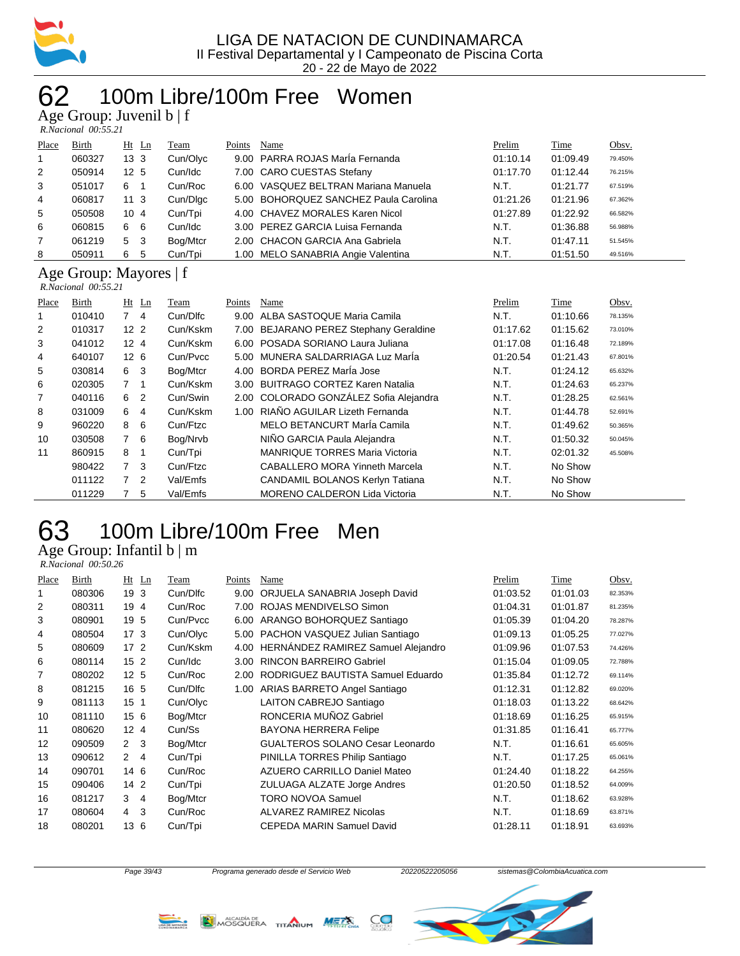

#### 100m Libre/100m Free Women  $\mathbf{u}$ n: Juvenil b  $\mathbf{f}$

|              | $T_{\rm X}$ UIUup, Juvulli $U \mid I$<br>$R. Nacional$ 00:55.21 |                 |          |        |                                       |          |          |         |
|--------------|-----------------------------------------------------------------|-----------------|----------|--------|---------------------------------------|----------|----------|---------|
| Place        | Birth                                                           | $Ht$ Ln         | Team     | Points | Name                                  | Prelim   | Time     | Obsv.   |
| $\mathbf{1}$ | 060327                                                          | 13 <sub>3</sub> | Cun/Olyc |        | 9.00 PARRA ROJAS Maria Fernanda       | 01:10.14 | 01:09.49 | 79.450% |
| 2            | 050914                                                          | 12 <sub>5</sub> | Cun/Idc  |        | 7.00 CARO CUESTAS Stefany             | 01:17.70 | 01:12.44 | 76.215% |
| 3            | 051017                                                          | 6               | Cun/Roc  |        | 6.00 VASQUEZ BELTRAN Mariana Manuela  | N.T.     | 01:21.77 | 67.519% |
| 4            | 060817                                                          | 11 3            | Cun/Dlgc |        | 5.00 BOHORQUEZ SANCHEZ Paula Carolina | 01:21.26 | 01:21.96 | 67.362% |
| 5            | 050508                                                          | $10 \, 4$       | Cun/Tpi  |        | 4.00 CHAVEZ MORALES Karen Nicol       | 01:27.89 | 01:22.92 | 66.582% |
| 6            | 060815                                                          | -6<br>6         | Cun/Idc  |        | 3.00 PEREZ GARCIA Luisa Fernanda      | N.T.     | 01:36.88 | 56.988% |
| 7            | 061219                                                          | -3<br>5         | Bog/Mtcr |        | 2.00 CHACON GARCIA Ana Gabriela       | N.T.     | 01:47.11 | 51.545% |
| 8            | 050911                                                          | 6<br>5          | Cun/Tpi  |        | 1.00 MELO SANABRIA Angie Valentina    | N.T.     | 01:51.50 | 49.516% |

### Age Group: Mayores | f

 *R.Nacional 00:55.21* 

| Place | Birth  | $Ht$ Ln          | Team     | Points | Name                                   | Prelim   | Time     | Obsv.   |
|-------|--------|------------------|----------|--------|----------------------------------------|----------|----------|---------|
| 1     | 010410 | $7^{\circ}$<br>4 | Cun/Dlfc | 9.00   | ALBA SASTOQUE Maria Camila             | N.T.     | 01:10.66 | 78.135% |
| 2     | 010317 | 12 <sub>2</sub>  | Cun/Kskm | 7.00   | BEJARANO PEREZ Stephany Geraldine      | 01:17.62 | 01:15.62 | 73.010% |
| 3     | 041012 | 12 <sub>4</sub>  | Cun/Kskm | 6.00   | POSADA SORIANO Laura Juliana           | 01:17.08 | 01:16.48 | 72.189% |
| 4     | 640107 | 12 <sub>6</sub>  | Cun/Pvcc | 5.00   | MUNERA SALDARRIAGA Luz Marla           | 01:20.54 | 01:21.43 | 67.801% |
| 5     | 030814 | 6 3              | Bog/Mtcr | 4.00   | BORDA PEREZ MarÍa Jose                 | N.T.     | 01:24.12 | 65.632% |
| 6     | 020305 | 7 <sub>1</sub>   | Cun/Kskm | 3.00   | <b>BUITRAGO CORTEZ Karen Natalia</b>   | N.T.     | 01:24.63 | 65.237% |
| 7     | 040116 | 6 2              | Cun/Swin |        | 2.00 COLORADO GONZÁLEZ Sofia Alejandra | N.T.     | 01:28.25 | 62.561% |
| 8     | 031009 | 6 4              | Cun/Kskm | 1.00   | RIAÑO AGUILAR Lizeth Fernanda          | N.T.     | 01:44.78 | 52.691% |
| 9     | 960220 | - 6<br>8         | Cun/Ftzc |        | MELO BETANCURT Marla Camila            | N.T.     | 01:49.62 | 50.365% |
| 10    | 030508 | 7 6              | Bog/Nrvb |        | NIÑO GARCIA Paula Alejandra            | N.T.     | 01:50.32 | 50.045% |
| 11    | 860915 | 8 1              | Cun/Tpi  |        | <b>MANRIQUE TORRES Maria Victoria</b>  | N.T.     | 02:01.32 | 45.508% |
|       | 980422 | 7 <sup>3</sup>   | Cun/Ftzc |        | <b>CABALLERO MORA Yinneth Marcela</b>  | N.T.     | No Show  |         |
|       | 011122 | 7 <sup>2</sup>   | Val/Emfs |        | CANDAMIL BOLANOS Kerlyn Tatiana        | N.T.     | No Show  |         |
|       | 011229 | 5                | Val/Emfs |        | <b>MORENO CALDERON Lida Victoria</b>   | N.T.     | No Show  |         |

# 100m Libre/100m Free Men

Age Group: Infantil b | m

 *R.Nacional 00:50.26* 

| Place | Birth  | $Ht$ Ln         |                | Team     | Points | Name                               | Prelim   | Time     | Obsv.   |
|-------|--------|-----------------|----------------|----------|--------|------------------------------------|----------|----------|---------|
| 1     | 080306 | 19              | 3              | Cun/Dlfc | 9.00   | ORJUELA SANABRIA Joseph David      | 01:03.52 | 01:01.03 | 82.353% |
| 2     | 080311 | 19              | $\overline{4}$ | Cun/Roc  | 7.00   | ROJAS MENDIVELSO Simon             | 01:04.31 | 01:01.87 | 81.235% |
| 3     | 080901 | 19 5            |                | Cun/Pvcc | 6.00   | ARANGO BOHORQUEZ Santiago          | 01:05.39 | 01:04.20 | 78.287% |
| 4     | 080504 | 17 <sub>3</sub> |                | Cun/Olyc | 5.00   | PACHON VASQUEZ Julian Santiago     | 01:09.13 | 01:05.25 | 77.027% |
| 5     | 080609 | 17 <sup>2</sup> |                | Cun/Kskm | 4.00   | HERNANDEZ RAMIREZ Samuel Alejandro | 01:09.96 | 01:07.53 | 74.426% |
| 6     | 080114 | 15 <sub>2</sub> |                | Cun/Idc  | 3.00   | <b>RINCON BARREIRO Gabriel</b>     | 01:15.04 | 01:09.05 | 72.788% |
| 7     | 080202 | 12 <sub>5</sub> |                | Cun/Roc  | 2.00   | RODRIGUEZ BAUTISTA Samuel Eduardo  | 01:35.84 | 01:12.72 | 69.114% |
| 8     | 081215 | 16 5            |                | Cun/Dlfc | 1.00   | ARIAS BARRETO Angel Santiago       | 01:12.31 | 01:12.82 | 69.020% |
| 9     | 081113 | 15 <sub>1</sub> |                | Cun/Olyc |        | LAITON CABREJO Santiago            | 01:18.03 | 01:13.22 | 68.642% |
| 10    | 081110 | 15 6            |                | Bog/Mtcr |        | RONCERIA MUÑOZ Gabriel             | 01:18.69 | 01:16.25 | 65.915% |
| 11    | 080620 | 12 <sup>°</sup> | 4              | Cun/Ss   |        | <b>BAYONA HERRERA Felipe</b>       | 01:31.85 | 01:16.41 | 65.777% |
| 12    | 090509 | $\mathbf{2}$    | 3              | Bog/Mtcr |        | GUALTEROS SOLANO Cesar Leonardo    | N.T.     | 01:16.61 | 65.605% |
| 13    | 090612 | $\mathcal{P}$   | $\overline{4}$ | Cun/Tpi  |        | PINILLA TORRES Philip Santiago     | N.T.     | 01:17.25 | 65.061% |
| 14    | 090701 | 14 6            |                | Cun/Roc  |        | AZUERO CARRILLO Daniel Mateo       | 01:24.40 | 01:18.22 | 64.255% |
| 15    | 090406 | 14 2            |                | Cun/Tpi  |        | ZULUAGA ALZATE Jorge Andres        | 01:20.50 | 01:18.52 | 64.009% |
| 16    | 081217 | 3               | $\overline{4}$ | Bog/Mtcr |        | TORO NOVOA Samuel                  | N.T.     | 01:18.62 | 63.928% |
| 17    | 080604 | $\overline{4}$  | 3              | Cun/Roc  |        | ALVAREZ RAMIREZ Nicolas            | N.T.     | 01:18.69 | 63.871% |
| 18    | 080201 | 13              | 6              | Cun/Tpi  |        | CEPEDA MARIN Samuel David          | 01:28.11 | 01:18.91 | 63.693% |
|       |        |                 |                |          |        |                                    |          |          |         |





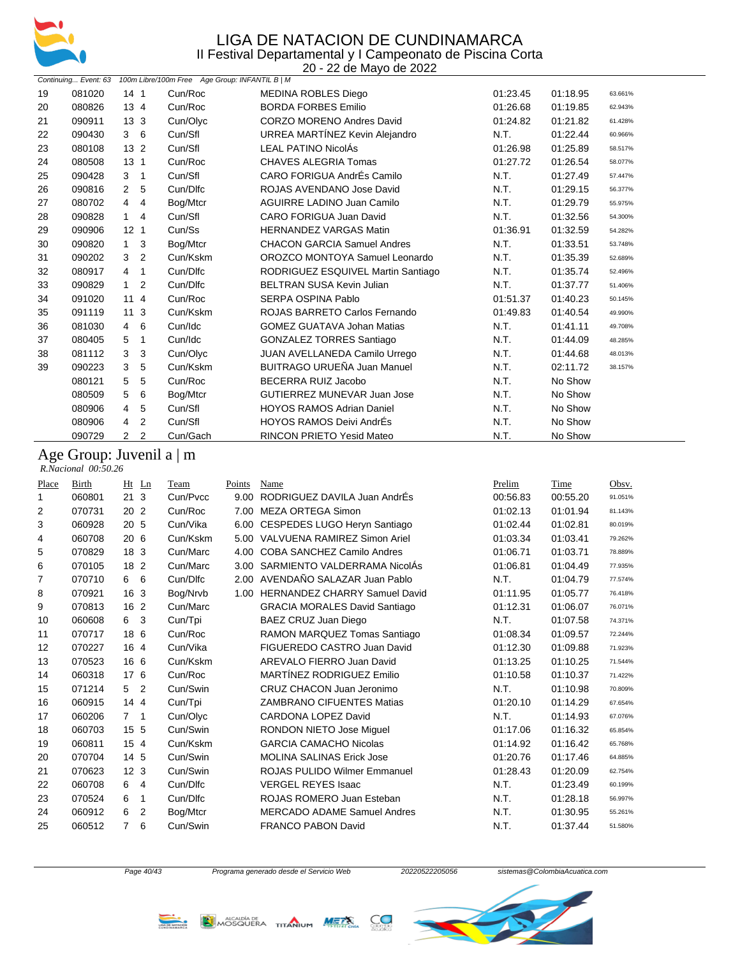

|    | 20 - 22 de Mayo de 2022 |                                  |                                                |                                    |          |          |         |  |  |
|----|-------------------------|----------------------------------|------------------------------------------------|------------------------------------|----------|----------|---------|--|--|
|    | Continuing Event: 63    |                                  | 100m Libre/100m Free Age Group: INFANTIL B   M |                                    |          |          |         |  |  |
| 19 | 081020                  | 14 <sub>1</sub>                  | Cun/Roc                                        | <b>MEDINA ROBLES Diego</b>         | 01:23.45 | 01:18.95 | 63.661% |  |  |
| 20 | 080826                  | 13 <sub>4</sub>                  | Cun/Roc                                        | <b>BORDA FORBES Emilio</b>         | 01:26.68 | 01:19.85 | 62.943% |  |  |
| 21 | 090911                  | 13 <sub>3</sub>                  | Cun/Olyc                                       | <b>CORZO MORENO Andres David</b>   | 01:24.82 | 01:21.82 | 61.428% |  |  |
| 22 | 090430                  | 36                               | Cun/Sfl                                        | URREA MARTÍNEZ Kevin Alejandro     | N.T.     | 01:22.44 | 60.966% |  |  |
| 23 | 080108                  | 13 2                             | Cun/Sfl                                        | <b>LEAL PATINO NicolÁs</b>         | 01:26.98 | 01:25.89 | 58.517% |  |  |
| 24 | 080508                  | 13 <sub>1</sub>                  | Cun/Roc                                        | <b>CHAVES ALEGRIA Tomas</b>        | 01:27.72 | 01:26.54 | 58.077% |  |  |
| 25 | 090428                  | 3<br>$\overline{1}$              | Cun/Sfl                                        | CARO FORIGUA AndrÉs Camilo         | N.T.     | 01:27.49 | 57.447% |  |  |
| 26 | 090816                  | 5<br>2                           | Cun/Dlfc                                       | ROJAS AVENDANO Jose David          | N.T.     | 01:29.15 | 56.377% |  |  |
| 27 | 080702                  | 4<br>4                           | Bog/Mtcr                                       | <b>AGUIRRE LADINO Juan Camilo</b>  | N.T.     | 01:29.79 | 55.975% |  |  |
| 28 | 090828                  | $\mathbf{1}$<br>4                | Cun/Sfl                                        | CARO FORIGUA Juan David            | N.T.     | 01:32.56 | 54.300% |  |  |
| 29 | 090906                  | 12 <sub>1</sub>                  | Cun/Ss                                         | <b>HERNANDEZ VARGAS Matin</b>      | 01:36.91 | 01:32.59 | 54.282% |  |  |
| 30 | 090820                  | 3<br>1                           | Bog/Mtcr                                       | <b>CHACON GARCIA Samuel Andres</b> | N.T.     | 01:33.51 | 53.748% |  |  |
| 31 | 090202                  | 3<br>$\overline{2}$              | Cun/Kskm                                       | OROZCO MONTOYA Samuel Leonardo     | N.T.     | 01:35.39 | 52.689% |  |  |
| 32 | 080917                  | $\mathbf{1}$<br>4                | Cun/Dlfc                                       | RODRIGUEZ ESQUIVEL Martin Santiago | N.T.     | 01:35.74 | 52.496% |  |  |
| 33 | 090829                  | $\mathbf{1}$<br>2                | Cun/Dlfc                                       | <b>BELTRAN SUSA Kevin Julian</b>   | N.T.     | 01:37.77 | 51.406% |  |  |
| 34 | 091020                  | 114                              | Cun/Roc                                        | <b>SERPA OSPINA Pablo</b>          | 01:51.37 | 01:40.23 | 50.145% |  |  |
| 35 | 091119                  | 11 <sub>3</sub>                  | Cun/Kskm                                       | ROJAS BARRETO Carlos Fernando      | 01:49.83 | 01:40.54 | 49.990% |  |  |
| 36 | 081030                  | 6<br>4                           | Cun/Idc                                        | <b>GOMEZ GUATAVA Johan Matias</b>  | N.T.     | 01:41.11 | 49.708% |  |  |
| 37 | 080405                  | 5<br>$\mathbf{1}$                | Cun/Idc                                        | <b>GONZALEZ TORRES Santiago</b>    | N.T.     | 01:44.09 | 48.285% |  |  |
| 38 | 081112                  | 3<br>3                           | Cun/Olyc                                       | JUAN AVELLANEDA Camilo Urrego      | N.T.     | 01:44.68 | 48.013% |  |  |
| 39 | 090223                  | 3<br>5                           | Cun/Kskm                                       | BUITRAGO URUEÑA Juan Manuel        | N.T.     | 02:11.72 | 38.157% |  |  |
|    | 080121                  | 5<br>5                           | Cun/Roc                                        | <b>BECERRA RUIZ Jacobo</b>         | N.T.     | No Show  |         |  |  |
|    | 080509                  | 5<br>6                           | Bog/Mtcr                                       | <b>GUTIERREZ MUNEVAR Juan Jose</b> | N.T.     | No Show  |         |  |  |
|    | 080906                  | 5<br>4                           | Cun/Sfl                                        | <b>HOYOS RAMOS Adrian Daniel</b>   | N.T.     | No Show  |         |  |  |
|    | 080906                  | 2<br>4                           | Cun/Sfl                                        | <b>HOYOS RAMOS Deivi AndrÉs</b>    | N.T.     | No Show  |         |  |  |
|    | 090729                  | $\overline{2}$<br>$\overline{2}$ | Cun/Gach                                       | <b>RINCON PRIETO Yesid Mateo</b>   | N.T.     | No Show  |         |  |  |

#### Age Group: Juvenil a | m

 *R.Nacional 00:50.26* 

| Place | <b>Birth</b> | Ht              | $_{\text{Ln}}$ | Team     | Points | Name                                 | Prelim   | Time     | Obsv.   |
|-------|--------------|-----------------|----------------|----------|--------|--------------------------------------|----------|----------|---------|
| 1     | 060801       | 21              | 3              | Cun/Pvcc | 9.00   | RODRIGUEZ DAVILA Juan AndrÉs         | 00:56.83 | 00:55.20 | 91.051% |
| 2     | 070731       | 20              | 2              | Cun/Roc  | 7.00   | <b>MEZA ORTEGA Simon</b>             | 01:02.13 | 01:01.94 | 81.143% |
| 3     | 060928       | 20 5            |                | Cun/Vika | 6.00   | CESPEDES LUGO Heryn Santiago         | 01:02.44 | 01:02.81 | 80.019% |
| 4     | 060708       | 206             |                | Cun/Kskm | 5.00   | VALVUENA RAMIREZ Simon Ariel         | 01:03.34 | 01:03.41 | 79.262% |
| 5     | 070829       | 18 3            |                | Cun/Marc | 4.00   | COBA SANCHEZ Camilo Andres           | 01:06.71 | 01:03.71 | 78.889% |
| 6     | 070105       | 18              | 2              | Cun/Marc | 3.00   | SARMIENTO VALDERRAMA NicolAs         | 01:06.81 | 01:04.49 | 77.935% |
| 7     | 070710       | 6               | 6              | Cun/Dlfc |        | 2.00 AVENDAÑO SALAZAR Juan Pablo     | N.T.     | 01:04.79 | 77.574% |
| 8     | 070921       | 16              | 3              | Bog/Nrvb | 1.00   | <b>HERNANDEZ CHARRY Samuel David</b> | 01:11.95 | 01:05.77 | 76.418% |
| 9     | 070813       | 16              | $\overline{2}$ | Cun/Marc |        | <b>GRACIA MORALES David Santiago</b> | 01:12.31 | 01:06.07 | 76.071% |
| 10    | 060608       | 6               | 3              | Cun/Tpi  |        | BAEZ CRUZ Juan Diego                 | N.T.     | 01:07.58 | 74.371% |
| 11    | 070717       | 18              | 6              | Cun/Roc  |        | RAMON MARQUEZ Tomas Santiago         | 01:08.34 | 01:09.57 | 72.244% |
| 12    | 070227       | 16 4            |                | Cun/Vika |        | FIGUEREDO CASTRO Juan David          | 01:12.30 | 01:09.88 | 71.923% |
| 13    | 070523       | 16 6            |                | Cun/Kskm |        | AREVALO FIERRO Juan David            | 01:13.25 | 01:10.25 | 71.544% |
| 14    | 060318       | 17              | 6              | Cun/Roc  |        | MARTÍNEZ RODRIGUEZ Emilio            | 01:10.58 | 01:10.37 | 71.422% |
| 15    | 071214       | 5               | 2              | Cun/Swin |        | CRUZ CHACON Juan Jeronimo            | N.T.     | 01:10.98 | 70.809% |
| 16    | 060915       | 14              | $\overline{4}$ | Cun/Tpi  |        | <b>ZAMBRANO CIFUENTES Matias</b>     | 01:20.10 | 01:14.29 | 67.654% |
| 17    | 060206       | $\overline{7}$  | $\mathbf{1}$   | Cun/Olyc |        | <b>CARDONA LOPEZ David</b>           | N.T.     | 01:14.93 | 67.076% |
| 18    | 060703       | 15              | 5              | Cun/Swin |        | <b>RONDON NIETO Jose Miquel</b>      | 01:17.06 | 01:16.32 | 65.854% |
| 19    | 060811       | 15              | $\overline{4}$ | Cun/Kskm |        | <b>GARCIA CAMACHO Nicolas</b>        | 01:14.92 | 01:16.42 | 65.768% |
| 20    | 070704       | 14 5            |                | Cun/Swin |        | <b>MOLINA SALINAS Erick Jose</b>     | 01:20.76 | 01:17.46 | 64.885% |
| 21    | 070623       | 12 <sub>3</sub> |                | Cun/Swin |        | <b>ROJAS PULIDO Wilmer Emmanuel</b>  | 01:28.43 | 01:20.09 | 62.754% |
| 22    | 060708       | 6               | 4              | Cun/Dlfc |        | <b>VERGEL REYES Isaac</b>            | N.T.     | 01:23.49 | 60.199% |
| 23    | 070524       | 6               | 1              | Cun/Dlfc |        | ROJAS ROMERO Juan Esteban            | N.T.     | 01:28.18 | 56.997% |
| 24    | 060912       | 6               | 2              | Bog/Mtcr |        | <b>MERCADO ADAME Samuel Andres</b>   | N.T.     | 01:30.95 | 55.261% |
| 25    | 060512       | 7               | 6              | Cun/Swin |        | <b>FRANCO PABON David</b>            | N.T.     | 01:37.44 | 51.580% |
|       |              |                 |                |          |        |                                      |          |          |         |

LIGA DE IMENCIÓN



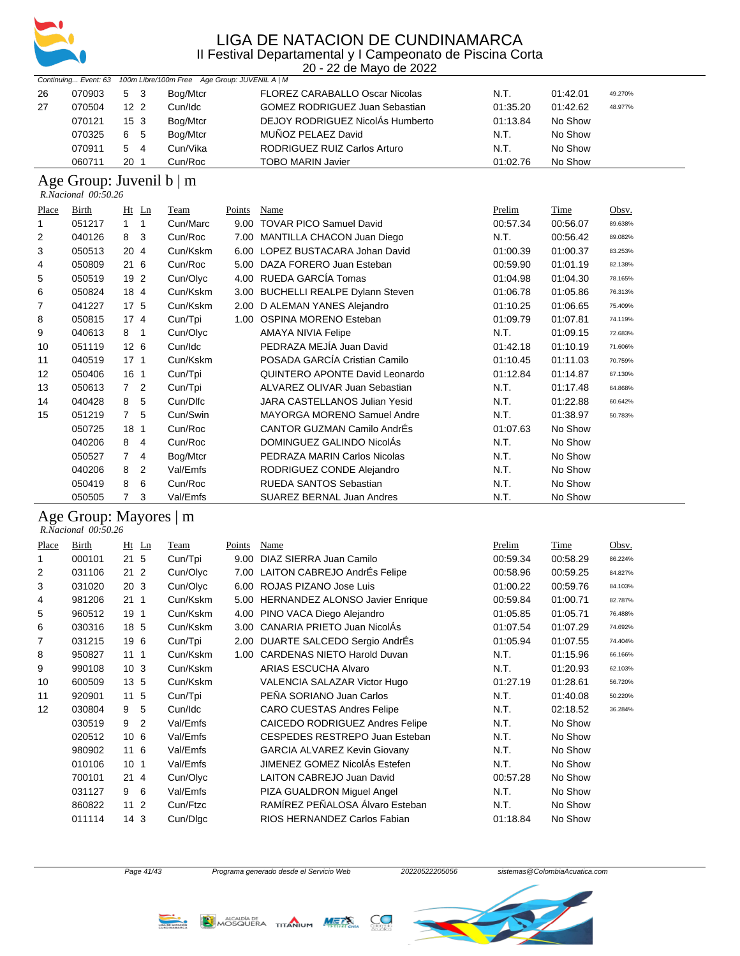

20 - 22 de Mayo de 2022

| Continuing Event: 63 100m Libre/100m Free Age Group: JUVENIL A   M |        |                 |                |          |                                       |          |          |         |
|--------------------------------------------------------------------|--------|-----------------|----------------|----------|---------------------------------------|----------|----------|---------|
| 26                                                                 | 070903 | 5 3             |                | Bog/Mtcr | <b>FLOREZ CARABALLO Oscar Nicolas</b> | N.T.     | 01:42.01 | 49.270% |
| 27                                                                 | 070504 | 12 <sub>2</sub> |                | Cun/Idc  | <b>GOMEZ RODRIGUEZ Juan Sebastian</b> | 01:35.20 | 01:42.62 | 48.977% |
|                                                                    | 070121 | 15 <sub>3</sub> |                | Bog/Mtcr | DEJOY RODRIGUEZ NicolÁs Humberto      | 01:13.84 | No Show  |         |
|                                                                    | 070325 | 6 5             |                | Bog/Mtcr | MUÑOZ PELAEZ David                    | N.T.     | No Show  |         |
|                                                                    | 070911 | 5               | $\overline{4}$ | Cun/Vika | RODRIGUEZ RUIZ Carlos Arturo          | N.T.     | No Show  |         |
|                                                                    | 060711 | 20 <sub>1</sub> |                | Cun/Roc  | <b>TOBO MARIN Javier</b>              | 01:02.76 | No Show  |         |

### Age Group: Juvenil b | m

| R.Nacional 00:50.26 |  |
|---------------------|--|
|                     |  |

| Place | Birth  | $Ht$ Ln             | Team     | Points | Name                               | Prelim   | Time     | Obsv.   |
|-------|--------|---------------------|----------|--------|------------------------------------|----------|----------|---------|
| 1     | 051217 | 1<br>1              | Cun/Marc | 9.00   | <b>TOVAR PICO Samuel David</b>     | 00:57.34 | 00:56.07 | 89.638% |
| 2     | 040126 | 3<br>8              | Cun/Roc  | 7.00   | MANTILLA CHACON Juan Diego         | N.T.     | 00:56.42 | 89.082% |
| 3     | 050513 | 20 4                | Cun/Kskm |        | 6.00 LOPEZ BUSTACARA Johan David   | 01:00.39 | 01:00.37 | 83.253% |
| 4     | 050809 | 216                 | Cun/Roc  | 5.00   | DAZA FORERO Juan Esteban           | 00:59.90 | 01:01.19 | 82.138% |
| 5     | 050519 | 19 2                | Cun/Olyc | 4.00   | RUEDA GARCÍA Tomas                 | 01:04.98 | 01:04.30 | 78.165% |
| 6     | 050824 | 18 4                | Cun/Kskm |        | 3.00 BUCHELLI REALPE Dylann Steven | 01:06.78 | 01:05.86 | 76.313% |
| 7     | 041227 | 17 <sub>5</sub>     | Cun/Kskm |        | 2.00 D ALEMAN YANES Alejandro      | 01:10.25 | 01:06.65 | 75.409% |
| 8     | 050815 | 17 <sub>4</sub>     | Cun/Tpi  | 1.00   | OSPINA MORENO Esteban              | 01:09.79 | 01:07.81 | 74.119% |
| 9     | 040613 | 8<br>-1             | Cun/Olyc |        | <b>AMAYA NIVIA Felipe</b>          | N.T.     | 01:09.15 | 72.683% |
| 10    | 051119 | 12 <sub>6</sub>     | Cun/Idc  |        | PEDRAZA MEJÍA Juan David           | 01:42.18 | 01:10.19 | 71.606% |
| 11    | 040519 | $17-1$              | Cun/Kskm |        | POSADA GARCÍA Cristian Camilo      | 01:10.45 | 01:11.03 | 70.759% |
| 12    | 050406 | 16 1                | Cun/Tpi  |        | QUINTERO APONTE David Leonardo     | 01:12.84 | 01:14.87 | 67.130% |
| 13    | 050613 | 7 <sup>2</sup>      | Cun/Tpi  |        | ALVAREZ OLIVAR Juan Sebastian      | N.T.     | 01:17.48 | 64.868% |
| 14    | 040428 | 5<br>8              | Cun/Dlfc |        | JARA CASTELLANOS Julian Yesid      | N.T.     | 01:22.88 | 60.642% |
| 15    | 051219 | $\overline{7}$<br>5 | Cun/Swin |        | <b>MAYORGA MORENO Samuel Andre</b> | N.T.     | 01:38.97 | 50.783% |
|       | 050725 | 18 <sub>1</sub>     | Cun/Roc  |        | CANTOR GUZMAN Camilo AndrÉs        | 01:07.63 | No Show  |         |
|       | 040206 | 8<br>4              | Cun/Roc  |        | DOMINGUEZ GALINDO NicolAs          | N.T.     | No Show  |         |
|       | 050527 | 7<br>4              | Bog/Mtcr |        | PEDRAZA MARIN Carlos Nicolas       | N.T.     | No Show  |         |
|       | 040206 | 8<br>2              | Val/Emfs |        | RODRIGUEZ CONDE Alejandro          | N.T.     | No Show  |         |
|       | 050419 | 8<br>6              | Cun/Roc  |        | <b>RUEDA SANTOS Sebastian</b>      | N.T.     | No Show  |         |
|       | 050505 | 3<br>7              | Val/Emfs |        | <b>SUAREZ BERNAL Juan Andres</b>   | N.T.     | No Show  |         |

#### Age Group: Mayores | m

 *R.Nacional 00:50.26* 

| Place | Birth  | $Ht$ Ln              | Team     | Points | Name                                   | Prelim   | Time     | Obsv.   |
|-------|--------|----------------------|----------|--------|----------------------------------------|----------|----------|---------|
|       | 000101 | 21 <sub>5</sub>      | Cun/Tpi  | 9.00   | DIAZ SIERRA Juan Camilo                | 00:59.34 | 00:58.29 | 86.224% |
| 2     | 031106 | 21 <sub>2</sub>      | Cun/Olyc |        | 7.00 LAITON CABREJO AndrÉs Felipe      | 00:58.96 | 00:59.25 | 84.827% |
| 3     | 031020 | 20 <sub>3</sub>      | Cun/Olyc | 6.00   | ROJAS PIZANO Jose Luis                 | 01:00.22 | 00:59.76 | 84.103% |
| 4     | 981206 | 21<br>$\mathbf{1}$   | Cun/Kskm | 5.00   | <b>HERNANDEZ ALONSO Javier Enrique</b> | 00:59.84 | 01:00.71 | 82.787% |
| 5     | 960512 | 19<br>1              | Cun/Kskm | 4.00   | PINO VACA Diego Alejandro              | 01:05.85 | 01:05.71 | 76.488% |
| 6     | 030316 | 18 5                 | Cun/Kskm | 3.00   | CANARIA PRIETO Juan NicolAs            | 01:07.54 | 01:07.29 | 74.692% |
| 7     | 031215 | 19<br>6              | Cun/Tpi  | 2.00   | DUARTE SALCEDO Sergio AndrEs           | 01:05.94 | 01:07.55 | 74.404% |
| 8     | 950827 | 11<br>1              | Cun/Kskm | 1.00   | <b>CARDENAS NIETO Harold Duvan</b>     | N.T.     | 01:15.96 | 66.166% |
| 9     | 990108 | 10 <sub>3</sub>      | Cun/Kskm |        | ARIAS ESCUCHA Alvaro                   | N.T.     | 01:20.93 | 62.103% |
| 10    | 600509 | 13 5                 | Cun/Kskm |        | VALENCIA SALAZAR Victor Hugo           | 01:27.19 | 01:28.61 | 56.720% |
| 11    | 920901 | 11<br>5              | Cun/Tpi  |        | PEÑA SORIANO Juan Carlos               | N.T.     | 01:40.08 | 50.220% |
| 12    | 030804 | 9<br>5               | Cun/Idc  |        | <b>CARO CUESTAS Andres Felipe</b>      | N.T.     | 02:18.52 | 36.284% |
|       | 030519 | $\overline{2}$<br>9  | Val/Emfs |        | <b>CAICEDO RODRIGUEZ Andres Felipe</b> | N.T.     | No Show  |         |
|       | 020512 | 10<br>6              | Val/Emfs |        | CESPEDES RESTREPO Juan Esteban         | N.T.     | No Show  |         |
|       | 980902 | 116                  | Val/Emfs |        | <b>GARCIA ALVAREZ Kevin Giovany</b>    | N.T.     | No Show  |         |
|       | 010106 | 10<br>1              | Val/Emfs |        | JIMENEZ GOMEZ NicolÁs Estefen          | N.T.     | No Show  |         |
|       | 700101 | $21 \; 4$            | Cun/Olyc |        | <b>LAITON CABREJO Juan David</b>       | 00:57.28 | No Show  |         |
|       | 031127 | 6<br>9               | Val/Emfs |        | PIZA GUALDRON Miguel Angel             | N.T.     | No Show  |         |
|       | 860822 | 11<br>$\overline{2}$ | Cun/Ftzc |        | RAMÍREZ PEÑALOSA Álvaro Esteban        | N.T.     | No Show  |         |
|       | 011114 | 14<br>3              | Cun/Dlac |        | RIOS HERNANDEZ Carlos Fabian           | 01:18.84 | No Show  |         |



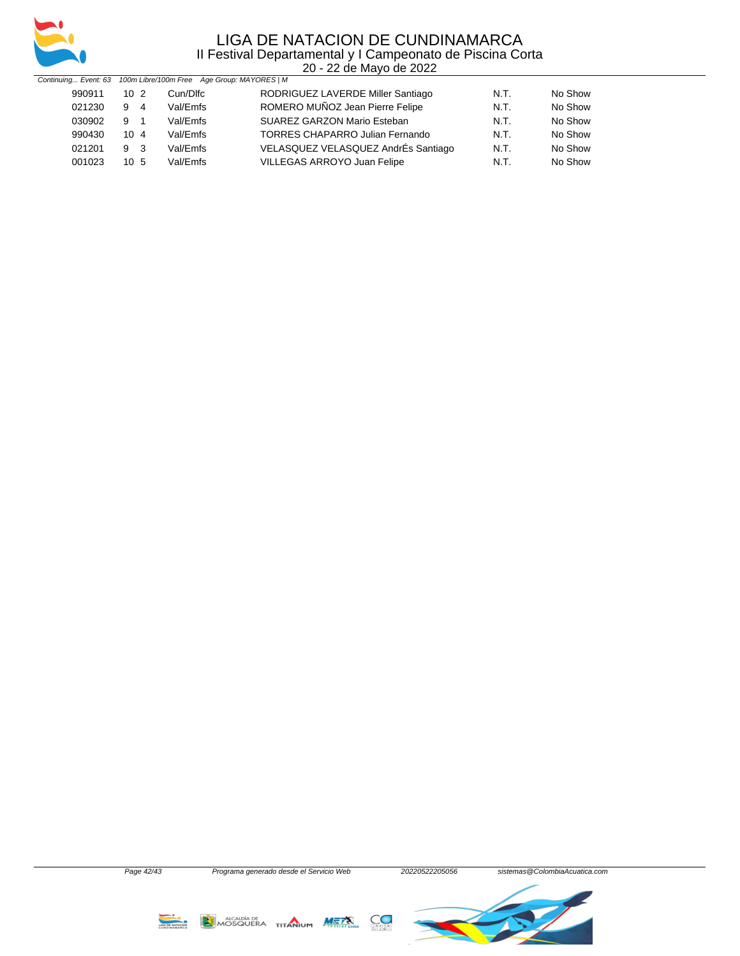

| Continuing Event: 63 100m Libre/100m Free Age Group: MAYORES   M |                 |          |                                        |      |         |
|------------------------------------------------------------------|-----------------|----------|----------------------------------------|------|---------|
| 990911                                                           | $10^{2}$        | Cun/Dlfc | RODRIGUEZ LAVERDE Miller Santiago      | N.T. | No Show |
| 021230                                                           | 9 4             | Val/Emfs | ROMERO MUÑOZ Jean Pierre Felipe        | N.T. | No Show |
| 030902                                                           | 9 1             | Val/Emfs | SUAREZ GARZON Mario Esteban            | N.T. | No Show |
| 990430                                                           | 10 <sub>4</sub> | Val/Emfs | <b>TORRES CHAPARRO Julian Fernando</b> | N.T. | No Show |
| 021201                                                           | 9 <sub>3</sub>  | Val/Emfs | VELASQUEZ VELASQUEZ AndrÉs Santiago    | N.T. | No Show |
| 001023                                                           | 10 <sub>5</sub> | Val/Emfs | VILLEGAS ARROYO Juan Felipe            | N.T. | No Show |

Page 42/43 Programa generado desde el Servicio Web 20220522205056 sistemas@ColombiaAcuatica.com MOSQUERA TITANIUM METS  $C_{\bullet}$ **LIGA DE NATACIÓN**